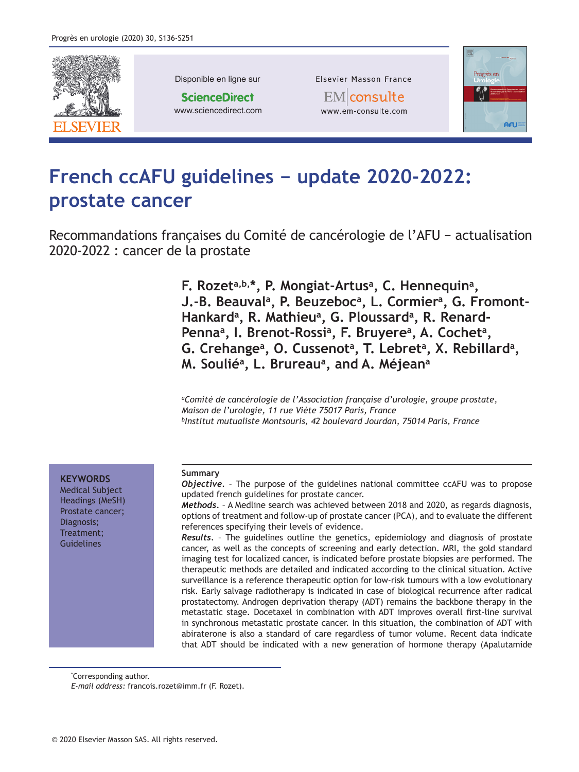

Disponible en ligne sur

**ScienceDirect** www.sciencedirect.com Elsevier Masson France

EMlconsulte www.em-consulte.com



# **French ccAFU guidelines - update 2020-2022: prostate cancer**

Recommandations françaises du Comité de cancérologie de l'AFU - actualisation 2020-2022 : cancer de la prostate

> **F. Rozeta, b, \*, P. Mongiat-Artus<sup>a</sup>, C. Hennequin<sup>a</sup>, J.-B. Beauval<sup>a</sup>, P. Beuzeboc<sup>a</sup>, L. Cormier<sup>a</sup>, G. Fromont-**Hankard<sup>a</sup>, R. Mathieu<sup>a</sup>, G. Ploussard<sup>a</sup>, R. Renard-Penna<sup>a</sup>, I. Brenot-Rossi<sup>a</sup>, F. Bruyere<sup>a</sup>, A. Cochet<sup>a</sup>, G. Crehange<sup>a</sup>, O. Cussenot<sup>a</sup>, T. Lebret<sup>a</sup>, X. Rebillard<sup>a</sup>, **M. Soulié<sup>a</sup>, L. Brureau<sup>a</sup>, and A. Méjean<sup>a</sup>**

*aComité de cancérologie de l'Association française d'urologie, groupe prostate, Maison de l'urologie, 11 rue Viète 75017 Paris, France bInstitut mutualiste Montsouris, 42 boulevard Jourdan, 75014 Paris, France*

**KEYWORDS** 

Medical Subject Headings (MeSH) Prostate cancer; Diagnosis; Treatment; **Guidelines** 

#### **Summary**

*Objective.* – The purpose of the guidelines national committee ccAFU was to propose updated french guidelines for prostate cancer.

*Methods.* – A Medline search was achieved between 2018 and 2020, as regards diagnosis, options of treatment and follow-up of prostate cancer (PCA), and to evaluate the different references specifying their levels of evidence.

*Results.* – The guidelines outline the genetics, epidemiology and diagnosis of prostate cancer, as well as the concepts of screening and early detection. MRI, the gold standard imaging test for localized cancer, is indicated before prostate biopsies are performed. The therapeutic methods are detailed and indicated according to the clinical situation. Active surveillance is a reference therapeutic option for low-risk tumours with a low evolutionary risk. Early salvage radiotherapy is indicated in case of biological recurrence after radical prostatectomy. Androgen deprivation therapy (ADT) remains the backbone therapy in the metastatic stage. Docetaxel in combination with ADT improves overall first-line survival in synchronous metastatic prostate cancer. In this situation, the combination of ADT with abiraterone is also a standard of care regardless of tumor volume. Recent data indicate that ADT should be indicated with a new generation of hormone therapy (Apalutamide

\* Corresponding author.

*E-mail address:* francois.rozet@imm.fr (F. Rozet).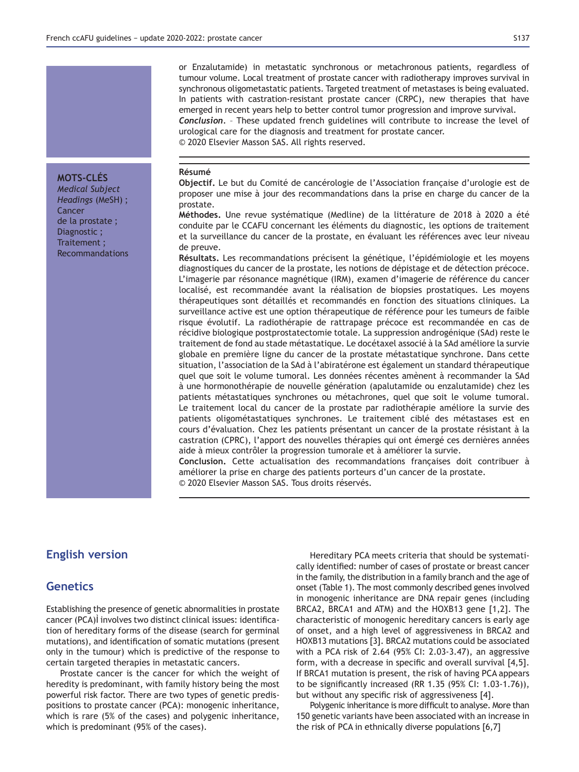or Enzalutamide) in metastatic synchronous or metachronous patients, regardless of tumour volume. Local treatment of prostate cancer with radiotherapy improves survival in synchronous oligometastatic patients. Targeted treatment of metastases is being evaluated. In patients with castration-resistant prostate cancer (CRPC), new therapies that have emerged in recent years help to better control tumor progression and improve survival. *Conclusion.* – These updated french guidelines will contribute to increase the level of urological care for the diagnosis and treatment for prostate cancer. © 2020 Elsevier Masson SAS. All rights reserved.

### **Résumé**

Objectif. Le but du Comité de cancérologie de l'Association française d'urologie est de proposer une mise à jour des recommandations dans la prise en charge du cancer de la prostate.

Méthodes. Une revue systématique (Medline) de la littérature de 2018 à 2020 a été conduite par le CCAFU concernant les éléments du diagnostic, les options de traitement et la surveillance du cancer de la prostate, en évaluant les références avec leur niveau de preuve.

Résultats. Les recommandations précisent la génétique, l'épidémiologie et les moyens diagnostiques du cancer de la prostate, les notions de dépistage et de détection précoce. L'imagerie par résonance magnétique (IRM), examen d'imagerie de référence du cancer localisé, est recommandée avant la réalisation de biopsies prostatiques. Les moyens thérapeutiques sont détaillés et recommandés en fonction des situations cliniques. La surveillance active est une option thérapeutique de référence pour les tumeurs de faible risque évolutif. La radiothérapie de rattrapage précoce est recommandée en cas de récidive biologique postprostatectomie totale. La suppression androgénique (SAd) reste le traitement de fond au stade métastatique. Le docétaxel associé à la SAd améliore la survie globale en première ligne du cancer de la prostate métastatique synchrone. Dans cette situation, l'association de la SAd à l'abiratérone est également un standard thérapeutique quel que soit le volume tumoral. Les données récentes amènent à recommander la SAd à une hormonothérapie de nouvelle génération (apalutamide ou enzalutamide) chez les patients métastatiques synchrones ou métachrones, quel que soit le volume tumoral. Le traitement local du cancer de la prostate par radiothérapie améliore la survie des patients oligométastatiques synchrones. Le traitement ciblé des métastases est en cours d'évaluation. Chez les patients présentant un cancer de la prostate résistant à la castration (CPRC), l'apport des nouvelles thérapies qui ont émergé ces dernières années aide à mieux contrôler la progression tumorale et à améliorer la survie.

**&RQFOXVLRQ** Cette actualisation des recommandations françaises doit contribuer à améliorer la prise en charge des patients porteurs d'un cancer de la prostate. © 2020 Elsevier Masson SAS. Tous droits réservés.

# **English version**

# **Genetics**

Establishing the presence of genetic abnormalities in prostate cancer (PCA) involves two distinct clinical issues: identification of hereditary forms of the disease (search for germinal mutations), and identification of somatic mutations (present only in the tumour) which is predictive of the response to certain targeted therapies in metastatic cancers.

Prostate cancer is the cancer for which the weight of heredity is predominant, with family history being the most powerful risk factor. There are two types of genetic predispositions to prostate cancer (PCA): monogenic inheritance, which is rare (5% of the cases) and polygenic inheritance, which is predominant (95% of the cases).

Hereditary PCA meets criteria that should be systematically identified: number of cases of prostate or breast cancer in the family, the distribution in a family branch and the age of onset (Table 1). The most commonly described genes involved in monogenic inheritance are DNA repair genes (including BRCA2, BRCA1 and ATM) and the HOXB13 gene [1,2]. The characteristic of monogenic hereditary cancers is early age of onset, and a high level of aggressiveness in BRCA2 and HOXB13 mutations [3]. BRCA2 mutations could be associated with a PCA risk of 2.64 (95% CI: 2.03-3.47), an aggressive form, with a decrease in specific and overall survival  $[4,5]$ . If BRCA1 mutation is present, the risk of having PCA appears to be significantly increased (RR 1.35 (95% CI: 1.03-1.76)), but without any specific risk of aggressiveness [4].

Polygenic inheritance is more difficult to analyse. More than 150 genetic variants have been associated with an increase in the risk of PCA in ethnically diverse populations  $[6,7]$ 

# **MOTS-CLÉS**

*Medical Subject Headings* (MeSH) ; Cancer de la prostate ; Diagnostic ; Traitement ; Recommandations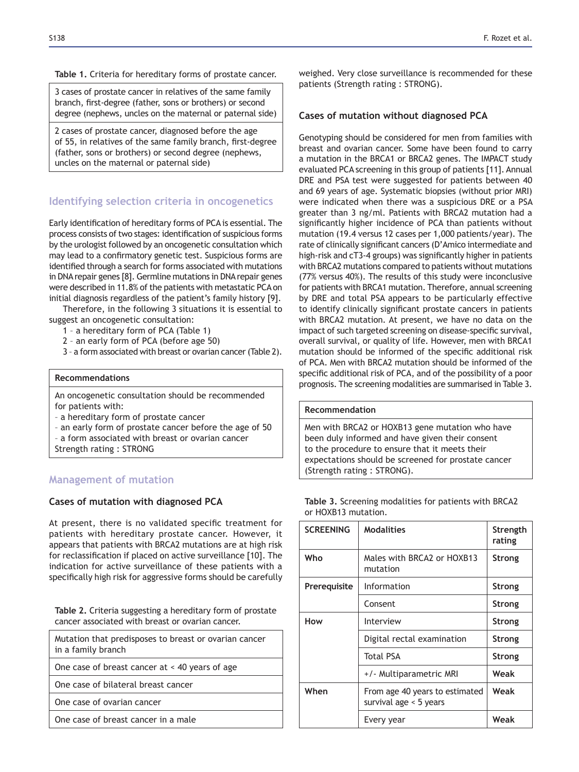Table 1. Criteria for hereditary forms of prostate cancer.

3 cases of prostate cancer in relatives of the same family branch, first-degree (father, sons or brothers) or second degree (nephews, uncles on the maternal or paternal side)

2 cases of prostate cancer, diagnosed before the age of 55, in relatives of the same family branch, first-degree (father, sons or brothers) or second degree (nephews, uncles on the maternal or paternal side)

# **Identifying selection criteria in oncogenetics**

Early identification of hereditary forms of PCA is essential. The process consists of two stages: identification of suspicious forms by the urologist followed by an oncogenetic consultation which may lead to a confirmatory genetic test. Suspicious forms are identified through a search for forms associated with mutations in DNA repair genes [8]. Germline mutations in DNA repair genes were described in 11.8% of the patients with metastatic PCA on initial diagnosis regardless of the patient's family history [9].

Therefore, in the following 3 situations it is essential to suggest an oncogenetic consultation:

- 1 a hereditary form of PCA (Table 1)
	- 2 an early form of PCA (before age 50)
	- 3 a form associated with breast or ovarian cancer (Table 2).

### **Recommendations**

An oncogenetic consultation should be recommended for patients with:

– a hereditary form of prostate cancer

- an early form of prostate cancer before the age of 50
- a form associated with breast or ovarian cancer
- Strength rating : STRONG

# **Management of mutation**

# Cases of mutation with diagnosed PCA

At present, there is no validated specific treatment for patients with hereditary prostate cancer. However, it appears that patients with BRCA2 mutations are at high risk for reclassification if placed on active surveillance [10]. The indication for active surveillance of these patients with a specifically high risk for aggressive forms should be carefully

Table 2. Criteria suggesting a hereditary form of prostate cancer associated with breast or ovarian cancer.

Mutation that predisposes to breast or ovarian cancer in a family branch

One case of breast cancer at < 40 years of age

One case of bilateral breast cancer

One case of ovarian cancer

One case of breast cancer in a male

weighed. Very close surveillance is recommended for these patients (Strength rating : STRONG).

# Cases of mutation without diagnosed PCA

Genotyping should be considered for men from families with breast and ovarian cancer. Some have been found to carry a mutation in the BRCA1 or BRCA2 genes. The IMPACT study evaluated PCA screening in this group of patients [11]. Annual DRE and PSA test were suggested for patients between 40 and 69 years of age. Systematic biopsies (without prior MRI) were indicated when there was a suspicious DRE or a PSA greater than 3 ng/ml. Patients with BRCA2 mutation had a significantly higher incidence of PCA than patients without mutation (19.4 versus 12 cases per 1,000 patients/year). The rate of clinically significant cancers (D'Amico intermediate and high-risk and cT3-4 groups) was significantly higher in patients with BRCA2 mutations compared to patients without mutations  $(77\%$  versus 40%). The results of this study were inconclusive for patients with BRCA1 mutation. Therefore, annual screening by DRE and total PSA appears to be particularly effective to identify clinically significant prostate cancers in patients with BRCA2 mutation. At present, we have no data on the impact of such targeted screening on disease-specific survival, overall survival, or quality of life. However, men with BRCA1 mutation should be informed of the specific additional risk of PCA. Men with BRCA2 mutation should be informed of the specific additional risk of PCA, and of the possibility of a poor prognosis. The screening modalities are summarised in Table 3.

### **Recommendation**

Men with BRCA2 or HOXB13 gene mutation who have been duly informed and have given their consent to the procedure to ensure that it meets their expectations should be screened for prostate cancer (Strength rating : STRONG).

| <b>SCREENING</b> | <b>Modalities</b>                                          | Strength<br>rating |
|------------------|------------------------------------------------------------|--------------------|
| Who              | Males with BRCA2 or HOXB13<br>mutation                     | Strong             |
| Prerequisite     | Information                                                | <b>Strong</b>      |
|                  | Consent                                                    | Strong             |
| How              | Interview                                                  | Strong             |
|                  | Digital rectal examination                                 | <b>Strong</b>      |
|                  | <b>Total PSA</b>                                           | Strong             |
|                  | +/- Multiparametric MRI                                    | Weak               |
| When             | From age 40 years to estimated<br>survival age $<$ 5 years | Weak               |
|                  | Every year                                                 | Weak               |

Table 3. Screening modalities for patients with BRCA2 or HOXB13 mutation.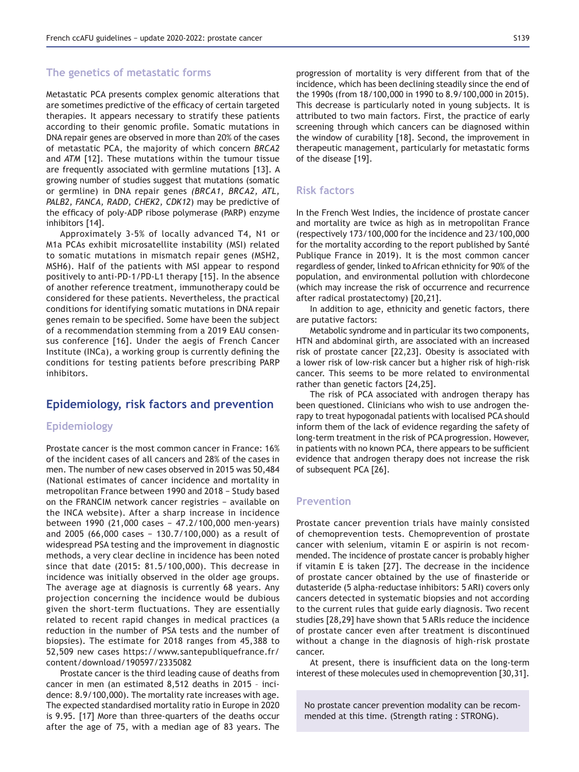#### **The genetics of metastatic forms**

Metastatic PCA presents complex genomic alterations that are sometimes predictive of the efficacy of certain targeted therapies. It appears necessary to stratify these patients according to their genomic profile. Somatic mutations in DNA repair genes are observed in more than 20% of the cases of metastatic PCA, the majority of which concern *BRCA2* and *ATM* [12]. These mutations within the tumour tissue are frequently associated with germline mutations [13]. A growing number of studies suggest that mutations (somatic or germline) in DNA repair genes *(BRCA1, BRCA2, ATL, PALB2, FANCA, RADD, CHEK2, CDK12*) may be predictive of the efficacy of poly-ADP ribose polymerase (PARP) enzyme inhibitors [14].

Approximately 3-5% of locally advanced T4, N1 or M1a PCAs exhibit microsatellite instability (MSI) related to somatic mutations in mismatch repair genes (MSH2, MSH6). Half of the patients with MSI appear to respond positively to anti-PD-1/PD-L1 therapy [15]. In the absence of another reference treatment, immunotherapy could be considered for these patients. Nevertheless, the practical conditions for identifying somatic mutations in DNA repair genes remain to be specified. Some have been the subject of a recommendation stemming from a 2019 EAU consensus conference [16]. Under the aegis of French Cancer Institute (INCa), a working group is currently defining the conditions for testing patients before prescribing PARP inhibitors.

# Epidemiology, risk factors and prevention

# Epidemiology

Prostate cancer is the most common cancer in France: 16% of the incident cases of all cancers and 28% of the cases in men. The number of new cases observed in 2015 was 50,484 (National estimates of cancer incidence and mortality in metropolitan France between 1990 and 2018 - Study based on the FRANCIM network cancer registries - available on the INCA website). After a sharp increase in incidence between 1990 (21,000 cases - 47.2/100,000 men-years) and 2005 (66,000 cases - 130.7/100,000) as a result of widespread PSA testing and the improvement in diagnostic methods, a very clear decline in incidence has been noted since that date (2015: 81.5/100,000). This decrease in incidence was initially observed in the older age groups. The average age at diagnosis is currently 68 years. Any projection concerning the incidence would be dubious given the short-term fluctuations. They are essentially related to recent rapid changes in medical practices (a reduction in the number of PSA tests and the number of biopsies). The estimate for 2018 ranges from 45,388 to 52,509 new cases https://www.santepubliquefrance.fr/ content/download/190597/2335082

Prostate cancer is the third leading cause of deaths from cancer in men (an estimated 8,512 deaths in 2015 – incidence: 8.9/100,000). The mortality rate increases with age. The expected standardised mortality ratio in Europe in 2020 is 9.95. [17] More than three-quarters of the deaths occur after the age of 75, with a median age of 83 years. The progression of mortality is very different from that of the incidence, which has been declining steadily since the end of the 1990s (from 18/100,000 in 1990 to 8.9/100,000 in 2015). This decrease is particularly noted in young subjects. It is attributed to two main factors. First, the practice of early screening through which cancers can be diagnosed within the window of curability [18]. Second, the improvement in therapeutic management, particularly for metastatic forms of the disease [19].

# **Risk factors**

In the French West Indies, the incidence of prostate cancer and mortality are twice as high as in metropolitan France  $($ respectively 173/100,000 for the incidence and 23/100,000 for the mortality according to the report published by Santé Publique France in 2019). It is the most common cancer regardless of gender, linked to African ethnicity for 90% of the population, and environmental pollution with chlordecone (which may increase the risk of occurrence and recurrence after radical prostatectomy) [20,21].

In addition to age, ethnicity and genetic factors, there are putative factors:

Metabolic syndrome and in particular its two components, HTN and abdominal girth, are associated with an increased risk of prostate cancer [22,23]. Obesity is associated with a lower risk of low-risk cancer but a higher risk of high-risk cancer. This seems to be more related to environmental rather than genetic factors [24,25].

The risk of PCA associated with androgen therapy has been questioned. Clinicians who wish to use androgen therapy to treat hypogonadal patients with localised PCA should inform them of the lack of evidence regarding the safety of long-term treatment in the risk of PCA progression. However, in patients with no known PCA, there appears to be sufficient evidence that androgen therapy does not increase the risk of subsequent PCA [26].

# **Prevention**

Prostate cancer prevention trials have mainly consisted of chemoprevention tests. Chemoprevention of prostate cancer with selenium, vitamin E or aspirin is not recommended. The incidence of prostate cancer is probably higher if vitamin E is taken [27]. The decrease in the incidence of prostate cancer obtained by the use of finasteride or dutasteride (5 alpha-reductase inhibitors: 5 ARI) covers only cancers detected in systematic biopsies and not according to the current rules that guide early diagnosis. Two recent studies [28,29] have shown that 5 ARIs reduce the incidence of prostate cancer even after treatment is discontinued without a change in the diagnosis of high-risk prostate cancer.

At present, there is insufficient data on the long-term interest of these molecules used in chemoprevention [30,31].

No prostate cancer prevention modality can be recommended at this time. (Strength rating : STRONG).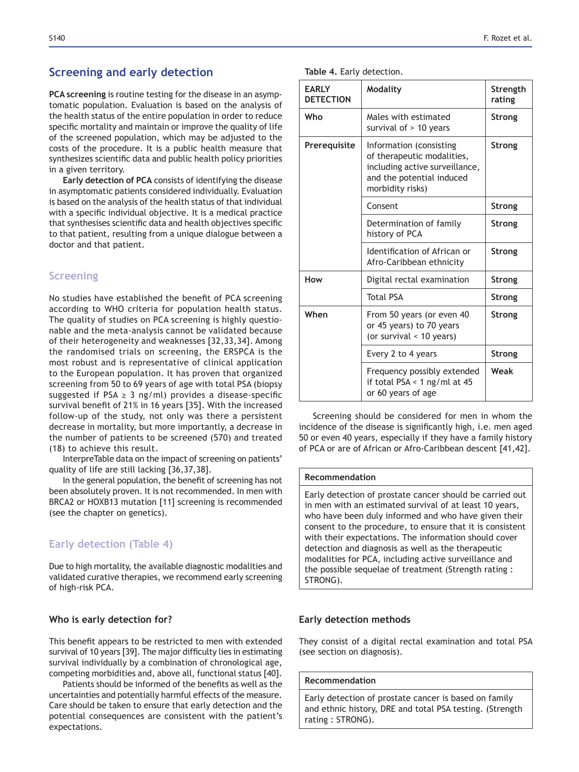# **Screening and early detection**

**PCA screening** is routine testing for the disease in an asymptomatic population. Evaluation is based on the analysis of the health status of the entire population in order to reduce specific mortality and maintain or improve the quality of life of the screened population, which may be adjusted to the costs of the procedure. It is a public health measure that synthesizes scientific data and public health policy priorities in a given territory.

**Early detection of PCA** consists of identifying the disease in asymptomatic patients considered individually. Evaluation is based on the analysis of the health status of that individual with a specific individual objective. It is a medical practice that synthesises scientific data and health objectives specific to that patient, resulting from a unique dialogue between a doctor and that patient.

# **Screening**

No studies have established the benefit of PCA screening according to WHO criteria for population health status. The quality of studies on PCA screening is highly questionable and the meta-analysis cannot be validated because of their heterogeneity and weaknesses [32,33,34]. Among the randomised trials on screening, the ERSPCA is the most robust and is representative of clinical application to the European population. It has proven that organized screening from 50 to 69 years of age with total PSA (biopsy suggested if  $PSA \geq 3$  ng/ml) provides a disease-specific survival benefit of 21% in 16 years [35]. With the increased follow-up of the study, not only was there a persistent decrease in mortality, but more importantly, a decrease in the number of patients to be screened (570) and treated (18) to achieve this result.

InterpreTable data on the impact of screening on patients' quality of life are still lacking  $[36,37,38]$ .

In the general population, the benefit of screening has not been absolutely proven. It is not recommended. In men with BRCA2 or HOXB13 mutation [11] screening is recommended (see the chapter on genetics).

# **Early detection (Table 4)**

Due to high mortality, the available diagnostic modalities and validated curative therapies, we recommend early screening of high-risk PCA.

### **Who is early detection for?**

This benefit appears to be restricted to men with extended survival of 10 years [39]. The major difficulty lies in estimating survival individually by a combination of chronological age, competing morbidities and, above all, functional status [40].

Patients should be informed of the benefits as well as the uncertainties and potentially harmful effects of the measure. Care should be taken to ensure that early detection and the potential consequences are consistent with the patient's expectations.

|  |  |  | Table 4. Early detection. |  |
|--|--|--|---------------------------|--|
|--|--|--|---------------------------|--|

| <b>EARLY</b><br><b>DETECTION</b> | <b>Modality</b>                                                                                                                          | Strength<br>rating |
|----------------------------------|------------------------------------------------------------------------------------------------------------------------------------------|--------------------|
| Who                              | Males with estimated<br>survival of $> 10$ years                                                                                         | <b>Strong</b>      |
| Prerequisite                     | Information (consisting<br>of therapeutic modalities,<br>including active surveillance,<br>and the potential induced<br>morbidity risks) | Strong             |
|                                  | Consent                                                                                                                                  | <b>Strong</b>      |
|                                  | Determination of family<br>history of PCA                                                                                                | Strong             |
|                                  | Identification of African or<br>Afro-Caribbean ethnicity                                                                                 | <b>Strong</b>      |
| How                              | Digital rectal examination                                                                                                               | Strong             |
|                                  | <b>Total PSA</b>                                                                                                                         | <b>Strong</b>      |
| When                             | From 50 years (or even 40<br>or 45 years) to 70 years<br>(or survival < 10 years)                                                        | Strong             |
|                                  | Every 2 to 4 years                                                                                                                       | <b>Strong</b>      |
|                                  | Frequency possibly extended<br>if total PSA < 1 ng/ml at 45<br>or 60 years of age                                                        | Weak               |

Screening should be considered for men in whom the incidence of the disease is significantly high, i.e. men aged 50 or even 40 years, especially if they have a family history of PCA or are of African or Afro-Caribbean descent [41,42].

#### **Recommendation**

Early detection of prostate cancer should be carried out in men with an estimated survival of at least 10 years, who have been duly informed and who have given their consent to the procedure, to ensure that it is consistent with their expectations. The information should cover detection and diagnosis as well as the therapeutic modalities for PCA, including active surveillance and the possible sequelae of treatment (Strength rating : STRONG).

#### **Early detection methods**

They consist of a digital rectal examination and total PSA (see section on diagnosis).

### **Becommendation**

Early detection of prostate cancer is based on family and ethnic history, DRE and total PSA testing. (Strength rating : STRONG).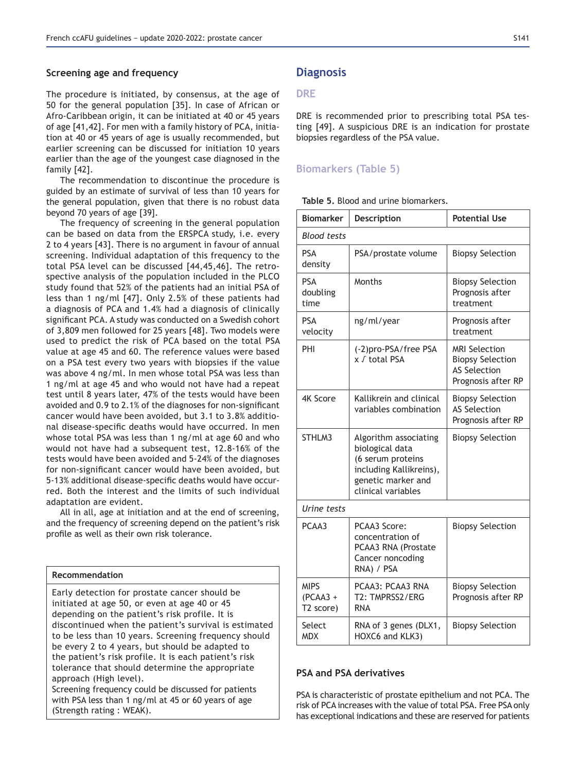#### **Screening age and frequency**

The procedure is initiated, by consensus, at the age of 50 for the general population [35]. In case of African or Afro-Caribbean origin, it can be initiated at 40 or 45 years of age [41,42]. For men with a family history of PCA, initiation at 40 or 45 years of age is usually recommended, but earlier screening can be discussed for initiation 10 years earlier than the age of the youngest case diagnosed in the family [42].

The recommendation to discontinue the procedure is guided by an estimate of survival of less than 10 years for the general population, given that there is no robust data beyond 70 years of age  $[39]$ .

The frequency of screening in the general population can be based on data from the ERSPCA study, i.e. every 2 to 4 years [43]. There is no argument in favour of annual screening. Individual adaptation of this frequency to the total PSA level can be discussed [44,45,46]. The retrospective analysis of the population included in the PLCO study found that 52% of the patients had an initial PSA of less than 1 ng/ml [47]. Only 2.5% of these patients had a diagnosis of PCA and 1.4% had a diagnosis of clinically significant PCA. A study was conducted on a Swedish cohort of 3,809 men followed for 25 years [48]. Two models were used to predict the risk of PCA based on the total PSA value at age 45 and 60. The reference values were based on a PSA test every two years with biopsies if the value was above 4 ng/ml. In men whose total PSA was less than 1 ng/ml at age 45 and who would not have had a repeat test until 8 years later, 47% of the tests would have been avoided and 0.9 to 2.1% of the diagnoses for non-significant cancer would have been avoided, but 3.1 to 3.8% additional disease-specific deaths would have occurred. In men whose total PSA was less than 1 ng/ml at age 60 and who would not have had a subsequent test, 12.8-16% of the tests would have been avoided and 5-24% of the diagnoses for non-significant cancer would have been avoided, but 5-13% additional disease-specific deaths would have occurred. Both the interest and the limits of such individual adaptation are evident.

All in all, age at initiation and at the end of screening, and the frequency of screening depend on the patient's risk profile as well as their own risk tolerance.

| Recommendation                                        |   |  |
|-------------------------------------------------------|---|--|
|                                                       |   |  |
| Early detection for prostate cancer should be         |   |  |
| initiated at age 50, or even at age 40 or 45          |   |  |
| depending on the patient's risk profile. It is        |   |  |
| discontinued when the patient's survival is estimated |   |  |
| to be less than 10 years. Screening frequency should  |   |  |
| be every 2 to 4 years, but should be adapted to       |   |  |
| the patient's risk profile. It is each patient's risk |   |  |
|                                                       |   |  |
| tolerance that should determine the appropriate       | P |  |
| approach (High level).                                |   |  |
| Screening frequency could be discussed for patients   |   |  |
| with PSA less than 1 ng/ml at 45 or 60 years of age   | P |  |

(Strength rating : WEAK).

**Diagnosis** 

### **DRE**

DRE is recommended prior to prescribing total PSA testing [49]. A suspicious DRE is an indication for prostate biopsies regardless of the PSA value.

### **Biomarkers (Table 5)**

**Table 5. Blood and urine biomarkers.** 

| <b>Biomarker</b>                       | Description                                                                                                                          | <b>Potential Use</b>                                                                         |  |  |  |
|----------------------------------------|--------------------------------------------------------------------------------------------------------------------------------------|----------------------------------------------------------------------------------------------|--|--|--|
| <b>Blood tests</b>                     |                                                                                                                                      |                                                                                              |  |  |  |
| <b>PSA</b><br>density                  | PSA/prostate volume                                                                                                                  | <b>Biopsy Selection</b>                                                                      |  |  |  |
| <b>PSA</b><br>doubling<br>time         | Months                                                                                                                               | <b>Biopsy Selection</b><br>Prognosis after<br>treatment                                      |  |  |  |
| <b>PSA</b><br>velocity                 | ng/ml/year                                                                                                                           | Prognosis after<br>treatment                                                                 |  |  |  |
| PHI                                    | (-2)pro-PSA/free PSA<br>x ∫ total PSA                                                                                                | <b>MRI Selection</b><br><b>Biopsy Selection</b><br><b>AS Selection</b><br>Prognosis after RP |  |  |  |
| 4K Score                               | Kallikrein and clinical<br>variables combination                                                                                     | <b>Biopsy Selection</b><br><b>AS Selection</b><br>Prognosis after RP                         |  |  |  |
| STHLM3                                 | Algorithm associating<br>biological data<br>(6 serum proteins<br>including Kallikreins),<br>genetic marker and<br>clinical variables | <b>Biopsy Selection</b>                                                                      |  |  |  |
| Urine tests                            |                                                                                                                                      |                                                                                              |  |  |  |
| PCAA3                                  | PCAA3 Score:<br>concentration of<br>PCAA3 RNA (Prostate<br>Cancer noncoding<br>RNA) / PSA                                            | <b>Biopsy Selection</b>                                                                      |  |  |  |
| <b>MIPS</b><br>$(PCAA3 +$<br>T2 score) | PCAA3: PCAA3 RNA<br>T2: TMPRSS2/ERG<br><b>RNA</b>                                                                                    | <b>Biopsy Selection</b><br>Prognosis after RP                                                |  |  |  |
| Select<br><b>MDX</b>                   | RNA of 3 genes (DLX1,<br>HOXC6 and KLK3)                                                                                             | <b>Biopsy Selection</b>                                                                      |  |  |  |

# **SA and PSA derivatives**

SA is characteristic of prostate epithelium and not PCA. The risk of PCA increases with the value of total PSA. Free PSA only has exceptional indications and these are reserved for patients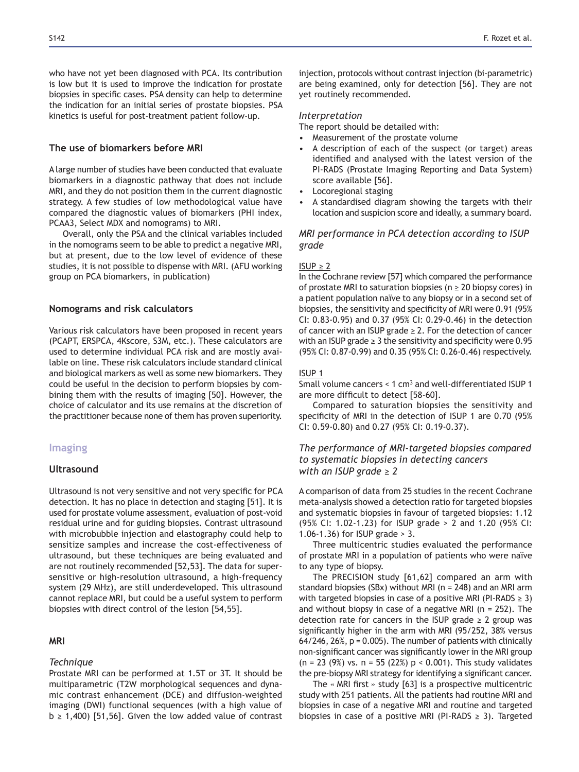who have not yet been diagnosed with PCA. Its contribution is low but it is used to improve the indication for prostate biopsies in specific cases. PSA density can help to determine the indication for an initial series of prostate biopsies. PSA kinetics is useful for post-treatment patient follow-up.

# The use of biomarkers before MRI

A large number of studies have been conducted that evaluate biomarkers in a diagnostic pathway that does not include MRI, and they do not position them in the current diagnostic strategy. A few studies of low methodological value have compared the diagnostic values of biomarkers (PHI index, PCAA3, Select MDX and nomograms) to MRI.

Overall, only the PSA and the clinical variables included in the nomograms seem to be able to predict a negative MRI, but at present, due to the low level of evidence of these studies, it is not possible to dispense with MRI. (AFU working group on PCA biomarkers, in publication)

#### **Nomograms and risk calculators**

Various risk calculators have been proposed in recent years (PCAPT, ERSPCA, 4Kscore, S3M, etc.). These calculators are used to determine individual PCA risk and are mostly available on line. These risk calculators include standard clinical and biological markers as well as some new biomarkers. They could be useful in the decision to perform biopsies by combining them with the results of imaging [50]. However, the choice of calculator and its use remains at the discretion of the practitioner because none of them has proven superiority.

# **Imaging**

### **Ultrasound**

Ultrasound is not very sensitive and not very specific for PCA detection. It has no place in detection and staging [51]. It is used for prostate volume assessment, evaluation of post-void residual urine and for guiding biopsies. Contrast ultrasound with microbubble injection and elastography could help to sensitize samples and increase the cost-effectiveness of ultrasound, but these techniques are being evaluated and are not routinely recommended [52,53]. The data for supersensitive or high-resolution ultrasound, a high-frequency system (29 MHz), are still underdeveloped. This ultrasound cannot replace MRI, but could be a useful system to perform biopsies with direct control of the lesion [54,55].

#### **05,**

#### *Technique*

Prostate MRI can be performed at 1.5T or 3T. It should be multiparametric (T2W morphological sequences and dynamic contrast enhancement (DCE) and diffusion-weighted imaging (DWI) functional sequences (with a high value of  $b \geq 1,400$  [51,56]. Given the low added value of contrast injection, protocols without contrast injection (bi-parametric) are being examined, only for detection [56]. They are not yet routinely recommended.

#### *Interpretation*

The report should be detailed with:

- Measurement of the prostate volume
- A description of each of the suspect (or target) areas identified and analysed with the latest version of the PI-RADS (Prostate Imaging Reporting and Data System) score available [56].
- Locoregional staging
- A standardised diagram showing the targets with their location and suspicion score and ideally, a summary board.

# *MRI performance in PCA detection according to ISUP grade*

#### $ISUP \geq 2$

In the Cochrane review [57] which compared the performance of prostate MRI to saturation biopsies ( $n \geq 20$  biopsy cores) in a patient population naïve to any biopsy or in a second set of biopsies, the sensitivity and specificity of MRI were 0.91 (95% CI:  $0.83 - 0.95$ ) and  $0.37$  (95% CI:  $0.29 - 0.46$ ) in the detection of cancer with an ISUP grade  $\geq$  2. For the detection of cancer with an ISUP grade  $\geq$  3 the sensitivity and specificity were 0.95 (95% CI: 0.87-0.99) and 0.35 (95% CI: 0.26-0.46) respectively.

#### ISUP 1

Small volume cancers  $< 1$  cm<sup>3</sup> and well-differentiated ISUP 1 are more difficult to detect [58-60].

Compared to saturation biopsies the sensitivity and specificity of MRI in the detection of ISUP 1 are 0.70 (95% CI:  $0.59 - 0.80$ ) and  $0.27$  (95% CI:  $0.19 - 0.37$ ).

*The performance of MRI-targeted biopsies compared to systematic biopsies in detecting cancers With an ISUP grade*  $\geq 2$ 

A comparison of data from 25 studies in the recent Cochrane meta-analysis showed a detection ratio for targeted biopsies and systematic biopsies in favour of targeted biopsies: 1.12 (95% CI: 1.02-1.23) for ISUP grade > 2 and 1.20 (95% CI: 1.06-1.36) for ISUP grade > 3.

Three multicentric studies evaluated the performance of prostate MRI in a population of patients who were naïve to any type of biopsy.

The PRECISION study [61,62] compared an arm with standard biopsies (SBx) without MRI ( $n = 248$ ) and an MRI arm with targeted biopsies in case of a positive MRI (PI-RADS  $\geq$  3) and without biopsy in case of a negative MRI ( $n = 252$ ). The detection rate for cancers in the ISUP grade  $\geq 2$  group was significantly higher in the arm with MRI (95/252, 38% versus  $64/246$ ,  $26%$ ,  $p = 0.005$ ). The number of patients with clinically non-significant cancer was significantly lower in the MRI group  $(n = 23 (9%) vs. n = 55 (22%) p < 0.001)$ . This study validates the pre-biopsy MRI strategy for identifying a significant cancer.

The  $\cdot$  MRI first  $\cdot$  study [63] is a prospective multicentric study with 251 patients. All the patients had routine MRI and biopsies in case of a negative MRI and routine and targeted biopsies in case of a positive MRI (PI-RADS  $\geq$  3). Targeted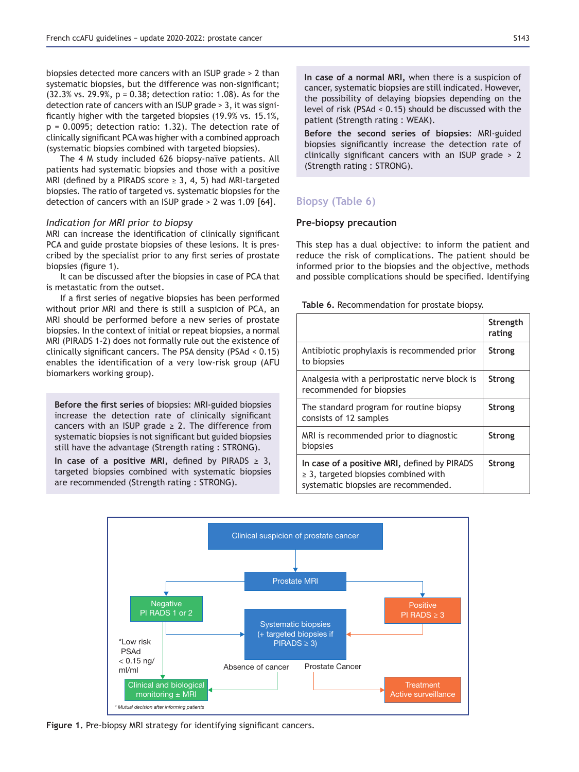biopsies detected more cancers with an ISUP grade > 2 than systematic biopsies, but the difference was non-significant; (32.3% vs. 29.9%, p = 0.38; detection ratio: 1.08). As for the detection rate of cancers with an ISUP grade > 3, it was significantly higher with the targeted biopsies  $(19.9\% \text{ vs. } 15.1\%$ , p = 0.0095; detection ratio: 1.32). The detection rate of clinically significant PCA was higher with a combined approach (systematic biopsies combined with targeted biopsies).

The 4 M study included 626 biopsy-naïve patients. All patients had systematic biopsies and those with a positive MRI (defined by a PIRADS score  $\geq$  3, 4, 5) had MRI-targeted biopsies. The ratio of targeted vs. systematic biopsies for the detection of cancers with an ISUP grade > 2 was 1.09 [64].

#### *Indication for MRI prior to biopsy*

MRI can increase the identification of clinically significant PCA and guide prostate biopsies of these lesions. It is prescribed by the specialist prior to any first series of prostate biopsies (figure 1).

It can be discussed after the biopsies in case of PCA that is metastatic from the outset.

If a first series of negative biopsies has been performed without prior MRI and there is still a suspicion of PCA, an MRI should be performed before a new series of prostate biopsies. In the context of initial or repeat biopsies, a normal MRI (PIRADS 1-2) does not formally rule out the existence of clinically significant cancers. The PSA density (PSAd <  $0.15$ ) enables the identification of a very low-risk group (AFU biomarkers working group).

Before the first series of biopsies: MRI-guided biopsies increase the detection rate of clinically significant cancers with an ISUP grade  $\geq$  2. The difference from systematic biopsies is not significant but guided biopsies still have the advantage (Strength rating : STRONG).

In case of a positive MRI, defined by PIRADS  $\geq$  3, targeted biopsies combined with systematic biopsies are recommended (Strength rating : STRONG).

In case of a normal MRI, when there is a suspicion of cancer, systematic biopsies are still indicated. However, the possibility of delaying biopsies depending on the level of risk (PSAd < 0.15) should be discussed with the patient (Strength rating : WEAK).

Before the second series of biopsies: MRI-guided biopsies significantly increase the detection rate of clinically significant cancers with an ISUP grade  $> 2$ (Strength rating : STRONG).

# **Biopsy (Table 6)**

#### **Pre-biopsy precaution**

This step has a dual objective: to inform the patient and reduce the risk of complications. The patient should be informed prior to the biopsies and the objective, methods and possible complications should be specified. Identifying

Table 6. Recommendation for prostate biopsy.

|                                                                                                                                   | Strength<br>rating |
|-----------------------------------------------------------------------------------------------------------------------------------|--------------------|
| Antibiotic prophylaxis is recommended prior<br>to biopsies                                                                        | <b>Strong</b>      |
| Analgesia with a periprostatic nerve block is<br>recommended for biopsies                                                         | Strong             |
| The standard program for routine biopsy<br>consists of 12 samples                                                                 | <b>Strong</b>      |
| MRI is recommended prior to diagnostic<br>biopsies                                                                                | <b>Strong</b>      |
| In case of a positive MRI, defined by PIRADS<br>$\geq$ 3, targeted biopsies combined with<br>systematic biopsies are recommended. | <b>Strong</b>      |



**Figure 1.** Pre-biopsy MRI strategy for identifying significant cancers.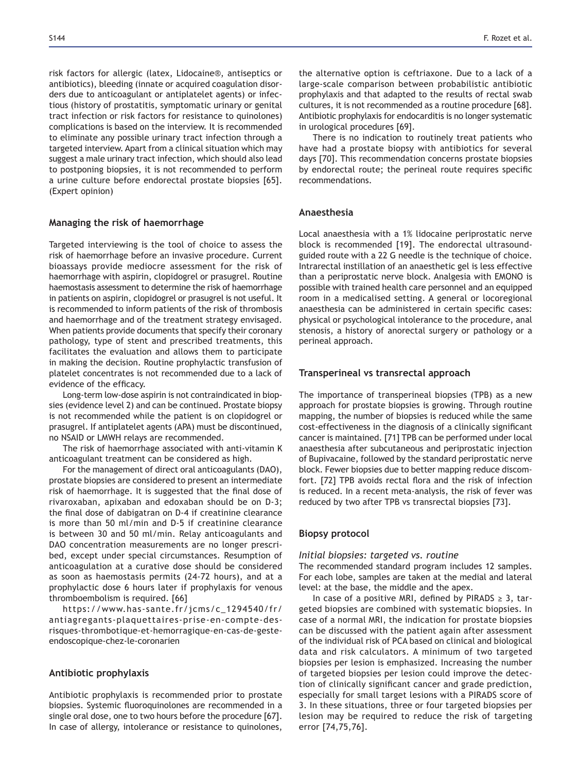risk factors for allergic (latex, Lidocaine®, antiseptics or antibiotics), bleeding (innate or acquired coagulation disorders due to anticoagulant or antiplatelet agents) or infectious (history of prostatitis, symptomatic urinary or genital tract infection or risk factors for resistance to quinolones) complications is based on the interview. It is recommended to eliminate any possible urinary tract infection through a targeted interview. Apart from a clinical situation which may suggest a male urinary tract infection, which should also lead to postponing biopsies, it is not recommended to perform a urine culture before endorectal prostate biopsies [65]. (Expert opinion)

#### **Managing the risk of haemorrhage**

Targeted interviewing is the tool of choice to assess the risk of haemorrhage before an invasive procedure. Current bioassays provide mediocre assessment for the risk of haemorrhage with aspirin, clopidogrel or prasugrel. Routine haemostasis assessment to determine the risk of haemorrhage in patients on aspirin, clopidogrel or prasugrel is not useful. It is recommended to inform patients of the risk of thrombosis and haemorrhage and of the treatment strategy envisaged. When patients provide documents that specify their coronary pathology, type of stent and prescribed treatments, this facilitates the evaluation and allows them to participate in making the decision. Routine prophylactic transfusion of platelet concentrates is not recommended due to a lack of evidence of the efficacy.

Long-term low-dose aspirin is not contraindicated in biopsies (evidence level 2) and can be continued. Prostate biopsy is not recommended while the patient is on clopidogrel or prasugrel. If antiplatelet agents (APA) must be discontinued, no NSAID or LMWH relays are recommended.

The risk of haemorrhage associated with anti-vitamin K anticoagulant treatment can be considered as high.

For the management of direct oral anticoagulants (DAO), prostate biopsies are considered to present an intermediate risk of haemorrhage. It is suggested that the final dose of rivaroxaban, apixaban and edoxaban should be on D-3; the final dose of dabigatran on D-4 if creatinine clearance is more than 50 ml/min and D-5 if creatinine clearance is between 30 and 50 ml/min. Relay anticoagulants and DAO concentration measurements are no longer prescribed, except under special circumstances. Resumption of anticoagulation at a curative dose should be considered as soon as haemostasis permits (24-72 hours), and at a prophylactic dose 6 hours later if prophylaxis for venous thromboembolism is required. [66]

https://www.has-sante.fr/jcms/c\_1294540/fr/ antiagregants-plaquettaires-prise-en-compte-desrisques-thrombotique-et-hemorragique-en-cas-de-gesteendoscopique-chez-le-coronarien

#### **Antibiotic prophylaxis**

Antibiotic prophylaxis is recommended prior to prostate biopsies. Systemic fluoroquinolones are recommended in a single oral dose, one to two hours before the procedure [67]. In case of allergy, intolerance or resistance to quinolones, the alternative option is ceftriaxone. Due to a lack of a large-scale comparison between probabilistic antibiotic prophylaxis and that adapted to the results of rectal swab cultures, it is not recommended as a routine procedure [68]. Antibiotic prophylaxis for endocarditis is no longer systematic in urological procedures [69].

There is no indication to routinely treat patients who have had a prostate biopsy with antibiotics for several days [70]. This recommendation concerns prostate biopsies by endorectal route; the perineal route requires specific recommendations.

### **Anaesthesia**

Local anaesthesia with a 1% lidocaine periprostatic nerve block is recommended [19]. The endorectal ultrasoundguided route with a 22 G needle is the technique of choice. Intrarectal instillation of an anaesthetic gel is less effective than a periprostatic nerve block. Analgesia with EMONO is possible with trained health care personnel and an equipped room in a medicalised setting. A general or locoregional anaesthesia can be administered in certain specific cases: physical or psychological intolerance to the procedure, anal stenosis, a history of anorectal surgery or pathology or a perineal approach.

#### **Transperineal vs transrectal approach**

The importance of transperineal biopsies (TPB) as a new approach for prostate biopsies is growing. Through routine mapping, the number of biopsies is reduced while the same cost-effectiveness in the diagnosis of a clinically significant cancer is maintained. [71] TPB can be performed under local anaesthesia after subcutaneous and periprostatic injection of Bupivacaine, followed by the standard periprostatic nerve block. Fewer biopsies due to better mapping reduce discomfort. [72] TPB avoids rectal flora and the risk of infection is reduced. In a recent meta-analysis, the risk of fever was reduced by two after TPB vs transrectal biopsies [73].

#### **Biopsy protocol**

### *Initial biopsies: targeted vs. routine*

The recommended standard program includes 12 samples. For each lobe, samples are taken at the medial and lateral level: at the base, the middle and the apex.

In case of a positive MRI, defined by PIRADS  $\geq$  3, targeted biopsies are combined with systematic biopsies. In case of a normal MRI, the indication for prostate biopsies can be discussed with the patient again after assessment of the individual risk of PCA based on clinical and biological data and risk calculators. A minimum of two targeted biopsies per lesion is emphasized. Increasing the number of targeted biopsies per lesion could improve the detection of clinically significant cancer and grade prediction, especially for small target lesions with a PIRADS score of 3. In these situations, three or four targeted biopsies per lesion may be required to reduce the risk of targeting error [74,75,76].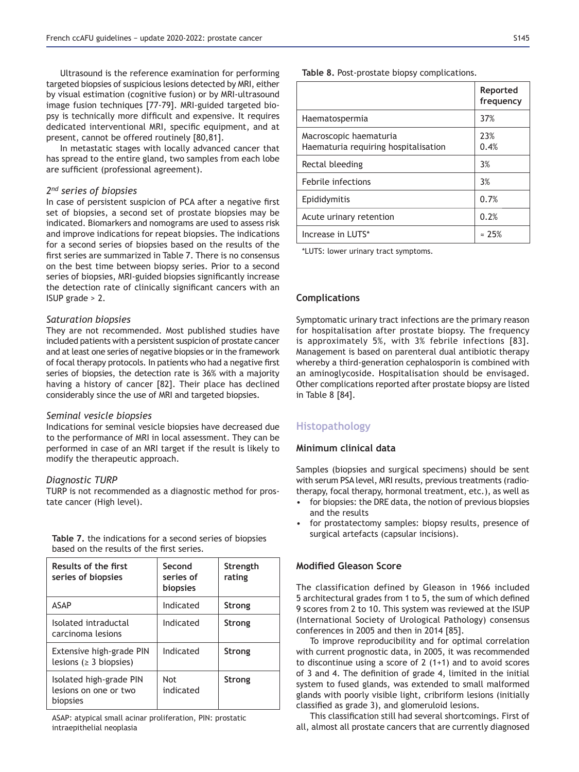Ultrasound is the reference examination for performing targeted biopsies of suspicious lesions detected by MRI, either by visual estimation (cognitive fusion) or by MRI-ultrasound image fusion techniques [77-79]. MRI-guided targeted biopsy is technically more difficult and expensive. It requires dedicated interventional MRI, specific equipment, and at present, cannot be offered routinely [80,81].

In metastatic stages with locally advanced cancer that has spread to the entire gland, two samples from each lobe are sufficient (professional agreement).

#### *2nd series of biopsies*

In case of persistent suspicion of PCA after a negative first set of biopsies, a second set of prostate biopsies may be indicated. Biomarkers and nomograms are used to assess risk and improve indications for repeat biopsies. The indications for a second series of biopsies based on the results of the first series are summarized in Table 7. There is no consensus on the best time between biopsy series. Prior to a second series of biopsies, MRI-guided biopsies significantly increase the detection rate of clinically significant cancers with an ISUP grade > 2.

### *Saturation biopsies*

They are not recommended. Most published studies have included patients with a persistent suspicion of prostate cancer and at least one series of negative biopsies or in the framework of focal therapy protocols. In patients who had a negative first series of biopsies, the detection rate is 36% with a majority having a history of cancer [82]*.* Their place has declined considerably since the use of MRI and targeted biopsies.

#### *Seminal vesicle biopsies*

Indications for seminal vesicle biopsies have decreased due to the performance of MRI in local assessment. They can be performed in case of an MRI target if the result is likely to modify the therapeutic approach.

#### *Diagnostic TURP*

TURP is not recommended as a diagnostic method for prostate cancer (High level).

Table 7, the indications for a second series of biopsies based on the results of the first series.

| Results of the first<br>series of biopsies                   | Second<br>series of<br><b>biopsies</b> | Strength<br>rating |
|--------------------------------------------------------------|----------------------------------------|--------------------|
| <b>ASAP</b>                                                  | Indicated                              | <b>Strong</b>      |
| Isolated intraductal<br>carcinoma lesions                    | Indicated                              | <b>Strong</b>      |
| Extensive high-grade PIN<br>lesions ( $\geq$ 3 biopsies)     | Indicated                              | <b>Strong</b>      |
| Isolated high-grade PIN<br>lesions on one or two<br>biopsies | Not<br>indicated                       | <b>Strong</b>      |

ASAP: atypical small acinar proliferation, PIN: prostatic intraepithelial neoplasia

Table 8. Post-prostate biopsy complications.

|                                                                | Reported<br>frequency |
|----------------------------------------------------------------|-----------------------|
| Haematospermia                                                 | 37%                   |
| Macroscopic haematuria<br>Haematuria reguiring hospitalisation | 23%<br>0.4%           |
| Rectal bleeding                                                | 3%                    |
| Febrile infections                                             | 3%                    |
| Epididymitis                                                   | 0.7%                  |
| Acute urinary retention                                        | 0.2%                  |
| Increase in LUTS*                                              | $\approx$ 25%         |

\*LUTS: lower urinary tract symptoms.

### **Complications**

Symptomatic urinary tract infections are the primary reason for hospitalisation after prostate biopsy. The frequency is approximately 5%, with 3% febrile infections [83]. Management is based on parenteral dual antibiotic therapy whereby a third-generation cephalosporin is combined with an aminoglycoside. Hospitalisation should be envisaged. Other complications reported after prostate biopsy are listed in Table 8 [84].

# **Histopathology**

### **Minimum clinical data**

Samples (biopsies and surgical specimens) should be sent with serum PSA level, MRI results, previous treatments (radiotherapy, focal therapy, hormonal treatment, etc.), as well as

- for biopsies: the DRE data, the notion of previous biopsies and the results
- for prostatectomy samples: biopsy results, presence of surgical artefacts (capsular incisions).

### **Modified Gleason Score**

The classification defined by Gleason in 1966 included 5 architectural grades from 1 to 5, the sum of which defined 9 scores from 2 to 10. This system was reviewed at the ISUP (International Society of Urological Pathology) consensus conferences in 2005 and then in 2014 [85].

To improve reproducibility and for optimal correlation with current prognostic data, in 2005, it was recommended to discontinue using a score of 2 (1+1) and to avoid scores of 3 and 4. The definition of grade 4, limited in the initial system to fused glands, was extended to small malformed glands with poorly visible light, cribriform lesions (initially classified as grade 3), and glomeruloid lesions.

This classification still had several shortcomings. First of all, almost all prostate cancers that are currently diagnosed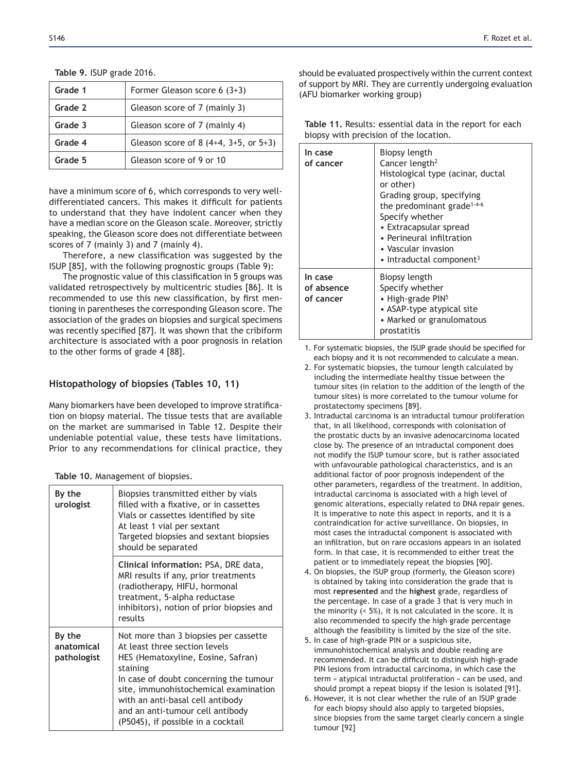### **Table 9. ISUP grade 2016.**

| Grade 1 | Former Gleason score $6(3+3)$           |
|---------|-----------------------------------------|
| Grade 2 | Gleason score of 7 (mainly 3)           |
| Grade 3 | Gleason score of 7 (mainly 4)           |
| Grade 4 | Gleason score of 8 $(4+4, 3+5, 0r 5+3)$ |
| Grade 5 | Gleason score of 9 or 10                |

have a minimum score of 6, which corresponds to very welldifferentiated cancers. This makes it difficult for patients to understand that they have indolent cancer when they have a median score on the Gleason scale. Moreover, strictly speaking, the Gleason score does not differentiate between scores of 7 (mainly 3) and 7 (mainly 4).

Therefore, a new classification was suggested by the ISUP [85], with the following prognostic groups (Table 9):

The prognostic value of this classification in 5 groups was validated retrospectively by multicentric studies [86]. It is recommended to use this new classification, by first mentioning in parentheses the corresponding Gleason score. The association of the grades on biopsies and surgical specimens was recently specified [87]. It was shown that the cribiform architecture is associated with a poor prognosis in relation to the other forms of grade 4 [88].

# **Histopathology of biopsies (Tables 10, 11)**

Many biomarkers have been developed to improve stratification on biopsy material. The tissue tests that are available on the market are summarised in Table 12. Despite their undeniable potential value, these tests have limitations. Prior to any recommendations for clinical practice, they

|  |  | Table 10. Management of biopsies. |  |  |
|--|--|-----------------------------------|--|--|
|--|--|-----------------------------------|--|--|

| By the<br>urologist                 | Biopsies transmitted either by vials<br>filled with a fixative, or in cassettes<br>Vials or cassettes identified by site<br>At least 1 vial per sextant<br>Targeted biopsies and sextant biopsies<br>should be separated                                                                                                  |
|-------------------------------------|---------------------------------------------------------------------------------------------------------------------------------------------------------------------------------------------------------------------------------------------------------------------------------------------------------------------------|
|                                     | Clinical information: PSA, DRE data,<br>MRI results if any, prior treatments<br>(radiotherapy, HIFU, hormonal<br>treatment, 5-alpha reductase<br>inhibitors), notion of prior biopsies and<br>results                                                                                                                     |
| By the<br>anatomical<br>pathologist | Not more than 3 biopsies per cassette<br>At least three section levels<br>HES (Hematoxyline, Eosine, Safran)<br>staining<br>In case of doubt concerning the tumour<br>site, immunohistochemical examination<br>with an anti-basal cell antibody<br>and an anti-tumour cell antibody<br>(P504S), if possible in a cocktail |

should be evaluated prospectively within the current context of support by MRI. They are currently undergoing evaluation (AFU biomarker working group)

Table 11. Results: essential data in the report for each biopsy with precision of the location.

| In case<br>of cancer               | Biopsy length<br>Cancer length <sup>2</sup><br>Histological type (acinar, ductal<br>or other)<br>Grading group, specifying<br>the predominant grade <sup>1-4-6</sup><br>Specify whether<br>• Extracapsular spread<br>• Perineural infiltration<br>• Vascular invasion<br>$\bullet$ Intraductal component <sup>3</sup> |
|------------------------------------|-----------------------------------------------------------------------------------------------------------------------------------------------------------------------------------------------------------------------------------------------------------------------------------------------------------------------|
| In case<br>of absence<br>of cancer | Biopsy length<br>Specify whether<br>• High-grade $PIN5$<br>• ASAP-type atypical site<br>• Marked or granulomatous<br>prostatitis                                                                                                                                                                                      |

1. For systematic biopsies, the ISUP grade should be specified for each biopsy and it is not recommended to calculate a mean.

- 2. For systematic biopsies, the tumour length calculated by including the intermediate healthy tissue between the tumour sites (in relation to the addition of the length of the tumour sites) is more correlated to the tumour volume for prostatectomy specimens [89].
- 3. Intraductal carcinoma is an intraductal tumour proliferation that, in all likelihood, corresponds with colonisation of the prostatic ducts by an invasive adenocarcinoma located close by. The presence of an intraductal component does not modify the ISUP tumour score, but is rather associated with unfavourable pathological characteristics, and is an additional factor of poor prognosis independent of the other parameters, regardless of the treatment. In addition, intraductal carcinoma is associated with a high level of genomic alterations, especially related to DNA repair genes. It is imperative to note this aspect in reports, and it is a contraindication for active surveillance. On biopsies, in most cases the intraductal component is associated with an infiltration, but on rare occasions appears in an isolated form. In that case, it is recommended to either treat the patient or to immediately repeat the biopsies [90].
- 4. On biopsies, the ISUP group (formerly, the Gleason score) is obtained by taking into consideration the grade that is most represented and the highest grade, regardless of the percentage. In case of a grade 3 that is very much in the minority (< 5%), it is not calculated in the score. It is also recommended to specify the high grade percentage although the feasibility is limited by the size of the site.
- 5. In case of high-grade PIN or a suspicious site, immunohistochemical analysis and double reading are recommended. It can be difficult to distinguish high-grade PIN lesions from intraductal carcinoma, in which case the term « atypical intraductal proliferation » can be used, and should prompt a repeat biopsy if the lesion is isolated [91].
- 6. However, it is not clear whether the rule of an ISUP grade for each biopsy should also apply to targeted biopsies, since biopsies from the same target clearly concern a single tumour [92]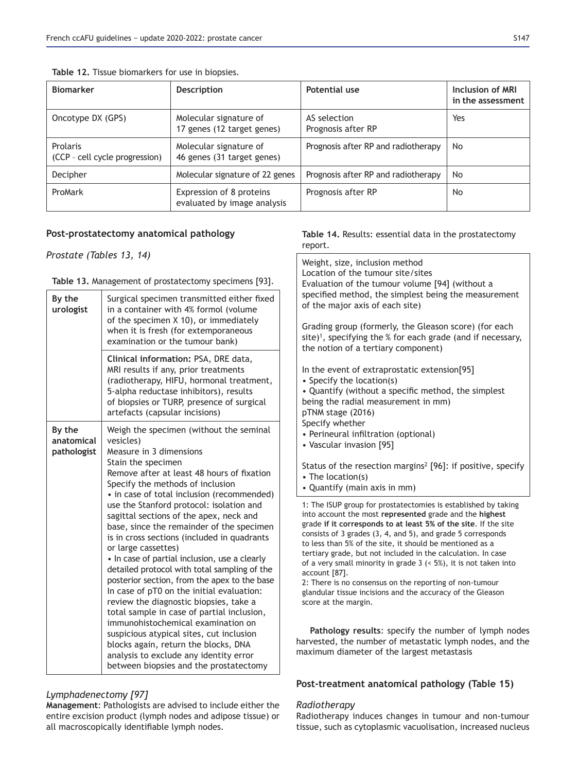| <b>Biomarker</b>                           | <b>Description</b>                                      | Potential use                       | Inclusion of MRI<br>in the assessment |
|--------------------------------------------|---------------------------------------------------------|-------------------------------------|---------------------------------------|
| Oncotype DX (GPS)                          | Molecular signature of<br>17 genes (12 target genes)    | AS selection<br>Prognosis after RP  | Yes                                   |
| Prolaris<br>(CCP - cell cycle progression) | Molecular signature of<br>46 genes (31 target genes)    | Prognosis after RP and radiotherapy | No.                                   |
| Decipher                                   | Molecular signature of 22 genes                         | Prognosis after RP and radiotherapy | No                                    |
| ProMark                                    | Expression of 8 proteins<br>evaluated by image analysis | Prognosis after RP                  | No                                    |

# Table 12. Tissue biomarkers for use in biopsies.

# Post-prostatectomy anatomical pathology

# *Prostate (Tables 13, 14)*

### Table 13. Management of prostatectomy specimens [93].

| By the<br>urologist                 | Surgical specimen transmitted either fixed<br>in a container with 4% formol (volume<br>of the specimen X 10), or immediately<br>when it is fresh (for extemporaneous<br>examination or the tumour bank)<br>Clinical information: PSA, DRE data,<br>MRI results if any, prior treatments<br>(radiotherapy, HIFU, hormonal treatment,<br>5-alpha reductase inhibitors), results<br>of biopsies or TURP, presence of surgical<br>artefacts (capsular incisions)                                                                                                                                                                                                                            | specified method, the simplest being the measurement<br>of the major axis of each site)<br>Grading group (formerly, the Gleason score) (for each<br>site) <sup>1</sup> , specifying the % for each grade (and if necessary,<br>the notion of a tertiary component)<br>In the event of extraprostatic extension[95]<br>• Specify the location(s)<br>• Quantify (without a specific method, the simplest<br>being the radial measurement in mm)<br>pTNM stage (2016)                                                                                                                                                                                                                                                                                                                                                                                             |
|-------------------------------------|-----------------------------------------------------------------------------------------------------------------------------------------------------------------------------------------------------------------------------------------------------------------------------------------------------------------------------------------------------------------------------------------------------------------------------------------------------------------------------------------------------------------------------------------------------------------------------------------------------------------------------------------------------------------------------------------|----------------------------------------------------------------------------------------------------------------------------------------------------------------------------------------------------------------------------------------------------------------------------------------------------------------------------------------------------------------------------------------------------------------------------------------------------------------------------------------------------------------------------------------------------------------------------------------------------------------------------------------------------------------------------------------------------------------------------------------------------------------------------------------------------------------------------------------------------------------|
| By the<br>anatomical<br>pathologist | Weigh the specimen (without the seminal<br>vesicles)<br>Measure in 3 dimensions<br>Stain the specimen<br>Remove after at least 48 hours of fixation<br>Specify the methods of inclusion<br>• in case of total inclusion (recommended)<br>use the Stanford protocol: isolation and<br>sagittal sections of the apex, neck and<br>base, since the remainder of the specimen<br>is in cross sections (included in quadrants<br>or large cassettes)<br>• In case of partial inclusion, use a clearly<br>detailed protocol with total sampling of the<br>posterior section, from the apex to the base<br>In case of pT0 on the initial evaluation:<br>review the diagnostic biopsies, take a | Specify whether<br>• Perineural infiltration (optional)<br>• Vascular invasion [95]<br>Status of the resection margins <sup>2</sup> [96]: if positive, specify<br>$\bullet$ The location(s)<br>• Quantify (main axis in mm)<br>1: The ISUP group for prostatectomies is established by taking<br>into account the most represented grade and the highest<br>grade if it corresponds to at least 5% of the site. If the site<br>consists of 3 grades (3, 4, and 5), and grade 5 corresponds<br>to less than 5% of the site, it should be mentioned as a<br>tertiary grade, but not included in the calculation. In case<br>of a very small minority in grade $3$ (< 5%), it is not taken into<br>account [87].<br>2: There is no consensus on the reporting of non-tumour<br>glandular tissue incisions and the accuracy of the Gleason<br>score at the margin. |
|                                     | total sample in case of partial inclusion,<br>immunohistochemical examination on<br>suspicious atypical sites, cut inclusion<br>blocks again, return the blocks, DNA<br>analysis to exclude any identity error<br>between biopsies and the prostatectomy                                                                                                                                                                                                                                                                                                                                                                                                                                | Pathology results: specify the number of lymph node<br>harvested, the number of metastatic lymph nodes, and th<br>maximum diameter of the largest metastasis                                                                                                                                                                                                                                                                                                                                                                                                                                                                                                                                                                                                                                                                                                   |

# *Lymphadenectomy [97]*

Management: Pathologists are advised to include either the entire excision product (lymph nodes and adipose tissue) or all macroscopically identifiable lymph nodes.

# Table 14. Results: essential data in the prostatectomy report.

Weight, size, inclusion method Location of the tumour site/sites Evaluation of the tumour volume [94] (without a

# Post-treatment anatomical pathology (Table 15)

# *Radiotherapy*

Radiotherapy induces changes in tumour and non-tumour tissue, such as cytoplasmic vacuolisation, increased nucleus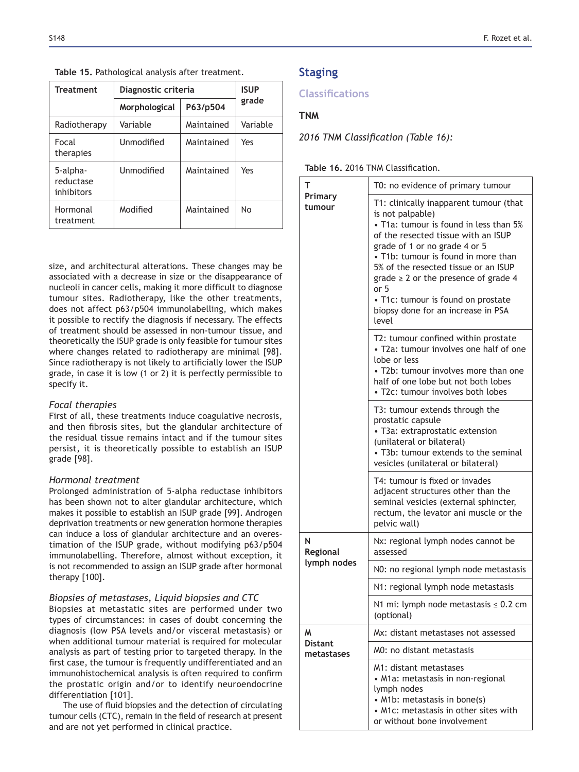| <b>Treatment</b>                    | Diagnostic criteria       | <b>ISUP</b><br>grade |          |
|-------------------------------------|---------------------------|----------------------|----------|
|                                     | P63/p504<br>Morphological |                      |          |
| Radiotherapy                        | Variable                  | Maintained           | Variable |
| Focal<br>therapies                  | Unmodified                | Maintained           | Yes      |
| 5-alpha-<br>reductase<br>inhibitors | Unmodified                | Maintained           | Yes      |
| Hormonal<br>treatment               | Modified                  | Maintained           | No       |

**Table 15. Pathological analysis after treatment.** 

size, and architectural alterations. These changes may be associated with a decrease in size or the disappearance of nucleoli in cancer cells, making it more difficult to diagnose tumour sites. Radiotherapy, like the other treatments, does not affect p63/p504 immunolabelling, which makes it possible to rectify the diagnosis if necessary. The effects of treatment should be assessed in non-tumour tissue, and theoretically the ISUP grade is only feasible for tumour sites where changes related to radiotherapy are minimal [98]. Since radiotherapy is not likely to artificially lower the ISUP grade, in case it is low (1 or 2) it is perfectly permissible to specify it.

# *Focal therapies*

First of all, these treatments induce coagulative necrosis, and then fibrosis sites, but the glandular architecture of the residual tissue remains intact and if the tumour sites persist, it is theoretically possible to establish an ISUP grade [98].

# *Hormonal treatment*

Prolonged administration of 5-alpha reductase inhibitors has been shown not to alter glandular architecture, which makes it possible to establish an ISUP grade [99]. Androgen deprivation treatments or new generation hormone therapies can induce a loss of glandular architecture and an overestimation of the ISUP grade, without modifying p63/p504 immunolabelling. Therefore, almost without exception, it is not recommended to assign an ISUP grade after hormonal therapy [100].

# *Biopsies of metastases, Liquid biopsies and CTC*

Biopsies at metastatic sites are performed under two types of circumstances: in cases of doubt concerning the diagnosis (low PSA levels and/or visceral metastasis) or when additional tumour material is required for molecular analysis as part of testing prior to targeted therapy. In the first case, the tumour is frequently undifferentiated and an immunohistochemical analysis is often required to confirm the prostatic origin and/or to identify neuroendocrine differentiation [101].

The use of fluid biopsies and the detection of circulating tumour cells (CTC), remain in the field of research at present and are not yet performed in clinical practice.

# **Staging**

# **Classifications**

# **TNM**

**2016 TNM Classification (Table 16):** 

| <b>Table 16. 2016 TNM Classification.</b> |
|-------------------------------------------|
|                                           |

| т                            | T0: no evidence of primary tumour                                                                                                                                                                                                                                                                                                                                                                     |  |  |  |  |
|------------------------------|-------------------------------------------------------------------------------------------------------------------------------------------------------------------------------------------------------------------------------------------------------------------------------------------------------------------------------------------------------------------------------------------------------|--|--|--|--|
| Primary<br>tumour            | T1: clinically inapparent tumour (that<br>is not palpable)<br>• T1a: tumour is found in less than 5%<br>of the resected tissue with an ISUP<br>grade of 1 or no grade 4 or 5<br>• T1b: tumour is found in more than<br>5% of the resected tissue or an ISUP<br>grade $\geq 2$ or the presence of grade 4<br>or 5<br>· T1c: tumour is found on prostate<br>biopsy done for an increase in PSA<br>level |  |  |  |  |
|                              | T2: tumour confined within prostate<br>• T2a: tumour involves one half of one<br>lobe or less<br>• T2b: tumour involves more than one<br>half of one lobe but not both lobes<br>• T2c: tumour involves both lobes                                                                                                                                                                                     |  |  |  |  |
|                              | T3: tumour extends through the<br>prostatic capsule<br>• T3a: extraprostatic extension<br>(unilateral or bilateral)<br>· T3b: tumour extends to the seminal<br>vesicles (unilateral or bilateral)                                                                                                                                                                                                     |  |  |  |  |
|                              | T4: tumour is fixed or invades<br>adjacent structures other than the<br>seminal vesicles (external sphincter,<br>rectum, the levator ani muscle or the<br>pelvic wall)                                                                                                                                                                                                                                |  |  |  |  |
| N<br>Regional                | Nx: regional lymph nodes cannot be<br>assessed                                                                                                                                                                                                                                                                                                                                                        |  |  |  |  |
| lymph nodes                  | NO: no regional lymph node metastasis                                                                                                                                                                                                                                                                                                                                                                 |  |  |  |  |
|                              | N1: regional lymph node metastasis                                                                                                                                                                                                                                                                                                                                                                    |  |  |  |  |
|                              | N1 mi: lymph node metastasis $\leq 0.2$ cm<br>(optional)                                                                                                                                                                                                                                                                                                                                              |  |  |  |  |
| M                            | Mx: distant metastases not assessed                                                                                                                                                                                                                                                                                                                                                                   |  |  |  |  |
| <b>Distant</b><br>metastases | MO: no distant metastasis                                                                                                                                                                                                                                                                                                                                                                             |  |  |  |  |
|                              | M1: distant metastases<br>• M1a: metastasis in non-regional<br>lymph nodes<br>• M1b: metastasis in bone(s)<br>• M1c: metastasis in other sites with<br>or without bone involvement                                                                                                                                                                                                                    |  |  |  |  |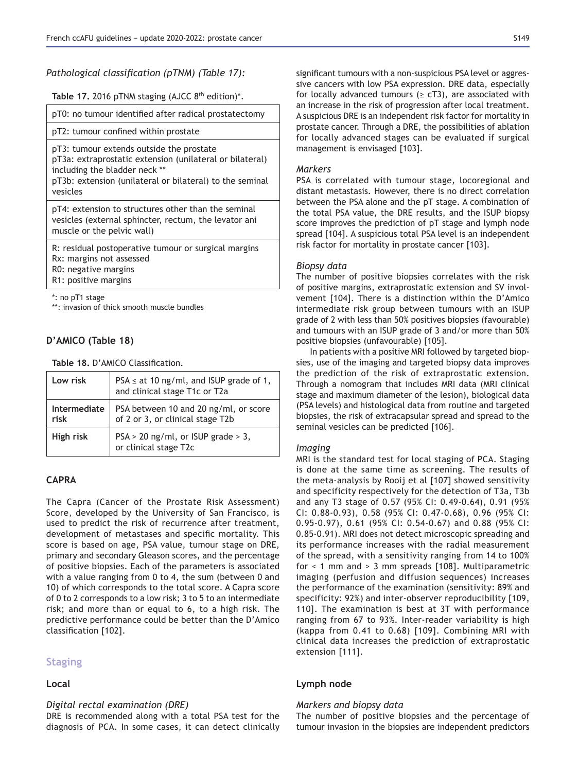*Pathological classification (pTNM) (Table 17):* 

Table 17. 2016 pTNM staging (AJCC 8<sup>th</sup> edition)\*.

pT0: no tumour identified after radical prostatectomy

pT2: tumour confined within prostate

pT3: tumour extends outside the prostate pT3a: extraprostatic extension (unilateral or bilateral) including the bladder neck \*\*

pT3b: extension (unilateral or bilateral) to the seminal vesicles

pT4: extension to structures other than the seminal vesicles (external sphincter, rectum, the levator ani muscle or the pelvic wall)

R: residual postoperative tumour or surgical margins Rx: margins not assessed R0: negative margins R1: positive margins

\*: no pT1 stage

\*\*: invasion of thick smooth muscle bundles

# D'AMICO (Table 18)

Table 18. D'AMICO Classification.

| Low risk             | PSA $\le$ at 10 ng/ml, and ISUP grade of 1, and clinical stage T1c or T2a |
|----------------------|---------------------------------------------------------------------------|
| Intermediate<br>risk | PSA between 10 and 20 ng/ml, or score<br>of 2 or 3, or clinical stage T2b |
| High risk            | PSA > 20 ng/ml, or ISUP grade > 3,<br>or clinical stage T2c               |

# CAPRA

The Capra (Cancer of the Prostate Risk Assessment) Score, developed by the University of San Francisco, is used to predict the risk of recurrence after treatment, development of metastases and specific mortality. This score is based on age, PSA value, tumour stage on DRE, primary and secondary Gleason scores, and the percentage of positive biopsies. Each of the parameters is associated with a value ranging from 0 to 4, the sum (between 0 and 10) of which corresponds to the total score. A Capra score of 0 to 2 corresponds to a low risk; 3 to 5 to an intermediate risk; and more than or equal to 6, to a high risk. The predictive performance could be better than the D'Amico classification [102].

# **Staging**

### Local

# *Digital rectal examination (DRE)*

DRE is recommended along with a total PSA test for the diagnosis of PCA. In some cases, it can detect clinically significant tumours with a non-suspicious PSA level or aggressive cancers with low PSA expression. DRE data, especially for locally advanced tumours ( $\geq$  cT3), are associated with an increase in the risk of progression after local treatment. A suspicious DRE is an independent risk factor for mortality in prostate cancer. Through a DRE, the possibilities of ablation for locally advanced stages can be evaluated if surgical management is envisaged [103].

### *Markers*

PSA is correlated with tumour stage, locoregional and distant metastasis. However, there is no direct correlation between the PSA alone and the pT stage. A combination of the total PSA value, the DRE results, and the ISUP biopsy score improves the prediction of pT stage and lymph node spread [104]. A suspicious total PSA level is an independent risk factor for mortality in prostate cancer [103].

# *Biopsy data*

The number of positive biopsies correlates with the risk of positive margins, extraprostatic extension and SV involvement [104]. There is a distinction within the D'Amico intermediate risk group between tumours with an ISUP grade of 2 with less than 50% positives biopsies (favourable) and tumours with an ISUP grade of 3 and/or more than 50% positive biopsies (unfavourable) [105].

In patients with a positive MRI followed by targeted biopsies, use of the imaging and targeted biopsy data improves the prediction of the risk of extraprostatic extension. Through a nomogram that includes MRI data (MRI clinical stage and maximum diameter of the lesion), biological data (PSA levels) and histological data from routine and targeted biopsies, the risk of extracapsular spread and spread to the seminal vesicles can be predicted [106].

# *Imaging*

MRI is the standard test for local staging of PCA. Staging is done at the same time as screening. The results of the meta-analysis by Rooij et al [107] showed sensitivity and specificity respectively for the detection of T3a, T3b and any T3 stage of 0.57 (95% CI: 0.49-0.64), 0.91 (95% CI: 0.88-0.93), 0.58 (95% CI: 0.47-0.68), 0.96 (95% CI:  $0.95 - 0.97$ ),  $0.61$  (95% CI: 0.54-0.67) and 0.88 (95% CI: 0.85-0.91). MRI does not detect microscopic spreading and its performance increases with the radial measurement of the spread, with a sensitivity ranging from 14 to 100% for < 1 mm and > 3 mm spreads [108]. Multiparametric imaging (perfusion and diffusion sequences) increases the performance of the examination (sensitivity: 89% and specificity: 92%) and inter-observer reproducibility [109, 110]. The examination is best at 3T with performance ranging from 67 to 93%. Inter-reader variability is high (kappa from 0.41 to 0.68) [109]. Combining MRI with clinical data increases the prediction of extraprostatic extension [111].

# Lymph node

# *Markers and biopsy data*

The number of positive biopsies and the percentage of tumour invasion in the biopsies are independent predictors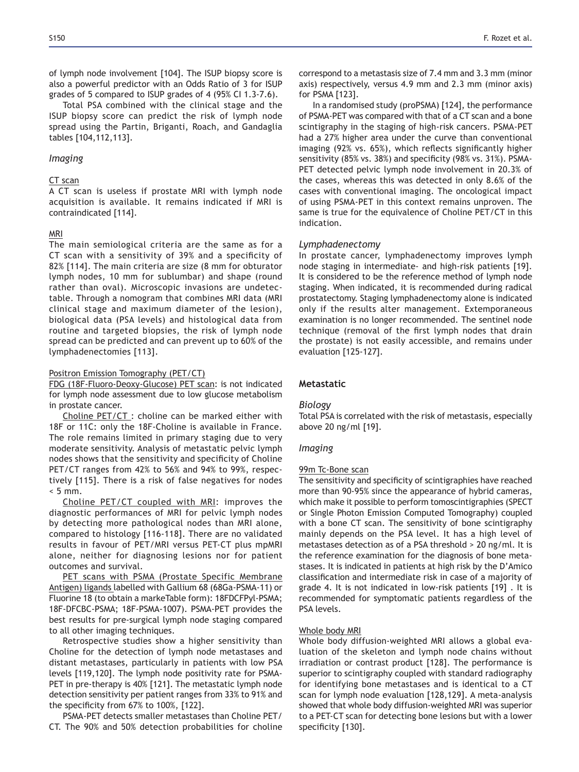of lymph node involvement [104]. The ISUP biopsy score is also a powerful predictor with an Odds Ratio of 3 for ISUP grades of 5 compared to ISUP grades of 4  $(95\%$  CI 1.3-7.6).

Total PSA combined with the clinical stage and the ISUP biopsy score can predict the risk of lymph node spread using the Partin, Briganti, Roach, and Gandaglia tables [104,112,113].

#### *Imaging*

### CT scan

A CT scan is useless if prostate MRI with lymph node acquisition is available. It remains indicated if MRI is contraindicated [114].

### MRI

The main semiological criteria are the same as for a  $CT$  scan with a sensitivity of 39% and a specificity of 82% [114]. The main criteria are size (8 mm for obturator lymph nodes, 10 mm for sublumbar) and shape (round rather than oval). Microscopic invasions are undetectable. Through a nomogram that combines MRI data (MRI clinical stage and maximum diameter of the lesion), biological data (PSA levels) and histological data from routine and targeted biopsies, the risk of lymph node spread can be predicted and can prevent up to 60% of the lymphadenectomies [113].

#### Positron Emission Tomography (PET/CT)

FDG (18F-Fluoro-Deoxy-Glucose) PET scan: is not indicated for lymph node assessment due to low glucose metabolism in prostate cancer.

Choline PET/CT : choline can be marked either with 18F or 11C: only the 18F-Choline is available in France. The role remains limited in primary staging due to very moderate sensitivity. Analysis of metastatic pelvic lymph nodes shows that the sensitivity and specificity of Choline PET/CT ranges from 42% to 56% and 94% to 99%, respectively [115]. There is a risk of false negatives for nodes  $< 5$  mm.

Choline PET/CT coupled with MRI: improves the diagnostic performances of MRI for pelvic lymph nodes by detecting more pathological nodes than MRI alone, compared to histology [116-118]. There are no validated results in favour of PET/MRI versus PET-CT plus mpMRI alone, neither for diagnosing lesions nor for patient outcomes and survival.

PET scans with PSMA (Prostate Specific Membrane Antigen) ligands labelled with Gallium 68 (68Ga-PSMA-11) or Fluorine 18 (to obtain a markeTable form): 18FDCFPyl-PSMA; 18F-DFCBC-PSMA; 18F-PSMA-1007). PSMA-PET provides the best results for pre-surgical lymph node staging compared to all other imaging techniques.

Retrospective studies show a higher sensitivity than Choline for the detection of lymph node metastases and distant metastases, particularly in patients with low PSA levels [119,120]. The lymph node positivity rate for PSMA-PET in pre-therapy is 40% [121]. The metastatic lymph node detection sensitivity per patient ranges from 33% to 91% and the specificity from 67% to 100%, [122].

PSMA-PET detects smaller metastases than Choline PET/ CT. The 90% and 50% detection probabilities for choline correspond to a metastasis size of 7.4 mm and 3.3 mm (minor axis) respectively, versus 4.9 mm and 2.3 mm (minor axis) for PSMA [123].

In a randomised study (proPSMA) [124], the performance of PSMA-PET was compared with that of a CT scan and a bone scintigraphy in the staging of high-risk cancers. PSMA-PET had a 27% higher area under the curve than conventional imaging (92% vs. 65%), which reflects significantly higher sensitivity (85% vs. 38%) and specificity (98% vs. 31%). PSMA-PET detected pelvic lymph node involvement in 20.3% of the cases, whereas this was detected in only 8.6% of the cases with conventional imaging. The oncological impact of using PSMA-PET in this context remains unproven. The same is true for the equivalence of Choline PET/CT in this indication.

# *Lymphadenectomy*

In prostate cancer, lymphadenectomy improves lymph node staging in intermediate- and high-risk patients [19]*.* It is considered to be the reference method of lymph node staging. When indicated, it is recommended during radical prostatectomy. Staging lymphadenectomy alone is indicated only if the results alter management. Extemporaneous examination is no longer recommended. The sentinel node technique (removal of the first lymph nodes that drain the prostate) is not easily accessible, and remains under evaluation [125-127].

# **Metastatic**

# *Biology*

Total PSA is correlated with the risk of metastasis, especially above 20 ng/ml [19].

#### *Imaging*

#### 99m Tc-Bone scan

The sensitivity and specificity of scintigraphies have reached more than 90-95% since the appearance of hybrid cameras, which make it possible to perform tomoscintigraphies (SPECT or Single Photon Emission Computed Tomography) coupled with a bone CT scan. The sensitivity of bone scintigraphy mainly depends on the PSA level. It has a high level of metastases detection as of a PSA threshold > 20 ng/ml. It is the reference examination for the diagnosis of bone metastases. It is indicated in patients at high risk by the D'Amico classification and intermediate risk in case of a majority of grade 4. It is not indicated in low-risk patients [19] . It is recommended for symptomatic patients regardless of the PSA levels.

#### Whole body MRI

Whole body diffusion-weighted MRI allows a global evaluation of the skeleton and lymph node chains without irradiation or contrast product [128]. The performance is superior to scintigraphy coupled with standard radiography for identifying bone metastases and is identical to a CT scan for lymph node evaluation [128,129]. A meta-analysis showed that whole body diffusion-weighted MRI was superior to a PET-CT scan for detecting bone lesions but with a lower specificity [130].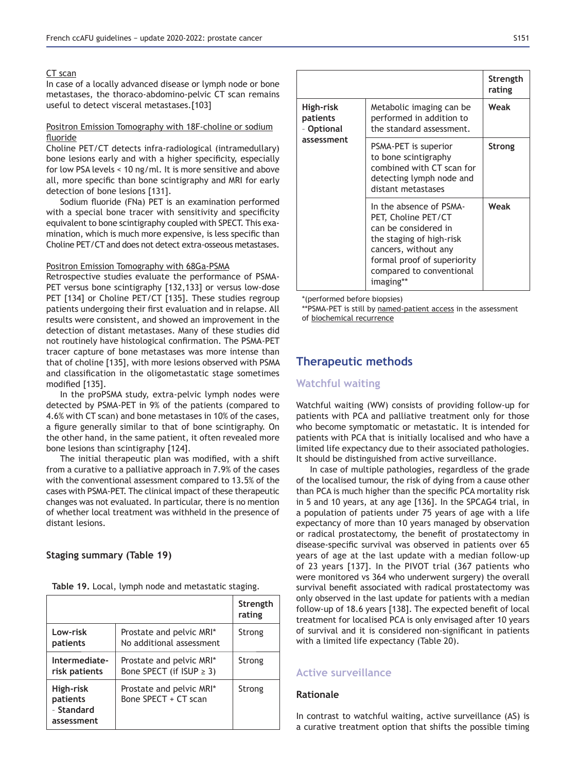### CT scan

In case of a locally advanced disease or lymph node or bone metastases, the thoraco-abdomino-pelvic CT scan remains useful to detect visceral metastases.[103]

### Positron Emission Tomography with 18F-choline or sodium fluoride

Choline PET/CT detects infra-radiological (intramedullary) bone lesions early and with a higher specificity, especially for low PSA levels < 10 ng/ml. It is more sensitive and above all, more specific than bone scintigraphy and MRI for early detection of bone lesions [131].

Sodium fluoride (FNa) PET is an examination performed with a special bone tracer with sensitivity and specificity equivalent to bone scintigraphy coupled with SPECT. This examination, which is much more expensive, is less specific than Choline PET/CT and does not detect extra-osseous metastases.

#### Positron Emission Tomography with 68Ga-PSMA

Retrospective studies evaluate the performance of PSMA-PET versus bone scintigraphy [132,133] or versus low-dose PET [134] or Choline PET/CT [135]. These studies regroup patients undergoing their first evaluation and in relapse. All results were consistent, and showed an improvement in the detection of distant metastases. Many of these studies did not routinely have histological confirmation. The PSMA-PET tracer capture of bone metastases was more intense than that of choline [135], with more lesions observed with PSMA and classification in the oligometastatic stage sometimes modified [135].

In the proPSMA study, extra-pelvic lymph nodes were detected by PSMA-PET in 9% of the patients (compared to 4.6% with CT scan) and bone metastases in 10% of the cases, a figure generally similar to that of bone scintigraphy. On the other hand, in the same patient, it often revealed more bone lesions than scintigraphy [124].

The initial therapeutic plan was modified, with a shift from a curative to a palliative approach in 7.9% of the cases with the conventional assessment compared to 13.5% of the cases with PSMA-PET. The clinical impact of these therapeutic changes was not evaluated. In particular, there is no mention of whether local treatment was withheld in the presence of distant lesions.

# **Staging summary (Table 19)**

|  |  | Table 19. Local, lymph node and metastatic staging. |  |
|--|--|-----------------------------------------------------|--|
|  |  |                                                     |  |

|                                                   |                                                           | Strength<br>rating |
|---------------------------------------------------|-----------------------------------------------------------|--------------------|
| Low-risk<br>patients                              | Prostate and pelvic MRI*<br>No additional assessment      | Strong             |
| Intermediate-<br>risk patients                    | Prostate and pelvic MRI*<br>Bone SPECT (if ISUP $\geq$ 3) | Strong             |
| High-risk<br>patients<br>- Standard<br>assessment | Prostate and pelvic MRI*<br>Bone SPECT + CT scan          | Strong             |

|                                                   |                                                                                                                                                                                                    | Strength<br>rating |
|---------------------------------------------------|----------------------------------------------------------------------------------------------------------------------------------------------------------------------------------------------------|--------------------|
| High-risk<br>patients<br>- Optional<br>assessment | Metabolic imaging can be<br>performed in addition to<br>the standard assessment.                                                                                                                   | Weak               |
|                                                   | PSMA-PET is superior<br>to bone scintigraphy<br>combined with CT scan for<br>detecting lymph node and<br>distant metastases                                                                        | Strong             |
|                                                   | In the absence of PSMA-<br>PET, Choline PET/CT<br>can be considered in<br>the staging of high-risk<br>cancers, without any<br>formal proof of superiority<br>compared to conventional<br>imaging** | Weak               |

\*(performed before biopsies)

\*\*PSMA-PET is still by named-patient access in the assessment of biochemical recurrence

# **Therapeutic methods**

# **Watchful waiting**

Watchful waiting (WW) consists of providing follow-up for patients with PCA and palliative treatment only for those who become symptomatic or metastatic. It is intended for patients with PCA that is initially localised and who have a limited life expectancy due to their associated pathologies. It should be distinguished from active surveillance.

In case of multiple pathologies, regardless of the grade of the localised tumour, the risk of dying from a cause other than PCA is much higher than the specific PCA mortality risk in 5 and 10 years, at any age [136]. In the SPCAG4 trial, in a population of patients under 75 years of age with a life expectancy of more than 10 years managed by observation or radical prostatectomy, the benefit of prostatectomy in disease-specific survival was observed in patients over 65 years of age at the last update with a median follow-up of 23 years [137]. In the PIVOT trial (367 patients who were monitored vs 364 who underwent surgery) the overall survival benefit associated with radical prostatectomy was only observed in the last update for patients with a median follow-up of 18.6 years [138]. The expected benefit of local treatment for localised PCA is only envisaged after 10 years of survival and it is considered non-significant in patients with a limited life expectancy (Table 20).

# **Active surveillance**

### **Rationale**

In contrast to watchful waiting, active surveillance (AS) is a curative treatment option that shifts the possible timing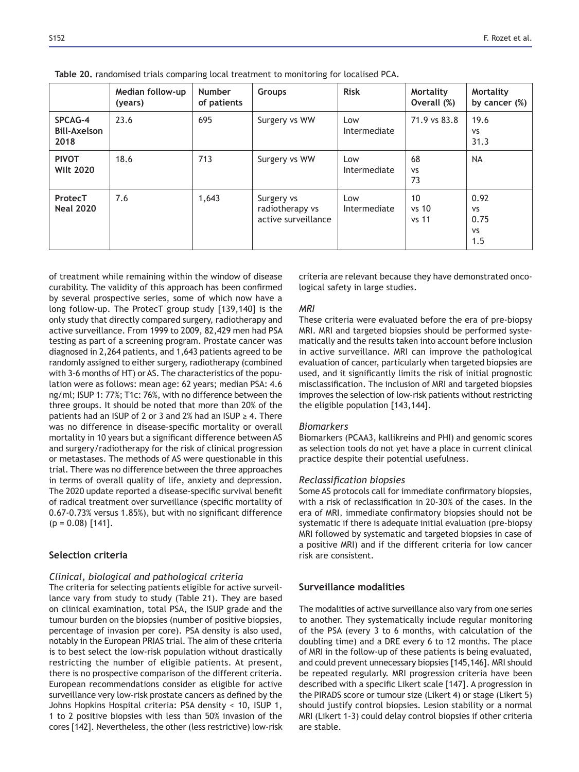|                                        | Median follow-up<br>(years) | <b>Number</b><br>of patients | Groups                                               | <b>Risk</b>         | <b>Mortality</b><br>Overall (%) | <b>Mortality</b><br>by cancer (%)             |
|----------------------------------------|-----------------------------|------------------------------|------------------------------------------------------|---------------------|---------------------------------|-----------------------------------------------|
| SPCAG-4<br><b>Bill-Axelson</b><br>2018 | 23.6                        | 695                          | Surgery vs WW                                        | Low<br>Intermediate | 71.9 vs 83.8                    | 19.6<br><b>VS</b><br>31.3                     |
| <b>PIVOT</b><br><b>Wilt 2020</b>       | 18.6                        | 713                          | Surgery vs WW                                        | Low<br>Intermediate | 68<br><b>VS</b><br>73           | <b>NA</b>                                     |
| ProtecT<br><b>Neal 2020</b>            | 7.6                         | 1,643                        | Surgery vs<br>radiotherapy vs<br>active surveillance | Low<br>Intermediate | 10<br>vs 10<br>vs 11            | 0.92<br><b>VS</b><br>0.75<br><b>VS</b><br>1.5 |

Table 20, randomised trials comparing local treatment to monitoring for localised PCA.

of treatment while remaining within the window of disease curability. The validity of this approach has been confirmed by several prospective series, some of which now have a long follow-up. The ProtecT group study [139,140] is the only study that directly compared surgery, radiotherapy and active surveillance. From 1999 to 2009, 82,429 men had PSA testing as part of a screening program. Prostate cancer was diagnosed in 2,264 patients, and 1,643 patients agreed to be randomly assigned to either surgery, radiotherapy (combined with 3-6 months of HT) or AS. The characteristics of the population were as follows: mean age: 62 years; median PSA: 4.6 ng/ml; ISUP 1: 77%; T1c: 76%, with no difference between the three groups. It should be noted that more than 20% of the patients had an ISUP of 2 or 3 and 2% had an ISUP  $\geq$  4. There was no difference in disease-specific mortality or overall mortality in 10 years but a significant difference between AS and surgery/radiotherapy for the risk of clinical progression or metastases. The methods of AS were questionable in this trial. There was no difference between the three approaches in terms of overall quality of life, anxiety and depression. The 2020 update reported a disease-specific survival benefit of radical treatment over surveillance (specific mortality of 0.67-0.73% versus 1.85%), but with no significant difference  $(p = 0.08)$  [141].

# **Selection criteria**

#### *Clinical, biological and pathological criteria*

The criteria for selecting patients eligible for active surveillance vary from study to study (Table 21). They are based on clinical examination, total PSA, the ISUP grade and the tumour burden on the biopsies (number of positive biopsies, percentage of invasion per core). PSA density is also used, notably in the European PRIAS trial. The aim of these criteria is to best select the low-risk population without drastically restricting the number of eligible patients. At present, there is no prospective comparison of the different criteria. European recommendations consider as eligible for active surveillance very low-risk prostate cancers as defined by the Johns Hopkins Hospital criteria: PSA density < 10, ISUP 1, 1 to 2 positive biopsies with less than 50% invasion of the cores [142]. Nevertheless, the other (less restrictive) low-risk criteria are relevant because they have demonstrated oncological safety in large studies.

### *MRI*

These criteria were evaluated before the era of pre-biopsy MRI. MRI and targeted biopsies should be performed systematically and the results taken into account before inclusion in active surveillance. MRI can improve the pathological evaluation of cancer, particularly when targeted biopsies are used, and it significantly limits the risk of initial prognostic misclassification. The inclusion of MRI and targeted biopsies improves the selection of low-risk patients without restricting the eligible population [143,144].

#### *Biomarkers*

Biomarkers (PCAA3, kallikreins and PHI) and genomic scores as selection tools do not yet have a place in current clinical practice despite their potential usefulness.

#### *Reclassification biopsies*

Some AS protocols call for immediate confirmatory biopsies, with a risk of reclassification in 20-30% of the cases. In the era of MRI, immediate confirmatory biopsies should not be systematic if there is adequate initial evaluation (pre-biopsy MRI followed by systematic and targeted biopsies in case of a positive MRI) and if the different criteria for low cancer risk are consistent.

# **Surveillance modalities**

The modalities of active surveillance also vary from one series to another. They systematically include regular monitoring of the PSA (every 3 to 6 months, with calculation of the doubling time) and a DRE every 6 to 12 months. The place of MRI in the follow-up of these patients is being evaluated, and could prevent unnecessary biopsies [145,146]. MRI should be repeated regularly. MRI progression criteria have been described with a specific Likert scale [147]. A progression in the PIRADS score or tumour size (Likert 4) or stage (Likert 5) should justify control biopsies. Lesion stability or a normal MRI (Likert 1-3) could delay control biopsies if other criteria are stable.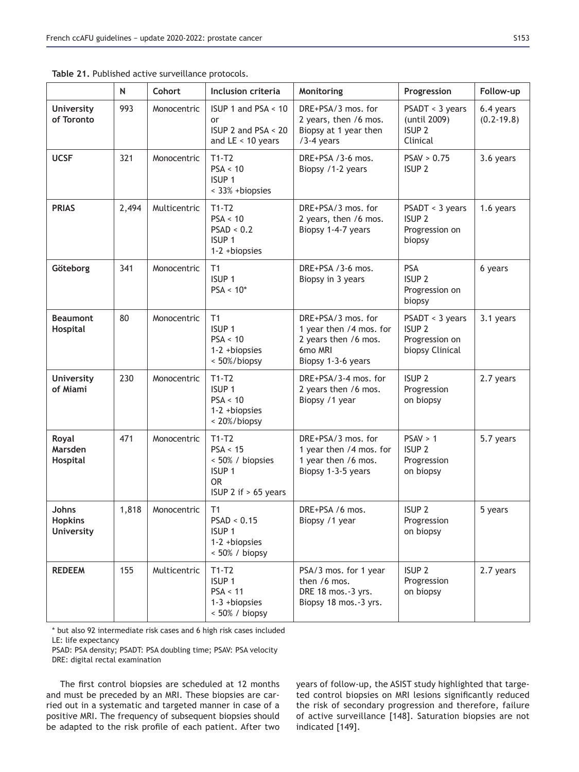|                                              | $\mathsf{N}$ | Cohort       | Inclusion criteria                                                                                | Monitoring                                                                                             | Progression                                                               | Follow-up                   |
|----------------------------------------------|--------------|--------------|---------------------------------------------------------------------------------------------------|--------------------------------------------------------------------------------------------------------|---------------------------------------------------------------------------|-----------------------------|
| <b>University</b><br>of Toronto              | 993          | Monocentric  | ISUP 1 and PSA < 10<br>or<br>ISUP 2 and PSA < 20<br>and $LE < 10$ years                           | DRE+PSA/3 mos. for<br>2 years, then /6 mos.<br>Biopsy at 1 year then<br>/3-4 years                     | PSADT < 3 years<br>(until 2009)<br>ISUP <sub>2</sub><br>Clinical          | 6.4 years<br>$(0.2 - 19.8)$ |
| <b>UCSF</b>                                  | 321          | Monocentric  | $T1-T2$<br>PSA < 10<br>ISUP <sub>1</sub><br>< 33% +biopsies                                       | DRE+PSA /3-6 mos.<br>Biopsy /1-2 years                                                                 | PSAV > 0.75<br>ISUP <sub>2</sub>                                          | 3.6 years                   |
| <b>PRIAS</b>                                 | 2,494        | Multicentric | $T1-T2$<br>PSA < 10<br>PSAD < 0.2<br>ISUP <sub>1</sub><br>$1-2 + biopsies$                        | DRE+PSA/3 mos. for<br>2 years, then /6 mos.<br>Biopsy 1-4-7 years                                      | PSADT < 3 years<br><b>ISUP 2</b><br>Progression on<br>biopsy              | 1.6 years                   |
| Göteborg                                     | 341          | Monocentric  | T1<br>ISUP <sub>1</sub><br>$PSA < 10*$                                                            | DRE+PSA /3-6 mos.<br>Biopsy in 3 years                                                                 | <b>PSA</b><br>ISUP <sub>2</sub><br>Progression on<br>biopsy               | 6 years                     |
| <b>Beaumont</b><br>Hospital                  | 80           | Monocentric  | T1<br>ISUP <sub>1</sub><br>PSA < 10<br>$1-2 + biopsies$<br>< 50%/biopsy                           | DRE+PSA/3 mos. for<br>1 year then /4 mos. for<br>2 years then /6 mos.<br>6mo MRI<br>Biopsy 1-3-6 years | PSADT < 3 years<br>ISUP <sub>2</sub><br>Progression on<br>biopsy Clinical | 3.1 years                   |
| <b>University</b><br>of Miami                | 230          | Monocentric  | $T1-T2$<br>ISUP <sub>1</sub><br>PSA < 10<br>$1-2 + biopsies$<br>< 20%/biopsy                      | DRE+PSA/3-4 mos. for<br>2 years then /6 mos.<br>Biopsy /1 year                                         | ISUP <sub>2</sub><br>Progression<br>on biopsy                             | 2.7 years                   |
| Royal<br>Marsden<br>Hospital                 | 471          | Monocentric  | $T1-T2$<br>PSA < 15<br>< 50% / biopsies<br>ISUP <sub>1</sub><br><b>OR</b><br>ISUP 2 if > 65 years | DRE+PSA/3 mos. for<br>1 year then /4 mos. for<br>1 year then /6 mos.<br>Biopsy 1-3-5 years             | PSAV > 1<br>ISUP <sub>2</sub><br>Progression<br>on biopsy                 | 5.7 years                   |
| Johns<br><b>Hopkins</b><br><b>University</b> | 1,818        | Monocentric  | T1<br>PSAD < 0.15<br>ISUP <sub>1</sub><br>$1-2 + biopsies$<br>$< 50\%$ / biopsy                   | DRE+PSA /6 mos.<br>Biopsy /1 year                                                                      | ISUP <sub>2</sub><br>Progression<br>on biopsy                             | 5 years                     |
| <b>REDEEM</b>                                | 155          | Multicentric | $T1-T2$<br>ISUP <sub>1</sub><br>PSA < 11<br>$1-3 + biopsies$<br>$< 50\%$ / biopsy                 | PSA/3 mos. for 1 year<br>then /6 mos.<br>DRE 18 mos.-3 yrs.<br>Biopsy 18 mos.-3 yrs.                   | ISUP <sub>2</sub><br>Progression<br>on biopsy                             | 2.7 years                   |

Table 21. Published active surveillance protocols.

\* but also 92 intermediate risk cases and 6 high risk cases included LE: life expectancy

PSAD: PSA density; PSADT: PSA doubling time; PSAV: PSA velocity DRE: digital rectal examination

The first control biopsies are scheduled at 12 months and must be preceded by an MRI. These biopsies are carried out in a systematic and targeted manner in case of a positive MRI. The frequency of subsequent biopsies should be adapted to the risk profile of each patient. After two

years of follow-up, the ASIST study highlighted that targeted control biopsies on MRI lesions significantly reduced the risk of secondary progression and therefore, failure of active surveillance [148]. Saturation biopsies are not indicated [149].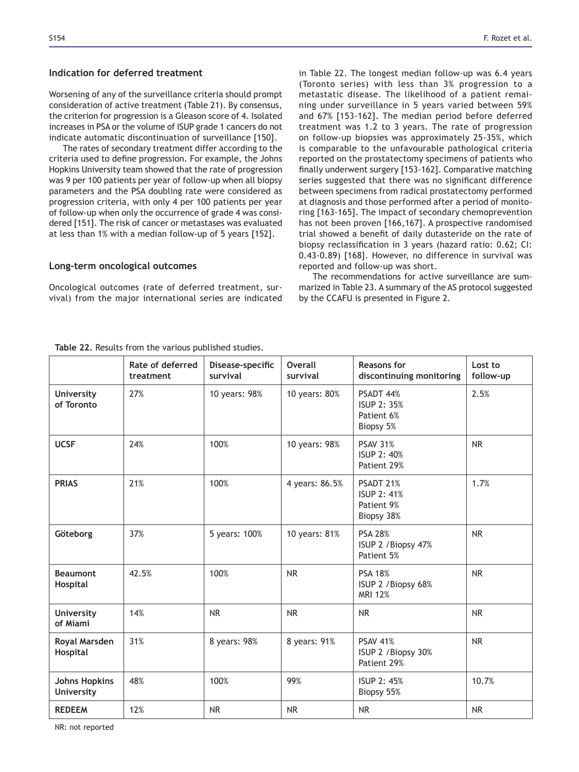# Indication for deferred treatment

Worsening of any of the surveillance criteria should prompt consideration of active treatment (Table 21). By consensus, the criterion for progression is a Gleason score of 4. Isolated increases in PSA or the volume of ISUP grade 1 cancers do not indicate automatic discontinuation of surveillance [150].

The rates of secondary treatment differ according to the criteria used to define progression. For example, the Johns Hopkins University team showed that the rate of progression was 9 per 100 patients per year of follow-up when all biopsy parameters and the PSA doubling rate were considered as progression criteria, with only 4 per 100 patients per year of follow-up when only the occurrence of grade 4 was considered [151]. The risk of cancer or metastases was evaluated at less than 1% with a median follow-up of 5 years [152].

#### **Long-term oncological outcomes**

Oncological outcomes (rate of deferred treatment, survival) from the major international series are indicated in Table 22. The longest median follow-up was 6.4 years (Toronto series) with less than 3% progression to a metastatic disease. The likelihood of a patient remaining under surveillance in 5 years varied between 59% and 67% [153-162]. The median period before deferred treatment was 1.2 to 3 years. The rate of progression on follow-up biopsies was approximately 25-35%, which is comparable to the unfavourable pathological criteria reported on the prostatectomy specimens of patients who finally underwent surgery [153-162]. Comparative matching series suggested that there was no significant difference between specimens from radical prostatectomy performed at diagnosis and those performed after a period of monitoring [163-165]. The impact of secondary chemoprevention has not been proven [166,167]. A prospective randomised trial showed a benefit of daily dutasteride on the rate of biopsy reclassification in 3 years (hazard ratio: 0.62; CI: 0.43-0.89) [168]. However, no difference in survival was reported and follow-up was short.

The recommendations for active surveillance are summarized in Table 23. A summary of the AS protocol suggested by the CCAFU is presented in Figure 2.

|                                           | Rate of deferred<br>treatment | Disease-specific<br>survival | Overall<br>survival | <b>Reasons for</b><br>discontinuing monitoring              | Lost to<br>follow-up |
|-------------------------------------------|-------------------------------|------------------------------|---------------------|-------------------------------------------------------------|----------------------|
| <b>University</b><br>of Toronto           | 27%                           | 10 years: 98%                | 10 years: 80%       | PSADT 44%<br>ISUP 2: 35%<br>Patient 6%<br>Biopsy 5%         | 2.5%                 |
| <b>UCSF</b>                               | 24%                           | 100%                         | 10 years: 98%       | <b>PSAV 31%</b><br>ISUP 2: 40%<br>Patient 29%               | <b>NR</b>            |
| <b>PRIAS</b>                              | 21%                           | 100%                         | 4 years: 86.5%      | PSADT 21%<br><b>ISUP 2: 41%</b><br>Patient 9%<br>Biopsy 38% | 1.7%                 |
| Göteborg                                  | 37%                           | 5 years: 100%                | 10 years: 81%       | <b>PSA 28%</b><br>ISUP 2 / Biopsy 47%<br>Patient 5%         | <b>NR</b>            |
| <b>Beaumont</b><br>Hospital               | 42.5%                         | 100%                         | <b>NR</b>           | <b>PSA 18%</b><br>ISUP 2 / Biopsy 68%<br><b>MRI 12%</b>     | <b>NR</b>            |
| <b>University</b><br>of Miami             | 14%                           | <b>NR</b>                    | <b>NR</b>           | <b>NR</b>                                                   | <b>NR</b>            |
| Royal Marsden<br>Hospital                 | 31%                           | 8 years: 98%                 | 8 years: 91%        | <b>PSAV 41%</b><br>ISUP 2 / Biopsy 30%<br>Patient 29%       | <b>NR</b>            |
| <b>Johns Hopkins</b><br><b>University</b> | 48%                           | 100%                         | 99%                 | <b>ISUP 2: 45%</b><br>Biopsy 55%                            | 10.7%                |
| <b>REDEEM</b>                             | 12%                           | <b>NR</b>                    | <b>NR</b>           | <b>NR</b>                                                   | <b>NR</b>            |

Table 22. Results from the various published studies.

NR: not reported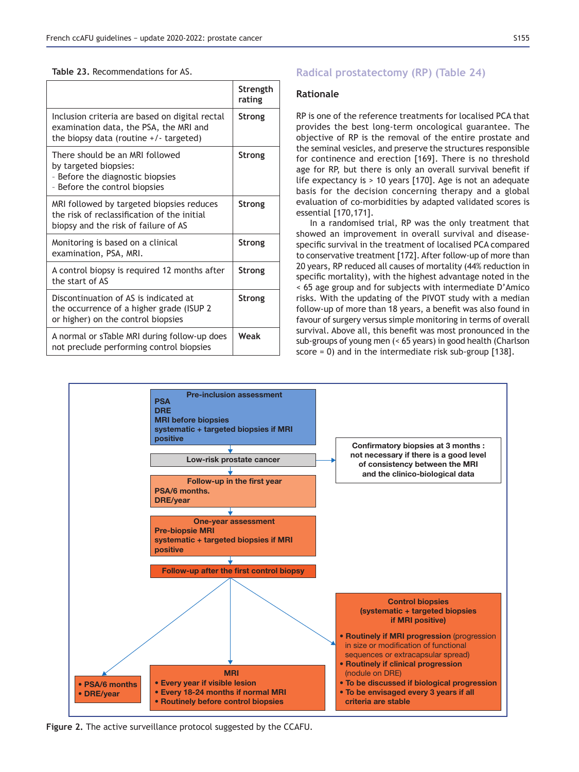| Table 23. Recommendations for AS. |
|-----------------------------------|
|-----------------------------------|

|                                                                                                                                      | Strength<br>rating |
|--------------------------------------------------------------------------------------------------------------------------------------|--------------------|
| Inclusion criteria are based on digital rectal<br>examination data, the PSA, the MRI and<br>the biopsy data (routine $+/-$ targeted) | Strong             |
| There should be an MRI followed<br>by targeted biopsies:<br>- Before the diagnostic biopsies<br>- Before the control biopsies        | Strong             |
| MRI followed by targeted biopsies reduces<br>the risk of reclassification of the initial<br>biopsy and the risk of failure of AS     | Strong             |
| Monitoring is based on a clinical<br>examination, PSA, MRI.                                                                          | Strong             |
| A control biopsy is required 12 months after<br>the start of AS                                                                      | Strong             |
| Discontinuation of AS is indicated at<br>the occurrence of a higher grade (ISUP 2)<br>or higher) on the control biopsies             | Strong             |
| A normal or sTable MRI during follow-up does<br>not preclude performing control biopsies                                             | Weak               |

# **Radical prostatectomy (RP) (Table 24)**

### **Rationale**

RP is one of the reference treatments for localised PCA that provides the best long-term oncological guarantee. The objective of RP is the removal of the entire prostate and the seminal vesicles, and preserve the structures responsible for continence and erection [169]. There is no threshold age for RP, but there is only an overall survival benefit if life expectancy is  $> 10$  years [170]. Age is not an adequate basis for the decision concerning therapy and a global evaluation of co-morbidities by adapted validated scores is essential  $[170, 171]$ .

In a randomised trial, RP was the only treatment that showed an improvement in overall survival and diseasespecific survival in the treatment of localised PCA compared to conservative treatment [172]. After follow-up of more than 20 years, RP reduced all causes of mortality (44% reduction in specific mortality), with the highest advantage noted in the < 65 age group and for subjects with intermediate D'Amico risks. With the updating of the PIVOT study with a median follow-up of more than 18 years, a benefit was also found in favour of surgery versus simple monitoring in terms of overall survival. Above all, this benefit was most pronounced in the sub-groups of young men (< 65 years) in good health (Charlson score = 0) and in the intermediate risk sub-group [138].



Figure 2. The active surveillance protocol suggested by the CCAFU.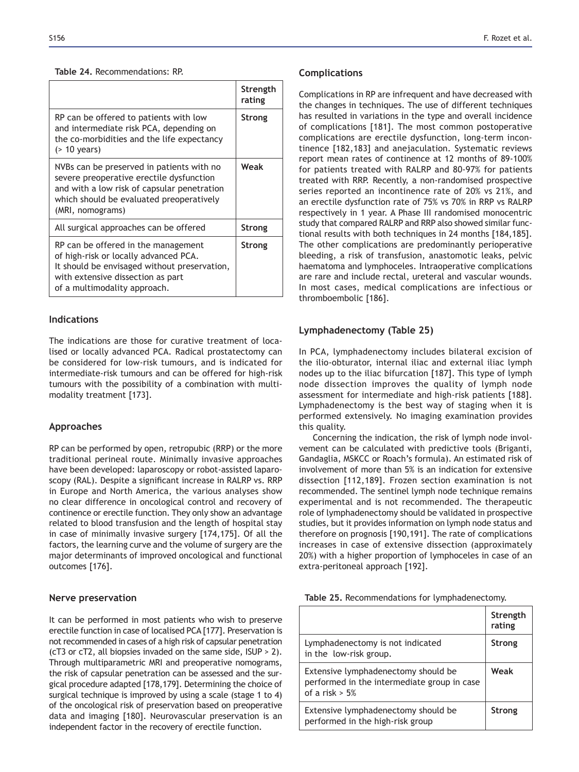#### **Table 24. Recommendations: RP.**

|                                                                                                                                                                                                      | Strength<br>rating |
|------------------------------------------------------------------------------------------------------------------------------------------------------------------------------------------------------|--------------------|
| RP can be offered to patients with low<br>and intermediate risk PCA, depending on<br>the co-morbidities and the life expectancy<br>(> 10 years)                                                      | Strong             |
| NVBs can be preserved in patients with no<br>severe preoperative erectile dysfunction<br>and with a low risk of capsular penetration<br>which should be evaluated preoperatively<br>(MRI, nomograms) | Weak               |
| All surgical approaches can be offered                                                                                                                                                               | <b>Strong</b>      |
| RP can be offered in the management<br>of high-risk or locally advanced PCA.<br>It should be envisaged without preservation,<br>with extensive dissection as part<br>of a multimodality approach.    | Strong             |

# **Indications**

The indications are those for curative treatment of localised or locally advanced PCA. Radical prostatectomy can be considered for low-risk tumours, and is indicated for intermediate-risk tumours and can be offered for high-risk tumours with the possibility of a combination with multimodality treatment [173].

# **Approaches**

RP can be performed by open, retropubic (RRP) or the more traditional perineal route. Minimally invasive approaches have been developed: laparoscopy or robot-assisted laparoscopy (RAL). Despite a significant increase in RALRP vs. RRP in Europe and North America, the various analyses show no clear difference in oncological control and recovery of continence or erectile function. They only show an advantage related to blood transfusion and the length of hospital stay in case of minimally invasive surgery  $[174,175]$ . Of all the factors, the learning curve and the volume of surgery are the major determinants of improved oncological and functional outcomes [176].

# **Nerve preservation**

It can be performed in most patients who wish to preserve erectile function in case of localised PCA [177]. Preservation is not recommended in cases of a high risk of capsular penetration (cT3 or cT2, all biopsies invaded on the same side, ISUP > 2). Through multiparametric MRI and preoperative nomograms, the risk of capsular penetration can be assessed and the surgical procedure adapted [178,179]. Determining the choice of surgical technique is improved by using a scale (stage 1 to 4) of the oncological risk of preservation based on preoperative data and imaging [180]. Neurovascular preservation is an independent factor in the recovery of erectile function.

### **Complications**

Complications in RP are infrequent and have decreased with the changes in techniques. The use of different techniques has resulted in variations in the type and overall incidence of complications [181]. The most common postoperative complications are erectile dysfunction, long-term incontinence [182,183] and anejaculation. Systematic reviews report mean rates of continence at 12 months of 89-100% for patients treated with RALRP and 80-97% for patients treated with RRP. Recently, a non-randomised prospective series reported an incontinence rate of 20% vs 21%, and an erectile dysfunction rate of 75% vs 70% in RRP vs RALRP respectively in 1 year. A Phase III randomised monocentric study that compared RALRP and RRP also showed similar functional results with both techniques in 24 months [184,185]. The other complications are predominantly perioperative bleeding, a risk of transfusion, anastomotic leaks, pelvic haematoma and lymphoceles. Intraoperative complications are rare and include rectal, ureteral and vascular wounds. In most cases, medical complications are infectious or thromboembolic [186].

### Lymphadenectomy (Table 25)

In PCA, lymphadenectomy includes bilateral excision of the ilio-obturator, internal iliac and external iliac lymph nodes up to the iliac bifurcation [187]. This type of lymph node dissection improves the quality of lymph node assessment for intermediate and high-risk patients [188]. Lymphadenectomy is the best way of staging when it is performed extensively. No imaging examination provides this quality.

Concerning the indication, the risk of lymph node involvement can be calculated with predictive tools (Briganti, Gandaglia, MSKCC or Roach's formula). An estimated risk of involvement of more than 5% is an indication for extensive dissection [112,189]. Frozen section examination is not recommended. The sentinel lymph node technique remains experimental and is not recommended. The therapeutic role of lymphadenectomy should be validated in prospective studies, but it provides information on lymph node status and therefore on prognosis [190,191]. The rate of complications increases in case of extensive dissection (approximately 20%) with a higher proportion of lymphoceles in case of an extra-peritoneal approach [192].

|  | Table 25. Recommendations for lymphadenectomy. |  |  |
|--|------------------------------------------------|--|--|
|--|------------------------------------------------|--|--|

|                                                                                                         | Strength<br>rating |
|---------------------------------------------------------------------------------------------------------|--------------------|
| Lymphadenectomy is not indicated<br>in the low-risk group.                                              | Strong             |
| Extensive lymphadenectomy should be<br>performed in the intermediate group in case<br>of a risk $> 5\%$ | Weak               |
| Extensive lymphadenectomy should be<br>performed in the high-risk group                                 | Strong             |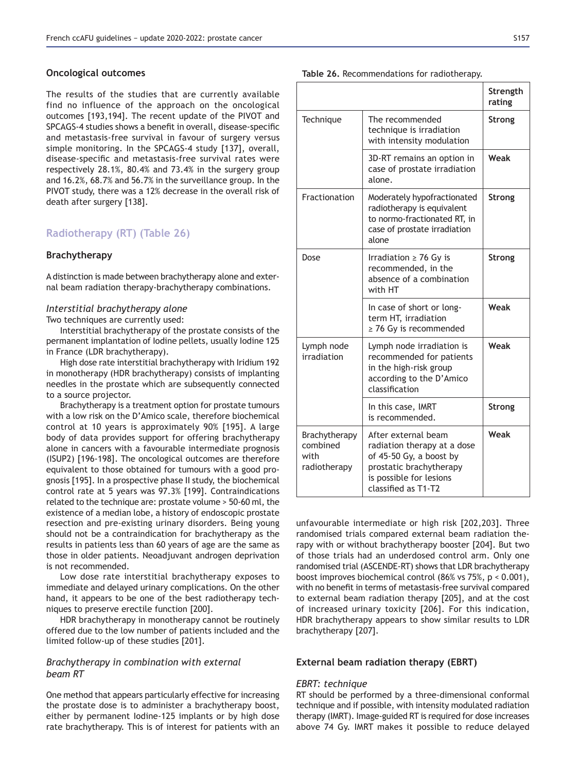#### **2** Oncological outcomes

The results of the studies that are currently available find no influence of the approach on the oncological outcomes [193,194]. The recent update of the PIVOT and SPCAGS-4 studies shows a benefit in overall, disease-specific and metastasis-free survival in favour of surgery versus simple monitoring. In the SPCAGS-4 study [137], overall, disease-specific and metastasis-free survival rates were respectively 28.1%, 80.4% and 73.4% in the surgery group and  $16.2\%$ ,  $68.7\%$  and  $56.7\%$  in the surveillance group. In the PIVOT study, there was a 12% decrease in the overall risk of death after surgery [138].

# **Radiotherapy (RT) (Table 26)**

### **Brachytherapy**

A distinction is made between brachytherapy alone and external beam radiation therapy-brachytherapy combinations.

# *Interstitial brachytherapy alone*

Two techniques are currently used:

Interstitial brachytherapy of the prostate consists of the permanent implantation of Iodine pellets, usually Iodine 125 in France (LDR brachytherapy).

High dose rate interstitial brachytherapy with Iridium 192 in monotherapy (HDR brachytherapy) consists of implanting needles in the prostate which are subsequently connected to a source projector.

Brachytherapy is a treatment option for prostate tumours with a low risk on the D'Amico scale, therefore biochemical control at 10 years is approximately 90% [195]. A large body of data provides support for offering brachytherapy alone in cancers with a favourable intermediate prognosis (ISUP2) [196-198]. The oncological outcomes are therefore equivalent to those obtained for tumours with a good prognosis [195]. In a prospective phase II study, the biochemical control rate at 5 years was 97.3% [199]. Contraindications related to the technique are: prostate volume > 50-60 ml, the existence of a median lobe, a history of endoscopic prostate resection and pre-existing urinary disorders. Being young should not be a contraindication for brachytherapy as the results in patients less than 60 years of age are the same as those in older patients. Neoadjuvant androgen deprivation is not recommended.

Low dose rate interstitial brachytherapy exposes to immediate and delayed urinary complications. On the other hand, it appears to be one of the best radiotherapy techniques to preserve erectile function [200].

HDR brachytherapy in monotherapy cannot be routinely offered due to the low number of patients included and the limited follow-up of these studies [201].

# *Brachytherapy in combination with external beam RT*

One method that appears particularly effective for increasing the prostate dose is to administer a brachytherapy boost, either by permanent Iodine-125 implants or by high dose rate brachytherapy. This is of interest for patients with an

#### Table 26. Recommendations for radiotherapy.

|                                                   |                                                                                                                                                            | Strength<br>rating |
|---------------------------------------------------|------------------------------------------------------------------------------------------------------------------------------------------------------------|--------------------|
| Technique                                         | The recommended<br>technique is irradiation<br>with intensity modulation                                                                                   | <b>Strong</b>      |
|                                                   | 3D-RT remains an option in<br>case of prostate irradiation<br>alone.                                                                                       | Weak               |
| Fractionation                                     | Moderately hypofractionated<br>radiotherapy is equivalent<br>to normo-fractionated RT, in<br>case of prostate irradiation<br>alone                         | <b>Strong</b>      |
| Dose                                              | Irradiation $\geq$ 76 Gy is<br>recommended, in the<br>absence of a combination<br>with HT                                                                  | Strong             |
|                                                   | In case of short or long-<br>term HT, irradiation<br>$\geq$ 76 Gy is recommended                                                                           | Weak               |
| Lymph node<br>irradiation                         | Lymph node irradiation is<br>recommended for patients<br>in the high-risk group<br>according to the D'Amico<br>classification                              | Weak               |
|                                                   | In this case, IMRT<br>is recommended.                                                                                                                      | <b>Strong</b>      |
| Brachytherapy<br>combined<br>with<br>radiotherapy | After external beam<br>radiation therapy at a dose<br>of 45-50 Gy, a boost by<br>prostatic brachytherapy<br>is possible for lesions<br>classified as T1-T2 | Weak               |

unfavourable intermediate or high risk [202,203]. Three randomised trials compared external beam radiation therapy with or without brachytherapy booster [204]. But two of those trials had an underdosed control arm. Only one randomised trial (ASCENDE-RT) shows that LDR brachytherapy boost improves biochemical control (86% vs 75%,  $p < 0.001$ ), with no benefit in terms of metastasis-free survival compared to external beam radiation therapy [205], and at the cost of increased urinary toxicity [206]. For this indication, HDR brachytherapy appears to show similar results to LDR brachytherapy [207].

### **External beam radiation therapy (EBRT)**

### *EBRT: technique*

RT should be performed by a three-dimensional conformal technique and if possible, with intensity modulated radiation therapy (IMRT). Image-guided RT is required for dose increases above 74 Gy. IMRT makes it possible to reduce delayed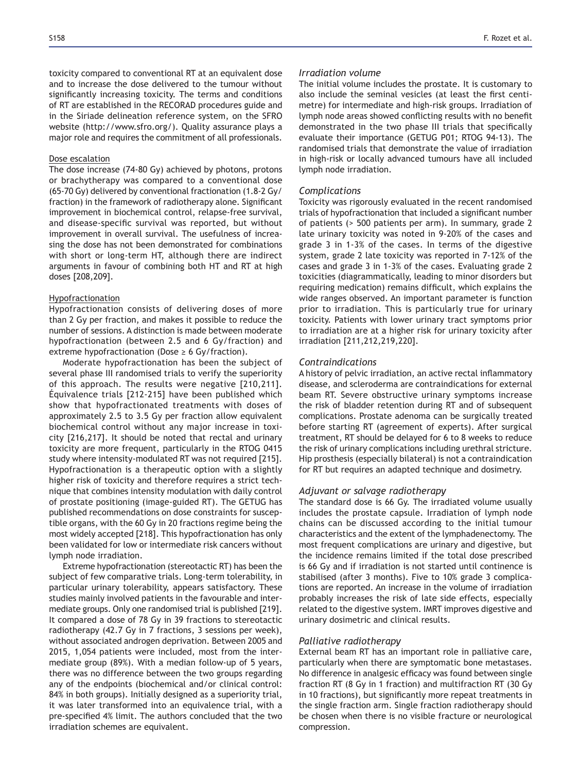toxicity compared to conventional RT at an equivalent dose and to increase the dose delivered to the tumour without significantly increasing toxicity. The terms and conditions of RT are established in the RECORAD procedures guide and in the Siriade delineation reference system, on the SFRO website (http://www.sfro.org/). Quality assurance plays a major role and requires the commitment of all professionals.

#### Dose escalation

The dose increase (74-80 Gy) achieved by photons, protons or brachytherapy was compared to a conventional dose (65-70 Gy) delivered by conventional fractionation (1.8-2 Gy/ fraction) in the framework of radiotherapy alone. Significant improvement in biochemical control, relapse-free survival, and disease-specific survival was reported, but without improvement in overall survival. The usefulness of increasing the dose has not been demonstrated for combinations with short or long-term HT, although there are indirect arguments in favour of combining both HT and RT at high doses [208,209].

#### Hypofractionation

Hypofractionation consists of delivering doses of more than 2 Gy per fraction, and makes it possible to reduce the number of sessions. A distinction is made between moderate hypofractionation (between 2.5 and 6 Gy/fraction) and extreme hypofractionation (Dose  $\geq 6$  Gy/fraction).

Moderate hypofractionation has been the subject of several phase III randomised trials to verify the superiority of this approach. The results were negative [210,211]. Équivalence trials [212-215] have been published which show that hypofractionated treatments with doses of approximately 2.5 to 3.5 Gy per fraction allow equivalent biochemical control without any major increase in toxicity  $[216,217]$ . It should be noted that rectal and urinary toxicity are more frequent, particularly in the RTOG 0415 study where intensity-modulated RT was not required [215]. Hypofractionation is a therapeutic option with a slightly higher risk of toxicity and therefore requires a strict technique that combines intensity modulation with daily control of prostate positioning (image-guided RT). The GETUG has published recommendations on dose constraints for susceptible organs, with the 60 Gy in 20 fractions regime being the most widely accepted [218]. This hypofractionation has only been validated for low or intermediate risk cancers without lymph node irradiation.

Extreme hypofractionation (stereotactic RT) has been the subject of few comparative trials. Long-term tolerability, in particular urinary tolerability, appears satisfactory. These studies mainly involved patients in the favourable and intermediate groups. Only one randomised trial is published [219]. It compared a dose of 78 Gy in 39 fractions to stereotactic radiotherapy  $(42.7 \text{ Gy in } 7 \text{ fractions}, 3 \text{ sessions per week}).$ without associated androgen deprivation. Between 2005 and 2015, 1,054 patients were included, most from the intermediate group (89%). With a median follow-up of 5 years, there was no difference between the two groups regarding any of the endpoints (biochemical and/or clinical control: 84% in both groups). Initially designed as a superiority trial, it was later transformed into an equivalence trial, with a pre-specified 4% limit. The authors concluded that the two irradiation schemes are equivalent.

#### *Irradiation volume*

The initial volume includes the prostate. It is customary to also include the seminal vesicles (at least the first centimetre) for intermediate and high-risk groups. Irradiation of lymph node areas showed conflicting results with no benefit demonstrated in the two phase III trials that specifically evaluate their importance (GETUG P01; RTOG 94-13). The randomised trials that demonstrate the value of irradiation in high-risk or locally advanced tumours have all included lymph node irradiation.

#### *Complications*

Toxicity was rigorously evaluated in the recent randomised trials of hypofractionation that included a significant number of patients (> 500 patients per arm). In summary, grade 2 late urinary toxicity was noted in 9-20% of the cases and grade 3 in 1-3% of the cases. In terms of the digestive system, grade 2 late toxicity was reported in 7-12% of the cases and grade 3 in 1-3% of the cases. Evaluating grade 2 toxicities (diagrammatically, leading to minor disorders but requiring medication) remains difficult, which explains the wide ranges observed. An important parameter is function prior to irradiation. This is particularly true for urinary toxicity. Patients with lower urinary tract symptoms prior to irradiation are at a higher risk for urinary toxicity after irradiation [211,212,219,220].

#### *Contraindications*

A history of pelvic irradiation, an active rectal inflammatory disease, and scleroderma are contraindications for external beam RT. Severe obstructive urinary symptoms increase the risk of bladder retention during RT and of subsequent complications. Prostate adenoma can be surgically treated before starting RT (agreement of experts). After surgical treatment, RT should be delayed for 6 to 8 weeks to reduce the risk of urinary complications including urethral stricture. Hip prosthesis (especially bilateral) is not a contraindication for RT but requires an adapted technique and dosimetry.

#### *Adjuvant or salvage radiotherapy*

The standard dose is 66 Gy. The irradiated volume usually includes the prostate capsule. Irradiation of lymph node chains can be discussed according to the initial tumour characteristics and the extent of the lymphadenectomy. The most frequent complications are urinary and digestive, but the incidence remains limited if the total dose prescribed is 66 Gy and if irradiation is not started until continence is stabilised (after 3 months). Five to 10% grade 3 complications are reported. An increase in the volume of irradiation probably increases the risk of late side effects, especially related to the digestive system. IMRT improves digestive and urinary dosimetric and clinical results.

### *Palliative radiotherapy*

External beam RT has an important role in palliative care, particularly when there are symptomatic bone metastases. No difference in analgesic efficacy was found between single fraction RT (8 Gy in 1 fraction) and multifraction RT (30 Gy in 10 fractions), but significantly more repeat treatments in the single fraction arm. Single fraction radiotherapy should be chosen when there is no visible fracture or neurological compression.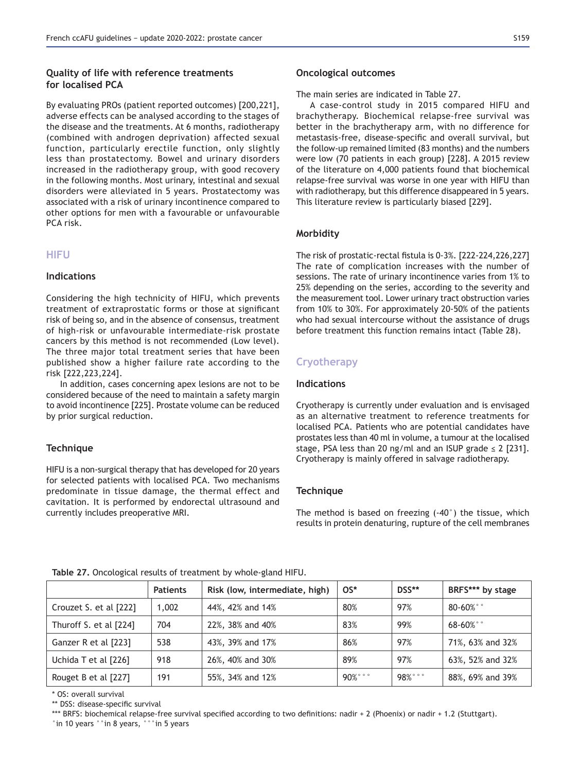# **Quality of life with reference treatments for localised PCA**

By evaluating PROs (patient reported outcomes) [200,221], adverse effects can be analysed according to the stages of the disease and the treatments. At 6 months, radiotherapy (combined with androgen deprivation) affected sexual function, particularly erectile function, only slightly less than prostatectomy. Bowel and urinary disorders increased in the radiotherapy group, with good recovery in the following months. Most urinary, intestinal and sexual disorders were alleviated in 5 years. Prostatectomy was associated with a risk of urinary incontinence compared to other options for men with a favourable or unfavourable PCA risk.

# **HIFU**

# **Indications**

Considering the high technicity of HIFU, which prevents treatment of extraprostatic forms or those at significant risk of being so, and in the absence of consensus, treatment of high-risk or unfavourable intermediate-risk prostate cancers by this method is not recommended (Low level). The three major total treatment series that have been published show a higher failure rate according to the risk [222,223,224].

In addition, cases concerning apex lesions are not to be considered because of the need to maintain a safety margin to avoid incontinence [225]. Prostate volume can be reduced by prior surgical reduction.

# **Technique**

HIFU is a non-surgical therapy that has developed for 20 years for selected patients with localised PCA. Two mechanisms predominate in tissue damage, the thermal effect and cavitation. It is performed by endorectal ultrasound and currently includes preoperative MRI.

#### The main series are indicated in Table 27.

A case-control study in 2015 compared HIFU and brachytherapy. Biochemical relapse-free survival was better in the brachytherapy arm, with no difference for metastasis-free, disease-specific and overall survival, but the follow-up remained limited (83 months) and the numbers were low (70 patients in each group) [228]. A 2015 review of the literature on 4,000 patients found that biochemical relapse-free survival was worse in one year with HIFU than with radiotherapy, but this difference disappeared in 5 years. This literature review is particularly biased [229].

# **Morbidity**

The risk of prostatic-rectal fistula is 0-3%. [222-224,226,227] The rate of complication increases with the number of sessions. The rate of urinary incontinence varies from 1% to 25% depending on the series, according to the severity and the measurement tool. Lower urinary tract obstruction varies from 10% to 30%. For approximately 20-50% of the patients who had sexual intercourse without the assistance of drugs before treatment this function remains intact (Table 28).

# **Cryotherapy**

### **Indications**

Cryotherapy is currently under evaluation and is envisaged as an alternative treatment to reference treatments for localised PCA. Patients who are potential candidates have prostates less than 40 ml in volume, a tumour at the localised stage, PSA less than 20 ng/ml and an ISUP grade  $\leq$  2 [231]. Cryotherapy is mainly offered in salvage radiotherapy.

# **Technique**

The method is based on freezing (-40°) the tissue, which results in protein denaturing, rupture of the cell membranes

|                        | <b>Patients</b> | Risk (low, intermediate, high) | $OS*$        | DSS**      | BRFS*** by stage |
|------------------------|-----------------|--------------------------------|--------------|------------|------------------|
| Crouzet S. et al [222] | 1,002           | 44%, 42% and 14%               | 80%          | 97%        | $80 - 60\%$ °    |
| Thuroff S. et al [224] | 704             | 22%, 38% and 40%               | 83%          | 99%        | $68 - 60\%$ °    |
| Ganzer R et al [223]   | 538             | 43%, 39% and 17%               | 86%          | 97%        | 71%, 63% and 32% |
| Uchida T et al [226]   | 918             | 26%, 40% and 30%               | 89%          | 97%        | 63%, 52% and 32% |
| Rouget B et al [227]   | 191             | 55%, 34% and 12%               | $90\%$ ° ° ° | $98\%$ °°° | 88%, 69% and 39% |

Table 27. Oncological results of treatment by whole-gland HIFU.

\* OS: overall survival

\*\* DSS: disease-specific survival

\*\*\* BRFS: biochemical relapse-free survival specified according to two definitions: nadir + 2 (Phoenix) or nadir + 1.2 (Stuttgart). °in 10 years °°in 8 years, °°°in 5 years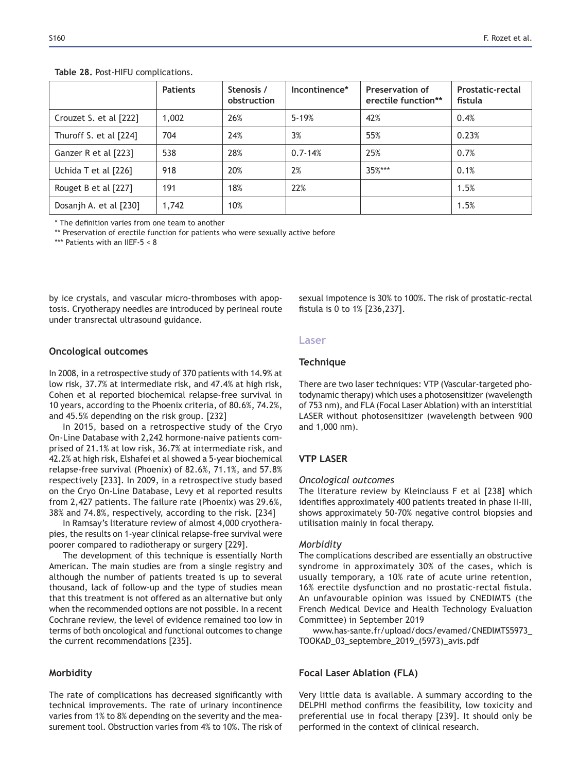|                        | <b>Patients</b> | Stenosis /<br>obstruction | Incontinence* | Preservation of<br>erectile function** | Prostatic-rectal<br>fistula |
|------------------------|-----------------|---------------------------|---------------|----------------------------------------|-----------------------------|
| Crouzet S. et al [222] | 1,002           | 26%                       | $5 - 19%$     | 42%                                    | 0.4%                        |
| Thuroff S. et al [224] | 704             | 24%                       | 3%            | 55%                                    | 0.23%                       |
| Ganzer R et al [223]   | 538             | 28%                       | $0.7 - 14%$   | 25%                                    | 0.7%                        |
| Uchida T et al [226]   | 918             | 20%                       | 2%            | $35%***$                               | 0.1%                        |
| Rouget B et al [227]   | 191             | 18%                       | 22%           |                                        | 1.5%                        |
| Dosanjh A. et al [230] | 1,742           | 10%                       |               |                                        | 1.5%                        |

Table 28. Post-HIFU complications.

\* The definition varies from one team to another

\*\* Preservation of erectile function for patients who were sexually active before

\*\*\* Patients with an IIEF-5 < 8

by ice crystals, and vascular micro-thromboses with apoptosis. Cryotherapy needles are introduced by perineal route under transrectal ultrasound guidance.

#### **2** Oncological outcomes

In 2008, in a retrospective study of 370 patients with  $14.9\%$  at low risk, 37.7% at intermediate risk, and 47.4% at high risk, Cohen et al reported biochemical relapse-free survival in 10 years, according to the Phoenix criteria, of 80.6%, 74.2%, and 45.5% depending on the risk group. [232]

In 2015, based on a retrospective study of the Cryo On-Line Database with 2,242 hormone-naive patients comprised of 21.1% at low risk, 36.7% at intermediate risk, and 42.2% at high risk, Elshafei et al showed a 5-year biochemical relapse-free survival (Phoenix) of 82.6%, 71.1%, and 57.8% respectively [233]. In 2009, in a retrospective study based on the Cryo On-Line Database, Levy et al reported results from 2,427 patients. The failure rate (Phoenix) was 29.6%, 38% and 74.8%, respectively, according to the risk. [234]

In Ramsay's literature review of almost 4,000 cryotherapies, the results on 1-year clinical relapse-free survival were poorer compared to radiotherapy or surgery [229].

The development of this technique is essentially North American. The main studies are from a single registry and although the number of patients treated is up to several thousand, lack of follow-up and the type of studies mean that this treatment is not offered as an alternative but only when the recommended options are not possible. In a recent Cochrane review, the level of evidence remained too low in terms of both oncological and functional outcomes to change the current recommendations [235].

#### **Morbidity**

The rate of complications has decreased significantly with technical improvements. The rate of urinary incontinence varies from 1% to 8% depending on the severity and the measurement tool. Obstruction varies from 4% to 10%. The risk of sexual impotence is 30% to 100%. The risk of prostatic-rectal fistula is 0 to 1% [236,237].

### **Laser**

# **Technique**

There are two laser techniques: VTP (Vascular-targeted photodynamic therapy) which uses a photosensitizer (wavelength of 753 nm), and FLA (Focal Laser Ablation) with an interstitial LASER without photosensitizer (wavelength between 900 and 1,000 nm).

# **VTP LASER**

#### *Oncological outcomes*

The literature review by Kleinclauss F et al [238] which identifies approximately 400 patients treated in phase II-III, shows approximately 50-70% negative control biopsies and utilisation mainly in focal therapy.

#### *Morbidity*

The complications described are essentially an obstructive syndrome in approximately 30% of the cases, which is usually temporary, a 10% rate of acute urine retention, 16% erectile dysfunction and no prostatic-rectal fistula. An unfavourable opinion was issued by CNEDIMTS (the French Medical Device and Health Technology Evaluation Committee) in September 2019

www.has-sante.fr/upload/docs/evamed/CNEDIMTS5973\_ TOOKAD\_03\_septembre\_2019\_(5973)\_avis.pdf

#### **Focal Laser Ablation (FLA)**

Very little data is available. A summary according to the DELPHI method confirms the feasibility, low toxicity and preferential use in focal therapy [239]. It should only be performed in the context of clinical research.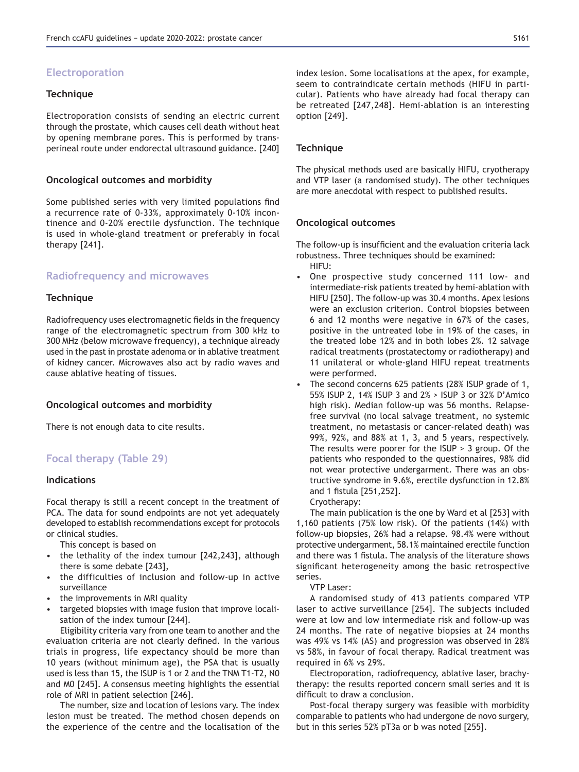# **Electroporation**

#### **Technique**

Electroporation consists of sending an electric current through the prostate, which causes cell death without heat by opening membrane pores. This is performed by transperineal route under endorectal ultrasound guidance. [240]

#### **2** Oncological outcomes and morbidity

Some published series with very limited populations find a recurrence rate of 0-33%, approximately 0-10% incontinence and 0-20% erectile dysfunction. The technique is used in whole-gland treatment or preferably in focal therapy [241].

# **Radiofrequency and microwaves**

### **Technique**

Radiofrequency uses electromagnetic fields in the frequency range of the electromagnetic spectrum from 300 kHz to 300 MHz (below microwave frequency), a technique already used in the past in prostate adenoma or in ablative treatment of kidney cancer. Microwaves also act by radio waves and cause ablative heating of tissues.

#### **2** Oncological outcomes and morbidity

There is not enough data to cite results.

# **Focal therapy (Table 29)**

### **Indications**

Focal therapy is still a recent concept in the treatment of PCA. The data for sound endpoints are not yet adequately developed to establish recommendations except for protocols or clinical studies.

This concept is based on

- the lethality of the index tumour [242,243], although there is some debate [243],
- the difficulties of inclusion and follow-up in active surveillance
- the improvements in MRI quality
- targeted biopsies with image fusion that improve localisation of the index tumour [244].

Eligibility criteria vary from one team to another and the evaluation criteria are not clearly defined. In the various trials in progress, life expectancy should be more than 10 years (without minimum age), the PSA that is usually used is less than 15, the ISUP is 1 or 2 and the TNM T1-T2, N0 and M0 [245]. A consensus meeting highlights the essential role of MRI in patient selection [246].

The number, size and location of lesions vary. The index lesion must be treated. The method chosen depends on the experience of the centre and the localisation of the index lesion. Some localisations at the apex, for example, seem to contraindicate certain methods (HIFU in particular). Patients who have already had focal therapy can be retreated [247,248]. Hemi-ablation is an interesting option [249].

#### **Technique**

The physical methods used are basically HIFU, cryotherapy and VTP laser (a randomised study). The other techniques are more anecdotal with respect to published results.

#### **2** Oncological outcomes

The follow-up is insufficient and the evaluation criteria lack robustness. Three techniques should be examined: HIFU:

- One prospective study concerned 111 low- and intermediate-risk patients treated by hemi-ablation with HIFU [250]. The follow-up was 30.4 months. Apex lesions were an exclusion criterion. Control biopsies between 6 and 12 months were negative in  $67\%$  of the cases, positive in the untreated lobe in 19% of the cases, in the treated lobe 12% and in both lobes 2%. 12 salvage radical treatments (prostatectomy or radiotherapy) and 11 unilateral or whole-gland HIFU repeat treatments were performed.
- The second concerns 625 patients (28% ISUP grade of 1, 55% ISUP 2, 14% ISUP 3 and 2% > ISUP 3 or 32% D'Amico high risk). Median follow-up was 56 months. Relapsefree survival (no local salvage treatment, no systemic treatment, no metastasis or cancer-related death) was 99%, 92%, and 88% at 1, 3, and 5 years, respectively. The results were poorer for the  $ISUP > 3$  group. Of the patients who responded to the questionnaires, 98% did not wear protective undergarment. There was an obstructive syndrome in 9.6%, erectile dysfunction in 12.8% and 1 fistula [251,252].
	- Cryotherapy:

The main publication is the one by Ward et al [253] with 1,160 patients  $(75\%$  low risk). Of the patients  $(14\%)$  with follow-up biopsies, 26% had a relapse. 98.4% were without protective undergarment, 58.1% maintained erectile function and there was 1 fistula. The analysis of the literature shows significant heterogeneity among the basic retrospective series.

VTP Laser:

A randomised study of 413 patients compared VTP laser to active surveillance [254]. The subjects included were at low and low intermediate risk and follow-up was 24 months. The rate of negative biopsies at 24 months was 49% vs 14% (AS) and progression was observed in 28% vs 58%, in favour of focal therapy. Radical treatment was required in 6% vs 29%.

Electroporation, radiofrequency, ablative laser, brachytherapy: the results reported concern small series and it is difficult to draw a conclusion.

Post-focal therapy surgery was feasible with morbidity comparable to patients who had undergone de novo surgery, but in this series 52% pT3a or b was noted [255].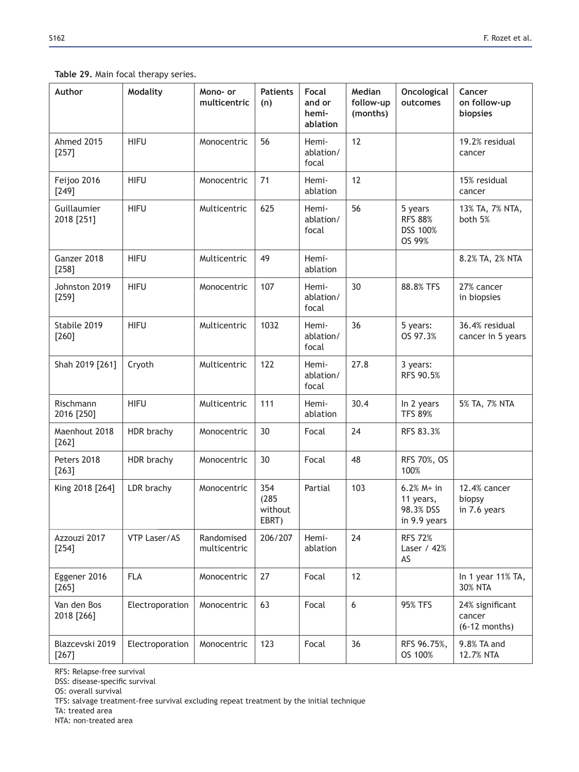| Author                     | <b>Modality</b> | Mono- or<br>multicentric   | <b>Patients</b><br>(n)           | <b>Focal</b><br>and or<br>hemi-<br>ablation | Median<br>follow-up<br>(months) | Oncological<br>outcomes                                | Cancer<br>on follow-up<br>biopsies           |
|----------------------------|-----------------|----------------------------|----------------------------------|---------------------------------------------|---------------------------------|--------------------------------------------------------|----------------------------------------------|
| Ahmed 2015<br>$[257]$      | <b>HIFU</b>     | Monocentric                | 56                               | Hemi-<br>ablation/<br>focal                 | 12                              |                                                        | 19.2% residual<br>cancer                     |
| Feijoo 2016<br>$[249]$     | <b>HIFU</b>     | Monocentric                | 71                               | Hemi-<br>ablation                           | 12                              |                                                        | 15% residual<br>cancer                       |
| Guillaumier<br>2018 [251]  | <b>HIFU</b>     | Multicentric               | 625                              | Hemi-<br>ablation/<br>focal                 | 56                              | 5 years<br><b>RFS 88%</b><br>DSS 100%<br>OS 99%        | 13% TA, 7% NTA,<br>both 5%                   |
| Ganzer 2018<br>$[258]$     | <b>HIFU</b>     | Multicentric               | 49                               | Hemi-<br>ablation                           |                                 |                                                        | 8.2% TA, 2% NTA                              |
| Johnston 2019<br>$[259]$   | <b>HIFU</b>     | Monocentric                | 107                              | Hemi-<br>ablation/<br>focal                 | 30                              | 88.8% TFS                                              | 27% cancer<br>in biopsies                    |
| Stabile 2019<br>[260]      | <b>HIFU</b>     | Multicentric               | 1032                             | Hemi-<br>ablation/<br>focal                 | 36                              | 5 years:<br>OS 97.3%                                   | 36.4% residual<br>cancer in 5 years          |
| Shah 2019 [261]            | Cryoth          | Multicentric               | 122                              | Hemi-<br>ablation/<br>focal                 | 27.8                            | 3 years:<br>RFS 90.5%                                  |                                              |
| Rischmann<br>2016 [250]    | <b>HIFU</b>     | Multicentric               | 111                              | Hemi-<br>ablation                           | 30.4                            | In 2 years<br><b>TFS 89%</b>                           | 5% TA, 7% NTA                                |
| Maenhout 2018<br>$[262]$   | HDR brachy      | Monocentric                | 30                               | Focal                                       | 24                              | RFS 83.3%                                              |                                              |
| Peters 2018<br>$[263]$     | HDR brachy      | Monocentric                | 30                               | Focal                                       | 48                              | RFS 70%, OS<br>100%                                    |                                              |
| King 2018 [264]            | LDR brachy      | Monocentric                | 354<br>(285)<br>without<br>EBRT) | Partial                                     | 103                             | $6.2% M+ in$<br>11 years,<br>98.3% DSS<br>in 9.9 years | 12.4% cancer<br>biopsy<br>in 7.6 years       |
| Azzouzi 2017<br>$[254]$    | VTP Laser/AS    | Randomised<br>multicentric | 206/207                          | Hemi-<br>ablation                           | 24                              | <b>RFS 72%</b><br>Laser / 42%<br>AS                    |                                              |
| Eggener 2016<br>$[265]$    | <b>FLA</b>      | Monocentric                | 27                               | Focal                                       | 12                              |                                                        | In 1 year 11% TA,<br><b>30% NTA</b>          |
| Van den Bos<br>2018 [266]  | Electroporation | Monocentric                | 63                               | Focal                                       | $6\phantom{1}6$                 | 95% TFS                                                | 24% significant<br>cancer<br>$(6-12$ months) |
| Blazcevski 2019<br>$[267]$ | Electroporation | Monocentric                | 123                              | Focal                                       | 36                              | RFS 96.75%,<br>OS 100%                                 | 9.8% TA and<br>12.7% NTA                     |

### Table 29. Main focal therapy series.

RFS: Relapse-free survival

DSS: disease-specific survival

OS: overall survival

TFS: salvage treatment-free survival excluding repeat treatment by the initial technique

TA: treated area

NTA: non-treated area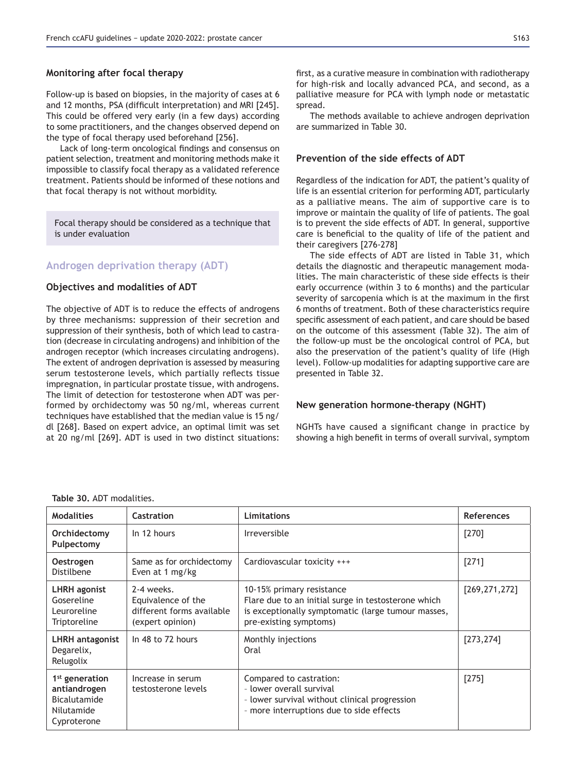Follow-up is based on biopsies, in the majority of cases at 6 and 12 months, PSA (difficult interpretation) and MRI [245]. This could be offered very early (in a few days) according to some practitioners, and the changes observed depend on the type of focal therapy used beforehand [256].

Lack of long-term oncological findings and consensus on patient selection, treatment and monitoring methods make it impossible to classify focal therapy as a validated reference treatment. Patients should be informed of these notions and that focal therapy is not without morbidity.

Focal therapy should be considered as a technique that is under evaluation

# **Androgen deprivation therapy (ADT)**

#### **2** Objectives and modalities of ADT

The objective of ADT is to reduce the effects of androgens by three mechanisms: suppression of their secretion and suppression of their synthesis, both of which lead to castration (decrease in circulating androgens) and inhibition of the androgen receptor (which increases circulating androgens). The extent of androgen deprivation is assessed by measuring serum testosterone levels, which partially reflects tissue impregnation, in particular prostate tissue, with androgens. The limit of detection for testosterone when ADT was performed by orchidectomy was 50 ng/ml, whereas current techniques have established that the median value is 15 ng/ dl [268]. Based on expert advice, an optimal limit was set at 20 ng/ml [269]. ADT is used in two distinct situations:

The methods available to achieve androgen deprivation are summarized in Table 30.

# **Prevention of the side effects of ADT**

Regardless of the indication for ADT, the patient's quality of life is an essential criterion for performing ADT, particularly as a palliative means. The aim of supportive care is to improve or maintain the quality of life of patients. The goal is to prevent the side effects of ADT. In general, supportive care is beneficial to the quality of life of the patient and their caregivers [276-278]

The side effects of ADT are listed in Table 31, which details the diagnostic and therapeutic management modalities. The main characteristic of these side effects is their early occurrence (within 3 to 6 months) and the particular severity of sarcopenia which is at the maximum in the first 6 months of treatment. Both of these characteristics require specific assessment of each patient, and care should be based on the outcome of this assessment (Table 32). The aim of the follow-up must be the oncological control of PCA, but also the preservation of the patient's quality of life (High level). Follow-up modalities for adapting supportive care are presented in Table 32.

#### **New generation hormone-therapy (NGHT)**

NGHTs have caused a significant change in practice by showing a high benefit in terms of overall survival, symptom

| <b>Modalities</b>                                                                              | Castration                                                                        | <b>Limitations</b>                                                                                                                                               | References      |
|------------------------------------------------------------------------------------------------|-----------------------------------------------------------------------------------|------------------------------------------------------------------------------------------------------------------------------------------------------------------|-----------------|
| Orchidectomy<br>Pulpectomy                                                                     | In 12 hours                                                                       | <b>Irreversible</b>                                                                                                                                              | [270]           |
| <b>Oestrogen</b><br>Distilbene                                                                 | Same as for orchidectomy<br>Even at 1 mg/kg                                       | Cardiovascular toxicity +++                                                                                                                                      | $[271]$         |
| LHRH agonist<br>Gosereline<br>Leuroreline<br>Triptoreline                                      | 2-4 weeks.<br>Equivalence of the<br>different forms available<br>(expert opinion) | 10-15% primary resistance<br>Flare due to an initial surge in testosterone which<br>is exceptionally symptomatic (large tumour masses,<br>pre-existing symptoms) | [269, 271, 272] |
| LHRH antagonist<br>Degarelix,<br>Relugolix                                                     | In 48 to 72 hours                                                                 | Monthly injections<br>Oral                                                                                                                                       | [273, 274]      |
| 1 <sup>st</sup> generation<br>antiandrogen<br><b>Bicalutamide</b><br>Nilutamide<br>Cyproterone | Increase in serum<br>testosterone levels                                          | Compared to castration:<br>- lower overall survival<br>- lower survival without clinical progression<br>- more interruptions due to side effects                 | $[275]$         |

Table 30. ADT modalities.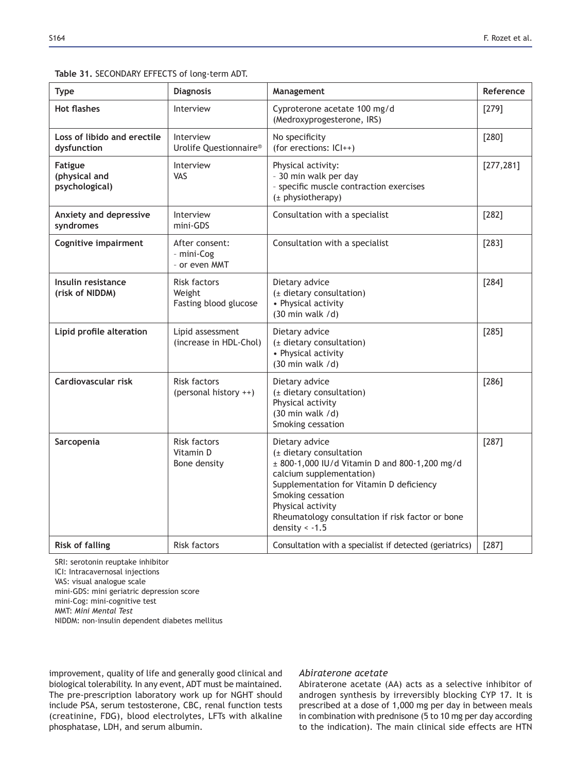#### Table 31. SECONDARY EFFECTS of long-term ADT.

| Type                                              | <b>Diagnosis</b>                                       | Management                                                                                                                                                                                                                                                                           | Reference  |
|---------------------------------------------------|--------------------------------------------------------|--------------------------------------------------------------------------------------------------------------------------------------------------------------------------------------------------------------------------------------------------------------------------------------|------------|
| <b>Hot flashes</b>                                | Interview                                              | Cyproterone acetate 100 mg/d<br>(Medroxyprogesterone, IRS)                                                                                                                                                                                                                           | $[279]$    |
| Loss of libido and erectile<br>dysfunction        | Interview<br>Urolife Questionnaire®                    | No specificity<br>(for erections: ICI++)                                                                                                                                                                                                                                             | $[280]$    |
| <b>Fatigue</b><br>(physical and<br>psychological) | Interview<br>VAS                                       | Physical activity:<br>- 30 min walk per day<br>- specific muscle contraction exercises<br>$(\pm$ physiotherapy)                                                                                                                                                                      | [277, 281] |
| Anxiety and depressive<br>syndromes               | Interview<br>mini-GDS                                  | Consultation with a specialist                                                                                                                                                                                                                                                       | $[282]$    |
| <b>Cognitive impairment</b>                       | After consent:<br>- mini-Cog<br>- or even MMT          | Consultation with a specialist                                                                                                                                                                                                                                                       | [283]      |
| Insulin resistance<br>(risk of NIDDM)             | <b>Risk factors</b><br>Weight<br>Fasting blood glucose | Dietary advice<br>(± dietary consultation)<br>• Physical activity<br>$(30 \text{ min walk } / d)$                                                                                                                                                                                    | $[284]$    |
| Lipid profile alteration                          | Lipid assessment<br>(increase in HDL-Chol)             | Dietary advice<br>(± dietary consultation)<br>• Physical activity<br>$(30 \text{ min walk } / d)$                                                                                                                                                                                    | [285]      |
| Cardiovascular risk                               | <b>Risk factors</b><br>(personal history ++)           | Dietary advice<br>(± dietary consultation)<br>Physical activity<br>$(30 \text{ min walk } / d)$<br>Smoking cessation                                                                                                                                                                 | $[286]$    |
| Sarcopenia                                        | <b>Risk factors</b><br>Vitamin D<br>Bone density       | Dietary advice<br>(± dietary consultation<br>± 800-1,000 IU/d Vitamin D and 800-1,200 mg/d<br>calcium supplementation)<br>Supplementation for Vitamin D deficiency<br>Smoking cessation<br>Physical activity<br>Rheumatology consultation if risk factor or bone<br>density $< -1.5$ | $[287]$    |
| <b>Risk of falling</b>                            | Risk factors                                           | Consultation with a specialist if detected (geriatrics)                                                                                                                                                                                                                              | [287]      |

SRI: serotonin reuptake inhibitor ICI: Intracavernosal injections VAS: visual analogue scale mini-GDS: mini geriatric depression score mini-Cog: mini-cognitive test MMT: *Mini Mental Test* NIDDM: non-insulin dependent diabetes mellitus

improvement, quality of life and generally good clinical and biological tolerability. In any event, ADT must be maintained. The pre-prescription laboratory work up for NGHT should include PSA, serum testosterone, CBC, renal function tests (creatinine, FDG), blood electrolytes, LFTs with alkaline phosphatase, LDH, and serum albumin.

#### *Abiraterone acetate*

Abiraterone acetate (AA) acts as a selective inhibitor of androgen synthesis by irreversibly blocking CYP 17. It is prescribed at a dose of 1,000 mg per day in between meals in combination with prednisone (5 to 10 mg per day according to the indication). The main clinical side effects are HTN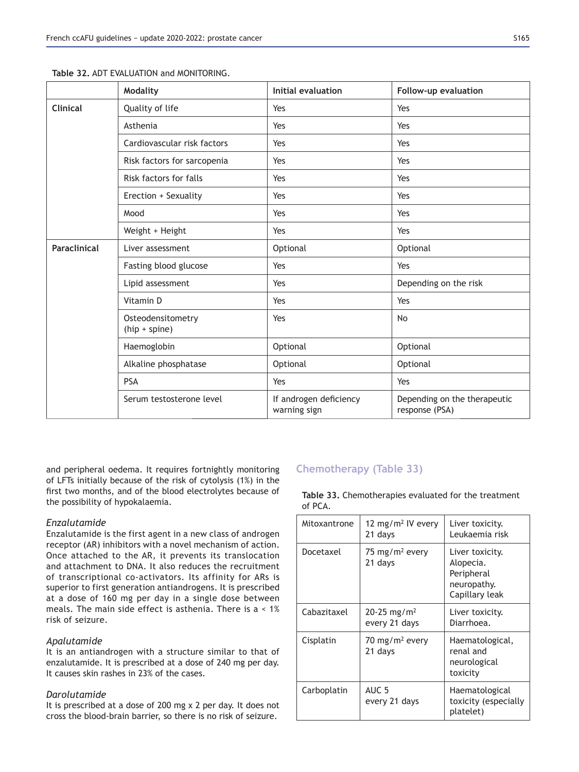|                     | Modality                             | Initial evaluation                     | Follow-up evaluation                           |
|---------------------|--------------------------------------|----------------------------------------|------------------------------------------------|
| <b>Clinical</b>     | Quality of life                      | Yes                                    | Yes                                            |
|                     | Asthenia                             | Yes                                    | Yes                                            |
|                     | Cardiovascular risk factors          | Yes                                    | Yes                                            |
|                     | Risk factors for sarcopenia          | Yes                                    | Yes                                            |
|                     | Risk factors for falls               | Yes                                    | Yes                                            |
|                     | Erection + Sexuality                 | Yes                                    | Yes                                            |
|                     | Mood                                 | Yes                                    | Yes                                            |
|                     | Weight + Height                      | Yes                                    | Yes                                            |
| <b>Paraclinical</b> | Liver assessment                     | Optional                               | Optional                                       |
|                     | Fasting blood glucose                | Yes                                    | Yes                                            |
|                     | Lipid assessment                     | Yes                                    | Depending on the risk                          |
|                     | Vitamin D                            | Yes                                    | Yes                                            |
|                     | Osteodensitometry<br>$(hip + spine)$ | Yes                                    | No                                             |
|                     | Haemoglobin                          | Optional                               | Optional                                       |
|                     | Alkaline phosphatase                 | Optional                               | Optional                                       |
|                     | <b>PSA</b>                           | Yes                                    | Yes                                            |
|                     | Serum testosterone level             | If androgen deficiency<br>warning sign | Depending on the therapeutic<br>response (PSA) |

Table 32 ADT FVALUATION and MONITORING

and peripheral oedema. It requires fortnightly monitoring of LFTs initially because of the risk of cytolysis (1%) in the first two months, and of the blood electrolytes because of the possibility of hypokalaemia.

# *Enzalutamide*

Enzalutamide is the first agent in a new class of androgen receptor (AR) inhibitors with a novel mechanism of action. Once attached to the AR, it prevents its translocation and attachment to DNA. It also reduces the recruitment of transcriptional co-activators. Its affinity for ARs is superior to first generation antiandrogens. It is prescribed at a dose of 160 mg per day in a single dose between meals. The main side effect is asthenia. There is a < 1% risk of seizure.

# *Apalutamide*

It is an antiandrogen with a structure similar to that of enzalutamide. It is prescribed at a dose of 240 mg per day. It causes skin rashes in 23% of the cases.

#### *Darolutamide*

It is prescribed at a dose of 200 mg x 2 per day. It does not cross the blood-brain barrier, so there is no risk of seizure.

# **Chemotherapy (Table 33)**

Table 33. Chemotherapies evaluated for the treatment of PCA.

| Mitoxantrone | 12 mg/m <sup>2</sup> IV every<br>21 days     | Liver toxicity.<br>Leukaemia risk                                           |
|--------------|----------------------------------------------|-----------------------------------------------------------------------------|
| Docetaxel    | 75 mg/m <sup>2</sup> every<br>21 days        | Liver toxicity.<br>Alopecia.<br>Peripheral<br>neuropathy.<br>Capillary leak |
| Cabazitaxel  | $20 - 25$ mg/m <sup>2</sup><br>every 21 days | Liver toxicity.<br>Diarrhoea.                                               |
| Cisplatin    | 70 mg/m <sup>2</sup> every<br>21 days        | Haematological,<br>renal and<br>neurological<br>toxicity                    |
| Carboplatin  | AUC 5<br>every 21 days                       | Haematological<br>toxicity (especially<br>platelet)                         |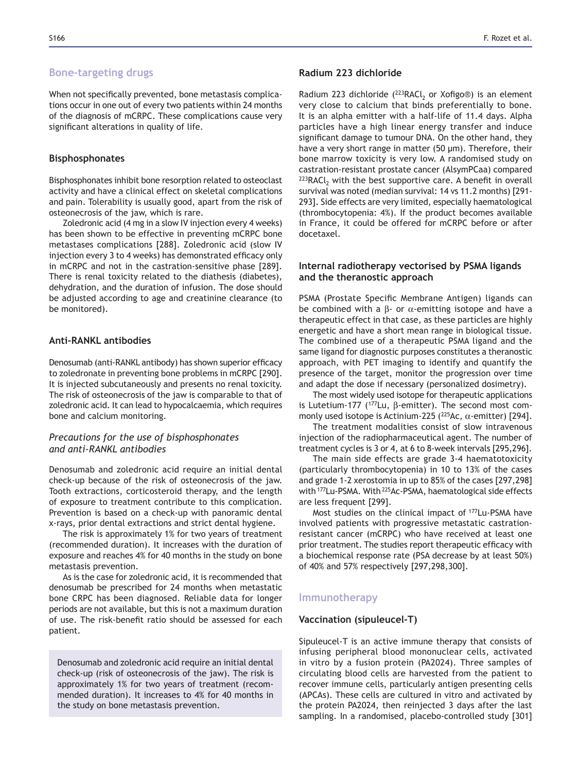### **Bone-targeting drugs**

When not specifically prevented, bone metastasis complications occur in one out of every two patients within 24 months of the diagnosis of mCRPC. These complications cause very significant alterations in quality of life.

### **Bisphosphonates**

Bisphosphonates inhibit bone resorption related to osteoclast activity and have a clinical effect on skeletal complications and pain. Tolerability is usually good, apart from the risk of osteonecrosis of the jaw, which is rare.

Zoledronic acid (4 mg in a slow IV injection every 4 weeks) has been shown to be effective in preventing mCRPC bone metastases complications [288]. Zoledronic acid (slow IV injection every 3 to 4 weeks) has demonstrated efficacy only in mCRPC and not in the castration-sensitive phase [289]. There is renal toxicity related to the diathesis (diabetes), dehydration, and the duration of infusion. The dose should be adjusted according to age and creatinine clearance (to be monitored).

# **Anti-RANKL antibodies**

Denosumab (anti-RANKL antibody) has shown superior efficacy to zoledronate in preventing bone problems in mCRPC [290]. It is injected subcutaneously and presents no renal toxicity. The risk of osteonecrosis of the jaw is comparable to that of zoledronic acid. It can lead to hypocalcaemia, which requires bone and calcium monitoring.

# *Precautions for the use of bisphosphonates and anti-RANKL antibodies*

Denosumab and zoledronic acid require an initial dental check-up because of the risk of osteonecrosis of the jaw. Tooth extractions, corticosteroid therapy, and the length of exposure to treatment contribute to this complication. Prevention is based on a check-up with panoramic dental x-rays, prior dental extractions and strict dental hygiene.

The risk is approximately 1% for two years of treatment (recommended duration). It increases with the duration of exposure and reaches 4% for 40 months in the study on bone metastasis prevention.

As is the case for zoledronic acid, it is recommended that denosumab be prescribed for 24 months when metastatic bone CRPC has been diagnosed. Reliable data for longer periods are not available, but this is not a maximum duration of use. The risk-benefit ratio should be assessed for each patient.

Denosumab and zoledronic acid require an initial dental check-up (risk of osteonecrosis of the jaw). The risk is approximately 1% for two years of treatment (recommended duration). It increases to 4% for 40 months in the study on bone metastasis prevention.

# Radium 223 dichloride

Radium 223 dichloride ( $^{223}$ RACl<sub>2</sub> or Xofigo®) is an element very close to calcium that binds preferentially to bone. It is an alpha emitter with a half-life of 11.4 days. Alpha particles have a high linear energy transfer and induce significant damage to tumour DNA. On the other hand, they have a very short range in matter (50 μm). Therefore, their bone marrow toxicity is very low. A randomised study on castration-resistant prostate cancer (AlsymPCaa) compared  $223$ RACl<sub>2</sub> with the best supportive care. A benefit in overall survival was noted (median survival: 14 vs 11.2 months) [291- 293]. Side effects are very limited, especially haematological (thrombocytopenia: 4%). If the product becomes available in France, it could be offered for mCRPC before or after docetaxel.

# Internal radiotherapy vectorised by PSMA ligands and the theranostic approach

PSMA (Prostate Specific Membrane Antigen) ligands can be combined with a  $β$ - or  $α$ -emitting isotope and have a therapeutic effect in that case, as these particles are highly energetic and have a short mean range in biological tissue. The combined use of a therapeutic PSMA ligand and the same ligand for diagnostic purposes constitutes a theranostic approach, with PET imaging to identify and quantify the presence of the target, monitor the progression over time and adapt the dose if necessary (personalized dosimetry).

The most widely used isotope for therapeutic applications is Lutetium-177 ( $177$ Lu, β-emitter). The second most commonly used isotope is Actinium-225 ( $^{225}$ Ac,  $\alpha$ -emitter) [294].

The treatment modalities consist of slow intravenous injection of the radiopharmaceutical agent. The number of treatment cycles is 3 or 4, at 6 to 8-week intervals [295,296].

The main side effects are grade 3-4 haematotoxicity (particularly thrombocytopenia) in 10 to 13% of the cases and grade 1-2 xerostomia in up to  $85\%$  of the cases  $[297,298]$ with 177Lu-PSMA. With <sup>225</sup>Ac-PSMA, haematological side effects are less frequent [299].

Most studies on the clinical impact of 177Lu-PSMA have involved patients with progressive metastatic castrationresistant cancer (mCRPC) who have received at least one prior treatment. The studies report therapeutic efficacy with a biochemical response rate (PSA decrease by at least 50%) of 40% and 57% respectively [297,298,300].

# **Immunotherapy**

#### **Vaccination (sipuleucel-T)**

Sipuleucel-T is an active immune therapy that consists of infusing peripheral blood mononuclear cells, activated in vitro by a fusion protein (PA2024). Three samples of circulating blood cells are harvested from the patient to recover immune cells, particularly antigen presenting cells (APCAs). These cells are cultured in vitro and activated by the protein PA2024, then reinjected 3 days after the last sampling. In a randomised, placebo-controlled study [301]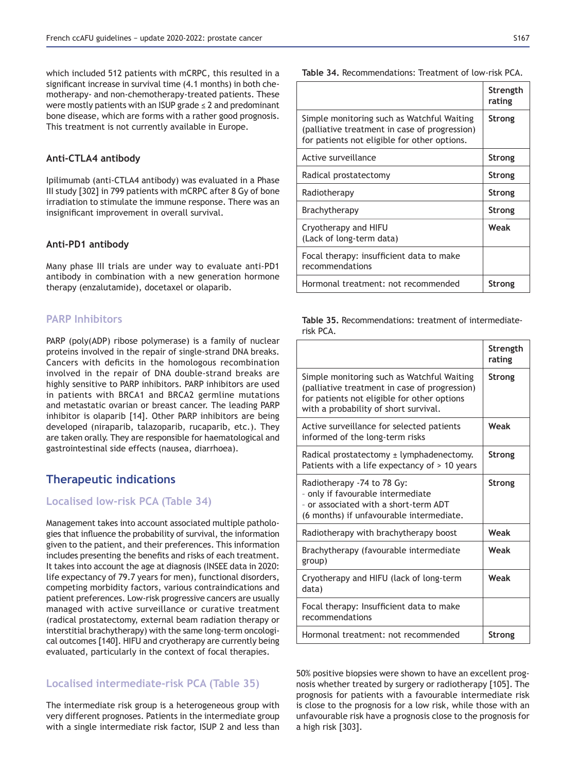which included 512 patients with mCRPC, this resulted in a significant increase in survival time (4.1 months) in both chemotherapy- and non-chemotherapy-treated patients. These were mostly patients with an ISUP grade  $\leq 2$  and predominant bone disease, which are forms with a rather good prognosis. This treatment is not currently available in Europe.

#### Anti-CTLA4 antibody

Ipilimumab (anti-CTLA4 antibody) was evaluated in a Phase III study [302] in 799 patients with mCRPC after 8 Gy of bone irradiation to stimulate the immune response. There was an insignificant improvement in overall survival.

### Anti-PD1 antibody

Many phase III trials are under way to evaluate anti-PD1 antibody in combination with a new generation hormone therapy (enzalutamide), docetaxel or olaparib.

# **PARP Inhibitors**

PARP (poly(ADP) ribose polymerase) is a family of nuclear proteins involved in the repair of single-strand DNA breaks. Cancers with deficits in the homologous recombination involved in the repair of DNA double-strand breaks are highly sensitive to PARP inhibitors. PARP inhibitors are used in patients with BRCA1 and BRCA2 germline mutations and metastatic ovarian or breast cancer. The leading PARP inhibitor is olaparib [14]. Other PARP inhibitors are being developed (niraparib, talazoparib, rucaparib, etc.). They are taken orally. They are responsible for haematological and gastrointestinal side effects (nausea, diarrhoea).

# **Therapeutic indications**

# **Localised low-risk PCA (Table 34)**

Management takes into account associated multiple pathologies that influence the probability of survival, the information given to the patient, and their preferences. This information includes presenting the benefits and risks of each treatment. It takes into account the age at diagnosis (INSEE data in 2020: life expectancy of 79.7 years for men), functional disorders, competing morbidity factors, various contraindications and patient preferences. Low-risk progressive cancers are usually managed with active surveillance or curative treatment (radical prostatectomy, external beam radiation therapy or interstitial brachytherapy) with the same long-term oncological outcomes [140]. HIFU and cryotherapy are currently being evaluated, particularly in the context of focal therapies.

# **Localised intermediate-risk PCA (Table 35)**

The intermediate risk group is a heterogeneous group with very different prognoses. Patients in the intermediate group with a single intermediate risk factor, ISUP 2 and less than

|                                                                                                                                             | Strength<br>rating |
|---------------------------------------------------------------------------------------------------------------------------------------------|--------------------|
| Simple monitoring such as Watchful Waiting<br>(palliative treatment in case of progression)<br>for patients not eligible for other options. | <b>Strong</b>      |
| Active surveillance                                                                                                                         | <b>Strong</b>      |
| Radical prostatectomy                                                                                                                       | Strong             |
| Radiotherapy                                                                                                                                | Strong             |
| Brachytherapy                                                                                                                               | <b>Strong</b>      |
| Cryotherapy and HIFU<br>(Lack of long-term data)                                                                                            | Weak               |
| Focal therapy: insufficient data to make<br>recommendations                                                                                 |                    |
| Hormonal treatment: not recommended                                                                                                         | Strong             |

Table 35. Recommendations: treatment of intermediaterisk PCA.

|                                                                                                                                                                                     | Strength<br>rating |
|-------------------------------------------------------------------------------------------------------------------------------------------------------------------------------------|--------------------|
| Simple monitoring such as Watchful Waiting<br>(palliative treatment in case of progression)<br>for patients not eligible for other options<br>with a probability of short survival. | Strong             |
| Active surveillance for selected patients<br>informed of the long-term risks                                                                                                        | Weak               |
| Radical prostatectomy $\pm$ lymphadenectomy.<br>Patients with a life expectancy of $> 10$ years                                                                                     | Strong             |
| Radiotherapy -74 to 78 Gy:<br>- only if favourable intermediate<br>- or associated with a short-term ADT<br>(6 months) if unfavourable intermediate.                                | Strong             |
| Radiotherapy with brachytherapy boost                                                                                                                                               | Weak               |
| Brachytherapy (favourable intermediate<br>group)                                                                                                                                    | Weak               |
| Cryotherapy and HIFU (lack of long-term<br>data)                                                                                                                                    | Weak               |
| Focal therapy: Insufficient data to make<br>recommendations                                                                                                                         |                    |
| Hormonal treatment: not recommended                                                                                                                                                 | Strong             |

50% positive biopsies were shown to have an excellent prognosis whether treated by surgery or radiotherapy [105]. The prognosis for patients with a favourable intermediate risk is close to the prognosis for a low risk, while those with an unfavourable risk have a prognosis close to the prognosis for a high risk [303].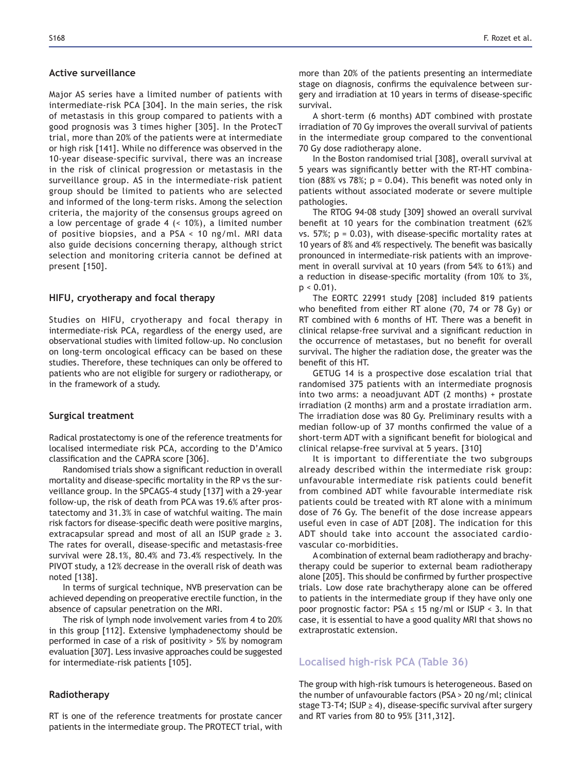#### **Active surveillance**

Major AS series have a limited number of patients with intermediate-risk PCA [304]. In the main series, the risk of metastasis in this group compared to patients with a good prognosis was 3 times higher [305]. In the ProtecT trial, more than 20% of the patients were at intermediate or high risk [141]. While no difference was observed in the 10-year disease-specific survival, there was an increase in the risk of clinical progression or metastasis in the surveillance group. AS in the intermediate-risk patient group should be limited to patients who are selected and informed of the long-term risks. Among the selection criteria, the majority of the consensus groups agreed on a low percentage of grade 4 (< 10%), a limited number of positive biopsies, and a PSA < 10 ng/ml. MRI data also guide decisions concerning therapy, although strict selection and monitoring criteria cannot be defined at present [150].

#### **HIFU, cryotherapy and focal therapy**

Studies on HIFU, cryotherapy and focal therapy in intermediate-risk PCA, regardless of the energy used, are observational studies with limited follow-up. No conclusion on long-term oncological efficacy can be based on these studies. Therefore, these techniques can only be offered to patients who are not eligible for surgery or radiotherapy, or in the framework of a study.

#### **Surgical treatment**

Radical prostatectomy is one of the reference treatments for localised intermediate risk PCA, according to the D'Amico classification and the CAPRA score [306].

Randomised trials show a significant reduction in overall mortality and disease-specific mortality in the RP vs the surveillance group. In the SPCAGS-4 study [137] with a 29-year follow-up, the risk of death from PCA was 19.6% after prostatectomy and 31.3% in case of watchful waiting. The main risk factors for disease-specific death were positive margins, extracapsular spread and most of all an ISUP grade  $\geq$  3. The rates for overall, disease-specific and metastasis-free survival were 28.1%, 80.4% and 73.4% respectively. In the PIVOT study, a 12% decrease in the overall risk of death was noted [138].

In terms of surgical technique, NVB preservation can be achieved depending on preoperative erectile function, in the absence of capsular penetration on the MRI.

The risk of lymph node involvement varies from 4 to 20% in this group [112]. Extensive lymphadenectomy should be performed in case of a risk of positivity > 5% by nomogram evaluation [307]. Less invasive approaches could be suggested for intermediate-risk patients [105].

# **Radiotherapy**

RT is one of the reference treatments for prostate cancer patients in the intermediate group. The PROTECT trial, with more than 20% of the patients presenting an intermediate stage on diagnosis, confirms the equivalence between surgery and irradiation at 10 years in terms of disease-specific survival.

A short-term (6 months) ADT combined with prostate irradiation of 70 Gy improves the overall survival of patients in the intermediate group compared to the conventional 70 Gy dose radiotherapy alone.

In the Boston randomised trial [308], overall survival at 5 years was significantly better with the RT-HT combination (88% vs 78%;  $p = 0.04$ ). This benefit was noted only in patients without associated moderate or severe multiple pathologies.

The RTOG 94-08 study [309] showed an overall survival benefit at 10 years for the combination treatment (62% vs.  $57\%$ ; p = 0.03), with disease-specific mortality rates at 10 years of 8% and 4% respectively. The benefit was basically pronounced in intermediate-risk patients with an improvement in overall survival at 10 years (from 54% to 61%) and a reduction in disease-specific mortality (from  $10\%$  to  $3\%$ ,  $p < 0.01$ ).

The EORTC 22991 study [208] included 819 patients who benefited from either RT alone  $(70, 74$  or  $78$  Gy) or RT combined with 6 months of HT. There was a benefit in clinical relapse-free survival and a significant reduction in the occurrence of metastases, but no benefit for overall survival. The higher the radiation dose, the greater was the benefit of this HT.

GETUG 14 is a prospective dose escalation trial that randomised 375 patients with an intermediate prognosis into two arms: a neoadjuvant ADT (2 months) + prostate irradiation (2 months) arm and a prostate irradiation arm. The irradiation dose was 80 Gy. Preliminary results with a median follow-up of 37 months confirmed the value of a short-term ADT with a significant benefit for biological and clinical relapse-free survival at 5 years. [310]

It is important to differentiate the two subgroups already described within the intermediate risk group: unfavourable intermediate risk patients could benefit from combined ADT while favourable intermediate risk patients could be treated with RT alone with a minimum dose of 76 Gy. The benefit of the dose increase appears useful even in case of ADT [208]. The indication for this ADT should take into account the associated cardiovascular co-morbidities.

A combination of external beam radiotherapy and brachytherapy could be superior to external beam radiotherapy alone [205]. This should be confirmed by further prospective trials. Low dose rate brachytherapy alone can be offered to patients in the intermediate group if they have only one poor prognostic factor: PSA  $\leq$  15 ng/ml or ISUP < 3. In that case, it is essential to have a good quality MRI that shows no extraprostatic extension.

# **Localised high-risk PCA (Table 36)**

The group with high-risk tumours is heterogeneous. Based on the number of unfavourable factors (PSA > 20 ng/ml; clinical stage T3-T4; ISUP  $\geq$  4), disease-specific survival after surgery and RT varies from 80 to 95% [311,312].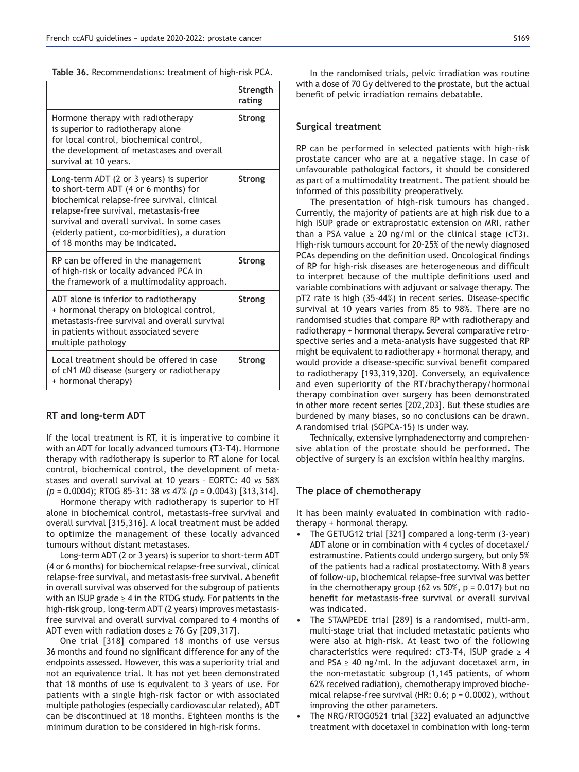Table 36. Recommendations: treatment of high-risk PCA.

|                                                                                                                                                                                                                                                                                                               | Strength<br>rating |
|---------------------------------------------------------------------------------------------------------------------------------------------------------------------------------------------------------------------------------------------------------------------------------------------------------------|--------------------|
| Hormone therapy with radiotherapy<br>is superior to radiotherapy alone<br>for local control, biochemical control,<br>the development of metastases and overall<br>survival at 10 years.                                                                                                                       | Strong             |
| Long-term ADT (2 or 3 years) is superior<br>to short-term ADT (4 or 6 months) for<br>biochemical relapse-free survival, clinical<br>relapse-free survival, metastasis-free<br>survival and overall survival. In some cases<br>(elderly patient, co-morbidities), a duration<br>of 18 months may be indicated. | Strong             |
| RP can be offered in the management<br>of high-risk or locally advanced PCA in<br>the framework of a multimodality approach.                                                                                                                                                                                  | Strong             |
| ADT alone is inferior to radiotherapy<br>+ hormonal therapy on biological control,<br>metastasis-free survival and overall survival<br>in patients without associated severe<br>multiple pathology                                                                                                            | Strong             |
| Local treatment should be offered in case<br>of cN1 M0 disease (surgery or radiotherapy<br>+ hormonal therapy)                                                                                                                                                                                                | Strong             |

#### **RT** and long-term ADT

If the local treatment is RT, it is imperative to combine it with an ADT for locally advanced tumours (T3-T4). Hormone therapy with radiotherapy is superior to RT alone for local control, biochemical control, the development of metastases and overall survival at 10 years – EORTC: 40 *vs* 58% *(p* = 0.0004); RTOG 85-31: 38 *vs (p* = 0.0043) [313,314].

Hormone therapy with radiotherapy is superior to HT alone in biochemical control, metastasis-free survival and overall survival [315,316]. A local treatment must be added to optimize the management of these locally advanced tumours without distant metastases.

Long-term ADT (2 or 3 years) is superior to short-term ADT (4 or 6 months) for biochemical relapse-free survival, clinical relapse-free survival, and metastasis-free survival. A benefit in overall survival was observed for the subgroup of patients with an ISUP grade  $\geq 4$  in the RTOG study. For patients in the high-risk group, long-term ADT (2 years) improves metastasisfree survival and overall survival compared to 4 months of ADT even with radiation doses  $\geq$  76 Gy [209,317].

One trial [318] compared 18 months of use versus 36 months and found no significant difference for any of the endpoints assessed. However, this was a superiority trial and not an equivalence trial. It has not yet been demonstrated that 18 months of use is equivalent to 3 years of use. For patients with a single high-risk factor or with associated multiple pathologies (especially cardiovascular related), ADT can be discontinued at 18 months. Eighteen months is the minimum duration to be considered in high-risk forms.

In the randomised trials, pelvic irradiation was routine with a dose of 70 Gy delivered to the prostate, but the actual benefit of pelvic irradiation remains debatable.

#### **Surgical treatment**

RP can be performed in selected patients with high-risk prostate cancer who are at a negative stage. In case of unfavourable pathological factors, it should be considered as part of a multimodality treatment. The patient should be informed of this possibility preoperatively.

The presentation of high-risk tumours has changed. Currently, the majority of patients are at high risk due to a high ISUP grade or extraprostatic extension on MRI, rather than a PSA value  $\geq$  20 ng/ml or the clinical stage (cT3). High-risk tumours account for 20-25% of the newly diagnosed PCAs depending on the definition used. Oncological findings of RP for high-risk diseases are heterogeneous and difficult to interpret because of the multiple definitions used and variable combinations with adjuvant or salvage therapy. The pT2 rate is high (35-44%) in recent series. Disease-specific survival at 10 years varies from 85 to 98%. There are no randomised studies that compare RP with radiotherapy and radiotherapy + hormonal therapy. Several comparative retrospective series and a meta-analysis have suggested that RP might be equivalent to radiotherapy + hormonal therapy, and would provide a disease-specific survival benefit compared to radiotherapy [193,319,320]. Conversely, an equivalence and even superiority of the RT/brachytherapy/hormonal therapy combination over surgery has been demonstrated in other more recent series [202,203]. But these studies are burdened by many biases, so no conclusions can be drawn. A randomised trial (SGPCA-15) is under way.

Technically, extensive lymphadenectomy and comprehensive ablation of the prostate should be performed. The objective of surgery is an excision within healthy margins.

### The place of chemotherapy

It has been mainly evaluated in combination with radiotherapy + hormonal therapy.

- The GETUG12 trial [321] compared a long-term (3-year) ADT alone or in combination with 4 cycles of docetaxel/ estramustine. Patients could undergo surgery, but only 5% of the patients had a radical prostatectomy. With 8 years of follow-up, biochemical relapse-free survival was better in the chemotherapy group (62 vs 50%,  $p = 0.017$ ) but no benefit for metastasis-free survival or overall survival was indicated.
- The STAMPEDE trial [289] is a randomised, multi-arm, multi-stage trial that included metastatic patients who were also at high-risk. At least two of the following characteristics were required: cT3-T4, ISUP grade  $\geq 4$ and PSA  $\geq$  40 ng/ml. In the adjuvant docetaxel arm, in the non-metastatic subgroup (1,145 patients, of whom 62% received radiation), chemotherapy improved biochemical relapse-free survival (HR: 0.6; p = 0.0002), without improving the other parameters.
- The NRG/RTOG0521 trial [322] evaluated an adjunctive treatment with docetaxel in combination with long-term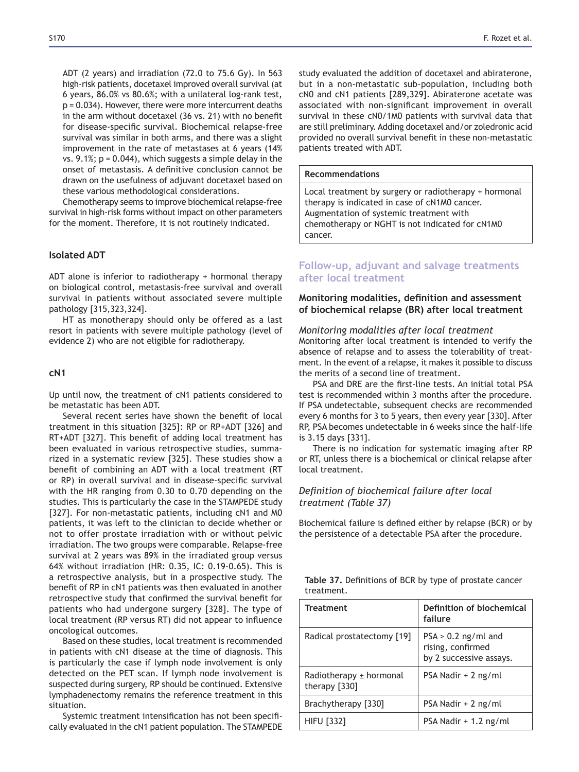ADT (2 years) and irradiation (72.0 to 75.6 Gy). In 563 high-risk patients, docetaxel improved overall survival (at 6 years, 86.0% vs 80.6%; with a unilateral log-rank test, p = 0.034). However, there were more intercurrent deaths in the arm without docetaxel (36 vs. 21) with no benefit for disease-specific survival. Biochemical relapse-free survival was similar in both arms, and there was a slight improvement in the rate of metastases at 6 years (14% vs. 9.1%;  $p = 0.044$ ), which suggests a simple delay in the onset of metastasis. A definitive conclusion cannot be drawn on the usefulness of adjuvant docetaxel based on these various methodological considerations.

Chemotherapy seems to improve biochemical relapse-free survival in high-risk forms without impact on other parameters for the moment. Therefore, it is not routinely indicated.

# **Isolated ADT**

ADT alone is inferior to radiotherapy + hormonal therapy on biological control, metastasis-free survival and overall survival in patients without associated severe multiple pathology [315,323,324].

HT as monotherapy should only be offered as a last resort in patients with severe multiple pathology (level of evidence 2) who are not eligible for radiotherapy.

### **F1**

Up until now, the treatment of cN1 patients considered to be metastatic has been ADT.

Several recent series have shown the benefit of local treatment in this situation [325]: RP or RP+ADT [326] and RT+ADT [327]. This benefit of adding local treatment has been evaluated in various retrospective studies, summarized in a systematic review [325]. These studies show a benefit of combining an ADT with a local treatment (RT) or RP) in overall survival and in disease-specific survival with the HR ranging from  $0.30$  to  $0.70$  depending on the studies. This is particularly the case in the STAMPEDE study [327]. For non-metastatic patients, including cN1 and M0 patients, it was left to the clinician to decide whether or not to offer prostate irradiation with or without pelvic irradiation. The two groups were comparable. Relapse-free survival at 2 years was 89% in the irradiated group versus 64% without irradiation (HR: 0.35, IC: 0.19-0.65). This is a retrospective analysis, but in a prospective study. The benefit of RP in cN1 patients was then evaluated in another retrospective study that confirmed the survival benefit for patients who had undergone surgery [328]. The type of local treatment (RP versus RT) did not appear to influence oncological outcomes.

Based on these studies, local treatment is recommended in patients with cN1 disease at the time of diagnosis. This is particularly the case if lymph node involvement is only detected on the PET scan. If lymph node involvement is suspected during surgery, RP should be continued. Extensive lymphadenectomy remains the reference treatment in this situation.

Systemic treatment intensification has not been specifically evaluated in the cN1 patient population. The STAMPEDE study evaluated the addition of docetaxel and abiraterone, but in a non-metastatic sub-population, including both cN0 and cN1 patients [289,329]. Abiraterone acetate was associated with non-significant improvement in overall survival in these cN0/1M0 patients with survival data that are still preliminary. Adding docetaxel and/or zoledronic acid provided no overall survival benefit in these non-metastatic patients treated with ADT.

#### **Recommendations**

Local treatment by surgery or radiotherapy + hormonal therapy is indicated in case of cN1M0 cancer. Augmentation of systemic treatment with chemotherapy or NGHT is not indicated for cN1M0 cancer.

# **Follow-up, adjuvant and salvage treatments after local treatment**

# **Monitoring modalities, definition and assessment** of biochemical relapse (BR) after local treatment

#### *Monitoring modalities after local treatment*

Monitoring after local treatment is intended to verify the absence of relapse and to assess the tolerability of treatment. In the event of a relapse, it makes it possible to discuss the merits of a second line of treatment.

PSA and DRE are the first-line tests. An initial total PSA test is recommended within 3 months after the procedure. If PSA undetectable, subsequent checks are recommended every 6 months for 3 to 5 years, then every year [330]. After RP, PSA becomes undetectable in 6 weeks since the half-life is 3.15 days [331].

There is no indication for systematic imaging after RP or RT, unless there is a biochemical or clinical relapse after local treatment.

# Definition of biochemical failure after local *treatment (Table 37)*

Biochemical failure is defined either by relapse (BCR) or by the persistence of a detectable PSA after the procedure.

|            | Table 37. Definitions of BCR by type of prostate cancer |  |  |
|------------|---------------------------------------------------------|--|--|
| treatment. |                                                         |  |  |

| <b>Treatment</b>                         | Definition of biochemical<br>failure                                  |
|------------------------------------------|-----------------------------------------------------------------------|
| Radical prostatectomy [19]               | $PSA > 0.2$ ng/ml and<br>rising, confirmed<br>by 2 successive assays. |
| Radiotherapy ± hormonal<br>therapy [330] | PSA Nadir + 2 ng/ml                                                   |
| Brachytherapy [330]                      | PSA Nadir + 2 ng/ml                                                   |
| <b>HIFU [332]</b>                        | $PSA Nadir + 1.2 ng/ml$                                               |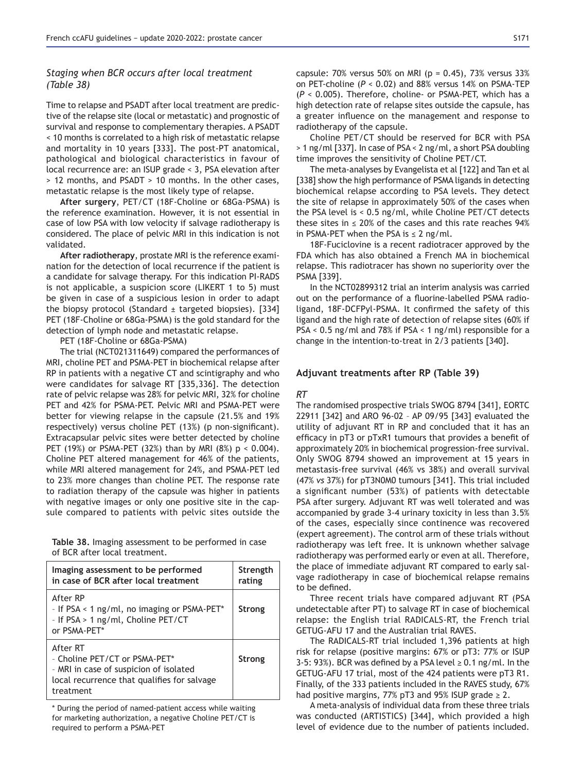# *Staging when BCR occurs after local treatment (Table 38)*

Time to relapse and PSADT after local treatment are predictive of the relapse site (local or metastatic) and prognostic of survival and response to complementary therapies. A PSADT < 10 months is correlated to a high risk of metastatic relapse and mortality in 10 years [333]. The post-PT anatomical, pathological and biological characteristics in favour of local recurrence are: an ISUP grade < 3, PSA elevation after > 12 months, and PSADT > 10 months. In the other cases, metastatic relapse is the most likely type of relapse.

After surgery, PET/CT (18F-Choline or 68Ga-PSMA) is the reference examination. However, it is not essential in case of low PSA with low velocity if salvage radiotherapy is considered. The place of pelvic MRI in this indication is not validated.

After radiotherapy, prostate MRI is the reference examination for the detection of local recurrence if the patient is a candidate for salvage therapy. For this indication PI-RADS is not applicable, a suspicion score (LIKERT 1 to 5) must be given in case of a suspicious lesion in order to adapt the biopsy protocol (Standard  $\pm$  targeted biopsies). [334] PET (18F-Choline or 68Ga-PSMA) is the gold standard for the detection of lymph node and metastatic relapse.

PET (18F-Choline or 68Ga-PSMA)

The trial (NCT021311649) compared the performances of MRI, choline PET and PSMA-PET in biochemical relapse after RP in patients with a negative CT and scintigraphy and who were candidates for salvage RT [335,336]. The detection rate of pelvic relapse was 28% for pelvic MRI, 32% for choline PET and 42% for PSMA-PET. Pelvic MRI and PSMA-PET were better for viewing relapse in the capsule (21.5% and 19% respectively) versus choline PET (13%) (p non-significant). Extracapsular pelvic sites were better detected by choline PET (19%) or PSMA-PET (32%) than by MRI (8%)  $p < 0.004$ ). Choline PET altered management for 46% of the patients, while MRI altered management for 24%, and PSMA-PET led to 23% more changes than choline PET. The response rate to radiation therapy of the capsule was higher in patients with negative images or only one positive site in the capsule compared to patients with pelvic sites outside the

**Table 38.** Imaging assessment to be performed in case of BCR after local treatment.

| Imaging assessment to be performed<br>in case of BCR after local treatment                                                                      | Strength<br>rating |
|-------------------------------------------------------------------------------------------------------------------------------------------------|--------------------|
| After RP<br>- If PSA < 1 ng/ml, no imaging or PSMA-PET*<br>- If PSA > 1 ng/ml, Choline PET/CT<br>or PSMA-PET*                                   | <b>Strong</b>      |
| After RT<br>- Choline PET/CT or PSMA-PET*<br>- MRI in case of suspicion of isolated<br>local recurrence that qualifies for salvage<br>treatment | <b>Strong</b>      |

\* During the period of named-patient access while waiting for marketing authorization, a negative Choline PET/CT is required to perform a PSMA-PET

capsule:  $70\%$  versus 50% on MRI (p = 0.45), 73% versus 33% on PET-choline (*P* < 0.02) and 88% versus 14% on PSMA-TEP (*P* < 0.005). Therefore, choline- or PSMA-PET, which has a high detection rate of relapse sites outside the capsule, has a greater influence on the management and response to radiotherapy of the capsule.

Choline PET/CT should be reserved for BCR with PSA > 1 ng/ml [337]. In case of PSA < 2 ng/ml, a short PSA doubling time improves the sensitivity of Choline PET/CT.

The meta-analyses by Evangelista et al [122] and Tan et al [338] show the high performance of PSMA ligands in detecting biochemical relapse according to PSA levels. They detect the site of relapse in approximately 50% of the cases when the PSA level is < 0.5 ng/ml, while Choline PET/CT detects these sites in  $\leq$  20% of the cases and this rate reaches 94% in PSMA-PET when the PSA is  $\leq$  2 ng/ml.

18F-Fuciclovine is a recent radiotracer approved by the FDA which has also obtained a French MA in biochemical relapse. This radiotracer has shown no superiority over the PSMA [339].

In the NCT02899312 trial an interim analysis was carried out on the performance of a fluorine-labelled PSMA radioligand, 18F-DCFPyl-PSMA. It confirmed the safety of this ligand and the high rate of detection of relapse sites (60% if  $PSA < 0.5$  ng/ml and 78% if PSA  $< 1$  ng/ml) responsible for a change in the intention-to-treat in 2/3 patients [340].

### Adjuvant treatments after RP (Table 39)

#### *RT*

The randomised prospective trials SWOG 8794 [341], EORTC 22911 [342] and ARO 96-02 – AP 09/95 [343] evaluated the utility of adjuvant RT in RP and concluded that it has an efficacy in pT3 or pTxR1 tumours that provides a benefit of approximately 20% in biochemical progression-free survival. Only SWOG 8794 showed an improvement at 15 years in metastasis-free survival (46% vs 38%) and overall survival (47% vs 37%) for pT3N0M0 tumours [341]. This trial included a significant number (53%) of patients with detectable PSA after surgery. Adjuvant RT was well tolerated and was accompanied by grade 3-4 urinary toxicity in less than 3.5% of the cases, especially since continence was recovered (expert agreement). The control arm of these trials without radiotherapy was left free. It is unknown whether salvage radiotherapy was performed early or even at all. Therefore, the place of immediate adjuvant RT compared to early salvage radiotherapy in case of biochemical relapse remains to be defined.

Three recent trials have compared adjuvant RT (PSA undetectable after PT) to salvage RT in case of biochemical relapse: the English trial RADICALS-RT, the French trial GETUG-AFU 17 and the Australian trial RAVES.

The RADICALS-RT trial included 1,396 patients at high risk for relapse (positive margins:  $67%$  or pT3:  $77%$  or ISUP 3-5: 93%). BCR was defined by a PSA level  $\geq$  0.1 ng/ml. In the GETUG-AFU 17 trial, most of the 424 patients were pT3 R1. Finally, of the 333 patients included in the RAVES study, 67% had positive margins, 77% pT3 and 95% ISUP grade  $\geq 2$ .

A meta-analysis of individual data from these three trials was conducted (ARTISTICS) [344], which provided a high level of evidence due to the number of patients included.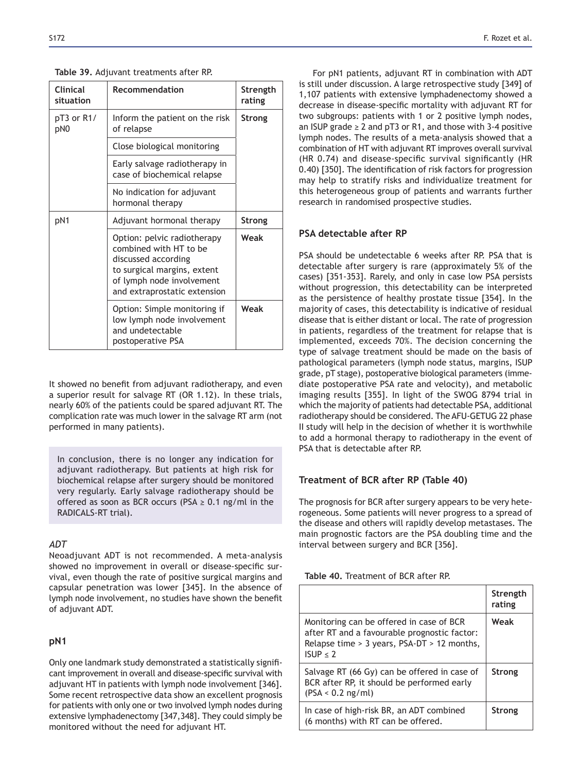# **Table 39.** Adjuvant treatments after RP.

| <b>Clinical</b><br>situation | Recommendation                                                                                                                                                           | Strength<br>rating |  |
|------------------------------|--------------------------------------------------------------------------------------------------------------------------------------------------------------------------|--------------------|--|
| pT3 or R1/<br>pN0            | Inform the patient on the risk<br>of relapse                                                                                                                             | <b>Strong</b>      |  |
|                              | Close biological monitoring                                                                                                                                              |                    |  |
|                              | Early salvage radiotherapy in<br>case of biochemical relapse                                                                                                             |                    |  |
|                              | No indication for adjuvant<br>hormonal therapy                                                                                                                           |                    |  |
| pN1                          | Adjuvant hormonal therapy                                                                                                                                                | <b>Strong</b>      |  |
|                              | Option: pelvic radiotherapy<br>combined with HT to be<br>discussed according<br>to surgical margins, extent<br>of lymph node involvement<br>and extraprostatic extension | Weak               |  |
|                              | Option: Simple monitoring if<br>low lymph node involvement<br>and undetectable<br>postoperative PSA                                                                      | Weak               |  |

It showed no benefit from adjuvant radiotherapy, and even a superior result for salvage RT (OR 1.12). In these trials, nearly 60% of the patients could be spared adjuvant RT. The complication rate was much lower in the salvage RT arm (not performed in many patients).

In conclusion, there is no longer any indication for adjuvant radiotherapy. But patients at high risk for biochemical relapse after surgery should be monitored very regularly. Early salvage radiotherapy should be offered as soon as BCR occurs (PSA  $\geq$  0.1 ng/ml in the RADICALS-RT trial).

# *ADT*

Neoadjuvant ADT is not recommended. A meta-analysis showed no improvement in overall or disease-specific survival, even though the rate of positive surgical margins and capsular penetration was lower [345]. In the absence of lymph node involvement, no studies have shown the benefit of adjuvant ADT.

# **pN1**

Only one landmark study demonstrated a statistically significant improvement in overall and disease-specific survival with adjuvant HT in patients with lymph node involvement [346]. Some recent retrospective data show an excellent prognosis for patients with only one or two involved lymph nodes during extensive lymphadenectomy [347,348]. They could simply be monitored without the need for adjuvant HT.

For pN1 patients, adjuvant RT in combination with ADT is still under discussion. A large retrospective study [349] of 1,107 patients with extensive lymphadenectomy showed a decrease in disease-specific mortality with adjuvant RT for two subgroups: patients with 1 or 2 positive lymph nodes, an ISUP grade  $\geq 2$  and pT3 or R1, and those with 3-4 positive lymph nodes. The results of a meta-analysis showed that a combination of HT with adjuvant RT improves overall survival  $(HR 0.74)$  and disease-specific survival significantly (HR 0.40) [350]. The identification of risk factors for progression may help to stratify risks and individualize treatment for this heterogeneous group of patients and warrants further research in randomised prospective studies.

# **PSA detectable after RP**

PSA should be undetectable 6 weeks after RP. PSA that is detectable after surgery is rare (approximately 5% of the cases) [351-353]. Rarely, and only in case low PSA persists without progression, this detectability can be interpreted as the persistence of healthy prostate tissue [354]. In the majority of cases, this detectability is indicative of residual disease that is either distant or local. The rate of progression in patients, regardless of the treatment for relapse that is implemented, exceeds 70%. The decision concerning the type of salvage treatment should be made on the basis of pathological parameters (lymph node status, margins, ISUP grade, pT stage), postoperative biological parameters (immediate postoperative PSA rate and velocity), and metabolic imaging results [355]. In light of the SWOG 8794 trial in which the majority of patients had detectable PSA, additional radiotherapy should be considered. The AFU-GETUG 22 phase II study will help in the decision of whether it is worthwhile to add a hormonal therapy to radiotherapy in the event of PSA that is detectable after RP.

# **Treatment of BCR after RP (Table 40)**

The prognosis for BCR after surgery appears to be very heterogeneous. Some patients will never progress to a spread of the disease and others will rapidly develop metastases. The main prognostic factors are the PSA doubling time and the interval between surgery and BCR [356].

| Table 40. Treatment of BCR after RP. |  |  |  |
|--------------------------------------|--|--|--|
|--------------------------------------|--|--|--|

|                                                                                                                                                         | Strength<br>rating |
|---------------------------------------------------------------------------------------------------------------------------------------------------------|--------------------|
| Monitoring can be offered in case of BCR<br>after RT and a favourable prognostic factor:<br>Relapse time $> 3$ years, PSA-DT $> 12$ months,<br>ISUP < 2 | Weak               |
| Salvage RT (66 Gy) can be offered in case of<br>BCR after RP, it should be performed early<br>$(PSA < 0.2$ ng/ml)                                       | Strong             |
| In case of high-risk BR, an ADT combined<br>(6 months) with RT can be offered.                                                                          | <b>Strong</b>      |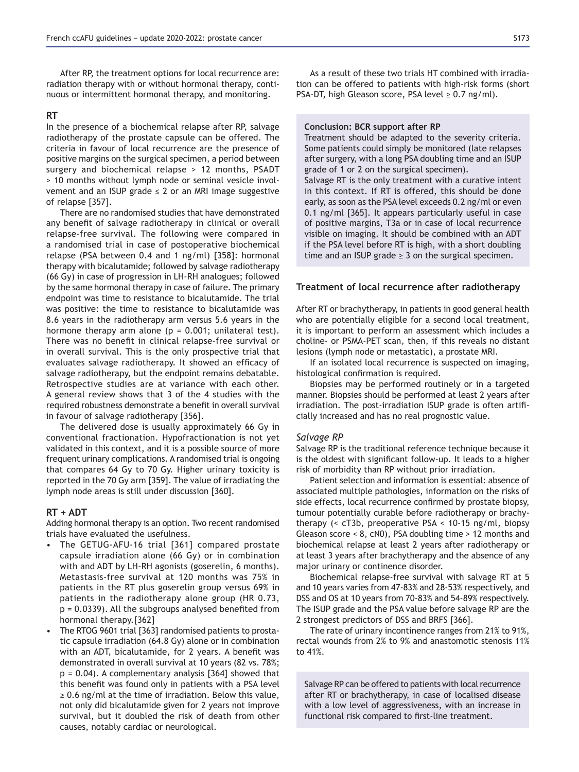After RP, the treatment options for local recurrence are: radiation therapy with or without hormonal therapy, continuous or intermittent hormonal therapy, and monitoring.

### **57**

In the presence of a biochemical relapse after RP, salvage radiotherapy of the prostate capsule can be offered. The criteria in favour of local recurrence are the presence of positive margins on the surgical specimen, a period between surgery and biochemical relapse > 12 months, PSADT > 10 months without lymph node or seminal vesicle involvement and an ISUP grade  $\leq$  2 or an MRI image suggestive of relapse [357].

There are no randomised studies that have demonstrated any benefit of salvage radiotherapy in clinical or overall relapse-free survival. The following were compared in a randomised trial in case of postoperative biochemical relapse (PSA between 0.4 and 1 ng/ml) [358]: hormonal therapy with bicalutamide; followed by salvage radiotherapy (66 Gy) in case of progression in LH-RH analogues; followed by the same hormonal therapy in case of failure. The primary endpoint was time to resistance to bicalutamide. The trial was positive: the time to resistance to bicalutamide was 8.6 years in the radiotherapy arm versus 5.6 years in the hormone therapy arm alone ( $p = 0.001$ ; unilateral test). There was no benefit in clinical relapse-free survival or in overall survival. This is the only prospective trial that evaluates salvage radiotherapy. It showed an efficacy of salvage radiotherapy, but the endpoint remains debatable. Retrospective studies are at variance with each other. A general review shows that 3 of the 4 studies with the required robustness demonstrate a benefit in overall survival in favour of salvage radiotherapy [356].

The delivered dose is usually approximately 66 Gy in conventional fractionation. Hypofractionation is not yet validated in this context, and it is a possible source of more frequent urinary complications. A randomised trial is ongoing that compares 64 Gy to 70 Gy. Higher urinary toxicity is reported in the 70 Gy arm [359]. The value of irradiating the lymph node areas is still under discussion [360].

#### **RT + ADT**

Adding hormonal therapy is an option. Two recent randomised trials have evaluated the usefulness.

- The GETUG-AFU-16 trial [361] compared prostate capsule irradiation alone (66 Gy) or in combination with and ADT by LH-RH agonists (goserelin, 6 months). Metastasis-free survival at 120 months was 75% in patients in the RT plus goserelin group versus 69% in patients in the radiotherapy alone group (HR  $0.73$ ,  $p = 0.0339$ ). All the subgroups analysed benefited from hormonal therapy.[362]
- The RTOG 9601 trial [363] randomised patients to prostatic capsule irradiation (64.8 Gy) alone or in combination with an ADT, bicalutamide, for 2 years. A benefit was demonstrated in overall survival at 10 years (82 vs. 78%;  $p = 0.04$ ). A complementary analysis [364] showed that this benefit was found only in patients with a PSA level  $\geq$  0.6 ng/ml at the time of irradiation. Below this value, not only did bicalutamide given for 2 years not improve survival, but it doubled the risk of death from other causes, notably cardiac or neurological.

As a result of these two trials HT combined with irradiation can be offered to patients with high-risk forms (short PSA-DT, high Gleason score, PSA level  $\geq 0.7$  ng/ml).

#### **Conclusion: BCR support after RP**

Treatment should be adapted to the severity criteria. Some patients could simply be monitored (late relapses after surgery, with a long PSA doubling time and an ISUP grade of 1 or 2 on the surgical specimen).

Salvage RT is the only treatment with a curative intent in this context. If RT is offered, this should be done early, as soon as the PSA level exceeds 0.2 ng/ml or even 0.1 ng/ml [365]. It appears particularly useful in case of positive margins, T3a or in case of local recurrence visible on imaging. It should be combined with an ADT if the PSA level before RT is high, with a short doubling time and an ISUP grade  $\geq$  3 on the surgical specimen.

#### **Treatment of local recurrence after radiotherapy**

After RT or brachytherapy, in patients in good general health who are potentially eligible for a second local treatment, it is important to perform an assessment which includes a choline- or PSMA-PET scan, then, if this reveals no distant lesions (lymph node or metastatic), a prostate MRI.

If an isolated local recurrence is suspected on imaging, histological confirmation is required.

Biopsies may be performed routinely or in a targeted manner. Biopsies should be performed at least 2 years after irradiation. The post-irradiation ISUP grade is often artificially increased and has no real prognostic value.

#### *Salvage RP*

Salvage RP is the traditional reference technique because it is the oldest with significant follow-up. It leads to a higher risk of morbidity than RP without prior irradiation.

Patient selection and information is essential: absence of associated multiple pathologies, information on the risks of side effects, local recurrence confirmed by prostate biopsy, tumour potentially curable before radiotherapy or brachytherapy (< cT3b, preoperative PSA < 10-15 ng/ml, biopsy Gleason score < 8, cN0), PSA doubling time > 12 months and biochemical relapse at least 2 years after radiotherapy or at least 3 years after brachytherapy and the absence of any major urinary or continence disorder.

Biochemical relapse-free survival with salvage RT at 5 and 10 years varies from 47-83% and 28-53% respectively, and DSS and OS at 10 years from 70-83% and 54-89% respectively. The ISUP grade and the PSA value before salvage RP are the 2 strongest predictors of DSS and BRFS [366].

The rate of urinary incontinence ranges from 21% to 91%, rectal wounds from 2% to 9% and anastomotic stenosis 11% to 41%.

Salvage RP can be offered to patients with local recurrence after RT or brachytherapy, in case of localised disease with a low level of aggressiveness, with an increase in functional risk compared to first-line treatment.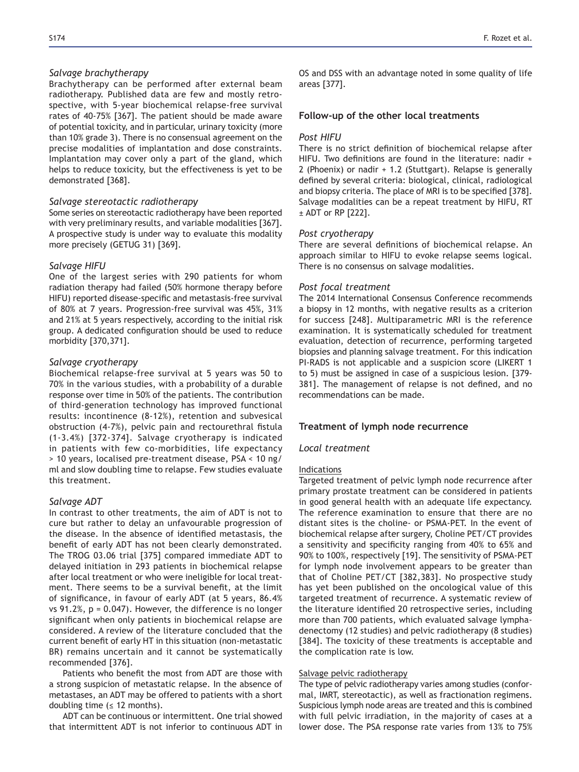#### *Salvage brachytherapy*

Brachytherapy can be performed after external beam radiotherapy. Published data are few and mostly retrospective, with 5-year biochemical relapse-free survival rates of 40-75% [367]. The patient should be made aware of potential toxicity, and in particular, urinary toxicity (more than 10% grade 3). There is no consensual agreement on the precise modalities of implantation and dose constraints. Implantation may cover only a part of the gland, which helps to reduce toxicity, but the effectiveness is yet to be demonstrated [368].

#### *Salvage stereotactic radiotherapy*

Some series on stereotactic radiotherapy have been reported with very preliminary results, and variable modalities [367]. A prospective study is under way to evaluate this modality more precisely (GETUG 31) [369].

#### *Salvage HIFU*

One of the largest series with 290 patients for whom radiation therapy had failed (50% hormone therapy before HIFU) reported disease-specific and metastasis-free survival of 80% at 7 years. Progression-free survival was 45%, 31% and 21% at 5 years respectively, according to the initial risk group. A dedicated configuration should be used to reduce morbidity [370,371].

#### *Salvage cryotherapy*

Biochemical relapse-free survival at 5 years was 50 to 70% in the various studies, with a probability of a durable response over time in 50% of the patients. The contribution of third-generation technology has improved functional results: incontinence (8-12%), retention and subvesical obstruction (4-7%), pelvic pain and rectourethral fistula (1-3.4%) [372-374]. Salvage cryotherapy is indicated in patients with few co-morbidities, life expectancy > 10 years, localised pre-treatment disease, PSA < 10 ng/ ml and slow doubling time to relapse. Few studies evaluate this treatment.

#### *Salvage ADT*

In contrast to other treatments, the aim of ADT is not to cure but rather to delay an unfavourable progression of the disease. In the absence of identified metastasis, the benefit of early ADT has not been clearly demonstrated. The TROG 03.06 trial [375] compared immediate ADT to delayed initiation in 293 patients in biochemical relapse after local treatment or who were ineligible for local treatment. There seems to be a survival benefit, at the limit of significance, in favour of early ADT (at 5 years, 86.4% vs 91.2%,  $p = 0.047$ ). However, the difference is no longer significant when only patients in biochemical relapse are considered. A review of the literature concluded that the current benefit of early HT in this situation (non-metastatic BR) remains uncertain and it cannot be systematically recommended [376].

Patients who benefit the most from ADT are those with a strong suspicion of metastatic relapse. In the absence of metastases, an ADT may be offered to patients with a short doubling time  $(s$  12 months).

ADT can be continuous or intermittent. One trial showed that intermittent ADT is not inferior to continuous ADT in OS and DSS with an advantage noted in some quality of life areas [377].

#### **Follow-up of the other local treatments**

#### *Post HIFU*

There is no strict definition of biochemical relapse after HIFU. Two definitions are found in the literature: nadir  $+$ 2 (Phoenix) or nadir + 1.2 (Stuttgart). Relapse is generally defined by several criteria: biological, clinical, radiological and biopsy criteria. The place of MRI is to be specified [378]. Salvage modalities can be a repeat treatment by HIFU, RT ± ADT or RP [222].

#### *Post cryotherapy*

There are several definitions of biochemical relapse. An approach similar to HIFU to evoke relapse seems logical. There is no consensus on salvage modalities.

#### *Post focal treatment*

The 2014 International Consensus Conference recommends a biopsy in 12 months, with negative results as a criterion for success [248]. Multiparametric MRI is the reference examination. It is systematically scheduled for treatment evaluation, detection of recurrence, performing targeted biopsies and planning salvage treatment. For this indication PI-RADS is not applicable and a suspicion score (LIKERT 1 to 5) must be assigned in case of a suspicious lesion. [379-381]. The management of relapse is not defined, and no recommendations can be made.

#### **Treatment of lymph node recurrence**

#### *Local treatment*

#### Indications

Targeted treatment of pelvic lymph node recurrence after primary prostate treatment can be considered in patients in good general health with an adequate life expectancy. The reference examination to ensure that there are no distant sites is the choline- or PSMA-PET. In the event of biochemical relapse after surgery, Choline PET/CT provides a sensitivity and specificity ranging from 40% to 65% and 90% to 100%, respectively [19]. The sensitivity of PSMA-PET for lymph node involvement appears to be greater than that of Choline PET/CT [382,383]. No prospective study has yet been published on the oncological value of this targeted treatment of recurrence. A systematic review of the literature identified 20 retrospective series, including more than 700 patients, which evaluated salvage lymphadenectomy (12 studies) and pelvic radiotherapy (8 studies) [384]. The toxicity of these treatments is acceptable and the complication rate is low.

#### Salvage pelvic radiotherapy

The type of pelvic radiotherapy varies among studies (conformal, IMRT, stereotactic), as well as fractionation regimens. Suspicious lymph node areas are treated and this is combined with full pelvic irradiation, in the majority of cases at a lower dose. The PSA response rate varies from 13% to 75%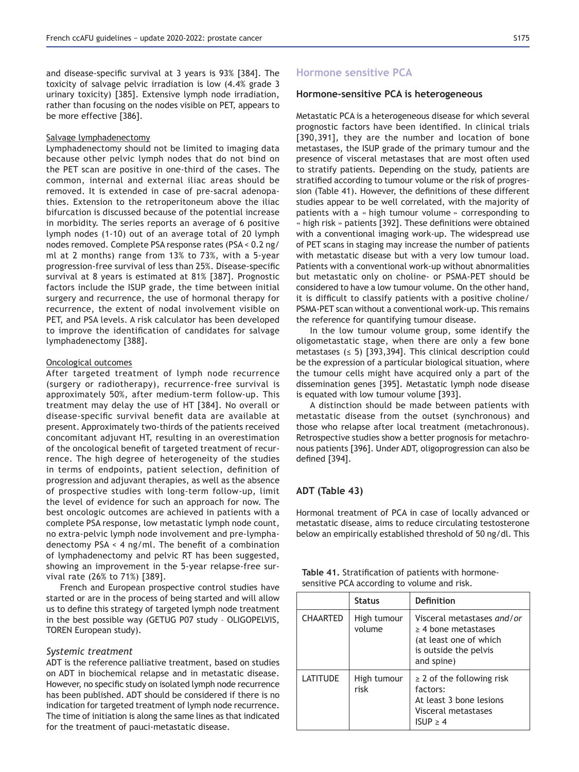and disease-specific survival at 3 years is 93%  $[384]$ . The toxicity of salvage pelvic irradiation is low (4.4% grade 3 urinary toxicity) [385]. Extensive lymph node irradiation, rather than focusing on the nodes visible on PET, appears to be more effective [386].

#### Salvage lymphadenectomy

Lymphadenectomy should not be limited to imaging data because other pelvic lymph nodes that do not bind on the PET scan are positive in one-third of the cases. The common, internal and external iliac areas should be removed. It is extended in case of pre-sacral adenopathies. Extension to the retroperitoneum above the iliac bifurcation is discussed because of the potential increase in morbidity. The series reports an average of 6 positive lymph nodes (1-10) out of an average total of 20 lymph nodes removed. Complete PSA response rates (PSA < 0.2 ng/ ml at 2 months) range from  $13\%$  to  $73\%$ , with a 5-year progression-free survival of less than 25%. Disease-specific survival at 8 years is estimated at  $81\%$  [387]. Prognostic factors include the ISUP grade, the time between initial surgery and recurrence, the use of hormonal therapy for recurrence, the extent of nodal involvement visible on PET, and PSA levels. A risk calculator has been developed to improve the identification of candidates for salvage lymphadenectomy [388].

#### Oncological outcomes

After targeted treatment of lymph node recurrence (surgery or radiotherapy), recurrence-free survival is approximately 50%, after medium-term follow-up. This treatment may delay the use of HT [384]. No overall or disease-specific survival benefit data are available at present. Approximately two-thirds of the patients received concomitant adjuvant HT, resulting in an overestimation of the oncological benefit of targeted treatment of recurrence. The high degree of heterogeneity of the studies in terms of endpoints, patient selection, definition of progression and adjuvant therapies, as well as the absence of prospective studies with long-term follow-up, limit the level of evidence for such an approach for now. The best oncologic outcomes are achieved in patients with a complete PSA response, low metastatic lymph node count, no extra-pelvic lymph node involvement and pre-lymphadenectomy  $PSA < 4$  ng/ml. The benefit of a combination of lymphadenectomy and pelvic RT has been suggested, showing an improvement in the 5-year relapse-free survival rate (26% to 71%) [389].

French and European prospective control studies have started or are in the process of being started and will allow us to define this strategy of targeted lymph node treatment in the best possible way (GETUG P07 study - OLIGOPELVIS, TOREN European study).

#### *Systemic treatment*

ADT is the reference palliative treatment, based on studies on ADT in biochemical relapse and in metastatic disease. However, no specific study on isolated lymph node recurrence has been published. ADT should be considered if there is no indication for targeted treatment of lymph node recurrence. The time of initiation is along the same lines as that indicated for the treatment of pauci-metastatic disease.

# **Hormone sensitive PCA**

#### **Hormone-sensitive PCA is heterogeneous**

Metastatic PCA is a heterogeneous disease for which several prognostic factors have been identified. In clinical trials [390,391], they are the number and location of bone metastases, the ISUP grade of the primary tumour and the presence of visceral metastases that are most often used to stratify patients. Depending on the study, patients are stratified according to tumour volume or the risk of progression (Table 41). However, the definitions of these different studies appear to be well correlated, with the majority of patients with a « high tumour volume » corresponding to « high risk » patients [392]. These definitions were obtained with a conventional imaging work-up. The widespread use of PET scans in staging may increase the number of patients with metastatic disease but with a very low tumour load. Patients with a conventional work-up without abnormalities but metastatic only on choline- or PSMA-PET should be considered to have a low tumour volume. On the other hand, it is difficult to classify patients with a positive choline/ PSMA-PET scan without a conventional work-up. This remains the reference for quantifying tumour disease.

In the low tumour volume group, some identify the oligometastatic stage, when there are only a few bone metastases ( $\leq$  5) [393,394]. This clinical description could be the expression of a particular biological situation, where the tumour cells might have acquired only a part of the dissemination genes [395]. Metastatic lymph node disease is equated with low tumour volume [393].

A distinction should be made between patients with metastatic disease from the outset (synchronous) and those who relapse after local treatment (metachronous). Retrospective studies show a better prognosis for metachronous patients [396]. Under ADT, oligoprogression can also be defined [394].

### **ADT** (Table 43)

Hormonal treatment of PCA in case of locally advanced or metastatic disease, aims to reduce circulating testosterone below an empirically established threshold of 50 ng/dl. This

|                                             | Table 41. Stratification of patients with hormone- |
|---------------------------------------------|----------------------------------------------------|
| sensitive PCA according to volume and risk. |                                                    |

|                 | <b>Status</b>         | Definition                                                                                                              |
|-----------------|-----------------------|-------------------------------------------------------------------------------------------------------------------------|
| <b>CHAARTED</b> | High tumour<br>volume | Visceral metastases and/or<br>$\geq$ 4 bone metastases<br>(at least one of which<br>is outside the pelvis<br>and spine) |
| <b>LATITUDE</b> | High tumour<br>risk   | $\geq$ 2 of the following risk<br>factors:<br>At least 3 bone lesions<br>Visceral metastases<br>$ISUP \geq 4$           |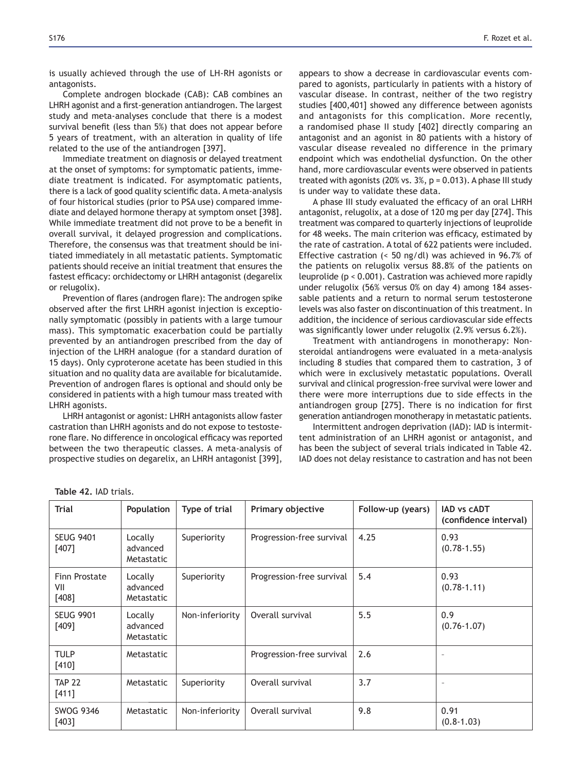is usually achieved through the use of LH-RH agonists or antagonists.

Complete androgen blockade (CAB): CAB combines an LHRH agonist and a first-generation antiandrogen. The largest study and meta-analyses conclude that there is a modest survival benefit (less than 5%) that does not appear before 5 years of treatment, with an alteration in quality of life related to the use of the antiandrogen  $[397]$ .

Immediate treatment on diagnosis or delayed treatment at the onset of symptoms: for symptomatic patients, immediate treatment is indicated. For asymptomatic patients, there is a lack of good quality scientific data. A meta-analysis of four historical studies (prior to PSA use) compared immediate and delayed hormone therapy at symptom onset [398]. While immediate treatment did not prove to be a benefit in overall survival, it delayed progression and complications. Therefore, the consensus was that treatment should be initiated immediately in all metastatic patients. Symptomatic patients should receive an initial treatment that ensures the fastest efficacy: orchidectomy or LHRH antagonist (degarelix or relugolix).

Prevention of flares (androgen flare): The androgen spike observed after the first LHRH agonist injection is exceptionally symptomatic (possibly in patients with a large tumour mass). This symptomatic exacerbation could be partially prevented by an antiandrogen prescribed from the day of injection of the LHRH analogue (for a standard duration of 15 days). Only cyproterone acetate has been studied in this situation and no quality data are available for bicalutamide. Prevention of androgen flares is optional and should only be considered in patients with a high tumour mass treated with LHRH agonists.

LHRH antagonist or agonist: LHRH antagonists allow faster castration than LHRH agonists and do not expose to testosterone flare. No difference in oncological efficacy was reported between the two therapeutic classes. A meta-analysis of prospective studies on degarelix, an LHRH antagonist [399], appears to show a decrease in cardiovascular events compared to agonists, particularly in patients with a history of vascular disease. In contrast, neither of the two registry studies [400,401] showed any difference between agonists and antagonists for this complication. More recently, a randomised phase II study [402] directly comparing an antagonist and an agonist in 80 patients with a history of vascular disease revealed no difference in the primary endpoint which was endothelial dysfunction. On the other hand, more cardiovascular events were observed in patients treated with agonists  $(20\% \text{ vs. } 3\%, \text{ p} = 0.013)$ . A phase III study is under way to validate these data.

A phase III study evaluated the efficacy of an oral LHRH antagonist, relugolix, at a dose of 120 mg per day  $[274]$ . This treatment was compared to quarterly injections of leuprolide for 48 weeks. The main criterion was efficacy, estimated by the rate of castration. A total of 622 patients were included. Effective castration ( $<$  50 ng/dl) was achieved in 96.7% of the patients on relugolix versus 88.8% of the patients on leuprolide (p < 0.001). Castration was achieved more rapidly under relugolix (56% versus 0% on day 4) among 184 assessable patients and a return to normal serum testosterone levels was also faster on discontinuation of this treatment. In addition, the incidence of serious cardiovascular side effects was significantly lower under relugolix  $(2.9\%$  versus  $6.2\%)$ .

Treatment with antiandrogens in monotherapy: Nonsteroidal antiandrogens were evaluated in a meta-analysis including 8 studies that compared them to castration, 3 of which were in exclusively metastatic populations. Overall survival and clinical progression-free survival were lower and there were more interruptions due to side effects in the antiandrogen group [275]. There is no indication for first generation antiandrogen monotherapy in metastatic patients.

Intermittent androgen deprivation (IAD): IAD is intermittent administration of an LHRH agonist or antagonist, and has been the subject of several trials indicated in Table 42. IAD does not delay resistance to castration and has not been

| Trial                           | <b>Population</b>                 | Type of trial   | Primary objective         | Follow-up (years) | <b>IAD vs CADT</b><br>(confidence interval) |
|---------------------------------|-----------------------------------|-----------------|---------------------------|-------------------|---------------------------------------------|
| <b>SEUG 9401</b><br>$[407]$     | Locally<br>advanced<br>Metastatic | Superiority     | Progression-free survival | 4.25              | 0.93<br>$(0.78 - 1.55)$                     |
| Finn Prostate<br>VII<br>$[408]$ | Locally<br>advanced<br>Metastatic | Superiority     | Progression-free survival | 5.4               | 0.93<br>$(0.78 - 1.11)$                     |
| <b>SEUG 9901</b><br>$[409]$     | Locally<br>advanced<br>Metastatic | Non-inferiority | Overall survival          | 5.5               | 0.9<br>$(0.76 - 1.07)$                      |
| <b>TULP</b><br>[410]            | Metastatic                        |                 | Progression-free survival | 2.6               | $\overline{\phantom{a}}$                    |
| <b>TAP 22</b><br>$[411]$        | Metastatic                        | Superiority     | Overall survival          | 3.7               | $\sim$                                      |
| <b>SWOG 9346</b><br>[403]       | Metastatic                        | Non-inferiority | Overall survival          | 9.8               | 0.91<br>$(0.8 - 1.03)$                      |

Table 42. IAD trials.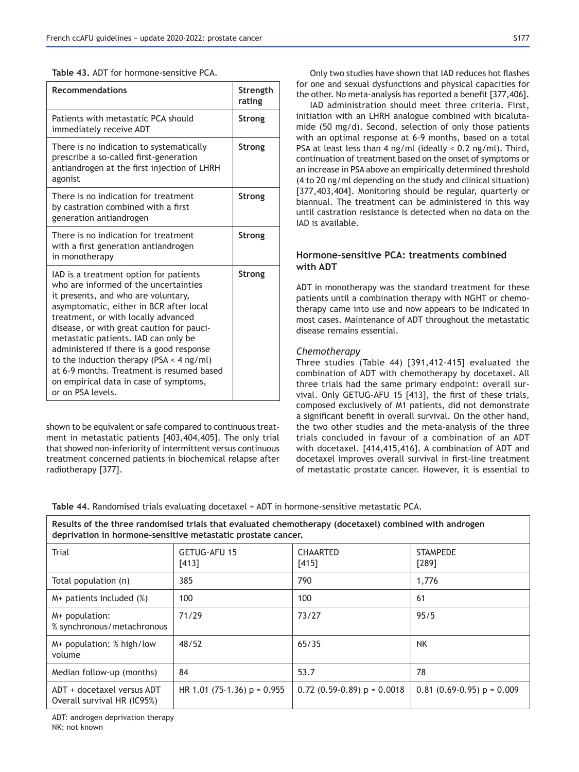|  | Table 43. ADT for hormone-sensitive PCA. |  |
|--|------------------------------------------|--|
|--|------------------------------------------|--|

| <b>Recommendations</b>                                                                                                                                                                                                                                                                                                                                                                                                                                                                                 | Strength<br>rating |
|--------------------------------------------------------------------------------------------------------------------------------------------------------------------------------------------------------------------------------------------------------------------------------------------------------------------------------------------------------------------------------------------------------------------------------------------------------------------------------------------------------|--------------------|
| Patients with metastatic PCA should<br>immediately receive ADT                                                                                                                                                                                                                                                                                                                                                                                                                                         | <b>Strong</b>      |
| There is no indication to systematically<br>prescribe a so-called first-generation<br>antiandrogen at the first injection of LHRH<br>agonist                                                                                                                                                                                                                                                                                                                                                           | Strong             |
| There is no indication for treatment<br>by castration combined with a first<br>generation antiandrogen                                                                                                                                                                                                                                                                                                                                                                                                 | <b>Strong</b>      |
| There is no indication for treatment<br>with a first generation antiandrogen<br>in monotherapy                                                                                                                                                                                                                                                                                                                                                                                                         | <b>Strong</b>      |
| IAD is a treatment option for patients<br>who are informed of the uncertainties<br>it presents, and who are voluntary,<br>asymptomatic, either in BCR after local<br>treatment, or with locally advanced<br>disease, or with great caution for pauci-<br>metastatic patients. IAD can only be<br>administered if there is a good response<br>to the induction therapy (PSA $\leq$ 4 ng/ml)<br>at 6-9 months. Treatment is resumed based<br>on empirical data in case of symptoms,<br>or on PSA levels. | Strong             |

shown to be equivalent or safe compared to continuous treatment in metastatic patients [403,404,405]. The only trial that showed non-inferiority of intermittent versus continuous treatment concerned patients in biochemical relapse after radiotherapy [377].

Only two studies have shown that IAD reduces hot flashes for one and sexual dysfunctions and physical capacities for the other. No meta-analysis has reported a benefit [377,406].

IAD administration should meet three criteria. First, initiation with an LHRH analogue combined with bicalutamide (50 mg/d). Second, selection of only those patients with an optimal response at 6-9 months, based on a total PSA at least less than 4 ng/ml (ideally < 0.2 ng/ml). Third, continuation of treatment based on the onset of symptoms or an increase in PSA above an empirically determined threshold (4 to 20 ng/ml depending on the study and clinical situation) [377,403,404]. Monitoring should be regular, quarterly or biannual. The treatment can be administered in this way until castration resistance is detected when no data on the IAD is available.

# **Hormone-sensitive PCA: treatments combined** with ADT

ADT in monotherapy was the standard treatment for these patients until a combination therapy with NGHT or chemotherapy came into use and now appears to be indicated in most cases. Maintenance of ADT throughout the metastatic disease remains essential.

# *Chemotherapy*

Three studies (Table 44) [391,412-415] evaluated the combination of ADT with chemotherapy by docetaxel. All three trials had the same primary endpoint: overall survival. Only GETUG-AFU 15 [413], the first of these trials, composed exclusively of M1 patients, did not demonstrate a significant benefit in overall survival. On the other hand, the two other studies and the meta-analysis of the three trials concluded in favour of a combination of an ADT with docetaxel. [414,415,416]. A combination of ADT and docetaxel improves overall survival in first-line treatment of metastatic prostate cancer. However, it is essential to

Table 44. Randomised trials evaluating docetaxel + ADT in hormone-sensitive metastatic PCA.

Results of the three randomised trials that evaluated chemotherapy (docetaxel) combined with androgen deprivation in hormone-sensitive metastatic prostate cancer.

| GETUG-AFU 15<br>$[413]$       | <b>CHAARTED</b><br>[415]        | <b>STAMPEDE</b><br>[289]       |
|-------------------------------|---------------------------------|--------------------------------|
| 385                           | 790                             | 1,776                          |
| 100                           | 100                             | 61                             |
| 71/29                         | 73/27                           | 95/5                           |
| 48/52                         | 65/35                           | <b>NK</b>                      |
| 84                            | 53.7                            | 78                             |
| HR 1.01 (75-1.36) $p = 0.955$ | $0.72$ (0.59-0.89) $p = 0.0018$ | $0.81$ (0.69-0.95) $p = 0.009$ |
|                               |                                 |                                |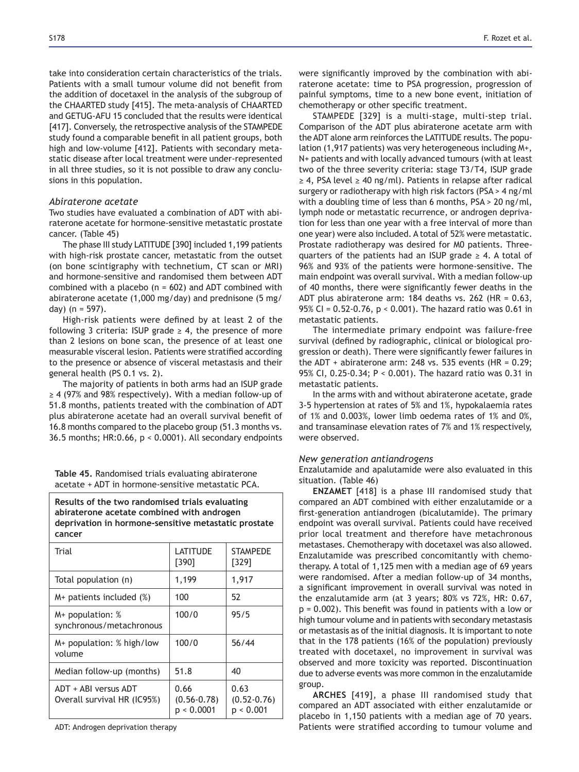take into consideration certain characteristics of the trials. Patients with a small tumour volume did not benefit from the addition of docetaxel in the analysis of the subgroup of the CHAARTED study [415]. The meta-analysis of CHAARTED and GETUG-AFU 15 concluded that the results were identical [417]. Conversely, the retrospective analysis of the STAMPEDE study found a comparable benefit in all patient groups, both high and low-volume [412]. Patients with secondary metastatic disease after local treatment were under-represented in all three studies, so it is not possible to draw any conclusions in this population.

#### *Abiraterone acetate*

Two studies have evaluated a combination of ADT with abiraterone acetate for hormone-sensitive metastatic prostate cancer. (Table 45)

The phase III study LATITUDE [390] included 1,199 patients with high-risk prostate cancer, metastatic from the outset (on bone scintigraphy with technetium, CT scan or MRI) and hormone-sensitive and randomised them between ADT combined with a placebo ( $n = 602$ ) and ADT combined with abiraterone acetate (1,000 mg/day) and prednisone (5 mg/ day) ( $n = 597$ ).

High-risk patients were defined by at least 2 of the following 3 criteria: ISUP grade  $\geq$  4, the presence of more than 2 lesions on bone scan, the presence of at least one measurable visceral lesion. Patients were stratified according to the presence or absence of visceral metastasis and their general health (PS 0.1 vs. 2).

The majority of patients in both arms had an ISUP grade  $\geq$  4 (97% and 98% respectively). With a median follow-up of 51.8 months, patients treated with the combination of ADT plus abiraterone acetate had an overall survival benefit of 16.8 months compared to the placebo group (51.3 months vs. 36.5 months; HR:0.66, p < 0.0001). All secondary endpoints

Table 45. Randomised trials evaluating abiraterone acetate + ADT in hormone-sensitive metastatic PCA.

**Results of the two randomised trials evaluating** abiraterone acetate combined with androgen deprivation in hormone-sensitive metastatic prostate cancer

| Trial                                               | LATITUDE<br>[390]                     | <b>STAMPEDE</b><br>[329]             |
|-----------------------------------------------------|---------------------------------------|--------------------------------------|
| Total population (n)                                | 1,199                                 | 1,917                                |
| M+ patients included (%)                            | 100                                   | 52                                   |
| $M+$ population: $%$<br>synchronous/metachronous    | 100/0                                 | 95/5                                 |
| $M+$ population: % high/low<br>volume               | 100/0                                 | 56/44                                |
| Median follow-up (months)                           | 51.8                                  | 40                                   |
| ADT + ABI versus ADT<br>Overall survival HR (IC95%) | 0.66<br>$(0.56 - 0.78)$<br>p < 0.0001 | 0.63<br>$(0.52 - 0.76)$<br>р < 0.001 |

ADT: Androgen deprivation therapy

were significantly improved by the combination with abiraterone acetate: time to PSA progression, progression of painful symptoms, time to a new bone event, initiation of chemotherapy or other specific treatment.

STAMPEDE [329] is a multi-stage, multi-step trial. Comparison of the ADT plus abiraterone acetate arm with the ADT alone arm reinforces the LATITUDE results. The population (1,917 patients) was very heterogeneous including  $M_{+}$ , N+ patients and with locally advanced tumours (with at least two of the three severity criteria: stage T3/T4, ISUP grade  $\geq$  4, PSA level  $\geq$  40 ng/ml). Patients in relapse after radical surgery or radiotherapy with high risk factors (PSA > 4 ng/ml with a doubling time of less than 6 months, PSA > 20 ng/ml, lymph node or metastatic recurrence, or androgen deprivation for less than one year with a free interval of more than one year) were also included. A total of 52% were metastatic. Prostate radiotherapy was desired for M0 patients. Threequarters of the patients had an ISUP grade  $\geq 4$ . A total of 96% and 93% of the patients were hormone-sensitive. The main endpoint was overall survival. With a median follow-up of 40 months, there were significantly fewer deaths in the ADT plus abiraterone arm: 184 deaths vs. 262 (HR = 0.63, 95% CI =  $0.52 - 0.76$ ,  $p < 0.001$ ). The hazard ratio was 0.61 in metastatic patients.

The intermediate primary endpoint was failure-free survival (defined by radiographic, clinical or biological progression or death). There were significantly fewer failures in the ADT + abiraterone arm: 248 vs. 535 events (HR =  $0.29$ ; 95% CI, 0.25-0.34; P < 0.001). The hazard ratio was 0.31 in metastatic patients.

In the arms with and without abiraterone acetate, grade 3-5 hypertension at rates of 5% and 1%, hypokalaemia rates of 1% and 0.003%, lower limb oedema rates of 1% and 0%, and transaminase elevation rates of  $7\%$  and  $1\%$  respectively, were observed.

#### *New generation antiandrogens*

Enzalutamide and apalutamide were also evaluated in this situation. (Table 46)

**ENZAMET** [418] is a phase III randomised study that compared an ADT combined with either enzalutamide or a first-generation antiandrogen (bicalutamide). The primary endpoint was overall survival. Patients could have received prior local treatment and therefore have metachronous metastases. Chemotherapy with docetaxel was also allowed. Enzalutamide was prescribed concomitantly with chemotherapy. A total of 1,125 men with a median age of 69 years were randomised. After a median follow-up of 34 months, a significant improvement in overall survival was noted in the enzalutamide arm (at 3 years;  $80\%$  vs  $72\%$ , HR:  $0.67$ ,  $p = 0.002$ ). This benefit was found in patients with a low or high tumour volume and in patients with secondary metastasis or metastasis as of the initial diagnosis. It is important to note that in the 178 patients (16% of the population) previously treated with docetaxel, no improvement in survival was observed and more toxicity was reported. Discontinuation due to adverse events was more common in the enzalutamide group.

ARCHES [419], a phase III randomised study that compared an ADT associated with either enzalutamide or placebo in 1,150 patients with a median age of 70 years. Patients were stratified according to tumour volume and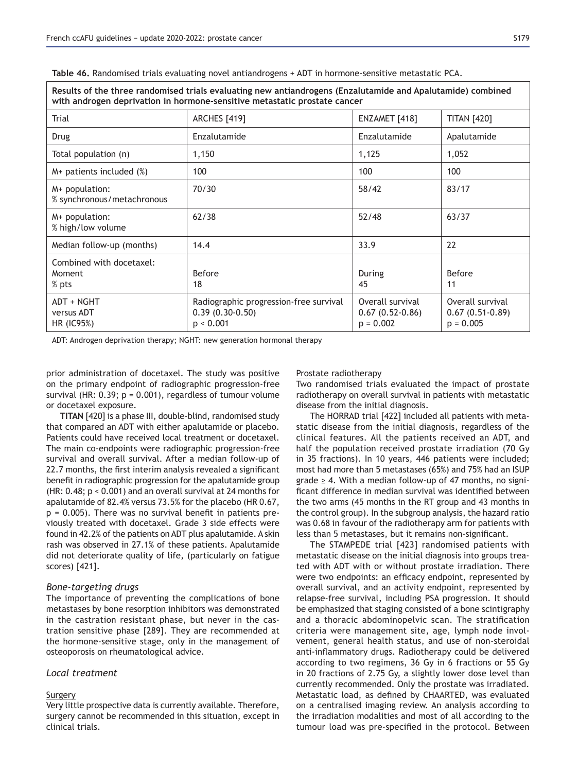Table 46. Randomised trials evaluating novel antiandrogens + ADT in hormone-sensitive metastatic PCA.

| Results of the three randomised trials evaluating new antiandrogens (Enzalutamide and Apalutamide) combined<br>with androgen deprivation in hormone-sensitive metastatic prostate cancer |                                                                          |                                                      |                                                      |  |
|------------------------------------------------------------------------------------------------------------------------------------------------------------------------------------------|--------------------------------------------------------------------------|------------------------------------------------------|------------------------------------------------------|--|
| Trial                                                                                                                                                                                    | <b>ARCHES</b> [419]                                                      | ENZAMET [418]                                        | <b>TITAN [420]</b>                                   |  |
| Drug                                                                                                                                                                                     | Enzalutamide                                                             | Enzalutamide                                         | Apalutamide                                          |  |
| Total population (n)                                                                                                                                                                     | 1,150                                                                    | 1,125                                                | 1,052                                                |  |
| $M+$ patients included $(\%)$                                                                                                                                                            | 100                                                                      | 100                                                  | 100                                                  |  |
| M+ population:<br>% synchronous/metachronous                                                                                                                                             | 70/30                                                                    | 58/42                                                | 83/17                                                |  |
| M+ population:<br>% high/low volume                                                                                                                                                      | 62/38                                                                    | 52/48                                                | 63/37                                                |  |
| Median follow-up (months)                                                                                                                                                                | 14.4                                                                     | 33.9                                                 | 22                                                   |  |
| Combined with docetaxel:<br>Moment<br>% pts                                                                                                                                              | Before<br>18                                                             | During<br>45                                         | <b>Before</b><br>11                                  |  |
| ADT + NGHT<br>versus ADT<br>HR (IC95%)                                                                                                                                                   | Radiographic progression-free survival<br>$0.39(0.30-0.50)$<br>p < 0.001 | Overall survival<br>$0.67(0.52-0.86)$<br>$p = 0.002$ | Overall survival<br>$0.67(0.51-0.89)$<br>$p = 0.005$ |  |

ADT: Androgen deprivation therapy; NGHT: new generation hormonal therapy

prior administration of docetaxel. The study was positive on the primary endpoint of radiographic progression-free survival (HR:  $0.39$ ;  $p = 0.001$ ), regardless of tumour volume or docetaxel exposure.

**TITAN** [420] is a phase III, double-blind, randomised study that compared an ADT with either apalutamide or placebo. Patients could have received local treatment or docetaxel. The main co-endpoints were radiographic progression-free survival and overall survival. After a median follow-up of 22.7 months, the first interim analysis revealed a significant benefit in radiographic progression for the apalutamide group (HR: 0.48; p < 0.001) and an overall survival at 24 months for apalutamide of 82.4% versus  $73.5%$  for the placebo (HR 0.67,  $p = 0.005$ ). There was no survival benefit in patients previously treated with docetaxel. Grade 3 side effects were found in 42.2% of the patients on ADT plus apalutamide. A skin rash was observed in 27.1% of these patients. Apalutamide did not deteriorate quality of life, (particularly on fatigue scores) [421].

#### *Bone-targeting drugs*

The importance of preventing the complications of bone metastases by bone resorption inhibitors was demonstrated in the castration resistant phase, but never in the castration sensitive phase [289]. They are recommended at the hormone-sensitive stage, only in the management of osteoporosis on rheumatological advice.

### *Local treatment*

### **Surgery**

Very little prospective data is currently available. Therefore, surgery cannot be recommended in this situation, except in clinical trials.

#### Prostate radiotherapy

Two randomised trials evaluated the impact of prostate radiotherapy on overall survival in patients with metastatic disease from the initial diagnosis.

The HORRAD trial [422] included all patients with metastatic disease from the initial diagnosis, regardless of the clinical features. All the patients received an ADT, and half the population received prostate irradiation (70 Gy in 35 fractions). In 10 years, 446 patients were included; most had more than 5 metastases (65%) and 75% had an ISUP grade  $\geq 4$ . With a median follow-up of 47 months, no significant difference in median survival was identified between the two arms (45 months in the RT group and 43 months in the control group). In the subgroup analysis, the hazard ratio was 0.68 in favour of the radiotherapy arm for patients with less than 5 metastases, but it remains non-significant.

The STAMPEDE trial [423] randomised patients with metastatic disease on the initial diagnosis into groups treated with ADT with or without prostate irradiation. There were two endpoints: an efficacy endpoint, represented by overall survival, and an activity endpoint, represented by relapse-free survival, including PSA progression. It should be emphasized that staging consisted of a bone scintigraphy and a thoracic abdominopelvic scan. The stratification criteria were management site, age, lymph node involvement, general health status, and use of non-steroidal anti-inflammatory drugs. Radiotherapy could be delivered according to two regimens, 36 Gy in 6 fractions or 55 Gy in 20 fractions of 2.75 Gy, a slightly lower dose level than currently recommended. Only the prostate was irradiated. Metastatic load, as defined by CHAARTED, was evaluated on a centralised imaging review. An analysis according to the irradiation modalities and most of all according to the tumour load was pre-specified in the protocol. Between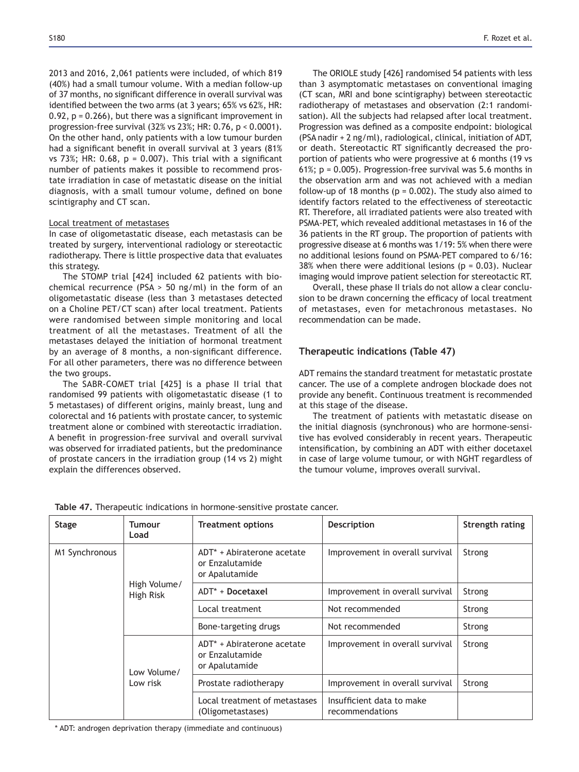2013 and 2016, 2,061 patients were included, of which 819 (40%) had a small tumour volume. With a median follow-up of 37 months, no significant difference in overall survival was identified between the two arms (at 3 years:  $65\%$  vs  $62\%$ , HR:  $0.92$ , p = 0.266), but there was a significant improvement in progression-free survival (32% vs 23%; HR: 0.76,  $p < 0.0001$ ). On the other hand, only patients with a low tumour burden had a significant benefit in overall survival at 3 years (81%) vs  $73\%$ ; HR: 0.68, p = 0.007). This trial with a significant number of patients makes it possible to recommend prostate irradiation in case of metastatic disease on the initial diagnosis, with a small tumour volume, defined on bone scintigraphy and CT scan.

#### Local treatment of metastases

In case of oligometastatic disease, each metastasis can be treated by surgery, interventional radiology or stereotactic radiotherapy. There is little prospective data that evaluates this strategy.

The STOMP trial [424] included 62 patients with biochemical recurrence (PSA > 50 ng/ml) in the form of an oligometastatic disease (less than 3 metastases detected on a Choline PET/CT scan) after local treatment. Patients were randomised between simple monitoring and local treatment of all the metastases. Treatment of all the metastases delayed the initiation of hormonal treatment by an average of 8 months, a non-significant difference. For all other parameters, there was no difference between the two groups.

The SABR-COMET trial [425] is a phase II trial that randomised 99 patients with oligometastatic disease (1 to 5 metastases) of different origins, mainly breast, lung and colorectal and 16 patients with prostate cancer, to systemic treatment alone or combined with stereotactic irradiation. A benefit in progression-free survival and overall survival was observed for irradiated patients, but the predominance of prostate cancers in the irradiation group (14 vs 2) might explain the differences observed.

The ORIOLE study [426] randomised 54 patients with less than 3 asymptomatic metastases on conventional imaging (CT scan, MRI and bone scintigraphy) between stereotactic radiotherapy of metastases and observation (2:1 randomisation). All the subjects had relapsed after local treatment. Progression was defined as a composite endpoint: biological (PSA nadir + 2 ng/ml), radiological, clinical, initiation of ADT, or death. Stereotactic RT significantly decreased the proportion of patients who were progressive at 6 months (19 vs 61%;  $p = 0.005$ ). Progression-free survival was 5.6 months in the observation arm and was not achieved with a median follow-up of 18 months ( $p = 0.002$ ). The study also aimed to identify factors related to the effectiveness of stereotactic RT. Therefore, all irradiated patients were also treated with PSMA-PET, which revealed additional metastases in 16 of the 36 patients in the RT group. The proportion of patients with progressive disease at 6 months was 1/19: 5% when there were no additional lesions found on PSMA-PET compared to 6/16: 38% when there were additional lesions ( $p = 0.03$ ). Nuclear imaging would improve patient selection for stereotactic RT.

Overall, these phase II trials do not allow a clear conclusion to be drawn concerning the efficacy of local treatment of metastases, even for metachronous metastases. No recommendation can be made.

# **Therapeutic indications (Table 47)**

ADT remains the standard treatment for metastatic prostate cancer. The use of a complete androgen blockade does not provide any benefit. Continuous treatment is recommended at this stage of the disease.

The treatment of patients with metastatic disease on the initial diagnosis (synchronous) who are hormone-sensitive has evolved considerably in recent years. Therapeutic intensification, by combining an ADT with either docetaxel in case of large volume tumour, or with NGHT regardless of the tumour volume, improves overall survival.

| <b>Stage</b>   | Tumour<br>Load            | <b>Treatment options</b>                                                    | <b>Description</b>                           | Strength rating |
|----------------|---------------------------|-----------------------------------------------------------------------------|----------------------------------------------|-----------------|
| M1 Synchronous |                           | ADT <sup>*</sup> + Abiraterone acetate<br>or Enzalutamide<br>or Apalutamide | Improvement in overall survival              | Strong          |
|                | High Volume/<br>High Risk | $ADT^* + Doceta$                                                            | Improvement in overall survival              | Strong          |
|                | Local treatment           | Not recommended                                                             | Strong                                       |                 |
|                |                           | Bone-targeting drugs                                                        | Not recommended                              | Strong          |
|                | Low Volume/               | ADT <sup>*</sup> + Abiraterone acetate<br>or Enzalutamide<br>or Apalutamide | Improvement in overall survival              | Strong          |
| Low risk       |                           | Prostate radiotherapy                                                       | Improvement in overall survival              | Strong          |
|                |                           | Local treatment of metastases<br>(Oligometastases)                          | Insufficient data to make<br>recommendations |                 |

Table 47. Therapeutic indications in hormone-sensitive prostate cancer.

\* ADT: androgen deprivation therapy (immediate and continuous)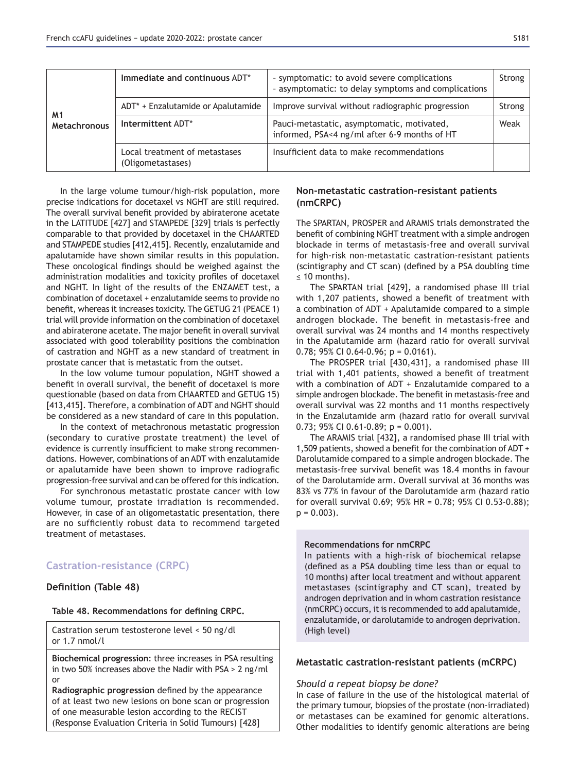|                           | Immediate and continuous ADT*                      | - symptomatic: to avoid severe complications<br>- asymptomatic: to delay symptoms and complications | Strong |
|---------------------------|----------------------------------------------------|-----------------------------------------------------------------------------------------------------|--------|
|                           | ADT* + Enzalutamide or Apalutamide                 | Improve survival without radiographic progression                                                   | Strong |
| M1<br><b>Metachronous</b> | Intermittent ADT*                                  | Pauci-metastatic, asymptomatic, motivated,<br>informed, PSA<4 ng/ml after 6-9 months of HT          | Weak   |
|                           | Local treatment of metastases<br>(Oligometastases) | Insufficient data to make recommendations                                                           |        |

In the large volume tumour/high-risk population, more precise indications for docetaxel vs NGHT are still required. The overall survival benefit provided by abiraterone acetate in the LATITUDE [427] and STAMPEDE [329] trials is perfectly comparable to that provided by docetaxel in the CHAARTED and STAMPEDE studies [412,415]. Recently, enzalutamide and apalutamide have shown similar results in this population. These oncological findings should be weighed against the administration modalities and toxicity profiles of docetaxel and NGHT. In light of the results of the ENZAMET test, a combination of docetaxel + enzalutamide seems to provide no benefit, whereas it increases toxicity. The GETUG 21 (PEACE 1) trial will provide information on the combination of docetaxel and abiraterone acetate. The major benefit in overall survival associated with good tolerability positions the combination of castration and NGHT as a new standard of treatment in prostate cancer that is metastatic from the outset.

In the low volume tumour population, NGHT showed a benefit in overall survival, the benefit of docetaxel is more questionable (based on data from CHAARTED and GETUG 15) [413,415]. Therefore, a combination of ADT and NGHT should be considered as a new standard of care in this population.

In the context of metachronous metastatic progression (secondary to curative prostate treatment) the level of evidence is currently insufficient to make strong recommendations. However, combinations of an ADT with enzalutamide or apalutamide have been shown to improve radiografic progression-free survival and can be offered for this indication.

For synchronous metastatic prostate cancer with low volume tumour, prostate irradiation is recommended. However, in case of an oligometastatic presentation, there are no sufficiently robust data to recommend targeted treatment of metastases.

# **Castration-resistance (CRPC)**

# **Definition (Table 48)**

Table 48. Recommendations for defining CRPC.

Castration serum testosterone level < 50 ng/dl or 1.7 nmol/l

**Biochemical progression:** three increases in PSA resulting in two 50% increases above the Nadir with PSA > 2 ng/ml or

Radiographic progression defined by the appearance of at least two new lesions on bone scan or progression of one measurable lesion according to the RECIST (Response Evaluation Criteria in Solid Tumours) [428]

# **Non-metastatic castration-resistant patients** (nmCRPC)

The SPARTAN, PROSPER and ARAMIS trials demonstrated the benefit of combining NGHT treatment with a simple androgen blockade in terms of metastasis-free and overall survival for high-risk non-metastatic castration-resistant patients (scintigraphy and CT scan) (defined by a PSA doubling time  $\leq$  10 months).

The SPARTAN trial [429], a randomised phase III trial with 1.207 patients, showed a benefit of treatment with a combination of ADT + Apalutamide compared to a simple androgen blockade. The benefit in metastasis-free and overall survival was 24 months and 14 months respectively in the Apalutamide arm (hazard ratio for overall survival 0.78; 95% CI 0.64-0.96;  $p = 0.0161$ ).

The PROSPER trial [430,431], a randomised phase III trial with 1,401 patients, showed a benefit of treatment with a combination of ADT + Enzalutamide compared to a simple androgen blockade. The benefit in metastasis-free and overall survival was 22 months and 11 months respectively in the Enzalutamide arm (hazard ratio for overall survival 0.73; 95% CI 0.61-0.89;  $p = 0.001$ ).

The ARAMIS trial [432], a randomised phase III trial with 1,509 patients, showed a benefit for the combination of ADT + Darolutamide compared to a simple androgen blockade. The metastasis-free survival benefit was 18.4 months in favour of the Darolutamide arm. Overall survival at 36 months was 83% vs 77% in favour of the Darolutamide arm (hazard ratio for overall survival 0.69; 95% HR = 0.78; 95% CI 0.53-0.88);  $p = 0.003$ .

#### **Recommendations for nmCRPC**

In patients with a high-risk of biochemical relapse (defined as a PSA doubling time less than or equal to 10 months) after local treatment and without apparent metastases (scintigraphy and CT scan), treated by androgen deprivation and in whom castration resistance (nmCRPC) occurs, it is recommended to add apalutamide, enzalutamide, or darolutamide to androgen deprivation. (High level)

### **Metastatic castration-resistant patients (mCRPC)**

### *Should a repeat biopsy be done?*

In case of failure in the use of the histological material of the primary tumour, biopsies of the prostate (non-irradiated) or metastases can be examined for genomic alterations. Other modalities to identify genomic alterations are being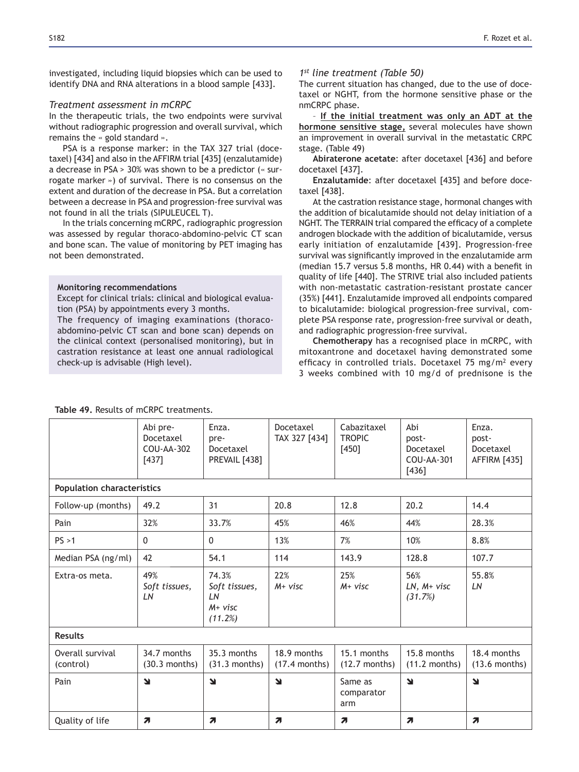investigated, including liquid biopsies which can be used to identify DNA and RNA alterations in a blood sample [433].

### *Treatment assessment in mCRPC*

In the therapeutic trials, the two endpoints were survival without radiographic progression and overall survival, which remains the  $\leq$  gold standard  $\leq$ .

PSA is a response marker: in the TAX 327 trial (docetaxel) [434] and also in the AFFIRM trial [435] (enzalutamide) a decrease in PSA > 30% was shown to be a predictor (« surrogate marker ») of survival. There is no consensus on the extent and duration of the decrease in PSA. But a correlation between a decrease in PSA and progression-free survival was not found in all the trials (SIPULEUCEL T).

In the trials concerning mCRPC, radiographic progression was assessed by regular thoraco-abdomino-pelvic CT scan and bone scan. The value of monitoring by PET imaging has not been demonstrated.

#### **Monitoring recommendations**

Except for clinical trials: clinical and biological evaluation (PSA) by appointments every 3 months.

The frequency of imaging examinations (thoracoabdomino-pelvic CT scan and bone scan) depends on the clinical context (personalised monitoring), but in castration resistance at least one annual radiological check-up is advisable (High level).

### *1st line treatment (Table 50)*

The current situation has changed, due to the use of docetaxel or NGHT, from the hormone sensitive phase or the nmCRPC phase.

- If the initial treatment was only an ADT at the hormone sensitive stage, several molecules have shown an improvement in overall survival in the metastatic CRPC stage. (Table 49)

Abiraterone acetate: after docetaxel [436] and before docetaxel [437].

**Enzalutamide:** after docetaxel [435] and before docetaxel [438].

At the castration resistance stage, hormonal changes with the addition of bicalutamide should not delay initiation of a NGHT. The TERRAIN trial compared the efficacy of a complete androgen blockade with the addition of bicalutamide, versus early initiation of enzalutamide [439]. Progression-free survival was significantly improved in the enzalutamide arm (median 15.7 versus 5.8 months, HR  $0.44$ ) with a benefit in quality of life [440]. The STRIVE trial also included patients with non-metastatic castration-resistant prostate cancer (35%) [441]. Enzalutamide improved all endpoints compared to bicalutamide: biological progression-free survival, complete PSA response rate, progression-free survival or death, and radiographic progression-free survival.

Chemotherapy has a recognised place in mCRPC, with mitoxantrone and docetaxel having demonstrated some efficacy in controlled trials. Docetaxel 75 mg/m<sup>2</sup> every 3 weeks combined with 10 mg/d of prednisone is the

|                                   | Abi pre-<br>Docetaxel<br>COU-AA-302<br>$[437]$ | Enza.<br>pre-<br>Docetaxel<br>PREVAIL [438]          | Docetaxel<br>TAX 327 [434]     | Cabazitaxel<br><b>TROPIC</b><br>$[450]$ | Abi<br>post-<br>Docetaxel<br>COU-AA-301<br>$[436]$ | Enza.<br>post-<br>Docetaxel<br><b>AFFIRM [435]</b> |
|-----------------------------------|------------------------------------------------|------------------------------------------------------|--------------------------------|-----------------------------------------|----------------------------------------------------|----------------------------------------------------|
| <b>Population characteristics</b> |                                                |                                                      |                                |                                         |                                                    |                                                    |
| Follow-up (months)                | 49.2                                           | 31                                                   | 20.8                           | 12.8                                    | 20.2                                               | 14.4                                               |
| Pain                              | 32%                                            | 33.7%                                                | 45%                            | 46%                                     | 44%                                                | 28.3%                                              |
| PS > 1                            | $\mathbf{0}$                                   | $\mathbf{0}$                                         | 13%                            | 7%                                      | 10%                                                | 8.8%                                               |
| Median PSA (ng/ml)                | 42                                             | 54.1                                                 | 114                            | 143.9                                   | 128.8                                              | 107.7                                              |
| Extra-os meta.                    | 49%<br>Soft tissues,<br>LN                     | 74.3%<br>Soft tissues,<br>LN<br>$M+$ visc<br>(11.2%) | 22%<br>$M+$ visc               | 25%<br>$M+$ visc                        | 56%<br>$LN, M+visc$<br>(31.7%)                     | 55.8%<br>LN                                        |
| <b>Results</b>                    |                                                |                                                      |                                |                                         |                                                    |                                                    |
| Overall survival<br>(control)     | 34.7 months<br>$(30.3$ months)                 | 35.3 months<br>$(31.3$ months)                       | 18.9 months<br>$(17.4$ months) | 15.1 months<br>$(12.7$ months)          | 15.8 months<br>$(11.2$ months)                     | 18.4 months<br>$(13.6$ months)                     |
| Pain                              | N                                              | $\blacktriangleleft$                                 | N                              | Same as<br>comparator<br>arm            | N                                                  | $\blacktriangleleft$                               |
| Quality of life                   | $\boldsymbol{\pi}$                             | $\overline{\phantom{a}}$                             | $\overline{\phantom{a}}$       | 7                                       | $\overline{\phantom{a}}$                           | $\overline{\phantom{a}}$                           |

#### Table 49. Results of mCRPC treatments.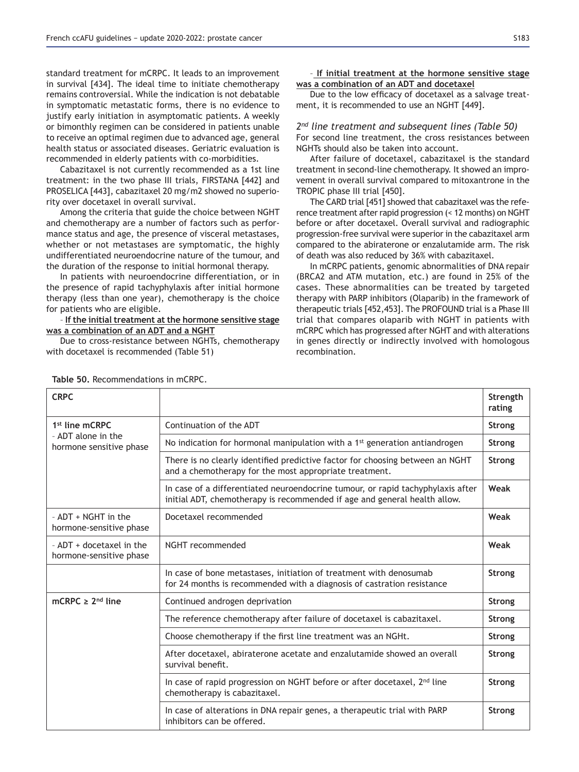standard treatment for mCRPC. It leads to an improvement in survival [434]. The ideal time to initiate chemotherapy remains controversial. While the indication is not debatable in symptomatic metastatic forms, there is no evidence to justify early initiation in asymptomatic patients. A weekly or bimonthly regimen can be considered in patients unable to receive an optimal regimen due to advanced age, general health status or associated diseases. Geriatric evaluation is recommended in elderly patients with co-morbidities.

Cabazitaxel is not currently recommended as a 1st line treatment: in the two phase III trials, FIRSTANA [442] and PROSELICA [443], cabazitaxel 20 mg/m2 showed no superiority over docetaxel in overall survival.

Among the criteria that guide the choice between NGHT and chemotherapy are a number of factors such as performance status and age, the presence of visceral metastases, whether or not metastases are symptomatic, the highly undifferentiated neuroendocrine nature of the tumour, and the duration of the response to initial hormonal therapy.

In patients with neuroendocrine differentiation, or in the presence of rapid tachyphylaxis after initial hormone therapy (less than one year), chemotherapy is the choice for patients who are eligible.

#### - If the initial treatment at the hormone sensitive stage was a combination of an ADT and a NGHT

Due to cross-resistance between NGHTs, chemotherapy with docetaxel is recommended (Table 51)

#### - If initial treatment at the hormone sensitive stage was a combination of an ADT and docetaxel

Due to the low efficacy of docetaxel as a salvage treatment, it is recommended to use an NGHT [449].

# *2nd line treatment and subsequent lines (Table 50)*

For second line treatment, the cross resistances between NGHTs should also be taken into account.

After failure of docetaxel, cabazitaxel is the standard treatment in second-line chemotherapy. It showed an improvement in overall survival compared to mitoxantrone in the TROPIC phase III trial [450].

The CARD trial [451] showed that cabazitaxel was the reference treatment after rapid progression (< 12 months) on NGHT before or after docetaxel. Overall survival and radiographic progression-free survival were superior in the cabazitaxel arm compared to the abiraterone or enzalutamide arm. The risk of death was also reduced by 36% with cabazitaxel.

In mCRPC patients, genomic abnormalities of DNA repair (BRCA2 and ATM mutation, etc.) are found in 25% of the cases. These abnormalities can be treated by targeted therapy with PARP inhibitors (Olaparib) in the framework of therapeutic trials [452,453]. The PROFOUND trial is a Phase III trial that compares olaparib with NGHT in patients with mCRPC which has progressed after NGHT and with alterations in genes directly or indirectly involved with homologous recombination.

| <b>CRPC</b>                                         |                                                                                                                                                              | Strength<br>rating |
|-----------------------------------------------------|--------------------------------------------------------------------------------------------------------------------------------------------------------------|--------------------|
| 1 <sup>st</sup> line mCRPC                          | Continuation of the ADT                                                                                                                                      |                    |
| - ADT alone in the<br>hormone sensitive phase       | No indication for hormonal manipulation with a $1st$ generation antiandrogen                                                                                 | <b>Strong</b>      |
|                                                     | There is no clearly identified predictive factor for choosing between an NGHT<br>and a chemotherapy for the most appropriate treatment.                      | <b>Strong</b>      |
|                                                     | In case of a differentiated neuroendocrine tumour, or rapid tachyphylaxis after<br>initial ADT, chemotherapy is recommended if age and general health allow. | Weak               |
| - ADT + NGHT in the<br>hormone-sensitive phase      | Docetaxel recommended                                                                                                                                        | Weak               |
| - ADT + docetaxel in the<br>hormone-sensitive phase | NGHT recommended                                                                                                                                             | Weak               |
|                                                     | In case of bone metastases, initiation of treatment with denosumab<br>for 24 months is recommended with a diagnosis of castration resistance                 | Strong             |
| mCRPC $\geq 2^{nd}$ line                            | Continued androgen deprivation                                                                                                                               | Strong             |
|                                                     | The reference chemotherapy after failure of docetaxel is cabazitaxel.                                                                                        | Strong             |
|                                                     | Choose chemotherapy if the first line treatment was an NGHt.                                                                                                 | <b>Strong</b>      |
|                                                     | After docetaxel, abiraterone acetate and enzalutamide showed an overall<br>survival benefit.                                                                 | <b>Strong</b>      |
|                                                     | In case of rapid progression on NGHT before or after docetaxel, 2 <sup>nd</sup> line<br>chemotherapy is cabazitaxel.                                         | <b>Strong</b>      |
|                                                     | In case of alterations in DNA repair genes, a therapeutic trial with PARP<br>inhibitors can be offered.                                                      | Strong             |

Table 50. Recommendations in mCRPC.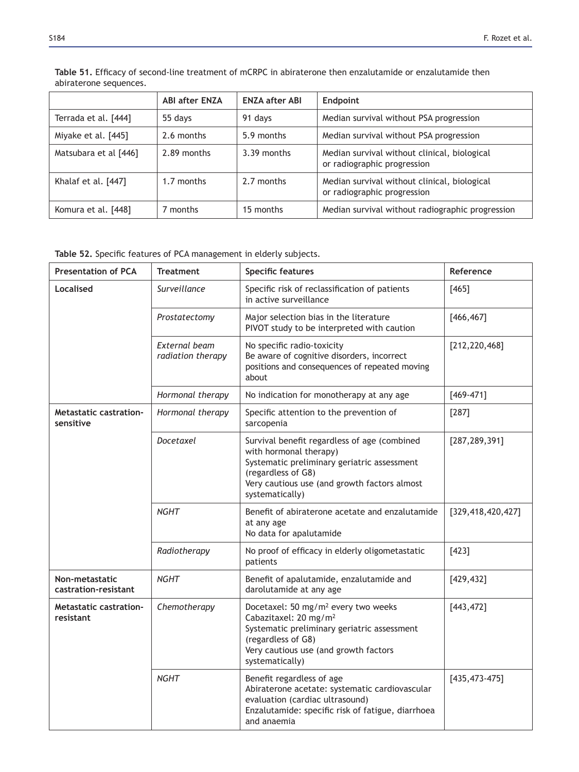|                       | <b>ABI after ENZA</b> | <b>ENZA after ABI</b> | Endpoint                                                                    |
|-----------------------|-----------------------|-----------------------|-----------------------------------------------------------------------------|
| Terrada et al. [444]  | 55 days               | 91 days               | Median survival without PSA progression                                     |
| Miyake et al. [445]   | 2.6 months            | 5.9 months            | Median survival without PSA progression                                     |
| Matsubara et al [446] | 2.89 months           | $3.39$ months         | Median survival without clinical, biological<br>or radiographic progression |
| Khalaf et al. [447]   | 1.7 months            | 2.7 months            | Median survival without clinical, biological<br>or radiographic progression |
| Komura et al. [448]   | 7 months              | 15 months             | Median survival without radiographic progression                            |

Table 51. Efficacy of second-line treatment of mCRPC in abiraterone then enzalutamide or enzalutamide then abiraterone sequences.

Table 52. Specific features of PCA management in elderly subjects.

| <b>Presentation of PCA</b>                 | <b>Treatment</b>                   | <b>Specific features</b>                                                                                                                                                                                              | Reference          |
|--------------------------------------------|------------------------------------|-----------------------------------------------------------------------------------------------------------------------------------------------------------------------------------------------------------------------|--------------------|
| Localised                                  | Surveillance                       | Specific risk of reclassification of patients<br>in active surveillance                                                                                                                                               | $[465]$            |
|                                            | Prostatectomy                      | Major selection bias in the literature<br>PIVOT study to be interpreted with caution                                                                                                                                  | [466, 467]         |
|                                            | External beam<br>radiation therapy | No specific radio-toxicity<br>Be aware of cognitive disorders, incorrect<br>positions and consequences of repeated moving<br>about                                                                                    | [212, 220, 468]    |
|                                            | Hormonal therapy                   | No indication for monotherapy at any age                                                                                                                                                                              | $[469 - 471]$      |
| <b>Metastatic castration-</b><br>sensitive | Hormonal therapy                   | Specific attention to the prevention of<br>sarcopenia                                                                                                                                                                 | [287]              |
|                                            | Docetaxel                          | Survival benefit regardless of age (combined<br>with hormonal therapy)<br>Systematic preliminary geriatric assessment<br>(regardless of G8)<br>Very cautious use (and growth factors almost<br>systematically)        | [287, 289, 391]    |
|                                            | <b>NGHT</b>                        | Benefit of abiraterone acetate and enzalutamide<br>at any age<br>No data for apalutamide                                                                                                                              | [329,418,420,427]  |
|                                            | Radiotherapy                       | No proof of efficacy in elderly oligometastatic<br>patients                                                                                                                                                           | $[423]$            |
| Non-metastatic<br>castration-resistant     | <b>NGHT</b>                        | Benefit of apalutamide, enzalutamide and<br>darolutamide at any age                                                                                                                                                   | [429, 432]         |
| <b>Metastatic castration-</b><br>resistant | Chemotherapy                       | Docetaxel: 50 mg/m <sup>2</sup> every two weeks<br>Cabazitaxel: 20 mg/m <sup>2</sup><br>Systematic preliminary geriatric assessment<br>(regardless of G8)<br>Very cautious use (and growth factors<br>systematically) | [443, 472]         |
|                                            | <b>NGHT</b>                        | Benefit regardless of age<br>Abiraterone acetate: systematic cardiovascular<br>evaluation (cardiac ultrasound)<br>Enzalutamide: specific risk of fatigue, diarrhoea<br>and anaemia                                    | $[435, 473 - 475]$ |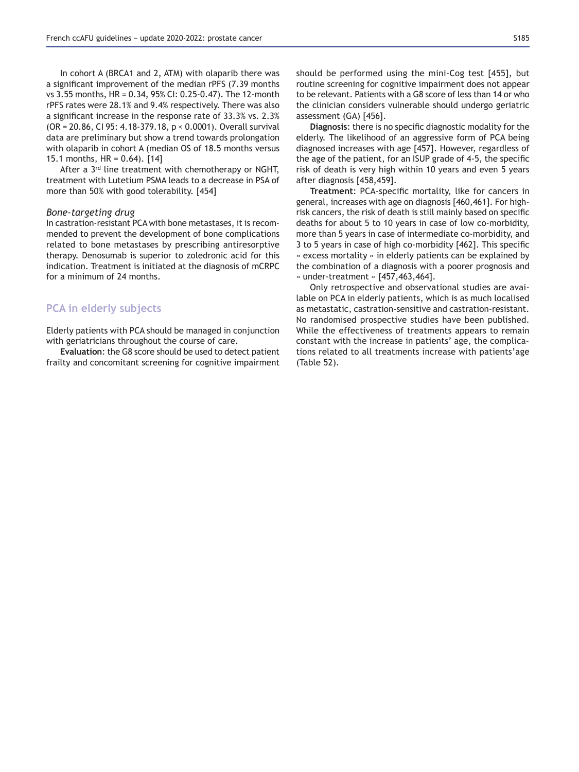In cohort A (BRCA1 and 2, ATM) with olaparib there was a significant improvement of the median rPFS (7.39 months vs  $3.55$  months, HR = 0.34, 95% CI: 0.25-0.47). The 12-month rPFS rates were 28.1% and 9.4% respectively. There was also a significant increase in the response rate of  $33.3\%$  vs.  $2.3\%$  $(OR = 20.86, CI 95: 4.18-379.18, p < 0.0001)$ . Overall survival data are preliminary but show a trend towards prolongation with olaparib in cohort A (median OS of 18.5 months versus 15.1 months, HR = 0.64). [14]

After a 3<sup>rd</sup> line treatment with chemotherapy or NGHT. treatment with Lutetium PSMA leads to a decrease in PSA of more than 50% with good tolerability. [454]

#### *Bone-targeting drug*

In castration-resistant PCA with bone metastases, it is recommended to prevent the development of bone complications related to bone metastases by prescribing antiresorptive therapy. Denosumab is superior to zoledronic acid for this indication. Treatment is initiated at the diagnosis of mCRPC for a minimum of 24 months.

# **PCA in elderly subjects**

Elderly patients with PCA should be managed in conjunction with geriatricians throughout the course of care.

**Evaluation: the G8 score should be used to detect patient** frailty and concomitant screening for cognitive impairment should be performed using the mini-Cog test [455], but routine screening for cognitive impairment does not appear to be relevant. Patients with a G8 score of less than 14 or who the clinician considers vulnerable should undergo geriatric assessment (GA) [456].

Diagnosis: there is no specific diagnostic modality for the elderly. The likelihood of an aggressive form of PCA being diagnosed increases with age [457]. However, regardless of the age of the patient, for an ISUP grade of 4-5, the specific risk of death is very high within 10 years and even 5 years after diagnosis [458,459].

Treatment: PCA-specific mortality, like for cancers in general, increases with age on diagnosis [460,461]. For highrisk cancers, the risk of death is still mainly based on specific deaths for about 5 to 10 years in case of low co-morbidity, more than 5 years in case of intermediate co-morbidity, and 3 to 5 years in case of high co-morbidity [462]. This specific « excess mortality » in elderly patients can be explained by the combination of a diagnosis with a poorer prognosis and  $*$  under-treatment  $*$  [457,463,464].

Only retrospective and observational studies are available on PCA in elderly patients, which is as much localised as metastatic, castration-sensitive and castration-resistant. No randomised prospective studies have been published. While the effectiveness of treatments appears to remain constant with the increase in patients' age, the complications related to all treatments increase with patients'age (Table 52).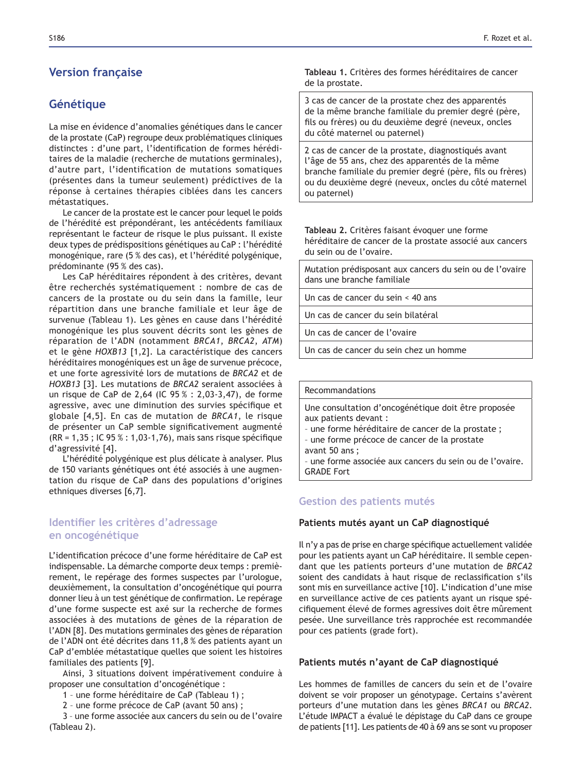# **Version française**

# **Génétique**

La mise en évidence d'anomalies génétiques dans le cancer de la prostate (CaP) regroupe deux problématiques cliniques distinctes : d'une part, l'identification de formes héréditaires de la maladie (recherche de mutations germinales), d'autre part, l'identification de mutations somatiques (présentes dans la tumeur seulement) prédictives de la réponse à certaines thérapies ciblées dans les cancers métastatiques.

Le cancer de la prostate est le cancer pour lequel le poids de l'hérédité est prépondérant, les antécédents familiaux représentant le facteur de risque le plus puissant. Il existe deux types de prédispositions génétiques au CaP : l'hérédité monogénique, rare (5 % des cas), et l'hérédité polygénique, prédominante (95 % des cas).

Les CaP héréditaires répondent à des critères, devant être recherchés systématiquement : nombre de cas de cancers de la prostate ou du sein dans la famille, leur répartition dans une branche familiale et leur âge de survenue (Tableau 1). Les gènes en cause dans l'hérédité monogénique les plus souvent décrits sont les gènes de réparation de l'ADN (notamment *BRCA1*, *BRCA2*, *ATM*) et le gène *HOXB13* [1,2]. La caractéristique des cancers héréditaires monogéniques est un âge de survenue précoce, et une forte agressivité lors de mutations de *BRCA2* et de *HOXB13* [3]. Les mutations de *BRCA2* seraient associées à un risque de CaP de 2,64 (IC  $95\% : 2,03-3,47$ ), de forme agressive, avec une diminution des survies spécifique et globale [4,5]. En cas de mutation de *BRCA1*, le risque de présenter un CaP semble significativement augmenté  $(RR = 1, 35; IC 95 % : 1, 03-1, 76)$ , mais sans risque spécifique d'agressivité [4].

L'hérédité polygénique est plus délicate à analyser. Plus de 150 variants génétiques ont été associés à une augmentation du risque de CaP dans des populations d'origines ethniques diverses [6,7].

# **Identifier les critères d'adressage en oncogénétique**

L'identification précoce d'une forme héréditaire de CaP est indispensable. La démarche comporte deux temps : premièrement, le repérage des formes suspectes par l'urologue, deuxièmement, la consultation d'oncogénétique qui pourra donner lieu à un test génétique de confirmation. Le repérage d'une forme suspecte est axé sur la recherche de formes associées à des mutations de gènes de la réparation de l'ADN [8]. Des mutations germinales des gènes de réparation de l'ADN ont été décrites dans 11,8 % des patients ayant un CaP d'emblée métastatique quelles que soient les histoires familiales des patients [9].

Ainsi, 3 situations doivent impérativement conduire à proposer une consultation d'oncogénétique :

1 – une forme héréditaire de CaP (Tableau 1) ;

2 – une forme précoce de CaP (avant 50 ans) ;

3 – une forme associée aux cancers du sein ou de l'ovaire (Tableau 2).

**Tableau 1.** Critères des formes héréditaires de cancer de la prostate.

3 cas de cancer de la prostate chez des apparentés de la même branche familiale du premier degré (père, fils ou frères) ou du deuxième degré (neveux, oncles du côté maternel ou paternel)

2 cas de cancer de la prostate, diagnostiqués avant l'âge de 55 ans, chez des apparentés de la même branche familiale du premier degré (père, fils ou frères) ou du deuxième degré (neveux, oncles du côté maternel ou paternel)

Tableau 2. Critères faisant évoquer une forme héréditaire de cancer de la prostate associé aux cancers du sein ou de l'ovaire.

Mutation prédisposant aux cancers du sein ou de l'ovaire dans une branche familiale

Un cas de cancer du sein < 40 ans

Un cas de cancer du sein bilatéral

Un cas de cancer de l'ovaire

Un cas de cancer du sein chez un homme

#### Recommandations

Une consultation d'oncogénétique doit être proposée aux patients devant :

– une forme héréditaire de cancer de la prostate ;

- une forme précoce de cancer de la prostate
- avant 50 ans ;

– une forme associée aux cancers du sein ou de l'ovaire. GRADE Fort

# **Gestion des patients mutés**

### Patients mutés ayant un CaP diagnostiqué

Il n'y a pas de prise en charge spécifique actuellement validée pour les patients ayant un CaP héréditaire. Il semble cependant que les patients porteurs d'une mutation de *BRCA2* soient des candidats à haut risque de reclassification s'ils sont mis en surveillance active [10]. L'indication d'une mise en surveillance active de ces patients ayant un risque spécifiquement élevé de formes agressives doit être mûrement pesée. Une surveillance très rapprochée est recommandée pour ces patients (grade fort).

# Patients mutés n'ayant de CaP diagnostiqué

Les hommes de familles de cancers du sein et de l'ovaire doivent se voir proposer un génotypage. Certains s'avèrent porteurs d'une mutation dans les gènes *BRCA1* ou *BRCA2*. L'étude IMPACT a évalué le dépistage du CaP dans ce groupe de patients [11]. Les patients de 40 à 69 ans se sont vu proposer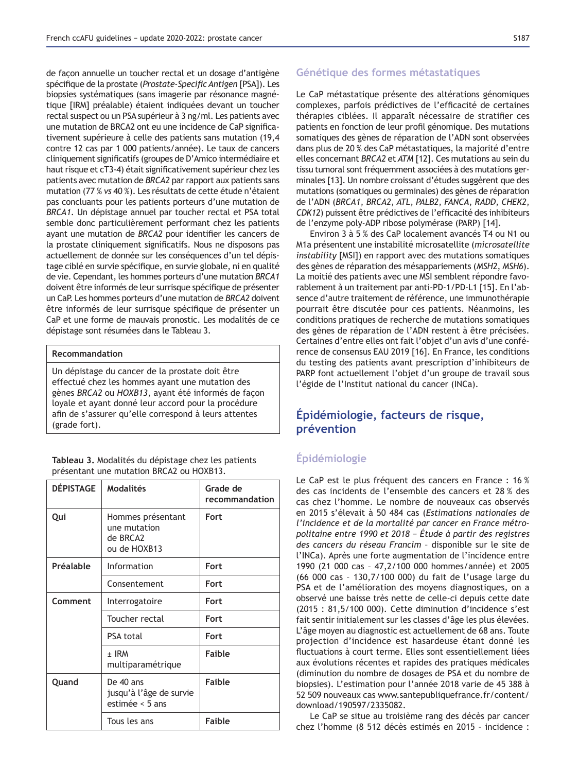de façon annuelle un toucher rectal et un dosage d'antigène spécifique de la prostate (Prostate-Specific Antigen [PSA]). Les biopsies systématiques (sans imagerie par résonance magnétique [IRM] préalable) étaient indiquées devant un toucher rectal suspect ou un PSA supérieur à 3 ng/ml. Les patients avec une mutation de BRCA2 ont eu une incidence de CaP significativement supérieure à celle des patients sans mutation (19,4 contre 12 cas par 1 000 patients/année). Le taux de cancers cliniquement significatifs (groupes de D'Amico intermédiaire et haut risque et cT3-4) était significativement supérieur chez les patients avec mutation de *BRCA2* par rapport aux patients sans mutation (77 % vs 40 %). Les résultats de cette étude n'étaient pas concluants pour les patients porteurs d'une mutation de *BRCA1*. Un dépistage annuel par toucher rectal et PSA total semble donc particulièrement performant chez les patients ayant une mutation de *BRCA2* pour identifier les cancers de la prostate cliniquement significatifs. Nous ne disposons pas actuellement de donnée sur les conséquences d'un tel dépistage ciblé en survie spécifique, en survie globale, ni en qualité de vie. Cependant, les hommes porteurs d'une mutation *BRCA1* doivent être informés de leur surrisque spécifique de présenter un CaP. Les hommes porteurs d'une mutation de *BRCA2* doivent être informés de leur surrisque spécifique de présenter un CaP et une forme de mauvais pronostic. Les modalités de ce dépistage sont résumées dans le Tableau 3.

#### **Recommandation**

Un dépistage du cancer de la prostate doit être effectué chez les hommes ayant une mutation des gènes *BRCA2* ou *HOXB13*, ayant été informés de façon loyale et ayant donné leur accord pour la procédure afin de s'assurer qu'elle correspond à leurs attentes (grade fort).

**Tableau 3.** Modalités du dépistage chez les patients présentant une mutation BRCA2 ou HOXB13.

| <b>DÉPISTAGE</b> | <b>Modalités</b>                                              | Grade de<br>recommandation |
|------------------|---------------------------------------------------------------|----------------------------|
| Qui              | Hommes présentant<br>une mutation<br>de BRCA2<br>ou de HOXB13 | <b>Fort</b>                |
| Préalable        | Information                                                   | Fort                       |
|                  | Consentement                                                  | Fort                       |
| Comment          | Interrogatoire                                                | <b>Fort</b>                |
|                  | Toucher rectal                                                | <b>Fort</b>                |
|                  | <b>PSA total</b>                                              | Fort                       |
|                  | $±$ IRM<br>multiparamétrique                                  | <b>Faible</b>              |
| Quand            | De 40 ans<br>jusqu'à l'âge de survie<br>estimée < 5 ans       | <b>Faible</b>              |
|                  | Tous les ans                                                  | <b>Faible</b>              |

# **Génétique des formes métastatiques**

Le CaP métastatique présente des altérations génomiques complexes, parfois prédictives de l'efficacité de certaines thérapies ciblées. Il apparaît nécessaire de stratifier ces patients en fonction de leur profil génomique. Des mutations somatiques des gènes de réparation de l'ADN sont observées dans plus de 20 % des CaP métastatiques, la majorité d'entre elles concernant *BRCA2* et *ATM* [12]. Ces mutations au sein du tissu tumoral sont fréquemment associées à des mutations germinales [13]. Un nombre croissant d'études suggèrent que des mutations (somatiques ou germinales) des gènes de réparation de l'ADN (*BRCA1*, *BRCA2*, *ATL*, *PALB2*, *FANCA*, *RADD*, *CHEK2*, *CDK12*) puissent être prédictives de l'efficacité des inhibiteurs de l'enzyme poly-ADP ribose polymérase (PARP) [14].

Environ 3 à 5 % des CaP localement avancés T4 ou N1 ou M1a présentent une instabilité microsatellite (*microsatellite instability* [MSI]) en rapport avec des mutations somatiques des gènes de réparation des mésappariements (*MSH2*, *MSH6*). La moitié des patients avec une MSI semblent répondre favorablement à un traitement par anti-PD-1/PD-L1 [15]. En l'absence d'autre traitement de référence, une immunothérapie pourrait être discutée pour ces patients. Néanmoins, les conditions pratiques de recherche de mutations somatiques des gènes de réparation de l'ADN restent à être précisées. Certaines d'entre elles ont fait l'objet d'un avis d'une conférence de consensus EAU 2019 [16]. En France, les conditions du testing des patients avant prescription d'inhibiteurs de PARP font actuellement l'objet d'un groupe de travail sous l'égide de l'Institut national du cancer (INCa).

# Épidémiologie, facteurs de risque, **prévention**

# **Épidémiologie**

Le CaP est le plus fréquent des cancers en France : 16 % des cas incidents de l'ensemble des cancers et 28 % des cas chez l'homme. Le nombre de nouveaux cas observés en 2015 s'élevait à 50 484 cas (*Estimations nationales de l'incidence et de la mortalité par cancer en France métropolitaine entre 1990 et 2018 – Étude à partir des registres des cancers du réseau Francim* – disponible sur le site de l'INCa). Après une forte augmentation de l'incidence entre 1990 (21 000 cas - 47,2/100 000 hommes/année) et 2005 (66 000 cas - 130,7/100 000) du fait de l'usage large du PSA et de l'amélioration des moyens diagnostiques, on a observé une baisse très nette de celle-ci depuis cette date (2015 : 81,5/100 000). Cette diminution d'incidence s'est fait sentir initialement sur les classes d'âge les plus élevées. L'âge moyen au diagnostic est actuellement de 68 ans. Toute projection d'incidence est hasardeuse étant donné les fluctuations à court terme. Elles sont essentiellement liées aux évolutions récentes et rapides des pratiques médicales (diminution du nombre de dosages de PSA et du nombre de biopsies). L'estimation pour l'année 2018 varie de 45 388 à 52 509 nouveaux cas www.santepubliquefrance.fr/content/ download/190597/2335082.

Le CaP se situe au troisième rang des décès par cancer chez l'homme (8 512 décès estimés en 2015 – incidence :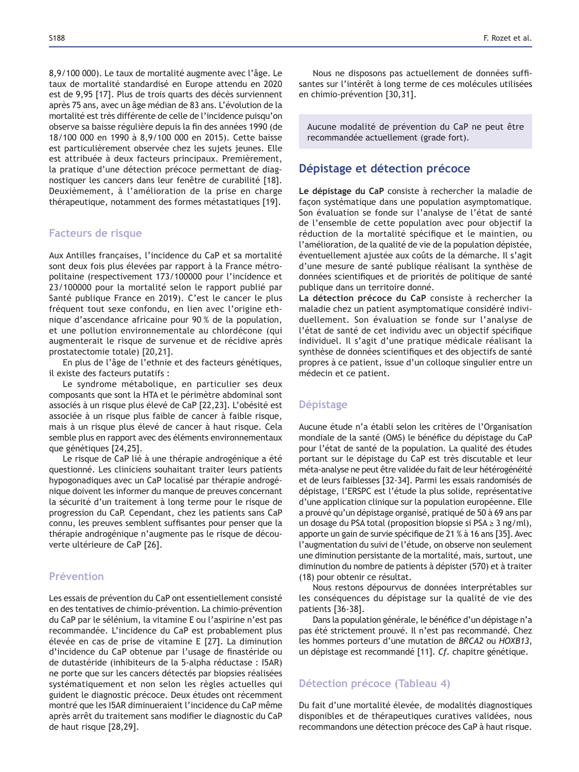8,9/100 000). Le taux de mortalité augmente avec l'âge. Le taux de mortalité standardisé en Europe attendu en 2020 est de 9,95 [17]. Plus de trois quarts des décès surviennent après 75 ans, avec un âge médian de 83 ans. L'évolution de la mortalité est très différente de celle de l'incidence puisqu'on observe sa baisse régulière depuis la fin des années 1990 (de 18/100 000 en 1990 à 8,9/100 000 en 2015). Cette baisse est particulièrement observée chez les sujets jeunes. Elle est attribuée à deux facteurs principaux. Premièrement, la pratique d'une détection précoce permettant de diagnostiquer les cancers dans leur fenêtre de curabilité [18]. Deuxièmement, à l'amélioration de la prise en charge thérapeutique, notamment des formes métastatiques [19].

### **Facteurs de risque**

Aux Antilles françaises, l'incidence du CaP et sa mortalité sont deux fois plus élevées par rapport à la France métropolitaine (respectivement 173/100000 pour l'incidence et 23/100000 pour la mortalité selon le rapport publié par Santé publique France en 2019). C'est le cancer le plus fréquent tout sexe confondu, en lien avec l'origine ethnique d'ascendance africaine pour 90 % de la population, et une pollution environnementale au chlordécone (qui augmenterait le risque de survenue et de récidive après prostatectomie totale) [20,21].

En plus de l'âge de l'ethnie et des facteurs génétiques, il existe des facteurs putatifs :

Le syndrome métabolique, en particulier ses deux composants que sont la HTA et le périmètre abdominal sont associés à un risque plus élevé de CaP [22,23]. L'obésité est associée à un risque plus faible de cancer à faible risque, mais à un risque plus élevé de cancer à haut risque. Cela semble plus en rapport avec des éléments environnementaux que génétiques [24,25].

Le risque de CaP lié à une thérapie androgénique a été questionné. Les cliniciens souhaitant traiter leurs patients hypogonadiques avec un CaP localisé par thérapie androgénique doivent les informer du manque de preuves concernant la sécurité d'un traitement à long terme pour le risque de progression du CaP. Cependant, chez les patients sans CaP connu, les preuves semblent suffisantes pour penser que la thérapie androgénique n'augmente pas le risque de découverte ultérieure de CaP [26].

# **Prévention**

Les essais de prévention du CaP ont essentiellement consisté en des tentatives de chimio-prévention. La chimio-prévention du CaP par le sélénium, la vitamine E ou l'aspirine n'est pas recommandée. L'incidence du CaP est probablement plus élevée en cas de prise de vitamine E [27]. La diminution d'incidence du CaP obtenue par l'usage de finastéride ou de dutastéride (inhibiteurs de la 5-alpha réductase : I5AR) ne porte que sur les cancers détectés par biopsies réalisées systématiquement et non selon les règles actuelles qui guident le diagnostic précoce. Deux études ont récemment montré que les I5AR diminueraient l'incidence du CaP même après arrêt du traitement sans modifier le diagnostic du CaP de haut risque [28,29].

Nous ne disposons pas actuellement de données suffisantes sur l'intérêt à long terme de ces molécules utilisées en chimio-prévention [30,31].

Aucune modalité de prévention du CaP ne peut être recommandée actuellement (grade fort).

# **Dépistage et détection précoce**

Le dépistage du CaP consiste à rechercher la maladie de façon systématique dans une population asymptomatique. Son évaluation se fonde sur l'analyse de l'état de santé de l'ensemble de cette population avec pour objectif la réduction de la mortalité spécifique et le maintien, ou l'amélioration, de la qualité de vie de la population dépistée, éventuellement ajustée aux coûts de la démarche. Il s'agit d'une mesure de santé publique réalisant la synthèse de données scientifiques et de priorités de politique de santé publique dans un territoire donné.

La détection précoce du CaP consiste à rechercher la maladie chez un patient asymptomatique considéré individuellement. Son évaluation se fonde sur l'analyse de l'état de santé de cet individu avec un objectif spécifique individuel. Il s'agit d'une pratique médicale réalisant la synthèse de données scientifiques et des objectifs de santé propres à ce patient, issue d'un colloque singulier entre un médecin et ce patient.

# **Dépistage**

Aucune étude n'a établi selon les critères de l'Organisation mondiale de la santé (OMS) le bénéfice du dépistage du CaP pour l'état de santé de la population. La qualité des études portant sur le dépistage du CaP est très discutable et leur méta-analyse ne peut être validée du fait de leur hétérogénéité et de leurs faiblesses [32-34]. Parmi les essais randomisés de dépistage, l'ERSPC est l'étude la plus solide, représentative d'une application clinique sur la population européenne. Elle a prouvé qu'un dépistage organisé, pratiqué de 50 à 69 ans par un dosage du PSA total (proposition biopsie si PSA  $\geq$  3 ng/ml), apporte un gain de survie spécifique de 21 % à 16 ans [35]. Avec l'augmentation du suivi de l'étude, on observe non seulement une diminution persistante de la mortalité, mais, surtout, une diminution du nombre de patients à dépister (570) et à traiter (18) pour obtenir ce résultat.

Nous restons dépourvus de données interprétables sur les conséquences du dépistage sur la qualité de vie des patients [36-38].

Dans la population générale, le bénéfice d'un dépistage n'a pas été strictement prouvé. Il n'est pas recommandé. Chez les hommes porteurs d'une mutation de *BRCA2* ou *HOXB13*, un dépistage est recommandé [11]. *Cf.* chapitre génétique.

# **Détection précoce (Tableau 4)**

Du fait d'une mortalité élevée, de modalités diagnostiques disponibles et de thérapeutiques curatives validées, nous recommandons une détection précoce des CaP à haut risque.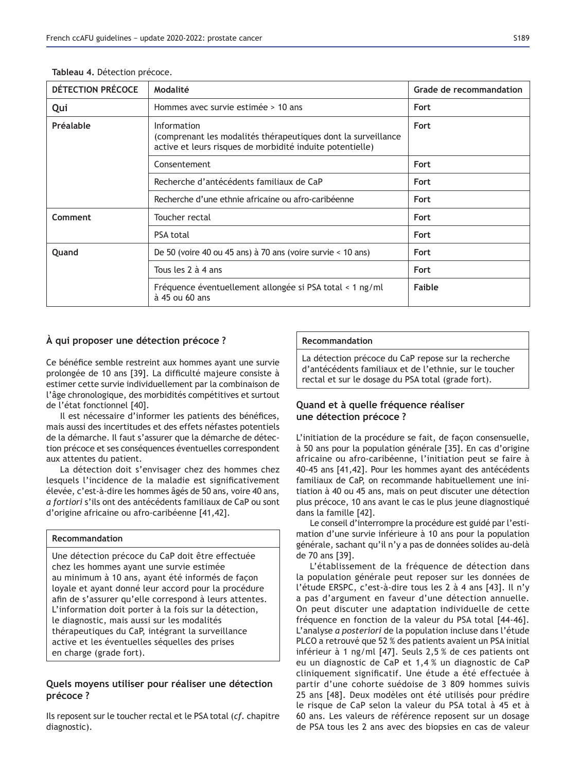| <b>DÉTECTION PRÉCOCE</b> | Modalité                                                                                                                                         | Grade de recommandation |
|--------------------------|--------------------------------------------------------------------------------------------------------------------------------------------------|-------------------------|
| Qui                      | Hommes avec survie estimée > 10 ans                                                                                                              | Fort                    |
| Préalable                | <b>Information</b><br>(comprenant les modalités thérapeutiques dont la surveillance<br>active et leurs risques de morbidité induite potentielle) | Fort                    |
|                          | Consentement                                                                                                                                     | Fort                    |
|                          | Recherche d'antécédents familiaux de CaP                                                                                                         | Fort                    |
|                          | Recherche d'une ethnie africaine ou afro-caribéenne                                                                                              | Fort                    |
| Comment                  | Toucher rectal                                                                                                                                   | Fort                    |
|                          | <b>PSA total</b>                                                                                                                                 | Fort                    |
| Quand                    | De 50 (voire 40 ou 45 ans) à 70 ans (voire survie $<$ 10 ans)                                                                                    | Fort                    |
|                          | Tous les 2 à 4 ans                                                                                                                               | Fort                    |
|                          | Fréquence éventuellement allongée si PSA total < 1 ng/ml<br>$\dot{a}$ 45 ou 60 ans                                                               | Faible                  |

Tableau 4. Détection précoce.

# À qui proposer une détection précoce?

Ce bénéfice semble restreint aux hommes ayant une survie prolongée de 10 ans [39]. La difficulté majeure consiste à estimer cette survie individuellement par la combinaison de l'âge chronologique, des morbidités compétitives et surtout de l'état fonctionnel [40].

Il est nécessaire d'informer les patients des bénéfices, mais aussi des incertitudes et des effets néfastes potentiels de la démarche. Il faut s'assurer que la démarche de détection précoce et ses conséquences éventuelles correspondent aux attentes du patient.

La détection doit s'envisager chez des hommes chez lesquels l'incidence de la maladie est significativement élevée, c'est-à-dire les hommes âgés de 50 ans, voire 40 ans, *a fortiori* s'ils ont des antécédents familiaux de CaP ou sont d'origine africaine ou afro-caribéenne [41,42].

# **Recommandation**

Une détection précoce du CaP doit être effectuée chez les hommes ayant une survie estimée au minimum à 10 ans, ayant été informés de façon loyale et ayant donné leur accord pour la procédure afin de s'assurer qu'elle correspond à leurs attentes. L'information doit porter à la fois sur la détection, le diagnostic, mais aussi sur les modalités thérapeutiques du CaP, intégrant la surveillance active et les éventuelles séquelles des prises en charge (grade fort).

# Quels moyens utiliser pour réaliser une détection précoce?

Ils reposent sur le toucher rectal et le PSA total (*cf.* chapitre diagnostic).

# **Recommandation**

La détection précoce du CaP repose sur la recherche d'antécédents familiaux et de l'ethnie, sur le toucher rectal et sur le dosage du PSA total (grade fort).

# Quand et à quelle fréquence réaliser **x** une détection précoce ?

L'initiation de la procédure se fait, de facon consensuelle, à 50 ans pour la population générale [35]. En cas d'origine africaine ou afro-caribéenne, l'initiation peut se faire à 40-45 ans [41,42]. Pour les hommes ayant des antécédents familiaux de CaP, on recommande habituellement une initiation à 40 ou 45 ans, mais on peut discuter une détection plus précoce, 10 ans avant le cas le plus jeune diagnostiqué dans la famille [42].

Le conseil d'interrompre la procédure est guidé par l'estimation d'une survie inférieure à 10 ans pour la population générale, sachant qu'il n'y a pas de données solides au-delà de 70 ans [39].

L'établissement de la fréquence de détection dans la population générale peut reposer sur les données de l'étude ERSPC, c'est-à-dire tous les 2 à 4 ans [43]. Il n'y a pas d'argument en faveur d'une détection annuelle. On peut discuter une adaptation individuelle de cette fréquence en fonction de la valeur du PSA total [44-46]. L'analyse *a posteriori* de la population incluse dans l'étude PLCO a retrouvé que 52 % des patients avaient un PSA initial inférieur à 1 ng/ml [47]. Seuls  $2,5%$  de ces patients ont eu un diagnostic de CaP et 1,4 % un diagnostic de CaP cliniquement significatif. Une étude a été effectuée à partir d'une cohorte suédoise de 3 809 hommes suivis 25 ans [48]. Deux modèles ont été utilisés pour prédire le risque de CaP selon la valeur du PSA total à 45 et à 60 ans. Les valeurs de référence reposent sur un dosage de PSA tous les 2 ans avec des biopsies en cas de valeur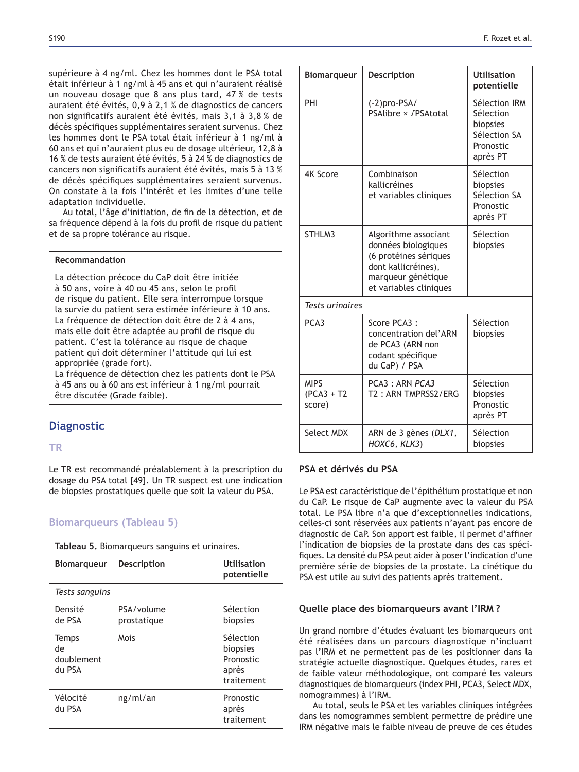supérieure à 4 ng/ml. Chez les hommes dont le PSA total était inférieur à 1 ng/ml à 45 ans et qui n'auraient réalisé un nouveau dosage que 8 ans plus tard,  $47\%$  de tests auraient été évités, 0,9 à 2,1 % de diagnostics de cancers non significatifs auraient été évités, mais 3,1 à 3,8 % de décès spécifiques supplémentaires seraient survenus. Chez les hommes dont le PSA total était inférieur à 1 ng/ml à 60 ans et qui n'auraient plus eu de dosage ultérieur, 12,8 à 16 % de tests auraient été évités, 5 à 24 % de diagnostics de cancers non significatifs auraient été évités, mais 5 à 13 % de décès spécifiques supplémentaires seraient survenus. On constate à la fois l'intérêt et les limites d'une telle adaptation individuelle.

Au total, l'âge d'initiation, de fin de la détection, et de sa fréquence dépend à la fois du profil de risque du patient et de sa propre tolérance au risque.

#### **Recommandation**

La détection précoce du CaP doit être initiée à 50 ans, voire à 40 ou 45 ans, selon le profil de risque du patient. Elle sera interrompue lorsque la survie du patient sera estimée inférieure à 10 ans. La fréquence de détection doit être de 2 à 4 ans, mais elle doit être adaptée au profil de risque du patient. C'est la tolérance au risque de chaque patient qui doit déterminer l'attitude qui lui est appropriée (grade fort).

La fréquence de détection chez les patients dont le PSA à 45 ans ou à 60 ans est inférieur à 1 ng/ml pourrait être discutée (Grade faible).

# **Diagnostic**

# **75**

Le TR est recommandé préalablement à la prescription du dosage du PSA total [49]. Un TR suspect est une indication de biopsies prostatiques quelle que soit la valeur du PSA.

# **Biomarqueurs (Tableau 5)**

Tableau 5. Biomarqueurs sanguins et urinaires.

| <b>Biomarqueur</b>                         | <b>Description</b>        | <b>Utilisation</b><br>potentielle                         |
|--------------------------------------------|---------------------------|-----------------------------------------------------------|
| Tests sanguins                             |                           |                                                           |
| Densité<br>de PSA                          | PSA/volume<br>prostatique | Sélection<br>biopsies                                     |
| <b>Temps</b><br>de<br>doublement<br>du PSA | Mois                      | Sélection<br>biopsies<br>Pronostic<br>après<br>traitement |
| Vélocité<br>du PSA                         | ng/ml/an                  | Pronostic<br>après<br>traitement                          |

| <b>Biomarqueur</b>                     | Description                                                                                                                                 | <b>Utilisation</b><br>potentielle                                               |
|----------------------------------------|---------------------------------------------------------------------------------------------------------------------------------------------|---------------------------------------------------------------------------------|
| PHI                                    | $(-2)$ pro-PSA/<br>PSAlibre × /PSAtotal                                                                                                     | Sélection IRM<br>Sélection<br>biopsies<br>Sélection SA<br>Pronostic<br>après PT |
| <b>4K Score</b>                        | Combinaison<br>kallicréines<br>et variables cliniques                                                                                       | Sélection<br>biopsies<br>Sélection SA<br>Pronostic<br>après PT                  |
| STHLM3                                 | Algorithme associant<br>données biologiques<br>(6 protéines sériques<br>dont kallicréines),<br>marqueur génétique<br>et variables cliniques | Sélection<br>biopsies                                                           |
| <b>Tests uringires</b>                 |                                                                                                                                             |                                                                                 |
| PCA3                                   | Score $PCA3$ :<br>concentration del'ARN<br>de PCA3 (ARN non<br>codant spécifique<br>du CaP) / PSA                                           | Sélection<br>biopsies                                                           |
| <b>MIPS</b><br>$(PCA3 + T2)$<br>score) | PCA3: ARN PCA3<br>T2: ARN TMPRSS2/ERG                                                                                                       | Sélection<br>biopsies<br>Pronostic<br>après PT                                  |
| Select MDX                             | ARN de 3 gènes (DLX1,<br>HOXC6, KLK3)                                                                                                       | Sélection<br>biopsies                                                           |

### **26 PSA et dérivés du PSA**

Le PSA est caractéristique de l'épithélium prostatique et non du CaP. Le risque de CaP augmente avec la valeur du PSA total. Le PSA libre n'a que d'exceptionnelles indications, celles-ci sont réservées aux patients n'ayant pas encore de diagnostic de CaP. Son apport est faible, il permet d'affiner l'indication de biopsies de la prostate dans des cas spécifiques. La densité du PSA peut aider à poser l'indication d'une première série de biopsies de la prostate. La cinétique du PSA est utile au suivi des patients après traitement.

# Quelle place des biomarqueurs avant l'IRM ?

Un grand nombre d'études évaluant les biomarqueurs ont été réalisées dans un parcours diagnostique n'incluant pas l'IRM et ne permettent pas de les positionner dans la stratégie actuelle diagnostique. Quelques études, rares et de faible valeur méthodologique, ont comparé les valeurs diagnostiques de biomarqueurs (index PHI, PCA3, Select MDX, nomogrammes) à l'IRM.

Au total, seuls le PSA et les variables cliniques intégrées dans les nomogrammes semblent permettre de prédire une IRM négative mais le faible niveau de preuve de ces études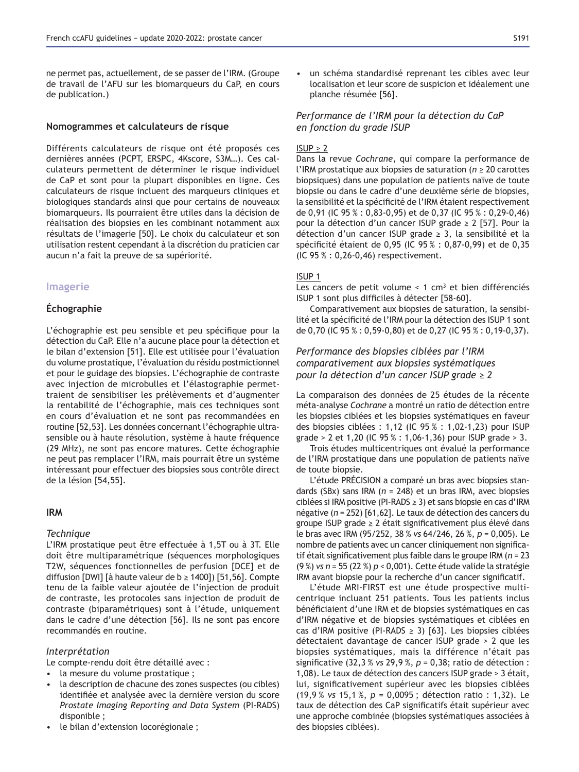ne permet pas, actuellement, de se passer de l'IRM. (Groupe de travail de l'AFU sur les biomarqueurs du CaP, en cours de publication.)

#### **Nomogrammes et calculateurs de risque**

Différents calculateurs de risque ont été proposés ces dernières années (PCPT, ERSPC, 4Kscore, S3M…). Ces calculateurs permettent de déterminer le risque individuel de CaP et sont pour la plupart disponibles en ligne. Ces calculateurs de risque incluent des marqueurs cliniques et biologiques standards ainsi que pour certains de nouveaux biomarqueurs. Ils pourraient être utiles dans la décision de réalisation des biopsies en les combinant notamment aux résultats de l'imagerie [50]. Le choix du calculateur et son utilisation restent cependant à la discrétion du praticien car aucun n'a fait la preuve de sa supériorité.

#### **Imagerie**

# **Échographie**

L'échographie est peu sensible et peu spécifique pour la détection du CaP. Elle n'a aucune place pour la détection et le bilan d'extension [51]. Elle est utilisée pour l'évaluation du volume prostatique, l'évaluation du résidu postmictionnel et pour le guidage des biopsies. L'échographie de contraste avec injection de microbulles et l'élastographie permettraient de sensibiliser les prélèvements et d'augmenter la rentabilité de l'échographie, mais ces techniques sont en cours d'évaluation et ne sont pas recommandées en routine [52,53]. Les données concernant l'échographie ultrasensible ou à haute résolution, système à haute fréquence (29 MHz), ne sont pas encore matures. Cette échographie ne peut pas remplacer l'IRM, mais pourrait être un système intéressant pour effectuer des biopsies sous contrôle direct de la lésion [54,55].

### **IRM**

#### *Technique*

L'IRM prostatique peut être effectuée à 1,5T ou à 3T. Elle doit être multiparamétrique (séquences morphologiques T2W, séquences fonctionnelles de perfusion [DCE] et de diffusion [DWI] [à haute valeur de  $b \ge 1400$ ]) [51,56]. Compte tenu de la faible valeur ajoutée de l'injection de produit de contraste, les protocoles sans injection de produit de contraste (biparamétriques) sont à l'étude, uniquement dans le cadre d'une détection [56]. Ils ne sont pas encore recommandés en routine.

#### *Interprétation*

Le compte-rendu doit être détaillé avec :

- la mesure du volume prostatique ;
- la description de chacune des zones suspectes (ou cibles) identifiée et analysée avec la dernière version du score *Prostate Imaging Reporting and Data System* (PI-RADS) disponible ;
- le bilan d'extension locorégionale ;

• un schéma standardisé reprenant les cibles avec leur localisation et leur score de suspicion et idéalement une planche résumée [56].

### *Performance de l'IRM pour la détection du CaP en fonction du grade ISUP*

### $ISUP \geq 2$

Dans la revue *Cochrane*, qui compare la performance de l'IRM prostatique aux biopsies de saturation ( $n \geq 20$  carottes biopsiques) dans une population de patients naïve de toute biopsie ou dans le cadre d'une deuxième série de biopsies, la sensibilité et la spécificité de l'IRM étaient respectivement de 0,91 (IC 95  $\%$  : 0,83-0,95) et de 0,37 (IC 95  $\%$  : 0,29-0,46) pour la détection d'un cancer ISUP grade  $\geq$  2 [57]. Pour la détection d'un cancer ISUP grade  $\geq$  3, la sensibilité et la spécificité étaient de 0,95 (IC 95 % : 0,87-0,99) et de 0,35 (IC 95 % : 0,26-0,46) respectivement.

# ISUP 1

Les cancers de petit volume  $< 1$  cm<sup>3</sup> et bien différenciés ISUP 1 sont plus difficiles à détecter [58-60].

Comparativement aux biopsies de saturation, la sensibilité et la spécificité de l'IRM pour la détection des ISUP 1 sont de 0,70 (IC 95 % : 0,59-0,80) et de 0,27 (IC 95 % : 0,19-0,37).

# *Performance des biopsies ciblées par l'IRM comparativement aux biopsies systématiques Dour la détection d'un cancer ISUP grade*  $\geq 2$

La comparaison des données de 25 études de la récente méta-analyse *Cochrane* a montré un ratio de détection entre les biopsies ciblées et les biopsies systématiques en faveur des biopsies ciblées : 1,12 (IC 95 % : 1,02-1,23) pour ISUP grade > 2 et 1,20 (IC 95 % : 1,06-1,36) pour ISUP grade > 3.

Trois études multicentriques ont évalué la performance de l'IRM prostatique dans une population de patients naïve de toute biopsie.

L'étude PRÉCISION a comparé un bras avec biopsies standards (SBx) sans IRM (*n* = 248) et un bras IRM, avec biopsies ciblées si IRM positive (PI-RADS  $\geq$  3) et sans biopsie en cas d'IRM négative (*n* = 252) [61,62]. Le taux de détection des cancers du groupe ISUP grade  $\geq 2$  était significativement plus élevé dans le bras avec IRM (95/252, 38 % *vs* 64/246, 26 %, *p* = 0,005). Le nombre de patients avec un cancer cliniquement non significatif était significativement plus faible dans le groupe IRM (n = 23 (9 %) *vs n* = 55 (22 %) *p* < 0,001). Cette étude valide la stratégie IRM avant biopsie pour la recherche d'un cancer significatif.

L'étude MRI-FIRST est une étude prospective multicentrique incluant 251 patients. Tous les patients inclus bénéficiaient d'une IRM et de biopsies systématiques en cas d'IRM négative et de biopsies systématiques et ciblées en cas d'IRM positive (PI-RADS  $\geq$  3) [63]. Les biopsies ciblées détectaient davantage de cancer ISUP grade > 2 que les biopsies systématiques, mais la différence n'était pas significative  $(32,3 %$  vs 29,9%,  $p = 0,38$ ; ratio de détection : 1,08). Le taux de détection des cancers ISUP grade > 3 était, lui, significativement supérieur avec les biopsies ciblées (19,9 % *vs* 15,1 %, *p* = 0,0095 ; détection ratio : 1,32). Le taux de détection des CaP significatifs était supérieur avec une approche combinée (biopsies systématiques associées à des biopsies ciblées).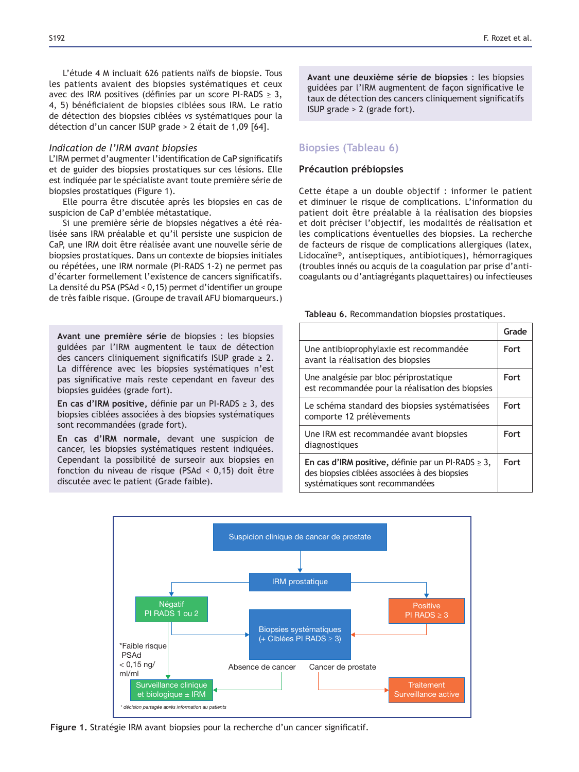L'étude 4 M incluait 626 patients naïfs de biopsie. Tous les patients avaient des biopsies systématiques et ceux avec des IRM positives (définies par un score PI-RADS  $\geq 3$ , 4, 5) bénéficiaient de biopsies ciblées sous IRM. Le ratio de détection des biopsies ciblées *vs* systématiques pour la détection d'un cancer ISUP grade > 2 était de 1,09 [64].

#### *Indication de l'IRM avant biopsies*

L'IRM permet d'augmenter l'identification de CaP significatifs et de guider des biopsies prostatiques sur ces lésions. Elle est indiquée par le spécialiste avant toute première série de biopsies prostatiques (Figure 1).

Elle pourra être discutée après les biopsies en cas de suspicion de CaP d'emblée métastatique.

Si une première série de biopsies négatives a été réalisée sans IRM préalable et qu'il persiste une suspicion de CaP, une IRM doit être réalisée avant une nouvelle série de biopsies prostatiques. Dans un contexte de biopsies initiales ou répétées, une IRM normale (PI-RADS 1-2) ne permet pas d'écarter formellement l'existence de cancers significatifs. La densité du PSA (PSAd < 0,15) permet d'identifier un groupe de très faible risque. (Groupe de travail AFU biomarqueurs.)

Avant une première série de biopsies : les biopsies guidées par l'IRM augmentent le taux de détection des cancers cliniquement significatifs ISUP grade  $\geq 2$ . La différence avec les biopsies systématiques n'est pas significative mais reste cependant en faveur des biopsies guidées (grade fort).

En cas d'IRM positive, définie par un PI-RADS  $\geq$  3, des biopsies ciblées associées à des biopsies systématiques sont recommandées (grade fort).

En cas d'IRM normale, devant une suspicion de cancer, les biopsies systématiques restent indiquées. Cependant la possibilité de surseoir aux biopsies en fonction du niveau de risque (PSAd < 0,15) doit être discutée avec le patient (Grade faible).

Avant une deuxième série de biopsies : les biopsies guidées par l'IRM augmentent de façon significative le taux de détection des cancers cliniquement significatifs ISUP grade > 2 (grade fort).

# **Biopsies (Tableau 6)**

### **Précaution prébiopsies**

Cette étape a un double objectif : informer le patient et diminuer le risque de complications. L'information du patient doit être préalable à la réalisation des biopsies et doit préciser l'objectif, les modalités de réalisation et les complications éventuelles des biopsies. La recherche de facteurs de risque de complications allergiques (latex, Lidocaïne®, antiseptiques, antibiotiques), hémorragiques (troubles innés ou acquis de la coagulation par prise d'anticoagulants ou d'antiagrégants plaquettaires) ou infectieuses

Tableau 6. Recommandation biopsies prostatiques.

|                                                                                                                                              | Grade |
|----------------------------------------------------------------------------------------------------------------------------------------------|-------|
| Une antibioprophylaxie est recommandée<br>avant la réalisation des biopsies                                                                  | Fort  |
| Une analgésie par bloc périprostatique<br>est recommandée pour la réalisation des biopsies                                                   | Fort  |
| Le schéma standard des biopsies systématisées<br>comporte 12 prélèvements                                                                    | Fort  |
| Une IRM est recommandée avant biopsies<br>diagnostiques                                                                                      | Fort  |
| En cas d'IRM positive, définie par un PI-RADS $\geq 3$ ,<br>des biopsies ciblées associées à des biopsies<br>systématiques sont recommandées | Fort  |



**Figure 1.** Stratégie IRM avant biopsies pour la recherche d'un cancer significatif.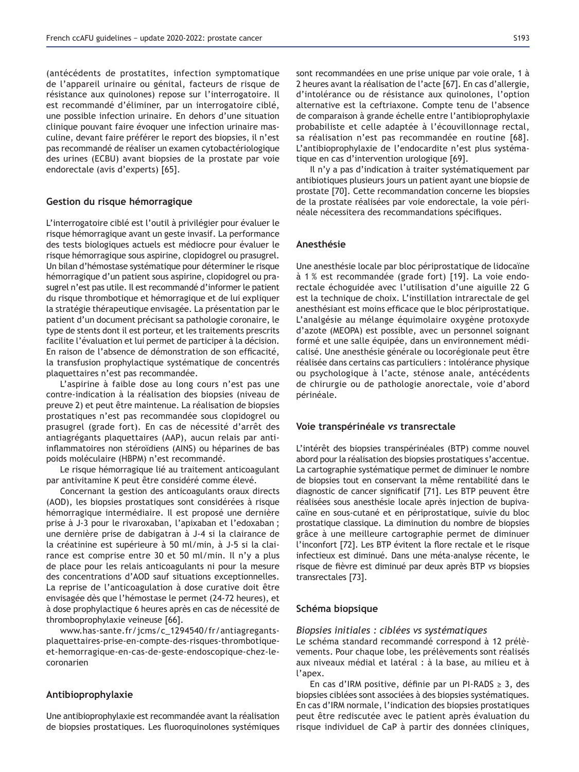(antécédents de prostatites, infection symptomatique de l'appareil urinaire ou génital, facteurs de risque de résistance aux quinolones) repose sur l'interrogatoire. Il est recommandé d'éliminer, par un interrogatoire ciblé, une possible infection urinaire. En dehors d'une situation clinique pouvant faire évoquer une infection urinaire masculine, devant faire préférer le report des biopsies, il n'est pas recommandé de réaliser un examen cytobactériologique des urines (ECBU) avant biopsies de la prostate par voie endorectale (avis d'experts) [65].

#### **Gestion du risque hémorragique**

L'interrogatoire ciblé est l'outil à privilégier pour évaluer le risque hémorragique avant un geste invasif. La performance des tests biologiques actuels est médiocre pour évaluer le risque hémorragique sous aspirine, clopidogrel ou prasugrel. Un bilan d'hémostase systématique pour déterminer le risque hémorragique d'un patient sous aspirine, clopidogrel ou prasugrel n'est pas utile. Il est recommandé d'informer le patient du risque thrombotique et hémorragique et de lui expliquer la stratégie thérapeutique envisagée. La présentation par le patient d'un document précisant sa pathologie coronaire, le type de stents dont il est porteur, et les traitements prescrits facilite l'évaluation et lui permet de participer à la décision. En raison de l'absence de démonstration de son efficacité, la transfusion prophylactique systématique de concentrés plaquettaires n'est pas recommandée.

L'aspirine à faible dose au long cours n'est pas une contre-indication à la réalisation des biopsies (niveau de preuve 2) et peut être maintenue. La réalisation de biopsies prostatiques n'est pas recommandée sous clopidogrel ou prasugrel (grade fort). En cas de nécessité d'arrêt des antiagrégants plaquettaires (AAP), aucun relais par antiinflammatoires non stéroïdiens (AINS) ou héparines de bas poids moléculaire (HBPM) n'est recommandé.

Le risque hémorragique lié au traitement anticoagulant par antivitamine K peut être considéré comme élevé.

Concernant la gestion des anticoagulants oraux directs (AOD), les biopsies prostatiques sont considérées à risque hémorragique intermédiaire. Il est proposé une dernière prise à J-3 pour le rivaroxaban, l'apixaban et l'edoxaban ; une dernière prise de dabigatran à J-4 si la clairance de la créatinine est supérieure à 50 ml/min, à J-5 si la clairance est comprise entre 30 et 50 ml/min. Il n'y a plus de place pour les relais anticoagulants ni pour la mesure des concentrations d'AOD sauf situations exceptionnelles. La reprise de l'anticoagulation à dose curative doit être envisagée dès que l'hémostase le permet (24-72 heures), et à dose prophylactique 6 heures après en cas de nécessité de thromboprophylaxie veineuse [66].

www.has-sante.fr/jcms/c\_1294540/fr/antiagregantsplaquettaires-prise-en-compte-des-risques-thrombotiqueet-hemorragique-en-cas-de-geste-endoscopique-chez-lecoronarien

### Antibioprophylaxie

Une antibioprophylaxie est recommandée avant la réalisation de biopsies prostatiques. Les fluoroquinolones systémiques sont recommandées en une prise unique par voie orale, 1 à 2 heures avant la réalisation de l'acte [67]. En cas d'allergie, d'intolérance ou de résistance aux quinolones, l'option alternative est la ceftriaxone. Compte tenu de l'absence de comparaison à grande échelle entre l'antibioprophylaxie probabiliste et celle adaptée à l'écouvillonnage rectal, sa réalisation n'est pas recommandée en routine [68]. L'antibioprophylaxie de l'endocardite n'est plus systématique en cas d'intervention urologique [69].

Il n'y a pas d'indication à traiter systématiquement par antibiotiques plusieurs jours un patient ayant une biopsie de prostate [70]. Cette recommandation concerne les biopsies de la prostate réalisées par voie endorectale, la voie périnéale nécessitera des recommandations spécifiques.

### **Anesthésie**

Une anesthésie locale par bloc périprostatique de lidocaïne à 1 % est recommandée (grade fort) [19]. La voie endorectale échoguidée avec l'utilisation d'une aiguille 22 G est la technique de choix. L'instillation intrarectale de gel anesthésiant est moins efficace que le bloc périprostatique. L'analgésie au mélange équimolaire oxygène protoxyde d'azote (MEOPA) est possible, avec un personnel soignant formé et une salle équipée, dans un environnement médicalisé. Une anesthésie générale ou locorégionale peut être réalisée dans certains cas particuliers : intolérance physique ou psychologique à l'acte, sténose anale, antécédents de chirurgie ou de pathologie anorectale, voie d'abord périnéale.

#### **Voie transpérinéale vs transrectale**

L'intérêt des biopsies transpérinéales (BTP) comme nouvel abord pour la réalisation des biopsies prostatiques s'accentue. La cartographie systématique permet de diminuer le nombre de biopsies tout en conservant la même rentabilité dans le diagnostic de cancer significatif [71]. Les BTP peuvent être réalisées sous anesthésie locale après injection de bupivacaïne en sous-cutané et en périprostatique, suivie du bloc prostatique classique. La diminution du nombre de biopsies grâce à une meilleure cartographie permet de diminuer l'inconfort [72]. Les BTP évitent la flore rectale et le risque infectieux est diminué. Dans une méta-analyse récente, le risque de fièvre est diminué par deux après BTP vs biopsies transrectales [73].

#### **Schéma biopsique**

### *Biopsies initiales : ciblées vs systématiques*

Le schéma standard recommandé correspond à 12 prélèvements. Pour chaque lobe, les prélèvements sont réalisés aux niveaux médial et latéral : à la base, au milieu et à l'apex.

En cas d'IRM positive, définie par un PI-RADS  $\geq$  3, des biopsies ciblées sont associées à des biopsies systématiques. En cas d'IRM normale, l'indication des biopsies prostatiques peut être rediscutée avec le patient après évaluation du risque individuel de CaP à partir des données cliniques,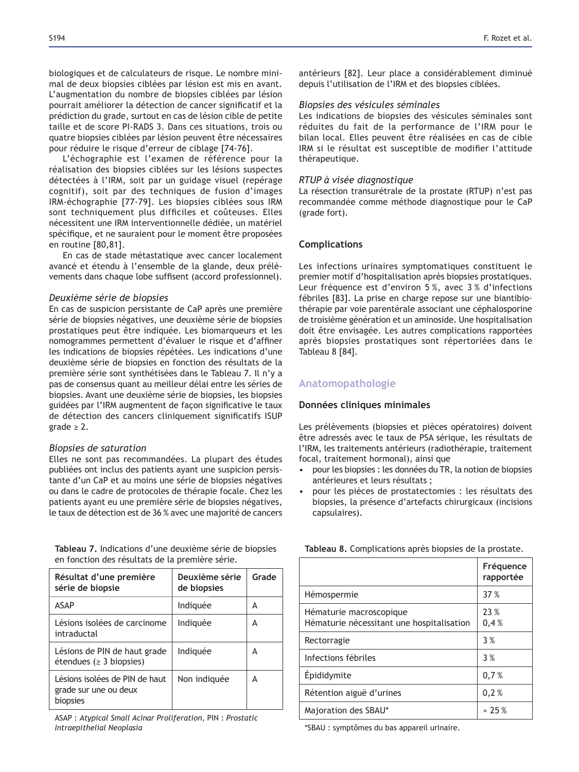biologiques et de calculateurs de risque. Le nombre minimal de deux biopsies ciblées par lésion est mis en avant. L'augmentation du nombre de biopsies ciblées par lésion pourrait améliorer la détection de cancer significatif et la prédiction du grade, surtout en cas de lésion cible de petite taille et de score PI-RADS 3. Dans ces situations, trois ou quatre biopsies ciblées par lésion peuvent être nécessaires pour réduire le risque d'erreur de ciblage [74-76].

L'échographie est l'examen de référence pour la réalisation des biopsies ciblées sur les lésions suspectes détectées à l'IRM, soit par un guidage visuel (repérage cognitif), soit par des techniques de fusion d'images IRM-échographie [77-79]. Les biopsies ciblées sous IRM sont techniquement plus difficiles et coûteuses. Elles nécessitent une IRM interventionnelle dédiée, un matériel spécifique, et ne sauraient pour le moment être proposées en routine [80,81].

En cas de stade métastatique avec cancer localement avancé et étendu à l'ensemble de la glande, deux prélèvements dans chaque lobe suffisent (accord professionnel).

#### *Deuxième série de biopsies*

En cas de suspicion persistante de CaP après une première série de biopsies négatives, une deuxième série de biopsies prostatiques peut être indiquée. Les biomarqueurs et les nomogrammes permettent d'évaluer le risque et d'affiner les indications de biopsies répétées. Les indications d'une deuxième série de biopsies en fonction des résultats de la première série sont synthétisées dans le Tableau 7. Il n'y a pas de consensus quant au meilleur délai entre les séries de biopsies. Avant une deuxième série de biopsies, les biopsies guidées par l'IRM augmentent de façon significative le taux de détection des cancers cliniquement significatifs ISUP grade  $\geq$  2.

#### *Biopsies de saturation*

Elles ne sont pas recommandées. La plupart des études publiées ont inclus des patients ayant une suspicion persistante d'un CaP et au moins une série de biopsies négatives ou dans le cadre de protocoles de thérapie focale. Chez les patients ayant eu une première série de biopsies négatives, le taux de détection est de 36 % avec une majorité de cancers

Tableau 7. Indications d'une deuxième série de biopsies en fonction des résultats de la première série.

| Résultat d'une première<br>série de biopsie                         | Deuxième série<br>de biopsies | Grade |
|---------------------------------------------------------------------|-------------------------------|-------|
| <b>ASAP</b>                                                         | Indiquée                      | А     |
| Lésions isolées de carcinome<br>intraductal                         | Indiquée                      | А     |
| Lésions de PIN de haut grade<br>étendues ( $\geq$ 3 biopsies)       | Indiguée                      | А     |
| Lésions isolées de PIN de haut<br>grade sur une ou deux<br>biopsies | Non indiquée                  | А     |

ASAP : *Atypical Small Acinar Proliferation*, PIN : *Prostatic Intraepithelial Neoplasia*

antérieurs [82]. Leur place a considérablement diminué depuis l'utilisation de l'IRM et des biopsies ciblées.

#### *Biopsies des vésicules séminales*

Les indications de biopsies des vésicules séminales sont réduites du fait de la performance de l'IRM pour le bilan local. Elles peuvent être réalisées en cas de cible IRM si le résultat est susceptible de modifier l'attitude thérapeutique.

### *RTUP à visée diagnostique*

La résection transurétrale de la prostate (RTUP) n'est pas recommandée comme méthode diagnostique pour le CaP (grade fort).

### **Complications**

Les infections urinaires symptomatiques constituent le premier motif d'hospitalisation après biopsies prostatiques. Leur fréquence est d'environ 5 %, avec 3 % d'infections fébriles [83]. La prise en charge repose sur une biantibiothérapie par voie parentérale associant une céphalosporine de troisième génération et un aminoside. Une hospitalisation doit être envisagée. Les autres complications rapportées après biopsies prostatiques sont répertoriées dans le Tableau 8 [84].

# **Anatomopathologie**

#### **Données cliniques minimales**

Les prélèvements (biopsies et pièces opératoires) doivent être adressés avec le taux de PSA sérique, les résultats de l'IRM, les traitements antérieurs (radiothérapie, traitement focal, traitement hormonal), ainsi que

- pour les biopsies : les données du TR, la notion de biopsies antérieures et leurs résultats ;
- pour les pièces de prostatectomies : les résultats des biopsies, la présence d'artefacts chirurgicaux (incisions capsulaires).

| Fréquence<br>rapportée |
|------------------------|
| 37 %                   |
| 23 %<br>0,4%           |
| 3%                     |
| 3%                     |
| 0,7%                   |
| 0.2%                   |
| $= 25 \%$              |
|                        |

Tableau 8. Complications après biopsies de la prostate.

\*SBAU : symptômes du bas appareil urinaire.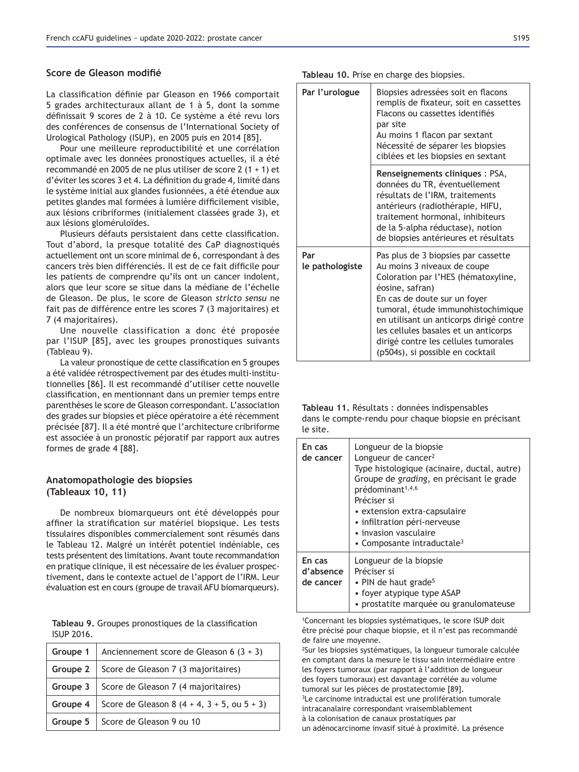### Score de Gleason modifié

La classification définie par Gleason en 1966 comportait 5 grades architecturaux allant de 1 à 5, dont la somme définissait 9 scores de 2 à 10. Ce système a été revu lors des conférences de consensus de l'International Society of Urological Pathology (ISUP), en 2005 puis en 2014 [85].

Pour une meilleure reproductibilité et une corrélation optimale avec les données pronostiques actuelles, il a été recommandé en 2005 de ne plus utiliser de score 2 (1 + 1) et d'éviter les scores 3 et 4. La définition du grade 4, limité dans le système initial aux glandes fusionnées, a été étendue aux petites glandes mal formées à lumière difficilement visible, aux lésions cribriformes (initialement classées grade 3), et aux lésions gloméruloïdes.

Plusieurs défauts persistaient dans cette classification. Tout d'abord, la presque totalité des CaP diagnostiqués actuellement ont un score minimal de 6, correspondant à des cancers très bien différenciés. Il est de ce fait difficile pour les patients de comprendre qu'ils ont un cancer indolent, alors que leur score se situe dans la médiane de l'échelle de Gleason. De plus, le score de Gleason *stricto sensu* ne fait pas de différence entre les scores 7 (3 majoritaires) et 7 (4 majoritaires).

Une nouvelle classification a donc été proposée par l'ISUP [85], avec les groupes pronostiques suivants (Tableau 9).

La valeur pronostique de cette classification en 5 groupes a été validée rétrospectivement par des études multi-institutionnelles [86]. Il est recommandé d'utiliser cette nouvelle classification, en mentionnant dans un premier temps entre parenthèses le score de Gleason correspondant. L'association des grades sur biopsies et pièce opératoire a été récemment précisée [87]. Il a été montré que l'architecture cribriforme est associée à un pronostic péjoratif par rapport aux autres formes de grade 4 [88].

# Anatomopathologie des biopsies **(Tableaux 10, 11)**

De nombreux biomarqueurs ont été développés pour affiner la stratification sur matériel biopsique. Les tests tissulaires disponibles commercialement sont résumés dans le Tableau 12. Malgré un intérêt potentiel indéniable, ces tests présentent des limitations. Avant toute recommandation en pratique clinique, il est nécessaire de les évaluer prospectivement, dans le contexte actuel de l'apport de l'IRM. Leur évaluation est en cours (groupe de travail AFU biomarqueurs).

Tableau 9. Groupes pronostiques de la classification ISUP 2016.

| Groupe 1        | Anciennement score de Gleason 6 $(3 + 3)$              |
|-----------------|--------------------------------------------------------|
| Groupe $2 \mid$ | Score de Gleason 7 (3 majoritaires)                    |
| Groupe $3$      | Score de Gleason 7 (4 majoritaires)                    |
| Groupe $4 \mid$ | Score de Gleason 8 $(4 + 4, 3 + 5, \text{ ou } 5 + 3)$ |
|                 | Groupe 5   Score de Gleason 9 ou 10                    |

Tableau 10. Prise en charge des biopsies.

| Par l'urologue         | Biopsies adressées soit en flacons<br>remplis de fixateur, soit en cassettes<br>Flacons ou cassettes identifiés<br>par site<br>Au moins 1 flacon par sextant<br>Nécessité de séparer les biopsies<br>ciblées et les biopsies en sextant                                                                                                                           |
|------------------------|-------------------------------------------------------------------------------------------------------------------------------------------------------------------------------------------------------------------------------------------------------------------------------------------------------------------------------------------------------------------|
|                        | Renseignements cliniques : PSA,<br>données du TR, éventuellement<br>résultats de l'IRM, traitements<br>antérieurs (radiothérapie, HIFU,<br>traitement hormonal, inhibiteurs<br>de la 5-alpha réductase), notion<br>de biopsies antérieures et résultats                                                                                                           |
| Par<br>le pathologiste | Pas plus de 3 biopsies par cassette<br>Au moins 3 niveaux de coupe<br>Coloration par l'HES (hématoxyline,<br>éosine, safran)<br>En cas de doute sur un foyer<br>tumoral, étude immunohistochimique<br>en utilisant un anticorps dirigé contre<br>les cellules basales et un anticorps<br>dirigé contre les cellules tumorales<br>(p504s), si possible en cocktail |

| Tableau 11, Résultats : données indispensables        |
|-------------------------------------------------------|
| dans le compte-rendu pour chaque biopsie en précisant |
| le site.                                              |

| En cas<br>de cancer              | Longueur de la biopsie<br>Longueur de cancer <sup>2</sup><br>Type histologique (acinaire, ductal, autre)<br>Groupe de grading, en précisant le grade<br>prédominant <sup>1,4,6</sup><br>Préciser si<br>• extension extra-capsulaire<br>· infiltration péri-nerveuse<br>• invasion vasculaire<br>• Composante intraductale <sup>3</sup> |
|----------------------------------|----------------------------------------------------------------------------------------------------------------------------------------------------------------------------------------------------------------------------------------------------------------------------------------------------------------------------------------|
| En cas<br>d'absence<br>de cancer | Longueur de la biopsie<br>Préciser si<br>• PIN de haut grade <sup>5</sup><br>• foyer atypique type ASAP<br>• prostatite marquée ou granulomateuse                                                                                                                                                                                      |

1Concernant les biopsies systématiques, le score ISUP doit être précisé pour chaque biopsie, et il n'est pas recommandé de faire une moyenne.

2Sur les biopsies systématiques, la longueur tumorale calculée en comptant dans la mesure le tissu sain intermédiaire entre les foyers tumoraux (par rapport à l'addition de longueur des foyers tumoraux) est davantage corrélée au volume tumoral sur les pièces de prostatectomie [89]. <sup>3</sup>Le carcinome intraductal est une prolifération tumorale intracanalaire correspondant vraisemblablement

à la colonisation de canaux prostatiques par

un adénocarcinome invasif situé à proximité. La présence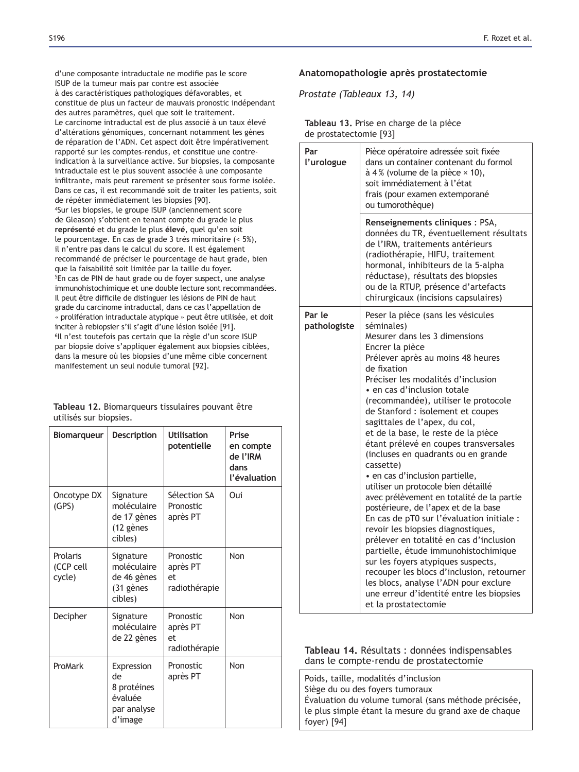d'une composante intraductale ne modifie pas le score ISUP de la tumeur mais par contre est associée à des caractéristiques pathologiques défavorables, et constitue de plus un facteur de mauvais pronostic indépendant des autres paramètres, quel que soit le traitement. Le carcinome intraductal est de plus associé à un taux élevé d'altérations génomiques, concernant notamment les gènes de réparation de l'ADN. Cet aspect doit être impérativement rapporté sur les comptes-rendus, et constitue une contreindication à la surveillance active. Sur biopsies, la composante intraductale est le plus souvent associée à une composante infiltrante, mais peut rarement se présenter sous forme isolée. Dans ce cas, il est recommandé soit de traiter les patients, soit de répéter immédiatement les biopsies [90]. 4Sur les biopsies, le groupe ISUP (anciennement score de Gleason) s'obtient en tenant compte du grade le plus représenté et du grade le plus élevé, quel qu'en soit le pourcentage. En cas de grade 3 très minoritaire (< 5%), il n'entre pas dans le calcul du score. Il est également recommandé de préciser le pourcentage de haut grade, bien que la faisabilité soit limitée par la taille du foyer. 5En cas de PIN de haut grade ou de foyer suspect, une analyse immunohistochimique et une double lecture sont recommandées. Il peut être difficile de distinguer les lésions de PIN de haut grade du carcinome intraductal, dans ce cas l'appellation de « prolifération intraductale atypique » peut être utilisée, et doit inciter à rebiopsier s'il s'agit d'une lésion isolée [91]. 6Il n'est toutefois pas certain que la règle d'un score ISUP par biopsie doive s'appliquer également aux biopsies ciblées, dans la mesure où les biopsies d'une même cible concernent manifestement un seul nodule tumoral [92].

Tableau 12. Biomarqueurs tissulaires pouvant être utilisés sur biopsies.

| <b>Biomarqueur</b>              | <b>Description</b>                                                   | <b>Utilisation</b><br>potentielle            | Prise<br>en compte<br>de l'IRM<br>dans<br>l'évaluation |
|---------------------------------|----------------------------------------------------------------------|----------------------------------------------|--------------------------------------------------------|
| Oncotype DX<br>(GPS)            | Signature<br>moléculaire<br>de 17 gènes<br>(12 gènes<br>cibles)      | Sélection SA<br>Pronostic<br>après PT        | Oui                                                    |
| Prolaris<br>(CCP cell<br>cycle) | Signature<br>moléculaire<br>de 46 gènes<br>(31 gènes<br>cibles)      | Pronostic<br>après PT<br>et<br>radiothérapie | Non                                                    |
| Decipher                        | Signature<br>moléculaire<br>de 22 gènes                              | Pronostic<br>après PT<br>et<br>radiothérapie | Non                                                    |
| ProMark                         | Expression<br>de<br>8 protéines<br>évaluée<br>par analyse<br>d'image | Pronostic<br>après PT                        | Non                                                    |

# Anatomopathologie après prostatectomie

*Prostate (Tableaux 13, 14)*

|                        | Tableau 13. Prise en charge de la pièce |
|------------------------|-----------------------------------------|
| de prostatectomie [93] |                                         |

| Par<br>l'urologue      | Pièce opératoire adressée soit fixée<br>dans un container contenant du formol<br>$\dot{a}$ 4% (volume de la pièce $\times$ 10),<br>soit immédiatement à l'état<br>frais (pour examen extemporané<br>ou tumorothèque)                                                                                                                                                                                                                                                                                                                                                                                                                                                                                                                                                                                                                                                                                                                                                                                                 |
|------------------------|----------------------------------------------------------------------------------------------------------------------------------------------------------------------------------------------------------------------------------------------------------------------------------------------------------------------------------------------------------------------------------------------------------------------------------------------------------------------------------------------------------------------------------------------------------------------------------------------------------------------------------------------------------------------------------------------------------------------------------------------------------------------------------------------------------------------------------------------------------------------------------------------------------------------------------------------------------------------------------------------------------------------|
|                        | Renseignements cliniques : PSA,<br>données du TR, éventuellement résultats<br>de l'IRM, traitements antérieurs<br>(radiothérapie, HIFU, traitement<br>hormonal, inhibiteurs de la 5-alpha<br>réductase), résultats des biopsies<br>ou de la RTUP, présence d'artefacts<br>chirurgicaux (incisions capsulaires)                                                                                                                                                                                                                                                                                                                                                                                                                                                                                                                                                                                                                                                                                                       |
| Par le<br>pathologiste | Peser la pièce (sans les vésicules<br>séminales)<br>Mesurer dans les 3 dimensions<br>Encrer la pièce<br>Prélever après au moins 48 heures<br>de fixation<br>Préciser les modalités d'inclusion<br>• en cas d'inclusion totale<br>(recommandée), utiliser le protocole<br>de Stanford : isolement et coupes<br>sagittales de l'apex, du col,<br>et de la base, le reste de la pièce<br>étant prélevé en coupes transversales<br>(incluses en quadrants ou en grande<br>cassette)<br>· en cas d'inclusion partielle,<br>utiliser un protocole bien détaillé<br>avec prélèvement en totalité de la partie<br>postérieure, de l'apex et de la base<br>En cas de pT0 sur l'évaluation initiale :<br>revoir les biopsies diagnostiques,<br>prélever en totalité en cas d'inclusion<br>partielle, étude immunohistochimique<br>sur les foyers atypiques suspects,<br>recouper les blocs d'inclusion, retourner<br>les blocs, analyse l'ADN pour exclure<br>une erreur d'identité entre les biopsies<br>et la prostatectomie |

**Tableau 14.** Résultats : données indispensables dans le compte-rendu de prostatectomie

Poids, taille, modalités d'inclusion Siège du ou des foyers tumoraux Évaluation du volume tumoral (sans méthode précisée, le plus simple étant la mesure du grand axe de chaque foyer) [94]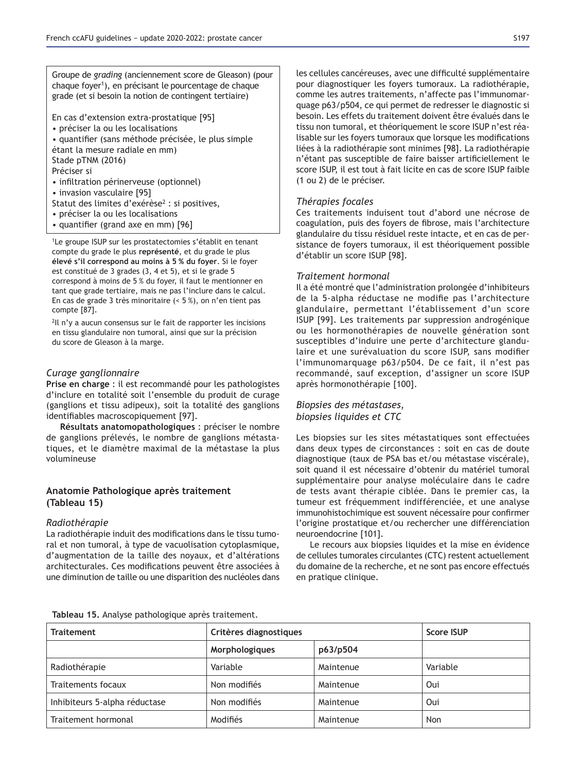Groupe de *grading* (anciennement score de Gleason) (pour chaque foyer<sup>1</sup>), en précisant le pourcentage de chaque grade (et si besoin la notion de contingent tertiaire)

En cas d'extension extra-prostatique [95]

• préciser la ou les localisations

• quantifier (sans méthode précisée, le plus simple étant la mesure radiale en mm) Stade pTNM (2016)

Préciser si

- infiltration périnerveuse (optionnel)
- invasion vasculaire [95]
- Statut des limites d'exérèse<sup>2</sup> : si positives,
- préciser la ou les localisations
- quantifier (grand axe en mm) [96]

<sup>1</sup>Le groupe ISUP sur les prostatectomies s'établit en tenant compte du grade le plus représenté, et du grade le plus élevé s'il correspond au moins à 5 % du foyer. Si le foyer est constitué de 3 grades (3, 4 et 5), et si le grade 5 correspond à moins de 5 % du foyer, il faut le mentionner en tant que grade tertiaire, mais ne pas l'inclure dans le calcul. En cas de grade 3 très minoritaire (< 5 %), on n'en tient pas compte  $[87]$ .

<sup>2</sup>Il n'y a aucun consensus sur le fait de rapporter les incisions en tissu glandulaire non tumoral, ainsi que sur la précision du score de Gleason à la marge.

# *Curage ganglionnaire*

Prise en charge : il est recommandé pour les pathologistes d'inclure en totalité soit l'ensemble du produit de curage (ganglions et tissu adipeux), soit la totalité des ganglions identifiables macroscopiquement [97].

Résultats anatomopathologiques : préciser le nombre de ganglions prélevés, le nombre de ganglions métastatiques, et le diamètre maximal de la métastase la plus volumineuse

# **Anatomie Pathologique après traitement (Tableau 15)**

# *Radiothérapie*

La radiothérapie induit des modifications dans le tissu tumoral et non tumoral, à type de vacuolisation cytoplasmique, d'augmentation de la taille des noyaux, et d'altérations architecturales. Ces modifications peuvent être associées à une diminution de taille ou une disparition des nucléoles dans

les cellules cancéreuses, avec une difficulté supplémentaire pour diagnostiquer les foyers tumoraux. La radiothérapie, comme les autres traitements, n'affecte pas l'immunomarquage p63/p504, ce qui permet de redresser le diagnostic si besoin. Les effets du traitement doivent être évalués dans le tissu non tumoral, et théoriquement le score ISUP n'est réalisable sur les foyers tumoraux que lorsque les modifications liées à la radiothérapie sont minimes [98]. La radiothérapie n'étant pas susceptible de faire baisser artificiellement le score ISUP, il est tout à fait licite en cas de score ISUP faible (1 ou 2) de le préciser.

# *Thérapies focales*

Ces traitements induisent tout d'abord une nécrose de coagulation, puis des foyers de fibrose, mais l'architecture glandulaire du tissu résiduel reste intacte, et en cas de persistance de foyers tumoraux, il est théoriquement possible d'établir un score ISUP [98].

### *Traitement hormonal*

Il a été montré que l'administration prolongée d'inhibiteurs de la 5-alpha réductase ne modifie pas l'architecture glandulaire, permettant l'établissement d'un score ISUP [99]. Les traitements par suppression androgénique ou les hormonothérapies de nouvelle génération sont susceptibles d'induire une perte d'architecture glandulaire et une surévaluation du score ISUP, sans modifier l'immunomarquage p63/p504. De ce fait, il n'est pas recommandé, sauf exception, d'assigner un score ISUP après hormonothérapie [100].

# *Biopsies des métastases, biopsies liquides et CTC*

Les biopsies sur les sites métastatiques sont effectuées dans deux types de circonstances : soit en cas de doute diagnostique (taux de PSA bas et/ou métastase viscérale), soit quand il est nécessaire d'obtenir du matériel tumoral supplémentaire pour analyse moléculaire dans le cadre de tests avant thérapie ciblée. Dans le premier cas, la tumeur est fréquemment indifférenciée, et une analyse immunohistochimique est souvent nécessaire pour confirmer l'origine prostatique et/ou rechercher une différenciation neuroendocrine [101].

Le recours aux biopsies liquides et la mise en évidence de cellules tumorales circulantes (CTC) restent actuellement du domaine de la recherche, et ne sont pas encore effectués en pratique clinique.

|  |  |  |  |  |  | Tableau 15. Analyse pathologique après traitement. |
|--|--|--|--|--|--|----------------------------------------------------|
|--|--|--|--|--|--|----------------------------------------------------|

| <b>Traitement</b>             | Critères diagnostiques |           | Score ISUP |
|-------------------------------|------------------------|-----------|------------|
|                               | Morphologiques         | p63/p504  |            |
| Radiothérapie                 | Variable               | Maintenue | Variable   |
| Traitements focaux            | Non modifiés           | Maintenue | Oui        |
| Inhibiteurs 5-alpha réductase | Non modifiés           | Maintenue | Oui        |
| Traitement hormonal           | Modifiés               | Maintenue | Non        |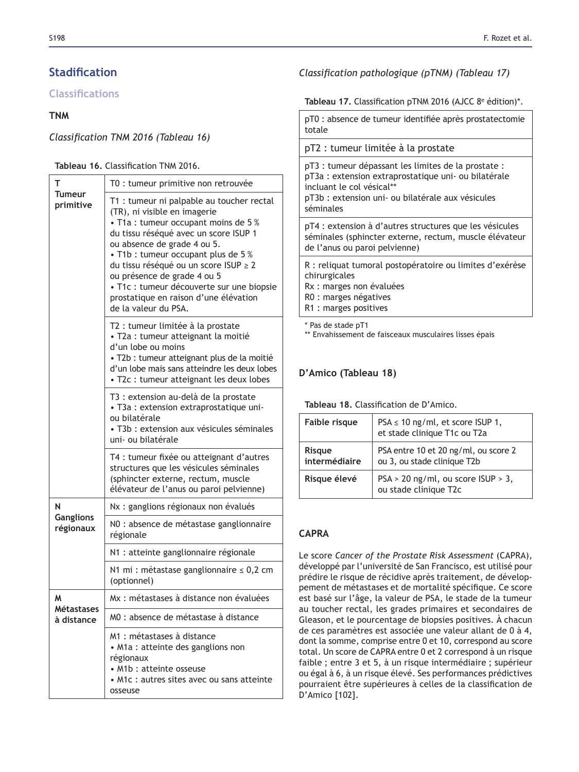# **Stadification**

# **Classifications**

# **TNM**

# Classification TNM 2016 (Tableau 16)

# Tableau 16. Classification TNM 2016.

| т                               | T0 : tumeur primitive non retrouvée                                                                                                                                                                                                                                                                                                                                                                                    |  |  |  |
|---------------------------------|------------------------------------------------------------------------------------------------------------------------------------------------------------------------------------------------------------------------------------------------------------------------------------------------------------------------------------------------------------------------------------------------------------------------|--|--|--|
| Tumeur<br>primitive             | T1 : tumeur ni palpable au toucher rectal<br>(TR), ni visible en imagerie<br>• T1a : tumeur occupant moins de 5 %<br>du tissu réséqué avec un score ISUP 1<br>ou absence de grade 4 ou 5.<br>• T1b : tumeur occupant plus de 5 %<br>du tissu réséqué ou un score ISUP ≥ 2<br>ou présence de grade 4 ou 5<br>· T1c : tumeur découverte sur une biopsie<br>prostatique en raison d'une élévation<br>de la valeur du PSA. |  |  |  |
|                                 | T2 : tumeur limitée à la prostate<br>· T2a : tumeur atteignant la moitié<br>d'un lobe ou moins<br>· T2b : tumeur atteignant plus de la moitié<br>d'un lobe mais sans atteindre les deux lobes<br>• T2c : tumeur atteignant les deux lobes                                                                                                                                                                              |  |  |  |
|                                 | T3 : extension au-delà de la prostate<br>• T3a : extension extraprostatique uni-<br>ou bilatérale<br>• T3b : extension aux vésicules séminales<br>uni- ou bilatérale                                                                                                                                                                                                                                                   |  |  |  |
|                                 | T4 : tumeur fixée ou atteignant d'autres<br>structures que les vésicules séminales<br>(sphincter externe, rectum, muscle<br>élévateur de l'anus ou paroi pelvienne)                                                                                                                                                                                                                                                    |  |  |  |
| N                               | Nx : ganglions régionaux non évalués                                                                                                                                                                                                                                                                                                                                                                                   |  |  |  |
| <b>Ganglions</b><br>régionaux   | NO : absence de métastase ganglionnaire<br>régionale                                                                                                                                                                                                                                                                                                                                                                   |  |  |  |
|                                 | N1 : atteinte ganglionnaire régionale                                                                                                                                                                                                                                                                                                                                                                                  |  |  |  |
|                                 | N1 mi : métastase ganglionnaire $\leq 0,2$ cm<br>(optionnel)                                                                                                                                                                                                                                                                                                                                                           |  |  |  |
| М                               | Mx : métastases à distance non évaluées                                                                                                                                                                                                                                                                                                                                                                                |  |  |  |
| <b>Métastases</b><br>à distance | M0 : absence de métastase à distance                                                                                                                                                                                                                                                                                                                                                                                   |  |  |  |
|                                 | M1 : métastases à distance<br>• M1a : atteinte des ganglions non<br>régionaux<br>• M1b : atteinte osseuse<br>• M1c : autres sites avec ou sans atteinte<br>osseuse                                                                                                                                                                                                                                                     |  |  |  |

# *Classification pathologique (pTNM) (Tableau 17)*

# Tableau 17. Classification pTNM 2016 (AJCC 8<sup>e</sup> édition)\*.

pT0 : absence de tumeur identifiée après prostatectomie totale

# pT2 : tumeur limitée à la prostate

pT3 : tumeur dépassant les limites de la prostate : pT3a : extension extraprostatique uni- ou bilatérale incluant le col vésical\*\* pT3b : extension uni- ou bilatérale aux vésicules séminales

pT4 : extension à d'autres structures que les vésicules séminales (sphincter externe, rectum, muscle élévateur de l'anus ou paroi pelvienne)

R : reliquat tumoral postopératoire ou limites d'exérèse chirurgicales

Rx : marges non évaluées

R0 : marges négatives

R1 : marges positives

\* Pas de stade pT1

\*\* Envahissement de faisceaux musculaires lisses épais

# D'Amico (Tableau 18)

Tableau 18. Classification de D'Amico.

| Faible risque                  | $PSA \leq 10$ ng/ml, et score ISUP 1,<br>et stade clinique T1c ou T2a |
|--------------------------------|-----------------------------------------------------------------------|
| <b>Risque</b><br>intermédiaire | PSA entre 10 et 20 ng/ml, ou score 2<br>ou 3, ou stade clinique T2b   |
| Risque élevé                   | $PSA > 20$ ng/ml, ou score $ISUP > 3$ ,<br>ou stade clinique T2c      |

# **&\$35\$**

Le score *Cancer of the Prostate Risk Assessment* (CAPRA), développé par l'université de San Francisco, est utilisé pour prédire le risque de récidive après traitement, de développement de métastases et de mortalité spécifique. Ce score est basé sur l'âge, la valeur de PSA, le stade de la tumeur au toucher rectal, les grades primaires et secondaires de Gleason, et le pourcentage de biopsies positives. À chacun de ces paramètres est associée une valeur allant de 0 à 4, dont la somme, comprise entre 0 et 10, correspond au score total. Un score de CAPRA entre 0 et 2 correspond à un risque faible ; entre 3 et 5, à un risque intermédiaire ; supérieur ou égal à 6, à un risque élevé. Ses performances prédictives pourraient être supérieures à celles de la classification de D'Amico [102].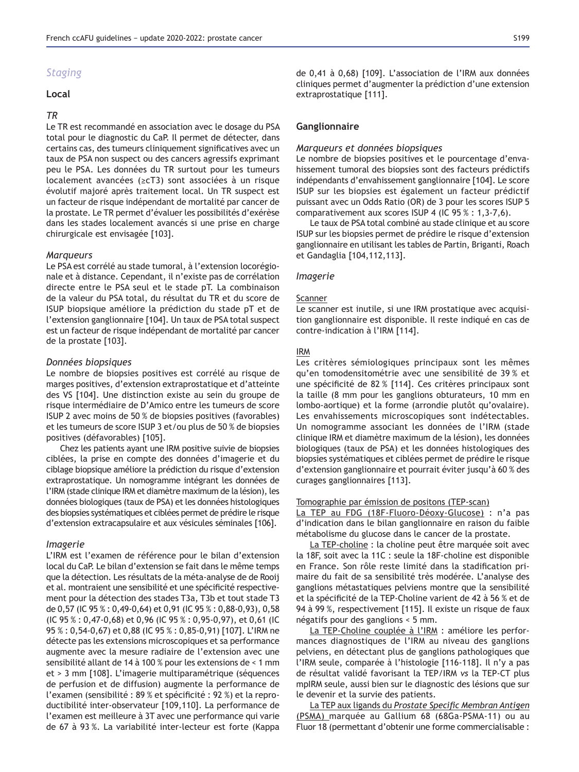# *Staging*

#### Local

### *TR*

Le TR est recommandé en association avec le dosage du PSA total pour le diagnostic du CaP. Il permet de détecter, dans certains cas, des tumeurs cliniquement significatives avec un taux de PSA non suspect ou des cancers agressifs exprimant peu le PSA. Les données du TR surtout pour les tumeurs localement avancées ( $\geq cT3$ ) sont associées à un risque évolutif majoré après traitement local. Un TR suspect est un facteur de risque indépendant de mortalité par cancer de la prostate. Le TR permet d'évaluer les possibilités d'exérèse dans les stades localement avancés si une prise en charge chirurgicale est envisagée [103].

#### *Marqueurs*

Le PSA est corrélé au stade tumoral, à l'extension locorégionale et à distance. Cependant, il n'existe pas de corrélation directe entre le PSA seul et le stade pT. La combinaison de la valeur du PSA total, du résultat du TR et du score de ISUP biopsique améliore la prédiction du stade pT et de l'extension ganglionnaire [104]. Un taux de PSA total suspect est un facteur de risque indépendant de mortalité par cancer de la prostate [103].

#### *Données biopsiques*

Le nombre de biopsies positives est corrélé au risque de marges positives, d'extension extraprostatique et d'atteinte des VS [104]. Une distinction existe au sein du groupe de risque intermédiaire de D'Amico entre les tumeurs de score ISUP 2 avec moins de 50 % de biopsies positives (favorables) et les tumeurs de score ISUP 3 et/ou plus de 50 % de biopsies positives (défavorables) [105].

Chez les patients ayant une IRM positive suivie de biopsies ciblées, la prise en compte des données d'imagerie et du ciblage biopsique améliore la prédiction du risque d'extension extraprostatique. Un nomogramme intégrant les données de l'IRM (stade clinique IRM et diamètre maximum de la lésion), les données biologiques (taux de PSA) et les données histologiques des biopsies systématiques et ciblées permet de prédire le risque d'extension extracapsulaire et aux vésicules séminales [106].

#### *Imagerie*

L'IRM est l'examen de référence pour le bilan d'extension local du CaP. Le bilan d'extension se fait dans le même temps que la détection. Les résultats de la méta-analyse de de Rooij et al. montraient une sensibilité et une spécificité respectivement pour la détection des stades T3a, T3b et tout stade T3 de 0,57 (IC 95 % : 0,49-0,64) et 0,91 (IC 95 % : 0,88-0,93), 0,58 (IC  $95\% : 0,47-0,68$ ) et 0,96 (IC  $95\% : 0,95-0,97$ ), et 0,61 (IC 95 %: 0,54-0,67) et 0,88 (IC 95 %: 0,85-0,91) [107]. L'IRM ne détecte pas les extensions microscopiques et sa performance augmente avec la mesure radiaire de l'extension avec une sensibilité allant de 14 à 100 % pour les extensions de < 1 mm et > 3 mm [108]. L'imagerie multiparamétrique (séquences de perfusion et de diffusion) augmente la performance de l'examen (sensibilité : 89 % et spécificité : 92 %) et la reproductibilité inter-observateur [109,110]. La performance de l'examen est meilleure à 3T avec une performance qui varie de 67 à 93%. La variabilité inter-lecteur est forte (Kappa

### **Ganglionnaire**

#### *Marqueurs et données biopsiques*

Le nombre de biopsies positives et le pourcentage d'envahissement tumoral des biopsies sont des facteurs prédictifs indépendants d'envahissement ganglionnaire [104]. Le score ISUP sur les biopsies est également un facteur prédictif puissant avec un Odds Ratio (OR) de 3 pour les scores ISUP 5 comparativement aux scores ISUP 4 (IC  $95\%$ : 1,3-7,6).

Le taux de PSA total combiné au stade clinique et au score ISUP sur les biopsies permet de prédire le risque d'extension ganglionnaire en utilisant les tables de Partin, Briganti, Roach et Gandaglia [104,112,113].

#### *Imagerie*

#### Scanner

Le scanner est inutile, si une IRM prostatique avec acquisition ganglionnaire est disponible. Il reste indiqué en cas de contre-indication à l'IRM [114].

#### IRM

Les critères sémiologiques principaux sont les mêmes qu'en tomodensitométrie avec une sensibilité de 39 % et une spécificité de 82 % [114]. Ces critères principaux sont la taille (8 mm pour les ganglions obturateurs, 10 mm en lombo-aortique) et la forme (arrondie plutôt qu'ovalaire). Les envahissements microscopiques sont indétectables. Un nomogramme associant les données de l'IRM (stade clinique IRM et diamètre maximum de la lésion), les données biologiques (taux de PSA) et les données histologiques des biopsies systématiques et ciblées permet de prédire le risque d'extension ganglionnaire et pourrait éviter jusqu'à 60 % des curages ganglionnaires [113].

#### Tomographie par émission de positons (TEP-scan)

La TEP au FDG (18F-Fluoro-Déoxy-Glucose) : n'a pas d'indication dans le bilan ganglionnaire en raison du faible métabolisme du glucose dans le cancer de la prostate.

La TEP-choline : la choline peut être marquée soit avec la 18F, soit avec la 11C : seule la 18F-choline est disponible en France. Son rôle reste limité dans la stadification primaire du fait de sa sensibilité très modérée. L'analyse des ganglions métastatiques pelviens montre que la sensibilité et la spécificité de la TEP-Choline varient de 42 à 56 % et de 94 à 99 %, respectivement [115]. Il existe un risque de faux négatifs pour des ganglions < 5 mm.

La TEP-Choline couplée à l'IRM : améliore les performances diagnostiques de l'IRM au niveau des ganglions pelviens, en détectant plus de ganglions pathologiques que l'IRM seule, comparée à l'histologie [116-118]. Il n'y a pas de résultat validé favorisant la TEP/IRM *vs* la TEP-CT plus mpIRM seule, aussi bien sur le diagnostic des lésions que sur le devenir et la survie des patients.

<u>La TEP aux ligands du *Prostate Specific Membran Antigen*</u> (PSMA) marquée au Gallium 68 (68Ga-PSMA-11) ou au Fluor 18 (permettant d'obtenir une forme commercialisable :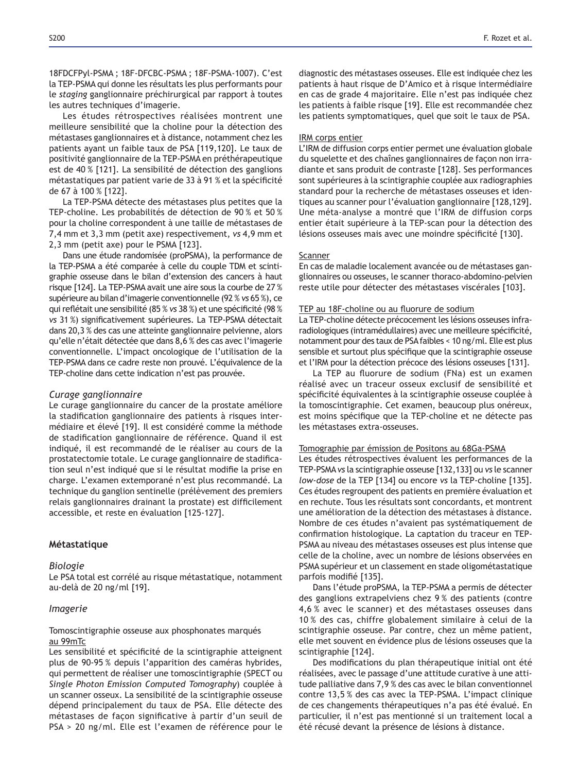18FDCFPyl-PSMA; 18F-DFCBC-PSMA; 18F-PSMA-1007). C'est la TEP-PSMA qui donne les résultats les plus performants pour le *staging* ganglionnaire préchirurgical par rapport à toutes les autres techniques d'imagerie.

Les études rétrospectives réalisées montrent une meilleure sensibilité que la choline pour la détection des métastases ganglionnaires et à distance, notamment chez les patients ayant un faible taux de PSA [119,120]. Le taux de positivité ganglionnaire de la TEP-PSMA en préthérapeutique est de 40 % [121]. La sensibilité de détection des ganglions métastatiques par patient varie de 33 à 91 % et la spécificité de 67 à 100 % [122].

La TEP-PSMA détecte des métastases plus petites que la TEP-choline. Les probabilités de détection de 90 % et 50 % pour la choline correspondent à une taille de métastases de 7,4 mm et 3,3 mm (petit axe) respectivement, vs 4,9 mm et 2,3 mm (petit axe) pour le PSMA [123].

Dans une étude randomisée (proPSMA), la performance de la TEP-PSMA a été comparée à celle du couple TDM et scintigraphie osseuse dans le bilan d'extension des cancers à haut risque [124]. La TEP-PSMA avait une aire sous la courbe de 27 % supérieure au bilan d'imagerie conventionnelle (92 % *vs* 65 %), ce gui reflétait une sensibilité (85 % vs 38 %) et une spécificité (98 % *vs* 31%) significativement supérieures. La TEP-PSMA détectait dans 20,3 % des cas une atteinte ganglionnaire pelvienne, alors qu'elle n'était détectée que dans 8,6 % des cas avec l'imagerie conventionnelle. L'impact oncologique de l'utilisation de la TEP-PSMA dans ce cadre reste non prouvé. L'équivalence de la TEP-choline dans cette indication n'est pas prouvée.

#### *Curage ganglionnaire*

Le curage ganglionnaire du cancer de la prostate améliore la stadification ganglionnaire des patients à risques intermédiaire et élevé [19]*.* Il est considéré comme la méthode de stadification ganglionnaire de référence. Quand il est indiqué, il est recommandé de le réaliser au cours de la prostatectomie totale. Le curage ganglionnaire de stadification seul n'est indiqué que si le résultat modifie la prise en charge. L'examen extemporané n'est plus recommandé. La technique du ganglion sentinelle (prélèvement des premiers relais ganglionnaires drainant la prostate) est difficilement accessible, et reste en évaluation [125-127].

#### **Métastatique**

#### *Biologie*

Le PSA total est corrélé au risque métastatique, notamment au-delà de 20 ng/ml [19].

#### *Imagerie*

### Tomoscintigraphie osseuse aux phosphonates marqués au 99mTc

Les sensibilité et spécificité de la scintigraphie atteignent plus de 90-95 % depuis l'apparition des caméras hybrides, qui permettent de réaliser une tomoscintigraphie (SPECT ou *Single Photon Emission Computed Tomography*) couplée à un scanner osseux. La sensibilité de la scintigraphie osseuse dépend principalement du taux de PSA. Elle détecte des métastases de façon significative à partir d'un seuil de PSA > 20 ng/ml. Elle est l'examen de référence pour le diagnostic des métastases osseuses. Elle est indiquée chez les patients à haut risque de D'Amico et à risque intermédiaire en cas de grade 4 majoritaire. Elle n'est pas indiquée chez les patients à faible risque [19]. Elle est recommandée chez les patients symptomatiques, quel que soit le taux de PSA.

#### IRM corps entier

L'IRM de diffusion corps entier permet une évaluation globale du squelette et des chaînes ganglionnaires de façon non irradiante et sans produit de contraste [128]. Ses performances sont supérieures à la scintigraphie couplée aux radiographies standard pour la recherche de métastases osseuses et identiques au scanner pour l'évaluation ganglionnaire [128,129]. Une méta-analyse a montré que l'IRM de diffusion corps entier était supérieure à la TEP-scan pour la détection des Lésions osseuses mais avec une moindre spécificité [130].

#### Scanner

En cas de maladie localement avancée ou de métastases ganglionnaires ou osseuses, le scanner thoraco-abdomino-pelvien reste utile pour détecter des métastases viscérales [103].

#### TEP au 18F-choline ou au fluorure de sodium

La TEP-choline détecte précocement les lésions osseuses infraradiologiques (intramédullaires) avec une meilleure spécificité, notamment pour des taux de PSA faibles < 10 ng/ml. Elle est plus sensible et surtout plus spécifique que la scintigraphie osseuse et l'IRM pour la détection précoce des lésions osseuses [131].

La TEP au fluorure de sodium (FNa) est un examen réalisé avec un traceur osseux exclusif de sensibilité et spécificité équivalentes à la scintigraphie osseuse couplée à la tomoscintigraphie. Cet examen, beaucoup plus onéreux, est moins spécifique que la TEP-choline et ne détecte pas les métastases extra-osseuses.

#### Tomographie par émission de Positons au 68Ga-PSMA

Les études rétrospectives évaluent les performances de la TEP-PSMA *vs* la scintigraphie osseuse [132,133] ou *vs* le scanner *low-dose* de la TEP [134] ou encore *vs* la TEP-choline [135]. Ces études regroupent des patients en première évaluation et en rechute. Tous les résultats sont concordants, et montrent une amélioration de la détection des métastases à distance. Nombre de ces études n'avaient pas systématiquement de confirmation histologique. La captation du traceur en TEP-PSMA au niveau des métastases osseuses est plus intense que celle de la choline, avec un nombre de lésions observées en PSMA supérieur et un classement en stade oligométastatique parfois modifié [135].

Dans l'étude proPSMA, la TEP-PSMA a permis de détecter des ganglions extrapelviens chez 9 % des patients (contre 4,6 % avec le scanner) et des métastases osseuses dans 10 % des cas, chiffre globalement similaire à celui de la scintigraphie osseuse. Par contre, chez un même patient, elle met souvent en évidence plus de lésions osseuses que la scintigraphie [124].

Des modifications du plan thérapeutique initial ont été réalisées, avec le passage d'une attitude curative à une attitude palliative dans 7,9 % des cas avec le bilan conventionnel contre 13,5 % des cas avec la TEP-PSMA. L'impact clinique de ces changements thérapeutiques n'a pas été évalué. En particulier, il n'est pas mentionné si un traitement local a été récusé devant la présence de lésions à distance.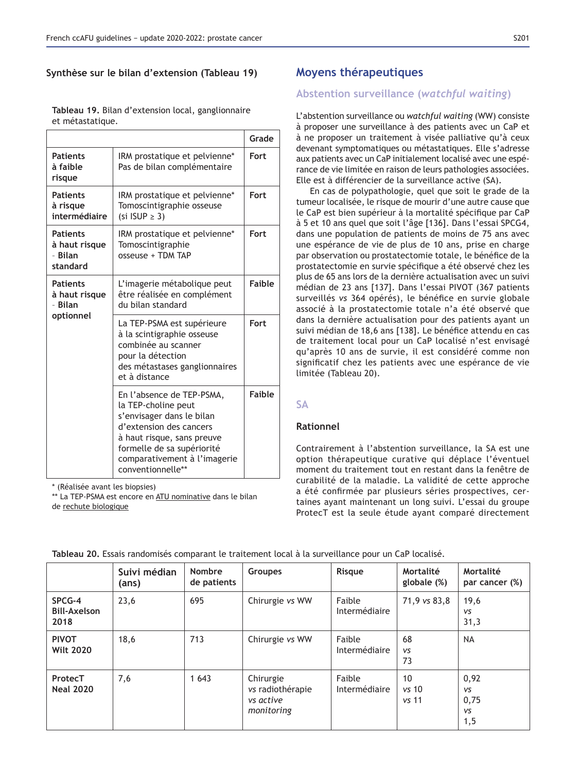# Synthèse sur le bilan d'extension (Tableau 19)

|                                                          |                                                                                                                                                                                                                           | Grade         |
|----------------------------------------------------------|---------------------------------------------------------------------------------------------------------------------------------------------------------------------------------------------------------------------------|---------------|
| <b>Patients</b><br>à faible<br>risque                    | IRM prostatique et pelvienne*<br>Pas de bilan complémentaire                                                                                                                                                              | Fort          |
| <b>Patients</b><br>à risque<br>intermédiaire             | IRM prostatique et pelvienne*<br>Tomoscintigraphie osseuse<br>(si ISUP $\geq$ 3)                                                                                                                                          | Fort          |
| <b>Patients</b><br>à haut risque<br>- Bilan<br>standard  | IRM prostatique et pelvienne*<br>Tomoscintigraphie<br>osseuse + TDM TAP                                                                                                                                                   | Fort          |
| <b>Patients</b><br>à haut risque<br>- Bilan<br>optionnel | L'imagerie métabolique peut<br>être réalisée en complément<br>du bilan standard                                                                                                                                           | <b>Faible</b> |
|                                                          | La TEP-PSMA est supérieure<br>à la scintigraphie osseuse<br>combinée au scanner<br>pour la détection<br>des métastases ganglionnaires<br>et à distance                                                                    | Fort          |
|                                                          | En l'absence de TEP-PSMA,<br>la TEP-choline peut<br>s'envisager dans le bilan<br>d'extension des cancers<br>à haut risque, sans preuve<br>formelle de sa supériorité<br>comparativement à l'imagerie<br>conventionnelle** | <b>Faible</b> |

Tableau 19. Bilan d'extension local, ganglionnaire et métastatique.

#### \* (Réalisée avant les biopsies)

\*\* La TEP-PSMA est encore en ATU nominative dans le bilan de rechute biologique

# **Moyens thérapeutiques**

# **Abstention surveillance (watchful waiting)**

L'abstention surveillance ou *watchful waiting* (WW) consiste à proposer une surveillance à des patients avec un CaP et à ne proposer un traitement à visée palliative qu'à ceux devenant symptomatiques ou métastatiques. Elle s'adresse aux patients avec un CaP initialement localisé avec une espérance de vie limitée en raison de leurs pathologies associées. Elle est à différencier de la surveillance active (SA).

En cas de polypathologie, quel que soit le grade de la tumeur localisée, le risque de mourir d'une autre cause que le CaP est bien supérieur à la mortalité spécifique par CaP à 5 et 10 ans quel que soit l'âge [136]. Dans l'essai SPCG4, dans une population de patients de moins de 75 ans avec une espérance de vie de plus de 10 ans, prise en charge par observation ou prostatectomie totale, le bénéfice de la prostatectomie en survie spécifique a été observé chez les plus de 65 ans lors de la dernière actualisation avec un suivi médian de 23 ans [137]. Dans l'essai PIVOT (367 patients surveillés vs 364 opérés), le bénéfice en survie globale associé à la prostatectomie totale n'a été observé que dans la dernière actualisation pour des patients ayant un suivi médian de 18,6 ans [138]. Le bénéfice attendu en cas de traitement local pour un CaP localisé n'est envisagé qu'après 10 ans de survie, il est considéré comme non significatif chez les patients avec une espérance de vie limitée (Tableau 20).

# **SA**

# **Rationnel**

Contrairement à l'abstention surveillance, la SA est une option thérapeutique curative qui déplace l'éventuel moment du traitement tout en restant dans la fenêtre de curabilité de la maladie. La validité de cette approche a été confirmée par plusieurs séries prospectives, certaines ayant maintenant un long suivi. L'essai du groupe ProtecT est la seule étude ayant comparé directement

|                                       | Suivi médian<br>(ans) | <b>Nombre</b><br>de patients | <b>Groupes</b>                                           | Risque                  | Mortalité<br>globale (%) | Mortalité<br>par cancer (%)                    |
|---------------------------------------|-----------------------|------------------------------|----------------------------------------------------------|-------------------------|--------------------------|------------------------------------------------|
| SPCG-4<br><b>Bill-Axelson</b><br>2018 | 23,6                  | 695                          | Chirurgie vs WW                                          | Faible<br>Intermédiaire | 71,9 vs 83,8             | 19,6<br><b>VS</b><br>31,3                      |
| <b>PIVOT</b><br><b>Wilt 2020</b>      | 18,6                  | 713                          | Chirurgie vs WW                                          | Faible<br>Intermédiaire | 68<br><b>VS</b><br>73    | <b>NA</b>                                      |
| ProtecT<br><b>Neal 2020</b>           | 7,6                   | 1 6 4 3                      | Chirurgie<br>vs radiothérapie<br>vs active<br>monitoring | Faible<br>Intermédiaire | 10<br>$vs$ 10<br>vs 11   | 0,92<br><b>VS</b><br>0,75<br><b>VS</b><br>1, 5 |

|  |  |  |  |  |  |  |  | Tableau 20. Essais randomisés comparant le traitement local à la surveillance pour un CaP localisé. |  |  |  |  |
|--|--|--|--|--|--|--|--|-----------------------------------------------------------------------------------------------------|--|--|--|--|
|--|--|--|--|--|--|--|--|-----------------------------------------------------------------------------------------------------|--|--|--|--|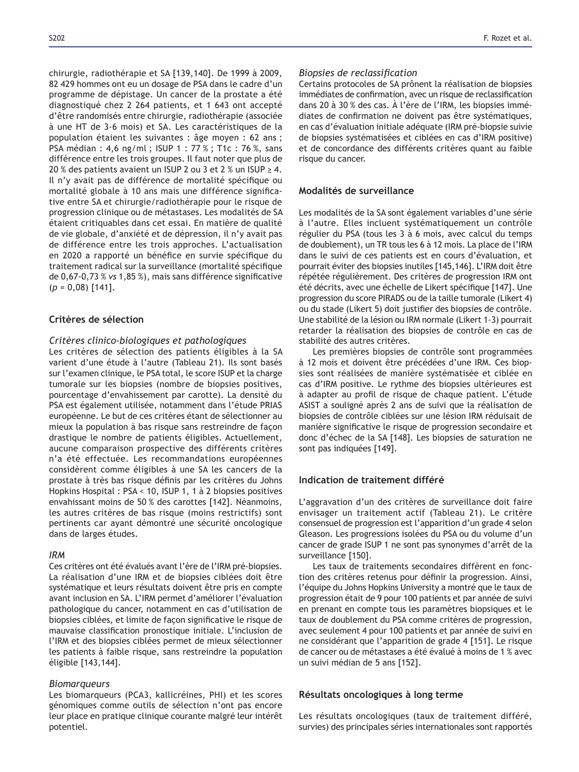chirurgie, radiothérapie et SA [139,140]. De 1999 à 2009, 82 429 hommes ont eu un dosage de PSA dans le cadre d'un programme de dépistage. Un cancer de la prostate a été diagnostiqué chez 2 264 patients, et 1 643 ont accepté d'être randomisés entre chirurgie, radiothérapie (associée à une HT de 3-6 mois) et SA. Les caractéristiques de la population étaient les suivantes : âge moyen : 62 ans ; PSA médian : 4,6 ng/ml; ISUP 1 : 77 %; T1c : 76 %, sans différence entre les trois groupes. Il faut noter que plus de 20 % des patients avaient un ISUP 2 ou 3 et 2 % un ISUP  $\geq$  4. Il n'y avait pas de différence de mortalité spécifique ou mortalité globale à 10 ans mais une différence significative entre SA et chirurgie/radiothérapie pour le risque de progression clinique ou de métastases. Les modalités de SA étaient critiquables dans cet essai. En matière de qualité de vie globale, d'anxiété et de dépression, il n'y avait pas de différence entre les trois approches. L'actualisation en 2020 a rapporté un bénéfice en survie spécifique du traitement radical sur la surveillance (mortalité spécifique de 0,67-0,73 % vs 1,85 %), mais sans différence significative (*p* = 0,08) [141].

#### Critères de sélection

#### *Critères clinico-biologiques et pathologiques*

Les critères de sélection des patients éligibles à la SA varient d'une étude à l'autre (Tableau 21). Ils sont basés sur l'examen clinique, le PSA total, le score ISUP et la charge tumorale sur les biopsies (nombre de biopsies positives, pourcentage d'envahissement par carotte). La densité du PSA est également utilisée, notamment dans l'étude PRIAS européenne. Le but de ces critères étant de sélectionner au mieux la population à bas risque sans restreindre de façon drastique le nombre de patients éligibles. Actuellement, aucune comparaison prospective des différents critères n'a été effectuée. Les recommandations européennes considèrent comme éligibles à une SA les cancers de la prostate à très bas risque définis par les critères du Johns Hopkins Hospital : PSA < 10, ISUP 1, 1 à 2 biopsies positives envahissant moins de 50 % des carottes [142]. Néanmoins, les autres critères de bas risque (moins restrictifs) sont pertinents car ayant démontré une sécurité oncologique dans de larges études.

#### *IRM*

Ces critères ont été évalués avant l'ère de l'IRM pré-biopsies. La réalisation d'une IRM et de biopsies ciblées doit être systématique et leurs résultats doivent être pris en compte avant inclusion en SA. L'IRM permet d'améliorer l'évaluation pathologique du cancer, notamment en cas d'utilisation de biopsies ciblées, et limite de façon significative le risque de mauvaise classification pronostique initiale. L'inclusion de l'IRM et des biopsies ciblées permet de mieux sélectionner les patients à faible risque, sans restreindre la population éligible [143,144].

#### *Biomarqueurs*

Les biomarqueurs (PCA3, kallicréines, PHI) et les scores génomiques comme outils de sélection n'ont pas encore leur place en pratique clinique courante malgré leur intérêt potentiel.

#### *Biopsies de reclassification*

Certains protocoles de SA prônent la réalisation de biopsies immédiates de confirmation, avec un risque de reclassification dans 20 à 30 % des cas. À l'ère de l'IRM, les biopsies immédiates de confirmation ne doivent pas être systématiques, en cas d'évaluation initiale adéquate (IRM pré-biopsie suivie de biopsies systématisées et ciblées en cas d'IRM positive) et de concordance des différents critères quant au faible risque du cancer.

# Modalités de surveillance

Les modalités de la SA sont également variables d'une série à l'autre. Elles incluent systématiquement un contrôle régulier du PSA (tous les 3 à 6 mois, avec calcul du temps de doublement), un TR tous les 6 à 12 mois. La place de l'IRM dans le suivi de ces patients est en cours d'évaluation, et pourrait éviter des biopsies inutiles [145,146]. L'IRM doit être répétée régulièrement. Des critères de progression IRM ont été décrits, avec une échelle de Likert spécifique [147]. Une progression du score PIRADS ou de la taille tumorale (Likert 4) ou du stade (Likert 5) doit justifier des biopsies de contrôle. Une stabilité de la lésion ou IRM normale (Likert 1-3) pourrait retarder la réalisation des biopsies de contrôle en cas de stabilité des autres critères.

Les premières biopsies de contrôle sont programmées à 12 mois et doivent être précédées d'une IRM. Ces biopsies sont réalisées de manière systématisée et ciblée en cas d'IRM positive. Le rythme des biopsies ultérieures est à adapter au profil de risque de chaque patient. L'étude ASIST a souligné après 2 ans de suivi que la réalisation de biopsies de contrôle ciblées sur une lésion IRM réduisait de manière significative le risque de progression secondaire et donc d'échec de la SA [148]. Les biopsies de saturation ne sont pas indiquées [149].

# Indication de traitement différé

L'aggravation d'un des critères de surveillance doit faire envisager un traitement actif (Tableau 21). Le critère consensuel de progression est l'apparition d'un grade 4 selon Gleason. Les progressions isolées du PSA ou du volume d'un cancer de grade ISUP 1 ne sont pas synonymes d'arrêt de la surveillance [150].

Les taux de traitements secondaires diffèrent en fonction des critères retenus pour définir la progression. Ainsi, l'équipe du Johns Hopkins University a montré que le taux de progression était de 9 pour 100 patients et par année de suivi en prenant en compte tous les paramètres biopsiques et le taux de doublement du PSA comme critères de progression, avec seulement 4 pour 100 patients et par année de suivi en ne considérant que l'apparition de grade 4 [151]. Le risque de cancer ou de métastases a été évalué à moins de 1 % avec un suivi médian de 5 ans [152].

### Résultats oncologiques à long terme

Les résultats oncologiques (taux de traitement différé, survies) des principales séries internationales sont rapportés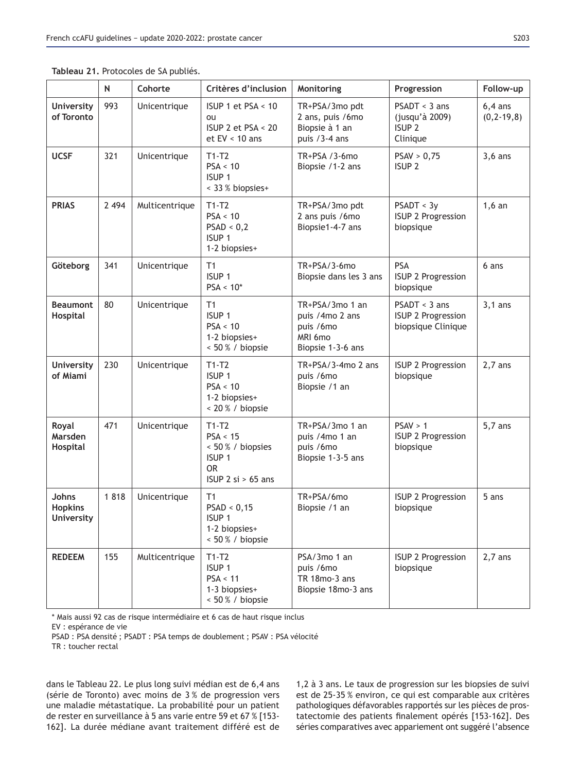|                                              | N       | Cohorte        | Critères d'inclusion                                                                        | Monitoring                                                                      | Progression                                                        | Follow-up                     |
|----------------------------------------------|---------|----------------|---------------------------------------------------------------------------------------------|---------------------------------------------------------------------------------|--------------------------------------------------------------------|-------------------------------|
| <b>University</b><br>of Toronto              | 993     | Unicentrique   | ISUP 1 et PSA < 10<br>ou<br>ISUP 2 et PSA < 20<br>et $EV < 10$ ans                          | TR+PSA/3mo pdt<br>2 ans, puis /6mo<br>Biopsie à 1 an<br>puis /3-4 ans           | $PSADT < 3$ ans<br>(jusqu'à 2009)<br>ISUP <sub>2</sub><br>Clinique | $6,4$ ans<br>$(0, 2 - 19, 8)$ |
| <b>UCSF</b>                                  | 321     | Unicentrique   | $T1-T2$<br>PSA < 10<br>ISUP <sub>1</sub><br>< 33 % biopsies+                                | TR+PSA / 3-6mo<br>Biopsie /1-2 ans                                              | PSAV > 0,75<br>ISUP <sub>2</sub>                                   | $3,6$ ans                     |
| <b>PRIAS</b>                                 | 2 4 9 4 | Multicentrique | $T1-T2$<br>PSA < 10<br>PSAD < 0,2<br>ISUP <sub>1</sub><br>1-2 biopsies+                     | TR+PSA/3mo pdt<br>2 ans puis /6mo<br>Biopsie1-4-7 ans                           | PSADT < 3y<br>ISUP 2 Progression<br>biopsique                      | $1,6$ an                      |
| Göteborg                                     | 341     | Unicentrique   | T1<br>ISUP <sub>1</sub><br>$PSA < 10*$                                                      | TR+PSA/3-6mo<br>Biopsie dans les 3 ans                                          | PSA<br>ISUP 2 Progression<br>biopsique                             | 6 ans                         |
| <b>Beaumont</b><br>Hospital                  | 80      | Unicentrique   | T1<br>ISUP <sub>1</sub><br>PSA < 10<br>1-2 biopsies+<br>< 50 % / biopsie                    | TR+PSA/3mo 1 an<br>puis /4mo 2 ans<br>puis /6mo<br>MRI 6mo<br>Biopsie 1-3-6 ans | $PSADT < 3$ ans<br>ISUP 2 Progression<br>biopsique Clinique        | $3,1$ ans                     |
| <b>University</b><br>of Miami                | 230     | Unicentrique   | $T1-T2$<br>ISUP <sub>1</sub><br>PSA < 10<br>1-2 biopsies+<br>< 20 % / biopsie               | $TR+PSA/3-4mo 2$ ans<br>puis /6mo<br>Biopsie /1 an                              | ISUP 2 Progression<br>biopsique                                    | $2,7$ ans                     |
| Royal<br><b>Marsden</b><br>Hospital          | 471     | Unicentrique   | $T1-T2$<br>PSA < 15<br>< 50 % / biopsies<br>ISUP <sub>1</sub><br>0R<br>ISUP 2 $si > 65$ ans | TR+PSA/3mo 1 an<br>puis /4mo 1 an<br>puis /6mo<br>Biopsie 1-3-5 ans             | PSAV > 1<br>ISUP 2 Progression<br>biopsique                        | $5,7$ ans                     |
| Johns<br><b>Hopkins</b><br><b>University</b> | 1818    | Unicentrique   | T <sub>1</sub><br>PSAD < 0,15<br>ISUP <sub>1</sub><br>1-2 biopsies+<br>< 50 % / biopsie     | TR+PSA/6mo<br>Biopsie /1 an                                                     | <b>ISUP 2 Progression</b><br>biopsique                             | 5 ans                         |
| <b>REDEEM</b>                                | 155     | Multicentrique | $T1-T2$<br>ISUP <sub>1</sub><br>PSA < 11<br>1-3 biopsies+<br>< 50 % / biopsie               | PSA/3mo 1 an<br>puis /6mo<br>TR 18mo-3 ans<br>Biopsie 18mo-3 ans                | ISUP 2 Progression<br>biopsique                                    | $2,7$ ans                     |

**Tableau 21.** Protocoles de SA publiés.

\* Mais aussi 92 cas de risque intermédiaire et 6 cas de haut risque inclus

EV : espérance de vie

PSAD : PSA densité ; PSADT : PSA temps de doublement ; PSAV : PSA vélocité

TR : toucher rectal

dans le Tableau 22. Le plus long suivi médian est de 6,4 ans (série de Toronto) avec moins de 3 % de progression vers une maladie métastatique. La probabilité pour un patient de rester en surveillance à 5 ans varie entre 59 et 67 % [153-162]. La durée médiane avant traitement différé est de 1,2 à 3 ans. Le taux de progression sur les biopsies de suivi est de 25-35 % environ, ce qui est comparable aux critères pathologiques défavorables rapportés sur les pièces de prostatectomie des patients finalement opérés [153-162]. Des séries comparatives avec appariement ont suggéré l'absence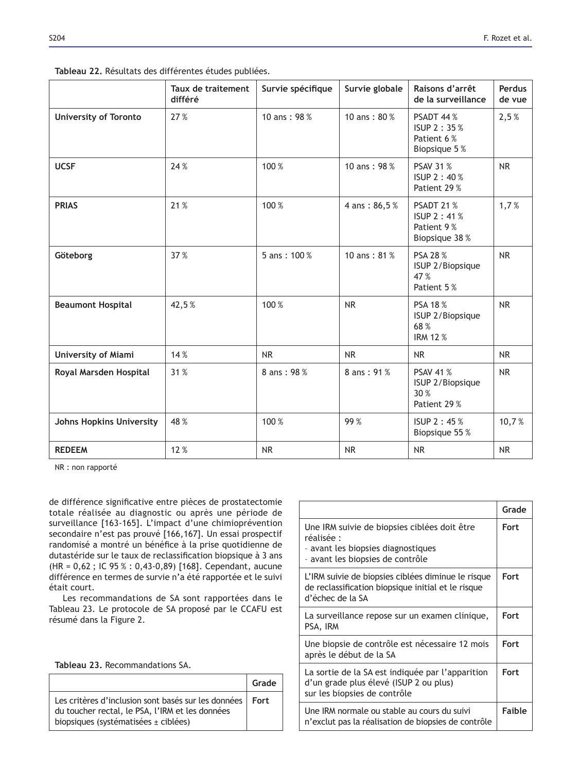| Tableau 22. Résultats des différentes études publiées. |  |  |  |  |  |
|--------------------------------------------------------|--|--|--|--|--|
|--------------------------------------------------------|--|--|--|--|--|

|                                 | Taux de traitement<br>différé | Survie spécifique | Survie globale | Raisons d'arrêt<br>de la surveillance                        | Perdus<br>de vue |
|---------------------------------|-------------------------------|-------------------|----------------|--------------------------------------------------------------|------------------|
| <b>University of Toronto</b>    | 27 %                          | 10 ans: 98%       | 10 ans: 80 %   | PSADT 44 %<br>ISUP 2:35%<br>Patient 6 %<br>Biopsique 5 %     | 2,5%             |
| <b>UCSF</b>                     | 24 %                          | 100 %             | 10 ans: 98 %   | <b>PSAV 31 %</b><br>ISUP 2:40%<br>Patient 29 %               | <b>NR</b>        |
| <b>PRIAS</b>                    | 21%                           | 100 %             | 4 ans: 86,5%   | PSADT 21%<br>ISUP 2:41%<br>Patient 9%<br>Biopsique 38 %      | 1,7%             |
| Göteborg                        | 37%                           | 5 ans: 100 %      | 10 ans: $81\%$ | PSA 28 %<br>ISUP 2/Biopsique<br>47 %<br>Patient 5%           | <b>NR</b>        |
| <b>Beaumont Hospital</b>        | 42,5%                         | 100 %             | <b>NR</b>      | <b>PSA 18%</b><br>ISUP 2/Biopsique<br>68%<br><b>IRM 12 %</b> | <b>NR</b>        |
| <b>University of Miami</b>      | 14 %                          | <b>NR</b>         | <b>NR</b>      | <b>NR</b>                                                    | <b>NR</b>        |
| Royal Marsden Hospital          | 31 %                          | 8 ans: 98%        | 8 ans: 91%     | <b>PSAV 41 %</b><br>ISUP 2/Biopsique<br>30 %<br>Patient 29 % | <b>NR</b>        |
| <b>Johns Hopkins University</b> | 48 %                          | 100 %             | 99%            | ISUP 2:45%<br>Biopsique 55 %                                 | 10,7%            |
| <b>REDEEM</b>                   | 12%                           | <b>NR</b>         | <b>NR</b>      | <b>NR</b>                                                    | <b>NR</b>        |

NR : non rapporté

de différence significative entre pièces de prostatectomie totale réalisée au diagnostic ou après une période de surveillance [163-165]. L'impact d'une chimioprévention secondaire n'est pas prouvé [166,167]. Un essai prospectif randomisé a montré un bénéfice à la prise quotidienne de dutastéride sur le taux de reclassification biopsique à 3 ans (HR = 0,62 ; IC 95 % : 0,43-0,89) [168]. Cependant, aucune différence en termes de survie n'a été rapportée et le suivi était court.

Les recommandations de SA sont rapportées dans le Tableau 23. Le protocole de SA proposé par le CCAFU est résumé dans la Figure 2.

**Tableau 23. Recommandations SA.** 

|                                                                                                                                                       | Grade |
|-------------------------------------------------------------------------------------------------------------------------------------------------------|-------|
| Les critères d'inclusion sont basés sur les données   Fort<br>du toucher rectal, le PSA, l'IRM et les données<br>biopsiques (systématisées ± ciblées) |       |

|                                                                                                                                      | Grade       |
|--------------------------------------------------------------------------------------------------------------------------------------|-------------|
| Une IRM suivie de biopsies ciblées doit être<br>réalisée :<br>- avant les biopsies diagnostiques<br>- avant les biopsies de contrôle | Fort        |
| L'IRM suivie de biopsies ciblées diminue le risque<br>de reclassification biopsique initial et le risque<br>d'échec de la SA         | Fort        |
| La surveillance repose sur un examen clinique,<br>PSA, IRM                                                                           | Fort        |
| Une biopsie de contrôle est nécessaire 12 mois<br>après le début de la SA                                                            | Fort        |
| La sortie de la SA est indiquée par l'apparition<br>d'un grade plus élevé (ISUP 2 ou plus)<br>sur les biopsies de contrôle           | <b>Fort</b> |
| Une IRM normale ou stable au cours du suivi<br>n'exclut pas la réalisation de biopsies de contrôle                                   | Faible      |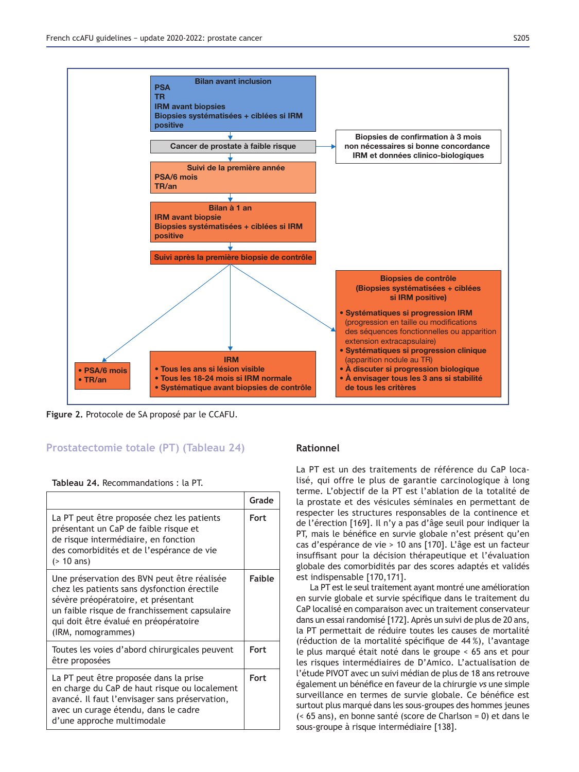

Figure 2. Protocole de SA proposé par le CCAFU.

# **Prostatectomie totale (PT) (Tableau 24)**

|  |  |  | Tableau 24. Recommandations: la PT. |  |  |  |  |
|--|--|--|-------------------------------------|--|--|--|--|
|--|--|--|-------------------------------------|--|--|--|--|

|                                                                                                                                                                                                                                                   | Grade         |
|---------------------------------------------------------------------------------------------------------------------------------------------------------------------------------------------------------------------------------------------------|---------------|
| La PT peut être proposée chez les patients<br>présentant un CaP de faible risque et<br>de risque intermédiaire, en fonction<br>des comorbidités et de l'espérance de vie<br>$($ 10 ans)                                                           | Fort          |
| Une préservation des BVN peut être réalisée<br>chez les patients sans dysfonction érectile<br>sévère préopératoire, et présentant<br>un faible risque de franchissement capsulaire<br>qui doit être évalué en préopératoire<br>(IRM, nomogrammes) | <b>Faible</b> |
| Toutes les voies d'abord chirurgicales peuvent<br>être proposées                                                                                                                                                                                  | <b>Fort</b>   |
| La PT peut être proposée dans la prise<br>en charge du CaP de haut risque ou localement<br>avancé. Il faut l'envisager sans préservation,<br>avec un curage étendu, dans le cadre<br>d'une approche multimodale                                   | <b>Fort</b>   |

# **Rationnel**

La PT est un des traitements de référence du CaP localisé, qui offre le plus de garantie carcinologique à long terme. L'objectif de la PT est l'ablation de la totalité de la prostate et des vésicules séminales en permettant de respecter les structures responsables de la continence et de l'érection [169]. Il n'y a pas d'âge seuil pour indiquer la PT, mais le bénéfice en survie globale n'est présent qu'en cas d'espérance de vie > 10 ans [170]. L'âge est un facteur insuffisant pour la décision thérapeutique et l'évaluation globale des comorbidités par des scores adaptés et validés est indispensable [170,171].

La PT est le seul traitement ayant montré une amélioration en survie globale et survie spécifique dans le traitement du CaP localisé en comparaison avec un traitement conservateur dans un essai randomisé [172]. Après un suivi de plus de 20 ans, la PT permettait de réduire toutes les causes de mortalité (réduction de la mortalité spécifique de 44%), l'avantage le plus marqué était noté dans le groupe < 65 ans et pour les risques intermédiaires de D'Amico. L'actualisation de l'étude PIVOT avec un suivi médian de plus de 18 ans retrouve également un bénéfice en faveur de la chirurgie vs une simple surveillance en termes de survie globale. Ce bénéfice est surtout plus marqué dans les sous-groupes des hommes jeunes (< 65 ans), en bonne santé (score de Charlson = 0) et dans le sous-groupe à risque intermédiaire [138].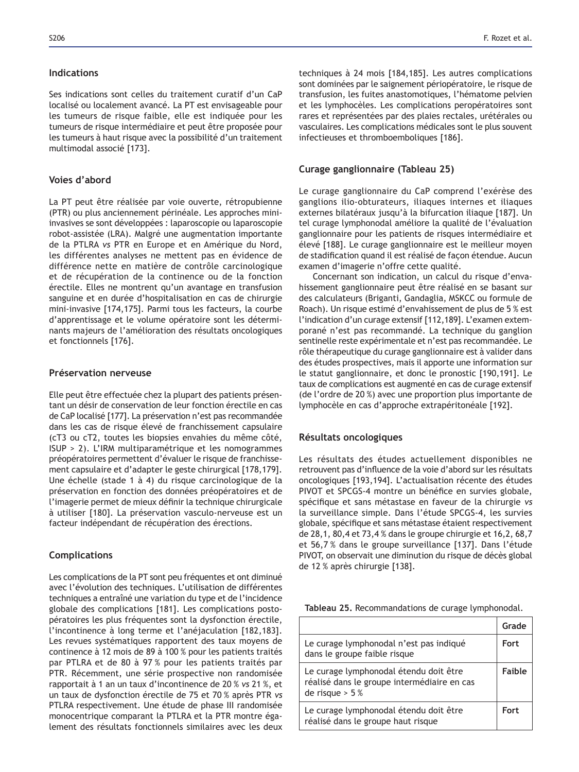#### **Indications**

Ses indications sont celles du traitement curatif d'un CaP localisé ou localement avancé. La PT est envisageable pour les tumeurs de risque faible, elle est indiquée pour les tumeurs de risque intermédiaire et peut être proposée pour les tumeurs à haut risque avec la possibilité d'un traitement multimodal associé [173].

# **Voies d'abord**

La PT peut être réalisée par voie ouverte, rétropubienne (PTR) ou plus anciennement périnéale. Les approches miniinvasives se sont développées : laparoscopie ou laparoscopie robot-assistée (LRA). Malgré une augmentation importante de la PTLRA *vs* PTR en Europe et en Amérique du Nord, les différentes analyses ne mettent pas en évidence de différence nette en matière de contrôle carcinologique et de récupération de la continence ou de la fonction érectile. Elles ne montrent qu'un avantage en transfusion sanguine et en durée d'hospitalisation en cas de chirurgie mini-invasive [174,175]. Parmi tous les facteurs, la courbe d'apprentissage et le volume opératoire sont les déterminants majeurs de l'amélioration des résultats oncologiques et fonctionnels [176].

#### **Préservation nerveuse**

Elle peut être effectuée chez la plupart des patients présentant un désir de conservation de leur fonction érectile en cas de CaP localisé [177]. La préservation n'est pas recommandée dans les cas de risque élevé de franchissement capsulaire (cT3 ou cT2, toutes les biopsies envahies du même côté, ISUP > 2). L'IRM multiparamétrique et les nomogrammes préopératoires permettent d'évaluer le risque de franchissement capsulaire et d'adapter le geste chirurgical [178,179]. Une échelle (stade 1 à 4) du risque carcinologique de la préservation en fonction des données préopératoires et de l'imagerie permet de mieux définir la technique chirurgicale à utiliser [180]. La préservation vasculo-nerveuse est un facteur indépendant de récupération des érections.

#### **Complications**

Les complications de la PT sont peu fréquentes et ont diminué avec l'évolution des techniques. L'utilisation de différentes techniques a entraîné une variation du type et de l'incidence globale des complications [181]. Les complications postopératoires les plus fréquentes sont la dysfonction érectile, l'incontinence à long terme et l'anéjaculation [182,183]. Les revues systématiques rapportent des taux moyens de continence à 12 mois de 89 à 100 % pour les patients traités par PTLRA et de 80 à 97 % pour les patients traités par PTR. Récemment, une série prospective non randomisée rapportait à 1 an un taux d'incontinence de 20 % *vs* 21 %, et un taux de dysfonction érectile de 75 et 70 % après PTR vs PTLRA respectivement. Une étude de phase III randomisée monocentrique comparant la PTLRA et la PTR montre également des résultats fonctionnels similaires avec les deux techniques à 24 mois [184,185]. Les autres complications sont dominées par le saignement périopératoire, le risque de transfusion, les fuites anastomotiques, l'hématome pelvien et les lymphocèles. Les complications peropératoires sont rares et représentées par des plaies rectales, urétérales ou vasculaires. Les complications médicales sont le plus souvent infectieuses et thromboemboliques [186].

#### **Curage ganglionnaire (Tableau 25)**

Le curage ganglionnaire du CaP comprend l'exérèse des ganglions ilio-obturateurs, iliaques internes et iliaques externes bilatéraux jusqu'à la bifurcation iliaque [187]. Un tel curage lymphonodal améliore la qualité de l'évaluation ganglionnaire pour les patients de risques intermédiaire et élevé [188]. Le curage ganglionnaire est le meilleur moyen de stadification quand il est réalisé de façon étendue. Aucun examen d'imagerie n'offre cette qualité.

Concernant son indication, un calcul du risque d'envahissement ganglionnaire peut être réalisé en se basant sur des calculateurs (Briganti, Gandaglia, MSKCC ou formule de Roach). Un risque estimé d'envahissement de plus de 5 % est l'indication d'un curage extensif [112,189]. L'examen extemporané n'est pas recommandé. La technique du ganglion sentinelle reste expérimentale et n'est pas recommandée. Le rôle thérapeutique du curage ganglionnaire est à valider dans des études prospectives, mais il apporte une information sur le statut ganglionnaire, et donc le pronostic [190,191]. Le taux de complications est augmenté en cas de curage extensif (de l'ordre de 20 %) avec une proportion plus importante de lymphocèle en cas d'approche extrapéritonéale [192].

#### **Résultats oncologiques**

Les résultats des études actuellement disponibles ne retrouvent pas d'influence de la voie d'abord sur les résultats oncologiques [193,194]. L'actualisation récente des études PIVOT et SPCGS-4 montre un bénéfice en survies globale, spécifique et sans métastase en faveur de la chirurgie vs la surveillance simple. Dans l'étude SPCGS-4, les survies globale, spécifique et sans métastase étaient respectivement de 28,1, 80,4 et 73,4 % dans le groupe chirurgie et 16,2, 68,7 et 56,7% dans le groupe surveillance [137]. Dans l'étude PIVOT, on observait une diminution du risque de décès global de 12 % après chirurgie [138].

| Tableau 25. Recommandations de curage lymphonodal. |  |
|----------------------------------------------------|--|
|----------------------------------------------------|--|

|                                                                                                            | Grade       |
|------------------------------------------------------------------------------------------------------------|-------------|
| Le curage lymphonodal n'est pas indiqué<br>dans le groupe faible risque                                    | <b>Fort</b> |
| Le curage lymphonodal étendu doit être<br>réalisé dans le groupe intermédiaire en cas<br>de risque $> 5\%$ | Faible      |
| Le curage lymphonodal étendu doit être<br>réalisé dans le groupe haut risque                               | Fort        |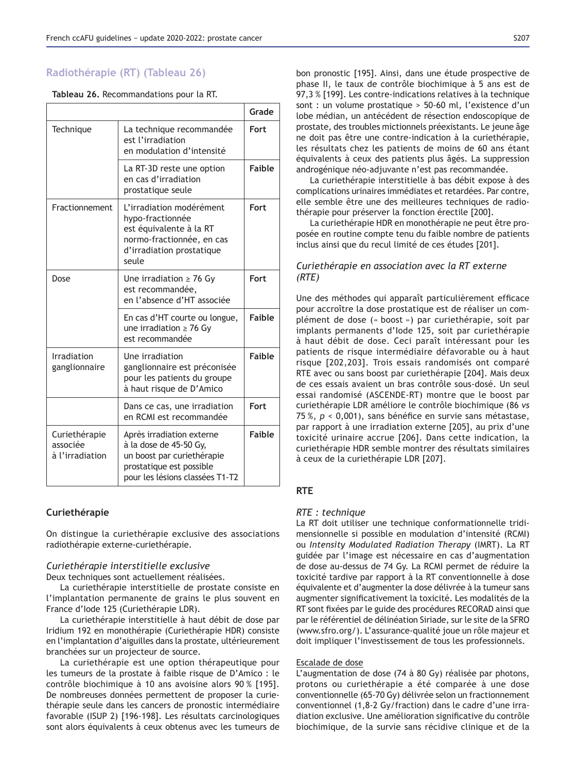# Radiothérapie (RT) (Tableau 26)

|  | Tableau 26. Recommandations pour la RT. |  |  |
|--|-----------------------------------------|--|--|
|--|-----------------------------------------|--|--|

|                                              |                                                                                                                                                  | Grade         |
|----------------------------------------------|--------------------------------------------------------------------------------------------------------------------------------------------------|---------------|
| Technique                                    | La technique recommandée<br>est l'irradiation<br>en modulation d'intensité                                                                       | Fort          |
|                                              | La RT-3D reste une option<br>en cas d'irradiation<br>prostatique seule                                                                           | <b>Faible</b> |
| Fractionnement                               | L'irradiation modérément<br>hypo-fractionnée<br>est équivalente à la RT<br>normo-fractionnée, en cas<br>d'irradiation prostatique<br>seule       | Fort          |
| Dose                                         | Une irradiation $\geq 76$ Gy<br>est recommandée.<br>en l'absence d'HT associée                                                                   | Fort          |
|                                              | En cas d'HT courte ou longue,<br>une irradiation $\geq$ 76 Gy<br>est recommandée                                                                 | Faible        |
| Irradiation<br>ganglionnaire                 | Une irradiation<br>ganglionnaire est préconisée<br>pour les patients du groupe<br>à haut risque de D'Amico                                       | <b>Faible</b> |
|                                              | Dans ce cas, une irradiation<br>en RCMI est recommandée                                                                                          | Fort          |
| Curiethérapie<br>associée<br>à l'irradiation | Après irradiation externe<br>à la dose de 45-50 Gy,<br>un boost par curiethérapie<br>prostatique est possible<br>pour les lésions classées T1-T2 | <b>Faible</b> |

#### **Curiethérapie**

On distingue la curiethérapie exclusive des associations radiothérapie externe-curiethérapie.

#### *Curiethérapie interstitielle exclusive*

Deux techniques sont actuellement réalisées.

La curiethérapie interstitielle de prostate consiste en l'implantation permanente de grains le plus souvent en France d'Iode 125 (Curiethérapie LDR).

La curiethérapie interstitielle à haut débit de dose par Iridium 192 en monothérapie (Curiethérapie HDR) consiste en l'implantation d'aiguilles dans la prostate, ultérieurement branchées sur un projecteur de source.

La curiethérapie est une option thérapeutique pour les tumeurs de la prostate à faible risque de D'Amico : le contrôle biochimique à 10 ans avoisine alors 90 % [195]. De nombreuses données permettent de proposer la curiethérapie seule dans les cancers de pronostic intermédiaire favorable (ISUP 2) [196-198]. Les résultats carcinologiques sont alors équivalents à ceux obtenus avec les tumeurs de bon pronostic [195]. Ainsi, dans une étude prospective de phase II, le taux de contrôle biochimique à 5 ans est de 97,3 % [199]. Les contre-indications relatives à la technique sont : un volume prostatique > 50-60 ml, l'existence d'un lobe médian, un antécédent de résection endoscopique de prostate, des troubles mictionnels préexistants. Le jeune âge ne doit pas être une contre-indication à la curiethérapie, les résultats chez les patients de moins de 60 ans étant équivalents à ceux des patients plus âgés. La suppression androgénique néo-adjuvante n'est pas recommandée.

La curiethérapie interstitielle à bas débit expose à des complications urinaires immédiates et retardées. Par contre, elle semble être une des meilleures techniques de radiothérapie pour préserver la fonction érectile [200].

La curiethérapie HDR en monothérapie ne peut être proposée en routine compte tenu du faible nombre de patients inclus ainsi que du recul limité de ces études [201].

# *Curiethérapie en association avec la RT externe (RTE)*

Une des méthodes qui apparaît particulièrement efficace pour accroître la dose prostatique est de réaliser un complément de dose (« boost ») par curiethérapie, soit par implants permanents d'Iode 125, soit par curiethérapie à haut débit de dose. Ceci paraît intéressant pour les patients de risque intermédiaire défavorable ou à haut risque [202,203]. Trois essais randomisés ont comparé RTE avec ou sans boost par curiethérapie [204]. Mais deux de ces essais avaient un bras contrôle sous-dosé. Un seul essai randomisé (ASCENDE-RT) montre que le boost par curiethérapie LDR améliore le contrôle biochimique (86 *vs* 75 %,  $p < 0,001$ ), sans bénéfice en survie sans métastase, par rapport à une irradiation externe [205], au prix d'une toxicité urinaire accrue [206]. Dans cette indication, la curiethérapie HDR semble montrer des résultats similaires à ceux de la curiethérapie LDR [207].

### **57(**

#### *RTE : technique*

La RT doit utiliser une technique conformationnelle tridimensionnelle si possible en modulation d'intensité (RCMI) ou *Intensity Modulated Radiation Therapy* (IMRT). La RT guidée par l'image est nécessaire en cas d'augmentation de dose au-dessus de 74 Gy. La RCMI permet de réduire la toxicité tardive par rapport à la RT conventionnelle à dose équivalente et d'augmenter la dose délivrée à la tumeur sans augmenter significativement la toxicité. Les modalités de la RT sont fixées par le guide des procédures RECORAD ainsi que par le référentiel de délinéation Siriade, sur le site de la SFRO (www.sfro.org/). L'assurance-qualité joue un rôle majeur et doit impliquer l'investissement de tous les professionnels.

### Escalade de dose

L'augmentation de dose (74 à 80 Gy) réalisée par photons, protons ou curiethérapie a été comparée à une dose conventionnelle (65-70 Gy) délivrée selon un fractionnement conventionnel (1,8-2 Gy/fraction) dans le cadre d'une irradiation exclusive. Une amélioration significative du contrôle biochimique, de la survie sans récidive clinique et de la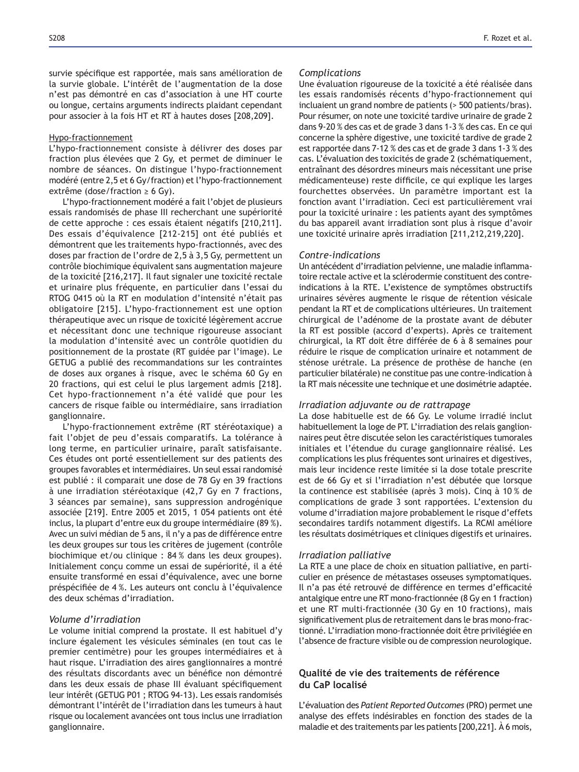survie spécifique est rapportée, mais sans amélioration de la survie globale. L'intérêt de l'augmentation de la dose n'est pas démontré en cas d'association à une HT courte ou longue, certains arguments indirects plaidant cependant pour associer à la fois HT et RT à hautes doses [208,209].

#### Hypo-fractionnement

L'hypo-fractionnement consiste à délivrer des doses par fraction plus élevées que 2 Gy, et permet de diminuer le nombre de séances. On distingue l'hypo-fractionnement modéré (entre 2,5 et 6 Gy/fraction) et l'hypo-fractionnement extrême (dose/fraction  $\geq 6$  Gy).

L'hypo-fractionnement modéré a fait l'objet de plusieurs essais randomisés de phase III recherchant une supériorité de cette approche : ces essais étaient négatifs [210,211]. Des essais d'équivalence [212-215] ont été publiés et démontrent que les traitements hypo-fractionnés, avec des doses par fraction de l'ordre de 2,5 à 3,5 Gy, permettent un contrôle biochimique équivalent sans augmentation majeure de la toxicité [216,217]. Il faut signaler une toxicité rectale et urinaire plus fréquente, en particulier dans l'essai du RTOG 0415 où la RT en modulation d'intensité n'était pas obligatoire [215]. L'hypo-fractionnement est une option thérapeutique avec un risque de toxicité légèrement accrue et nécessitant donc une technique rigoureuse associant la modulation d'intensité avec un contrôle quotidien du positionnement de la prostate (RT guidée par l'image). Le GETUG a publié des recommandations sur les contraintes de doses aux organes à risque, avec le schéma 60 Gy en 20 fractions, qui est celui le plus largement admis [218]. Cet hypo-fractionnement n'a été validé que pour les cancers de risque faible ou intermédiaire, sans irradiation ganglionnaire.

L'hypo-fractionnement extrême (RT stéréotaxique) a fait l'objet de peu d'essais comparatifs. La tolérance à long terme, en particulier urinaire, paraît satisfaisante. Ces études ont porté essentiellement sur des patients des groupes favorables et intermédiaires. Un seul essai randomisé est publié : il comparait une dose de 78 Gy en 39 fractions  $\dot{a}$  une irradiation stéréotaxique (42,7 Gy en 7 fractions, 3 séances par semaine), sans suppression androgénique associée [219]. Entre 2005 et 2015, 1 054 patients ont été inclus, la plupart d'entre eux du groupe intermédiaire (89 %). Avec un suivi médian de 5 ans, il n'y a pas de différence entre les deux groupes sur tous les critères de jugement (contrôle biochimique et/ou clinique : 84 % dans les deux groupes). Initialement conçu comme un essai de supériorité, il a été ensuite transformé en essai d'équivalence, avec une borne préspécifiée de 4%. Les auteurs ont conclu à l'équivalence des deux schémas d'irradiation.

### *Volume d'irradiation*

Le volume initial comprend la prostate. Il est habituel d'y inclure également les vésicules séminales (en tout cas le premier centimètre) pour les groupes intermédiaires et à haut risque. L'irradiation des aires ganglionnaires a montré des résultats discordants avec un bénéfice non démontré dans les deux essais de phase III évaluant spécifiquement leur intérêt (GETUG P01 ; RTOG 94-13). Les essais randomisés démontrant l'intérêt de l'irradiation dans les tumeurs à haut risque ou localement avancées ont tous inclus une irradiation ganglionnaire.

#### *Complications*

Une évaluation rigoureuse de la toxicité a été réalisée dans les essais randomisés récents d'hypo-fractionnement qui incluaient un grand nombre de patients (> 500 patients/bras). Pour résumer, on note une toxicité tardive urinaire de grade 2 dans 9-20 % des cas et de grade 3 dans 1-3 % des cas. En ce qui concerne la sphère digestive, une toxicité tardive de grade 2 est rapportée dans 7-12 % des cas et de grade 3 dans 1-3 % des cas. L'évaluation des toxicités de grade 2 (schématiquement, entraînant des désordres mineurs mais nécessitant une prise médicamenteuse) reste difficile, ce qui explique les larges fourchettes observées. Un paramètre important est la fonction avant l'irradiation. Ceci est particulièrement vrai pour la toxicité urinaire : les patients ayant des symptômes du bas appareil avant irradiation sont plus à risque d'avoir une toxicité urinaire après irradiation [211,212,219,220].

### *Contre-indications*

Un antécédent d'irradiation pelvienne, une maladie inflammatoire rectale active et la sclérodermie constituent des contreindications à la RTE. L'existence de symptômes obstructifs urinaires sévères augmente le risque de rétention vésicale pendant la RT et de complications ultérieures. Un traitement chirurgical de l'adénome de la prostate avant de débuter la RT est possible (accord d'experts). Après ce traitement chirurgical, la RT doit être différée de 6 à 8 semaines pour réduire le risque de complication urinaire et notamment de sténose urétrale. La présence de prothèse de hanche (en particulier bilatérale) ne constitue pas une contre-indication à la RT mais nécessite une technique et une dosimétrie adaptée.

#### *Irradiation adjuvante ou de rattrapage*

La dose habituelle est de 66 Gy. Le volume irradié inclut habituellement la loge de PT. L'irradiation des relais ganglionnaires peut être discutée selon les caractéristiques tumorales initiales et l'étendue du curage ganglionnaire réalisé. Les complications les plus fréquentes sont urinaires et digestives, mais leur incidence reste limitée si la dose totale prescrite est de 66 Gy et si l'irradiation n'est débutée que lorsque la continence est stabilisée (après 3 mois). Cinq à 10 % de complications de grade 3 sont rapportées. L'extension du volume d'irradiation majore probablement le risque d'effets secondaires tardifs notamment digestifs. La RCMI améliore les résultats dosimétriques et cliniques digestifs et urinaires.

#### *Irradiation palliative*

La RTE a une place de choix en situation palliative, en particulier en présence de métastases osseuses symptomatiques. Il n'a pas été retrouvé de différence en termes d'efficacité antalgique entre une RT mono-fractionnée (8 Gy en 1 fraction) et une RT multi-fractionnée (30 Gy en 10 fractions), mais significativement plus de retraitement dans le bras mono-fractionné. L'irradiation mono-fractionnée doit être privilégiée en l'absence de fracture visible ou de compression neurologique.

## Qualité de vie des traitements de référence du CaP localisé

L'évaluation des *Patient Reported Outcomes* (PRO) permet une analyse des effets indésirables en fonction des stades de la maladie et des traitements par les patients [200,221]. À 6 mois,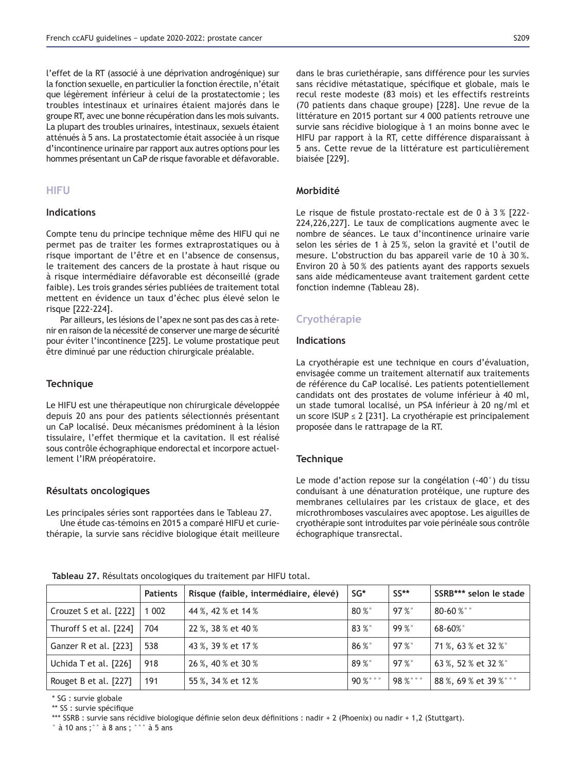l'effet de la RT (associé à une déprivation androgénique) sur la fonction sexuelle, en particulier la fonction érectile, n'était que légèrement inférieur à celui de la prostatectomie ; les troubles intestinaux et urinaires étaient majorés dans le groupe RT, avec une bonne récupération dans les mois suivants. La plupart des troubles urinaires, intestinaux, sexuels étaient atténués à 5 ans. La prostatectomie était associée à un risque d'incontinence urinaire par rapport aux autres options pour les hommes présentant un CaP de risque favorable et défavorable.

## **HIFU**

## **Indications**

Compte tenu du principe technique même des HIFU qui ne permet pas de traiter les formes extraprostatiques ou à risque important de l'être et en l'absence de consensus, le traitement des cancers de la prostate à haut risque ou à risque intermédiaire défavorable est déconseillé (grade faible). Les trois grandes séries publiées de traitement total mettent en évidence un taux d'échec plus élevé selon le risque [222-224].

Par ailleurs, les lésions de l'apex ne sont pas des cas à retenir en raison de la nécessité de conserver une marge de sécurité pour éviter l'incontinence [225]. Le volume prostatique peut être diminué par une réduction chirurgicale préalable.

### **Technique**

Le HIFU est une thérapeutique non chirurgicale développée depuis 20 ans pour des patients sélectionnés présentant un CaP localisé. Deux mécanismes prédominent à la lésion tissulaire, l'effet thermique et la cavitation. Il est réalisé sous contrôle échographique endorectal et incorpore actuellement l'IRM préopératoire.

### **Résultats oncologiques**

Les principales séries sont rapportées dans le Tableau 27.

Une étude cas-témoins en 2015 a comparé HIFU et curiethérapie, la survie sans récidive biologique était meilleure dans le bras curiethérapie, sans différence pour les survies sans récidive métastatique, spécifique et globale, mais le recul reste modeste (83 mois) et les effectifs restreints (70 patients dans chaque groupe) [228]. Une revue de la littérature en 2015 portant sur 4 000 patients retrouve une survie sans récidive biologique à 1 an moins bonne avec le HIFU par rapport à la RT, cette différence disparaissant à 5 ans. Cette revue de la littérature est particulièrement biaisée [229].

## **Morbidité**

Le risque de fistule prostato-rectale est de  $0$  à  $3%$  [222-224,226,227]. Le taux de complications augmente avec le nombre de séances. Le taux d'incontinence urinaire varie selon les séries de 1 à 25 %, selon la gravité et l'outil de mesure. L'obstruction du bas appareil varie de 10 à 30 %. Environ 20 à 50 % des patients ayant des rapports sexuels sans aide médicamenteuse avant traitement gardent cette fonction indemne (Tableau 28).

## **Cryothérapie**

## **Indications**

La cryothérapie est une technique en cours d'évaluation, envisagée comme un traitement alternatif aux traitements de référence du CaP localisé. Les patients potentiellement candidats ont des prostates de volume inférieur à 40 ml, un stade tumoral localisé, un PSA inférieur à 20 ng/ml et un score ISUP  $\leq$  2 [231]. La cryothérapie est principalement proposée dans le rattrapage de la RT.

## **Technique**

Le mode d'action repose sur la congélation (-40°) du tissu conduisant à une dénaturation protéique, une rupture des membranes cellulaires par les cristaux de glace, et des microthromboses vasculaires avec apoptose. Les aiguilles de cryothérapie sont introduites par voie périnéale sous contrôle échographique transrectal.

|  |  |  |  | Tableau 27. Résultats oncologiques du traitement par HIFU total. |
|--|--|--|--|------------------------------------------------------------------|
|--|--|--|--|------------------------------------------------------------------|

|                        | <b>Patients</b> | Risque (faible, intermédiaire, élevé) | SG*          | $SS**$ | SSRB*** selon le stade |
|------------------------|-----------------|---------------------------------------|--------------|--------|------------------------|
| Crouzet S et al. [222] | 1 0 0 2         | 44 %, 42 % et 14 %                    | $80\%$       | 97%    | $80 - 60 %$            |
| Thuroff S et al. [224] | 704             | 22 %, 38 % et 40 %                    | 83 %°        | 99%    | $68 - 60\%$            |
| Ganzer R et al. [223]  | 538             | 43 %, 39 % et 17 %                    | 86 %°        | 97%    | 71 %, 63 % et 32 % °   |
| Uchida T et al. [226]  | 918             | 26 %, 40 % et 30 %                    | 89 %°        | 97%    | 63 %, 52 % et 32 %°    |
| Rouget B et al. [227]  | 191             | 55 %, 34 % et 12 %                    | $90\%$ ° ° ° | 98%°°° | 88 %, 69 % et 39 % ° ° |
|                        |                 |                                       |              |        |                        |

\* SG : survie globale

\*\* SS : survie spécifique

\*\*\* SSRB : survie sans récidive biologique définie selon deux définitions : nadir + 2 (Phoenix) ou nadir + 1,2 (Stuttgart).

° à 10 ans ;°° à 8 ans ; °°° à 5 ans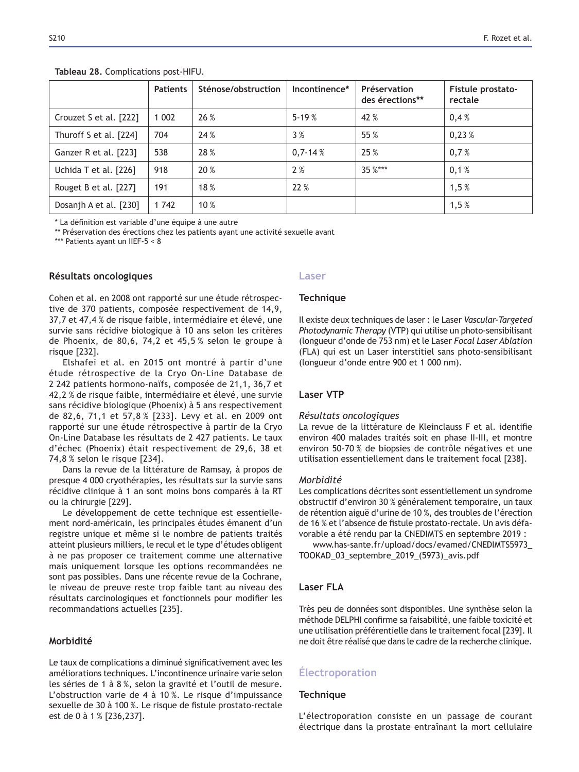|                        | <b>Patients</b> | Sténose/obstruction | Incontinence* | Préservation<br>des érections** | Fistule prostato-<br>rectale |
|------------------------|-----------------|---------------------|---------------|---------------------------------|------------------------------|
| Crouzet S et al. [222] | 002             | 26 %                | $5 - 19%$     | 42 %                            | 0,4%                         |
| Thuroff S et al. [224] | 704             | 24%                 | 3%            | 55 %                            | 0,23%                        |
| Ganzer R et al. [223]  | 538             | 28 %                | $0,7-14%$     | 25 %                            | 0,7%                         |
| Uchida T et al. [226]  | 918             | 20 %                | 2%            | $35 \%$ ***                     | 0,1%                         |
| Rouget B et al. [227]  | 191             | 18%                 | 22%           |                                 | 1,5%                         |
| Dosanjh A et al. [230] | 1 742           | $10\%$              |               |                                 | 1,5%                         |

**Tableau 28. Complications post-HIFU.** 

\* La définition est variable d'une équipe à une autre

\*\* Préservation des érections chez les patients ayant une activité sexuelle avant

\*\*\* Patients ayant un IIEF-5 < 8

## **Résultats oncologiques**

Cohen et al. en 2008 ont rapporté sur une étude rétrospective de 370 patients, composée respectivement de 14,9, 37,7 et 47,4 % de risque faible, intermédiaire et élevé, une survie sans récidive biologique à 10 ans selon les critères de Phoenix, de 80,6, 74,2 et 45,5 % selon le groupe à risque [232].

Elshafei et al. en 2015 ont montré à partir d'une étude rétrospective de la Cryo On-Line Database de 2 242 patients hormono-naïfs, composée de 21,1, 36,7 et 42,2 % de risque faible, intermédiaire et élevé, une survie sans récidive biologique (Phoenix) à 5 ans respectivement de 82,6, 71,1 et 57,8 % [233]. Levy et al. en 2009 ont rapporté sur une étude rétrospective à partir de la Cryo On-Line Database les résultats de 2 427 patients. Le taux d'échec (Phoenix) était respectivement de 29,6, 38 et  $74,8%$  selon le risque  $[234]$ .

Dans la revue de la littérature de Ramsay, à propos de presque 4 000 cryothérapies, les résultats sur la survie sans récidive clinique à 1 an sont moins bons comparés à la RT ou la chirurgie [229].

Le développement de cette technique est essentiellement nord-américain, les principales études émanent d'un registre unique et même si le nombre de patients traités atteint plusieurs milliers, le recul et le type d'études obligent à ne pas proposer ce traitement comme une alternative mais uniquement lorsque les options recommandées ne sont pas possibles. Dans une récente revue de la Cochrane, le niveau de preuve reste trop faible tant au niveau des résultats carcinologiques et fonctionnels pour modifier les recommandations actuelles [235].

## **Morbidité**

Le taux de complications a diminué significativement avec les améliorations techniques. L'incontinence urinaire varie selon les séries de 1 à 8 %, selon la gravité et l'outil de mesure. L'obstruction varie de 4 à 10 %. Le risque d'impuissance sexuelle de 30 à 100 %. Le risque de fistule prostato-rectale est de 0 à 1 % [236,237].

### **Laser**

### **Technique**

Il existe deux techniques de laser : le Laser *Vascular-Targeted Photodynamic Therapy* (VTP) qui utilise un photo-sensibilisant (longueur d'onde de 753 nm) et le Laser Focal Laser Ablation (FLA) qui est un Laser interstitiel sans photo-sensibilisant (longueur d'onde entre 900 et 1 000 nm).

## **Laser VTP**

## *Résultats oncologiques*

La revue de la littérature de Kleinclauss F et al. identifie environ 400 malades traités soit en phase II-III, et montre environ 50-70 % de biopsies de contrôle négatives et une utilisation essentiellement dans le traitement focal [238].

### *Morbidité*

Les complications décrites sont essentiellement un syndrome obstructif d'environ 30 % généralement temporaire, un taux de rétention aiguë d'urine de 10 %, des troubles de l'érection de 16 % et l'absence de fistule prostato-rectale. Un avis défavorable a été rendu par la CNEDIMTS en septembre 2019 :

www.has-sante.fr/upload/docs/evamed/CNEDIMTS5973\_ TOOKAD\_03\_septembre\_2019\_(5973)\_avis.pdf

## **Laser FLA**

Très peu de données sont disponibles. Une synthèse selon la méthode DELPHI confirme sa faisabilité, une faible toxicité et une utilisation préférentielle dans le traitement focal [239]. Il ne doit être réalisé que dans le cadre de la recherche clinique.

# **Electroporation**

## **Technique**

L'électroporation consiste en un passage de courant électrique dans la prostate entraînant la mort cellulaire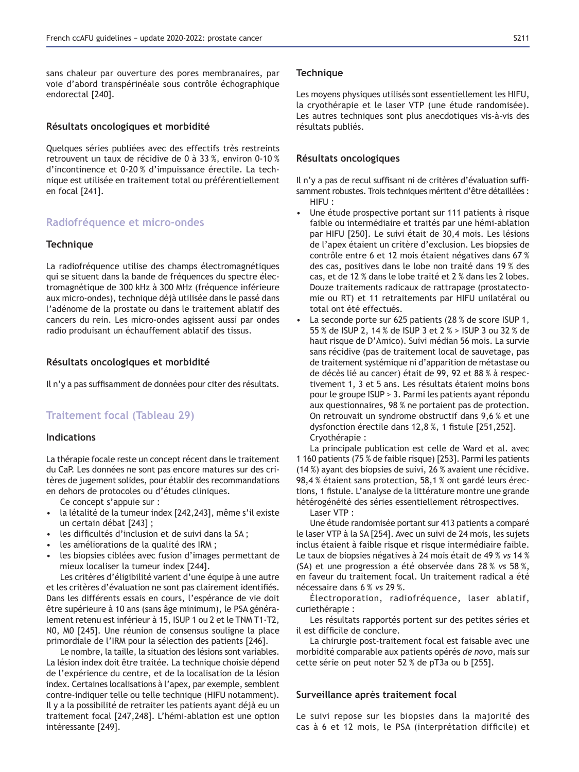sans chaleur par ouverture des pores membranaires, par voie d'abord transpérinéale sous contrôle échographique endorectal [240].

### Résultats oncologiques et morbidité

Quelques séries publiées avec des effectifs très restreints retrouvent un taux de récidive de 0 à 33 %, environ 0-10 % d'incontinence et 0-20 % d'impuissance érectile. La technique est utilisée en traitement total ou préférentiellement en focal [241].

## **Radiofréquence et micro-ondes**

### **Technique**

La radiofréquence utilise des champs électromagnétiques qui se situent dans la bande de fréquences du spectre électromagnétique de 300 kHz à 300 MHz (fréquence inférieure aux micro-ondes), technique déjà utilisée dans le passé dans l'adénome de la prostate ou dans le traitement ablatif des cancers du rein. Les micro-ondes agissent aussi par ondes radio produisant un échauffement ablatif des tissus.

### Résultats oncologiques et morbidité

Il n'y a pas suffisamment de données pour citer des résultats.

## **Traitement focal (Tableau 29)**

### **Indications**

La thérapie focale reste un concept récent dans le traitement du CaP. Les données ne sont pas encore matures sur des critères de jugement solides, pour établir des recommandations en dehors de protocoles ou d'études cliniques.

Ce concept s'appuie sur :

- la létalité de la tumeur index [242,243], même s'il existe un certain débat [243] ;
- les difficultés d'inclusion et de suivi dans la SA;
- les améliorations de la qualité des IRM ;
- les biopsies ciblées avec fusion d'images permettant de mieux localiser la tumeur index [244].

Les critères d'éligibilité varient d'une équipe à une autre et les critères d'évaluation ne sont pas clairement identifiés. Dans les différents essais en cours, l'espérance de vie doit être supérieure à 10 ans (sans âge minimum), le PSA généralement retenu est inférieur à 15, ISUP 1 ou 2 et le TNM T1-T2, N0, M0 [245]. Une réunion de consensus souligne la place primordiale de l'IRM pour la sélection des patients [246].

Le nombre, la taille, la situation des lésions sont variables. La lésion index doit être traitée. La technique choisie dépend de l'expérience du centre, et de la localisation de la lésion index. Certaines localisations à l'apex, par exemple, semblent contre-indiquer telle ou telle technique (HIFU notamment). Il y a la possibilité de retraiter les patients ayant déjà eu un traitement focal [247,248]. L'hémi-ablation est une option intéressante [249].

#### **Technique**

Les moyens physiques utilisés sont essentiellement les HIFU, la cryothérapie et le laser VTP (une étude randomisée). Les autres techniques sont plus anecdotiques vis-à-vis des résultats publiés.

#### **Résultats oncologiques**

Il n'y a pas de recul suffisant ni de critères d'évaluation suffisamment robustes. Trois techniques méritent d'être détaillées : HIFU :

- Une étude prospective portant sur 111 patients à risque faible ou intermédiaire et traités par une hémi-ablation par HIFU [250]. Le suivi était de 30,4 mois. Les lésions de l'apex étaient un critère d'exclusion. Les biopsies de contrôle entre 6 et 12 mois étaient négatives dans 67 % des cas, positives dans le lobe non traité dans 19 % des cas, et de 12 % dans le lobe traité et 2 % dans les 2 lobes. Douze traitements radicaux de rattrapage (prostatectomie ou RT) et 11 retraitements par HIFU unilatéral ou total ont été effectués.
- La seconde porte sur 625 patients (28 % de score ISUP 1, 55 % de ISUP 2, 14 % de ISUP 3 et 2 % > ISUP 3 ou 32 % de haut risque de D'Amico). Suivi médian 56 mois. La survie sans récidive (pas de traitement local de sauvetage, pas de traitement systémique ni d'apparition de métastase ou de décès lié au cancer) était de 99, 92 et 88 % à respectivement 1, 3 et 5 ans. Les résultats étaient moins bons pour le groupe ISUP > 3. Parmi les patients ayant répondu aux questionnaires, 98 % ne portaient pas de protection. On retrouvait un syndrome obstructif dans 9,6 % et une dysfonction érectile dans 12,8%, 1 fistule [251,252]. Cryothérapie :

La principale publication est celle de Ward et al. avec 1 160 patients (75 % de faible risque) [253]. Parmi les patients (14 %) ayant des biopsies de suivi, 26 % avaient une récidive. 98,4 % étaient sans protection, 58,1 % ont gardé leurs érections, 1 fistule. L'analyse de la littérature montre une grande hétérogénéité des séries essentiellement rétrospectives.

Laser VTP :

Une étude randomisée portant sur 413 patients a comparé le laser VTP à la SA [254]. Avec un suivi de 24 mois, les sujets inclus étaient à faible risque et risque intermédiaire faible. Le taux de biopsies négatives à 24 mois était de 49 % *vs* 14 % (SA) et une progression a été observée dans 28 % *vs* 58 %, en faveur du traitement focal. Un traitement radical a été nécessaire dans 6 % *vs* 29 %.

Électroporation, radiofréquence, laser ablatif, curiethérapie :

Les résultats rapportés portent sur des petites séries et il est difficile de conclure.

La chirurgie post-traitement focal est faisable avec une morbidité comparable aux patients opérés *de novo*, mais sur cette série on peut noter 52 % de pT3a ou b [255].

### **Surveillance après traitement focal**

Le suivi repose sur les biopsies dans la majorité des cas à 6 et 12 mois, le PSA (interprétation difficile) et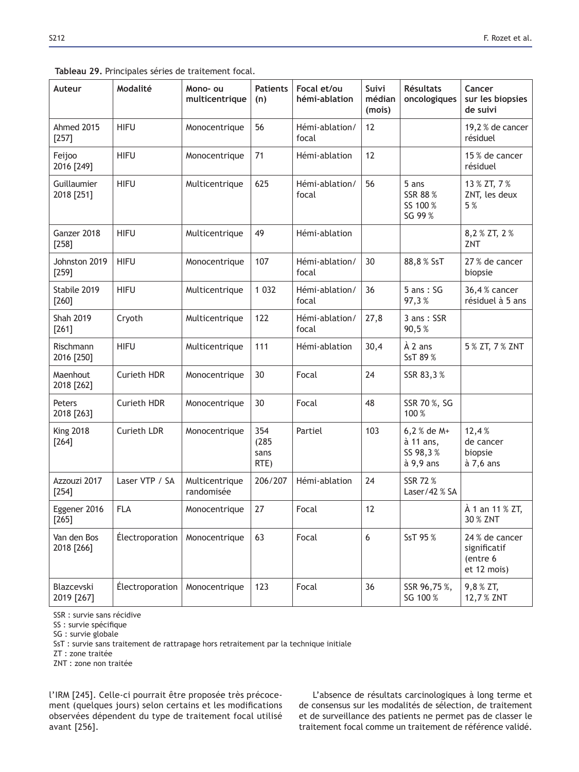|  |  |  |  |  | Tableau 29. Principales séries de traitement focal. |  |
|--|--|--|--|--|-----------------------------------------------------|--|
|--|--|--|--|--|-----------------------------------------------------|--|

| Auteur                      | Modalité           | Mono- ou<br>multicentrique   | <b>Patients</b><br>(n)       | Focal et/ou<br>hémi-ablation | Suivi<br>médian<br>(mois) | <b>Résultats</b><br>oncologiques                  | Cancer<br>sur les biopsies<br>de suivi                    |
|-----------------------------|--------------------|------------------------------|------------------------------|------------------------------|---------------------------|---------------------------------------------------|-----------------------------------------------------------|
| Ahmed 2015<br>$[257]$       | <b>HIFU</b>        | Monocentrique                | 56                           | Hémi-ablation/<br>focal      | 12                        |                                                   | 19,2 % de cancer<br>résiduel                              |
| Feijoo<br>2016 [249]        | <b>HIFU</b>        | Monocentrique                | 71                           | Hémi-ablation                | 12                        |                                                   | 15 % de cancer<br>résiduel                                |
| Guillaumier<br>2018 [251]   | <b>HIFU</b>        | Multicentrique               | 625                          | Hémi-ablation/<br>focal      | 56                        | 5 ans<br>SSR 88 %<br>SS 100 %<br>SG 99 %          | 13 % ZT, 7 %<br>ZNT, les deux<br>5%                       |
| Ganzer 2018<br>$[258]$      | <b>HIFU</b>        | Multicentrique               | 49                           | Hémi-ablation                |                           |                                                   | 8,2 % ZT, 2 %<br>ZNT                                      |
| Johnston 2019<br>$[259]$    | <b>HIFU</b>        | Monocentrique                | 107                          | Hémi-ablation/<br>focal      | 30                        | 88,8% SsT                                         | 27 % de cancer<br>biopsie                                 |
| Stabile 2019<br>$[260]$     | <b>HIFU</b>        | Multicentrique               | 1 0 3 2                      | Hémi-ablation/<br>focal      | 36                        | $5$ ans: $SG$<br>97,3%                            | 36,4 % cancer<br>résiduel à 5 ans                         |
| <b>Shah 2019</b><br>$[261]$ | Cryoth             | Multicentrique               | 122                          | Hémi-ablation/<br>focal      | 27,8                      | 3 ans: SSR<br>90,5%                               |                                                           |
| Rischmann<br>2016 [250]     | <b>HIFU</b>        | Multicentrique               | 111                          | Hémi-ablation                | 30,4                      | À 2 ans<br>SsT 89 %                               | 5 % ZT, 7 % ZNT                                           |
| Maenhout<br>2018 [262]      | Curieth HDR        | Monocentrique                | 30                           | Focal                        | 24                        | SSR 83,3%                                         |                                                           |
| Peters<br>2018 [263]        | <b>Curieth HDR</b> | Monocentrique                | 30                           | Focal                        | 48                        | SSR 70%, SG<br>100 %                              |                                                           |
| <b>King 2018</b><br>$[264]$ | <b>Curieth LDR</b> | Monocentrique                | 354<br>(285)<br>sans<br>RTE) | Partiel                      | 103                       | 6,2 % de M+<br>à 11 ans,<br>SS 98,3%<br>à 9,9 ans | 12,4%<br>de cancer<br>biopsie<br>à 7,6 ans                |
| Azzouzi 2017<br>$[254]$     | Laser VTP / SA     | Multicentrique<br>randomisée | 206/207                      | Hémi-ablation                | 24                        | SSR 72%<br>Laser/42 % SA                          |                                                           |
| Eggener 2016<br>$[265]$     | <b>FLA</b>         | Monocentrique                | 27                           | Focal                        | 12                        |                                                   | À 1 an 11 % ZT,<br>30 % ZNT                               |
| Van den Bos<br>2018 [266]   | Électroporation    | Monocentrique                | 63                           | Focal                        | 6                         | SsT 95%                                           | 24 % de cancer<br>significatif<br>(entre 6<br>et 12 mois) |
| Blazcevski<br>2019 [267]    | Électroporation    | Monocentrique                | 123                          | Focal                        | 36                        | SSR 96,75%,<br>SG 100 %                           | 9,8 % ZT,<br>12,7% ZNT                                    |

SSR : survie sans récidive

SS : survie spécifique

SG : survie globale

SsT : survie sans traitement de rattrapage hors retraitement par la technique initiale

ZT : zone traitée

ZNT : zone non traitée

l'IRM [245]. Celle-ci pourrait être proposée très précocement (quelques jours) selon certains et les modifications observées dépendent du type de traitement focal utilisé avant [256].

L'absence de résultats carcinologiques à long terme et de consensus sur les modalités de sélection, de traitement et de surveillance des patients ne permet pas de classer le traitement focal comme un traitement de référence validé.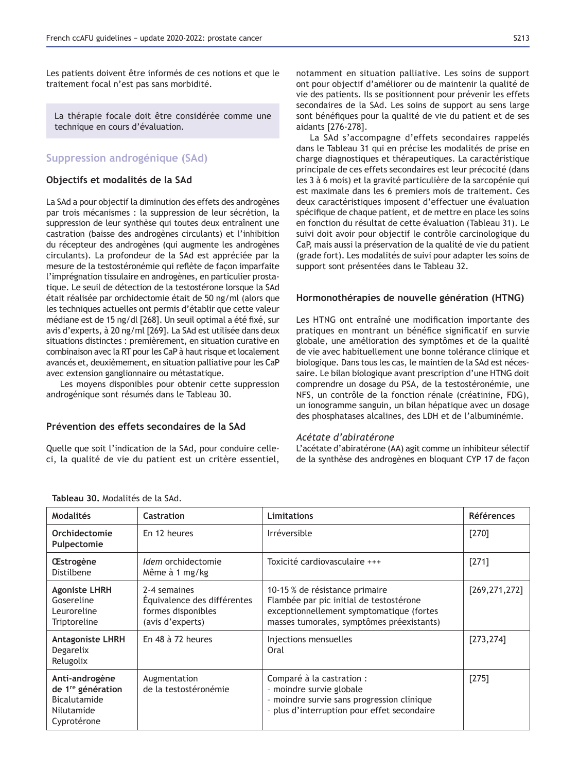Les patients doivent être informés de ces notions et que le traitement focal n'est pas sans morbidité.

La thérapie focale doit être considérée comme une technique en cours d'évaluation.

# **Suppression androgénique (SAd)**

### **2EM** Objectifs et modalités de la SAd

La SAd a pour objectif la diminution des effets des androgènes par trois mécanismes : la suppression de leur sécrétion, la suppression de leur synthèse qui toutes deux entraînent une castration (baisse des androgènes circulants) et l'inhibition du récepteur des androgènes (qui augmente les androgènes circulants). La profondeur de la SAd est appréciée par la mesure de la testostéronémie qui reflète de façon imparfaite l'imprégnation tissulaire en androgènes, en particulier prostatique. Le seuil de détection de la testostérone lorsque la SAd était réalisée par orchidectomie était de 50 ng/ml (alors que les techniques actuelles ont permis d'établir que cette valeur médiane est de 15 ng/dl [268]. Un seuil optimal a été fixé, sur avis d'experts, à 20 ng/ml [269]. La SAd est utilisée dans deux situations distinctes : premièrement, en situation curative en combinaison avec la RT pour les CaP à haut risque et localement avancés et, deuxièmement, en situation palliative pour les CaP avec extension ganglionnaire ou métastatique.

Les moyens disponibles pour obtenir cette suppression androgénique sont résumés dans le Tableau 30.

## Prévention des effets secondaires de la SAd

Quelle que soit l'indication de la SAd, pour conduire celleci, la qualité de vie du patient est un critère essentiel, notamment en situation palliative. Les soins de support ont pour objectif d'améliorer ou de maintenir la qualité de vie des patients. Ils se positionnent pour prévenir les effets secondaires de la SAd. Les soins de support au sens large sont bénéfiques pour la qualité de vie du patient et de ses aidants [276-278].

La SAd s'accompagne d'effets secondaires rappelés dans le Tableau 31 qui en précise les modalités de prise en charge diagnostiques et thérapeutiques. La caractéristique principale de ces effets secondaires est leur précocité (dans les 3 à 6 mois) et la gravité particulière de la sarcopénie qui est maximale dans les 6 premiers mois de traitement. Ces deux caractéristiques imposent d'effectuer une évaluation spécifique de chaque patient, et de mettre en place les soins en fonction du résultat de cette évaluation (Tableau 31). Le suivi doit avoir pour objectif le contrôle carcinologique du CaP, mais aussi la préservation de la qualité de vie du patient (grade fort). Les modalités de suivi pour adapter les soins de support sont présentées dans le Tableau 32.

### **Hormonothérapies de nouvelle génération (HTNG)**

Les HTNG ont entraîné une modification importante des pratiques en montrant un bénéfice significatif en survie globale, une amélioration des symptômes et de la qualité de vie avec habituellement une bonne tolérance clinique et biologique. Dans tous les cas, le maintien de la SAd est nécessaire. Le bilan biologique avant prescription d'une HTNG doit comprendre un dosage du PSA, de la testostéronémie, une NFS, un contrôle de la fonction rénale (créatinine, FDG), un ionogramme sanguin, un bilan hépatique avec un dosage des phosphatases alcalines, des LDH et de l'albuminémie.

### *Acétate d'abiratérone*

L'acétate d'abiratérone (AA) agit comme un inhibiteur sélectif de la synthèse des androgènes en bloquant CYP 17 de façon

| <b>Modalités</b>                                                                             | <b>Castration</b>                                                                     | <b>Limitations</b>                                                                                                                                                 | <b>Références</b> |
|----------------------------------------------------------------------------------------------|---------------------------------------------------------------------------------------|--------------------------------------------------------------------------------------------------------------------------------------------------------------------|-------------------|
| Orchidectomie<br>Pulpectomie                                                                 | En 12 heures                                                                          | <b>Irréversible</b>                                                                                                                                                | $[270]$           |
| <b>Œstrogène</b><br>Distilbene                                                               | <i>Idem</i> orchidectomie<br>Même à 1 mg/kg                                           | Toxicité cardiovasculaire +++                                                                                                                                      | [271]             |
| <b>Agoniste LHRH</b><br>Gosereline<br>Leuroreline<br>Triptoreline                            | 2-4 semaines<br>Équivalence des différentes<br>formes disponibles<br>(avis d'experts) | 10-15 % de résistance primaire<br>Flambée par pic initial de testostérone<br>exceptionnellement symptomatique (fortes<br>masses tumorales, symptômes préexistants) | [269, 271, 272]   |
| <b>Antagoniste LHRH</b><br>Degarelix<br>Relugolix                                            | En 48 à 72 heures                                                                     | Injections mensuelles<br>Oral                                                                                                                                      | [273, 274]        |
| Anti-androgène<br>de 1 <sup>re</sup> génération<br>Bicalutamide<br>Nilutamide<br>Cyprotérone | Augmentation<br>de la testostéronémie                                                 | Comparé à la castration :<br>- moindre survie globale<br>- moindre survie sans progression clinique<br>- plus d'interruption pour effet secondaire                 | $[275]$           |

Tableau 30. Modalités de la SAd.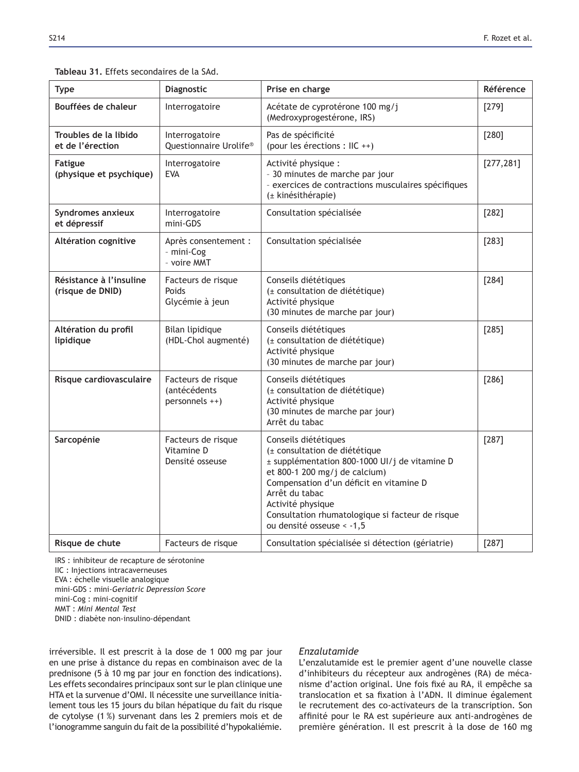## Tableau 31. Effets secondaires de la SAd.

| <b>Type</b>                                 | Diagnostic                                                  | Prise en charge                                                                                                                                                                                                                                                                                             | Référence  |
|---------------------------------------------|-------------------------------------------------------------|-------------------------------------------------------------------------------------------------------------------------------------------------------------------------------------------------------------------------------------------------------------------------------------------------------------|------------|
| Bouffées de chaleur                         | Interrogatoire                                              | Acétate de cyprotérone 100 mg/j<br>(Medroxyprogestérone, IRS)                                                                                                                                                                                                                                               | [279]      |
| Troubles de la libido<br>et de l'érection   | Interrogatoire<br>Questionnaire Urolife®                    | Pas de spécificité<br>(pour les érections : IIC ++)                                                                                                                                                                                                                                                         | [280]      |
| <b>Fatigue</b><br>(physique et psychique)   | Interrogatoire<br><b>EVA</b>                                | Activité physique :<br>- 30 minutes de marche par jour<br>- exercices de contractions musculaires spécifiques<br>(± kinésithérapie)                                                                                                                                                                         | [277, 281] |
| Syndromes anxieux<br>et dépressif           | Interrogatoire<br>mini-GDS                                  | Consultation spécialisée                                                                                                                                                                                                                                                                                    | $[282]$    |
| Altération cognitive                        | Après consentement :<br>- mini-Cog<br>- voire MMT           | Consultation spécialisée                                                                                                                                                                                                                                                                                    | $[283]$    |
| Résistance à l'insuline<br>(risque de DNID) | Facteurs de risque<br>Poids<br>Glycémie à jeun              | Conseils diététiques<br>(± consultation de diététique)<br>Activité physique<br>(30 minutes de marche par jour)                                                                                                                                                                                              | [284]      |
| Altération du profil<br>lipidique           | Bilan lipidique<br>(HDL-Chol augmenté)                      | Conseils diététiques<br>(± consultation de diététique)<br>Activité physique<br>(30 minutes de marche par jour)                                                                                                                                                                                              | $[285]$    |
| Risque cardiovasculaire                     | Facteurs de risque<br><i>(antécédents</i><br>personnels ++) | Conseils diététiques<br>(± consultation de diététique)<br>Activité physique<br>(30 minutes de marche par jour)<br>Arrêt du tabac                                                                                                                                                                            | $[286]$    |
| Sarcopénie                                  | Facteurs de risque<br>Vitamine D<br>Densité osseuse         | Conseils diététiques<br>(± consultation de diététique<br>± supplémentation 800-1000 UI/j de vitamine D<br>et 800-1 200 mg/j de calcium)<br>Compensation d'un déficit en vitamine D<br>Arrêt du tabac<br>Activité physique<br>Consultation rhumatologique si facteur de risque<br>ou densité osseuse < - 1,5 | $[287]$    |
| Risque de chute                             | Facteurs de risque                                          | Consultation spécialisée si détection (gériatrie)                                                                                                                                                                                                                                                           | [287]      |

IRS : inhibiteur de recapture de sérotonine IIC : Injections intracaverneuses EVA : échelle visuelle analogique mini-GDS : mini-*Geriatric Depression Score*

mini-Cog : mini-cognitif

MMT : *Mini Mental Test*

DNID : diabète non-insulino-dépendant

irréversible. Il est prescrit à la dose de 1 000 mg par jour en une prise à distance du repas en combinaison avec de la prednisone (5 à 10 mg par jour en fonction des indications). Les effets secondaires principaux sont sur le plan clinique une HTA et la survenue d'OMI. Il nécessite une surveillance initialement tous les 15 jours du bilan hépatique du fait du risque de cytolyse (1 %) survenant dans les 2 premiers mois et de l'ionogramme sanguin du fait de la possibilité d'hypokaliémie.

## *Enzalutamide*

L'enzalutamide est le premier agent d'une nouvelle classe d'inhibiteurs du récepteur aux androgènes (RA) de mécanisme d'action original. Une fois fixé au RA, il empêche sa translocation et sa fixation à l'ADN. Il diminue également le recrutement des co-activateurs de la transcription. Son affinité pour le RA est supérieure aux anti-androgènes de première génération. Il est prescrit à la dose de 160 mg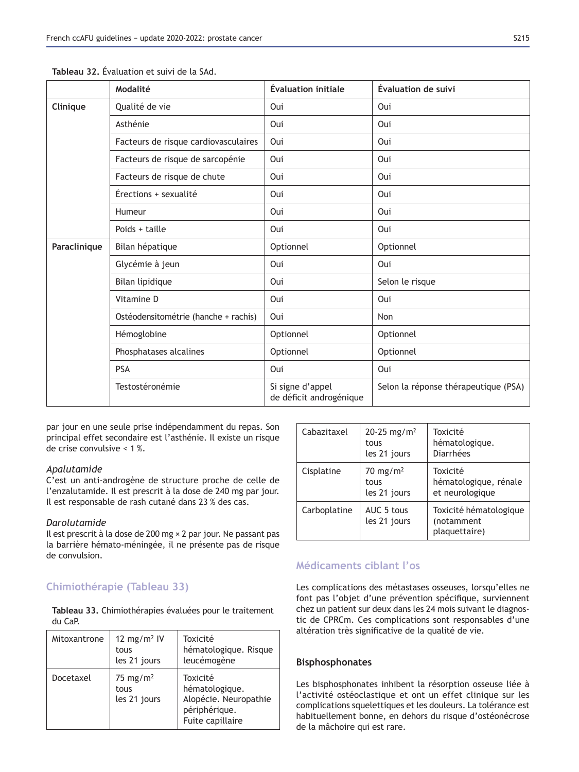|              | Modalité                             | <b>Évaluation initiale</b>                  | <b>Évaluation de suivi</b>           |
|--------------|--------------------------------------|---------------------------------------------|--------------------------------------|
| Clinique     | Qualité de vie                       | Oui                                         | Oui                                  |
|              | Asthénie                             | Oui                                         | Oui                                  |
|              | Facteurs de risque cardiovasculaires | Oui                                         | Oui                                  |
|              | Facteurs de risque de sarcopénie     | Oui                                         | Oui                                  |
|              | Facteurs de risque de chute          | Oui                                         | Oui                                  |
|              | Érections + sexualité                | Oui                                         | Oui                                  |
|              | Humeur                               | Oui                                         | Oui                                  |
|              | Poids $+$ taille                     | Oui                                         | Oui                                  |
| Paraclinique | Bilan hépatique                      | Optionnel                                   | Optionnel                            |
|              | Glycémie à jeun                      | Oui                                         | Oui                                  |
|              | Bilan lipidique                      | Oui                                         | Selon le risque                      |
|              | Vitamine D                           | Oui                                         | Oui                                  |
|              | Ostéodensitométrie (hanche + rachis) | Oui                                         | Non                                  |
|              | Hémoglobine                          | Optionnel                                   | Optionnel                            |
|              | Phosphatases alcalines               | Optionnel                                   | Optionnel                            |
|              | <b>PSA</b>                           | Oui                                         | Oui                                  |
|              | Testostéronémie                      | Si signe d'appel<br>de déficit androgénique | Selon la réponse thérapeutique (PSA) |

Tableau 32 Évaluation et suivi de la SAd.

par jour en une seule prise indépendamment du repas. Son principal effet secondaire est l'asthénie. Il existe un risque de crise convulsive < 1 %.

## *Apalutamide*

C'est un anti-androgène de structure proche de celle de l'enzalutamide. Il est prescrit à la dose de 240 mg par jour. Il est responsable de rash cutané dans 23 % des cas.

## *Darolutamide*

Il est prescrit à la dose de 200 mg × 2 par jour. Ne passant pas la barrière hémato-méningée, il ne présente pas de risque de convulsion.

# **Chimiothérapie (Tableau 33)**

Tableau 33. Chimiothérapies évaluées pour le traitement du CaP.

| Mitoxantrone | 12 mg/m <sup>2</sup> IV<br>tous<br>les 21 jours | Toxicité<br>hématologique. Risque<br>leucémogène                                         |
|--------------|-------------------------------------------------|------------------------------------------------------------------------------------------|
| Docetaxel    | 75 mg/m <sup>2</sup><br>tous<br>les 21 jours    | Toxicité<br>hématologique.<br>Alopécie. Neuropathie<br>périphérique.<br>Fuite capillaire |

| Cabazitaxel  | 20-25 mg/m <sup>2</sup><br>tous<br>les 21 jours | Toxicité<br>hématologique.<br>Diarrhées               |
|--------------|-------------------------------------------------|-------------------------------------------------------|
| Cisplatine   | $70 \text{ mg/m}^2$<br>tous<br>les 21 jours     | Toxicité<br>hématologique, rénale<br>et neurologique  |
| Carboplatine | AUC 5 tous<br>les 21 jours                      | Toxicité hématologique<br>(notamment<br>plaquettaire) |

# **Médicaments ciblant l'os**

Les complications des métastases osseuses, lorsqu'elles ne font pas l'objet d'une prévention spécifique, surviennent chez un patient sur deux dans les 24 mois suivant le diagnostic de CPRCm. Ces complications sont responsables d'une altération très significative de la qualité de vie.

## **Bisphosphonates**

Les bisphosphonates inhibent la résorption osseuse liée à l'activité ostéoclastique et ont un effet clinique sur les complications squelettiques et les douleurs. La tolérance est habituellement bonne, en dehors du risque d'ostéonécrose de la mâchoire qui est rare.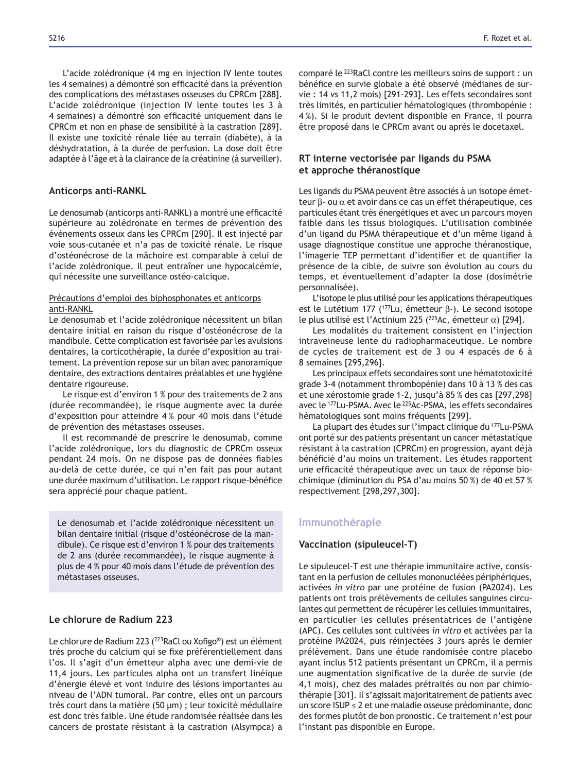L'acide zolédronique (4 mg en injection IV lente toutes les 4 semaines) a démontré son efficacité dans la prévention des complications des métastases osseuses du CPRCm [288]. L'acide zolédronique (injection IV lente toutes les 3 à 4 semaines) a démontré son efficacité uniquement dans le CPRCm et non en phase de sensibilité à la castration [289]. Il existe une toxicité rénale liée au terrain (diabète), à la déshydratation, à la durée de perfusion. La dose doit être adaptée à l'âge et à la clairance de la créatinine (à surveiller).

### **Anticorps anti-RANKL**

Le denosumab (anticorps anti-RANKL) a montré une efficacité supérieure au zolédronate en termes de prévention des événements osseux dans les CPRCm [290]. Il est injecté par voie sous-cutanée et n'a pas de toxicité rénale. Le risque d'ostéonécrose de la mâchoire est comparable à celui de l'acide zolédronique. Il peut entraîner une hypocalcémie, qui nécessite une surveillance ostéo-calcique.

## Précautions d'emploi des biphosphonates et anticorps anti-RANKL

Le denosumab et l'acide zolédronique nécessitent un bilan dentaire initial en raison du risque d'ostéonécrose de la mandibule. Cette complication est favorisée par les avulsions dentaires, la corticothérapie, la durée d'exposition au traitement. La prévention repose sur un bilan avec panoramique dentaire, des extractions dentaires préalables et une hygiène dentaire rigoureuse.

Le risque est d'environ 1 % pour des traitements de 2 ans (durée recommandée), le risque augmente avec la durée d'exposition pour atteindre 4 % pour 40 mois dans l'étude de prévention des métastases osseuses.

Il est recommandé de prescrire le denosumab, comme l'acide zolédronique, lors du diagnostic de CPRCm osseux pendant 24 mois. On ne dispose pas de données fiables au-delà de cette durée, ce qui n'en fait pas pour autant une durée maximum d'utilisation. Le rapport risque-bénéfice sera apprécié pour chaque patient.

Le denosumab et l'acide zolédronique nécessitent un bilan dentaire initial (risque d'ostéonécrose de la mandibule). Ce risque est d'environ 1 % pour des traitements de 2 ans (durée recommandée), le risque augmente à plus de 4 % pour 40 mois dans l'étude de prévention des métastases osseuses.

## Le chlorure de Radium 223

Le chlorure de Radium 223 (<sup>223</sup>RaCl ou Xofigo®) est un élément très proche du calcium qui se fixe préférentiellement dans l'os. Il s'agit d'un émetteur alpha avec une demi-vie de 11,4 jours. Les particules alpha ont un transfert linéique d'énergie élevé et vont induire des lésions importantes au niveau de l'ADN tumoral. Par contre, elles ont un parcours très court dans la matière (50 μm) ; leur toxicité médullaire est donc très faible. Une étude randomisée réalisée dans les cancers de prostate résistant à la castration (Alsympca) a comparé le 223RaCl contre les meilleurs soins de support : un bénéfice en survie globale a été observé (médianes de survie : 14 *vs* 11,2 mois) [291-293]. Les effets secondaires sont très limités, en particulier hématologiques (thrombopénie : 4 %). Si le produit devient disponible en France, il pourra être proposé dans le CPRCm avant ou après le docetaxel.

## **RT** interne vectorisée par ligands du PSMA et approche théranostique

Les ligands du PSMA peuvent être associés à un isotope émetteur β- ou α et avoir dans ce cas un effet thérapeutique, ces particules étant très énergétiques et avec un parcours moyen faible dans les tissus biologiques. L'utilisation combinée d'un ligand du PSMA thérapeutique et d'un même ligand à usage diagnostique constitue une approche théranostique, l'imagerie TEP permettant d'identifier et de quantifier la présence de la cible, de suivre son évolution au cours du temps, et éventuellement d'adapter la dose (dosimétrie personnalisée).

L'isotope le plus utilisé pour les applications thérapeutiques est le Lutétium 177 (<sup>177</sup>Lu, émetteur β-). Le second isotope le plus utilisé est l'Actinium 225 (<sup>225</sup>Ac, émetteur α) [294].

Les modalités du traitement consistent en l'injection intraveineuse lente du radiopharmaceutique. Le nombre de cycles de traitement est de 3 ou 4 espacés de 6 à 8 semaines [295,296].

Les principaux effets secondaires sont une hématotoxicité grade 3-4 (notamment thrombopénie) dans 10 à 13 % des cas et une xérostomie grade 1-2, jusqu'à 85 % des cas [297,298] avec le <sup>177</sup>Lu-PSMA. Avec le <sup>225</sup>Ac-PSMA, les effets secondaires hématologiques sont moins fréquents [299].

La plupart des études sur l'impact clinique du 177Lu-PSMA ont porté sur des patients présentant un cancer métastatique résistant à la castration (CPRCm) en progression, ayant déjà bénéficié d'au moins un traitement. Les études rapportent une efficacité thérapeutique avec un taux de réponse biochimique (diminution du PSA d'au moins 50 %) de 40 et 57 % respectivement [298,297,300].

## **Immunothérapie**

### **Vaccination (sipuleucel-T)**

Le sipuleucel-T est une thérapie immunitaire active, consistant en la perfusion de cellules mononucléées périphériques, activées *in vitro* par une protéine de fusion (PA2024). Les patients ont trois prélèvements de cellules sanguines circulantes qui permettent de récupérer les cellules immunitaires, en particulier les cellules présentatrices de l'antigène (APC). Ces cellules sont cultivées *in vitro* et activées par la protéine PA2024, puis réinjectées 3 jours après le dernier prélèvement. Dans une étude randomisée contre placebo ayant inclus 512 patients présentant un CPRCm, il a permis une augmentation significative de la durée de survie (de 4,1 mois), chez des malades prétraités ou non par chimiothérapie [301]. Il s'agissait majoritairement de patients avec un score ISUP  $\leq$  2 et une maladie osseuse prédominante, donc des formes plutôt de bon pronostic. Ce traitement n'est pour l'instant pas disponible en Europe.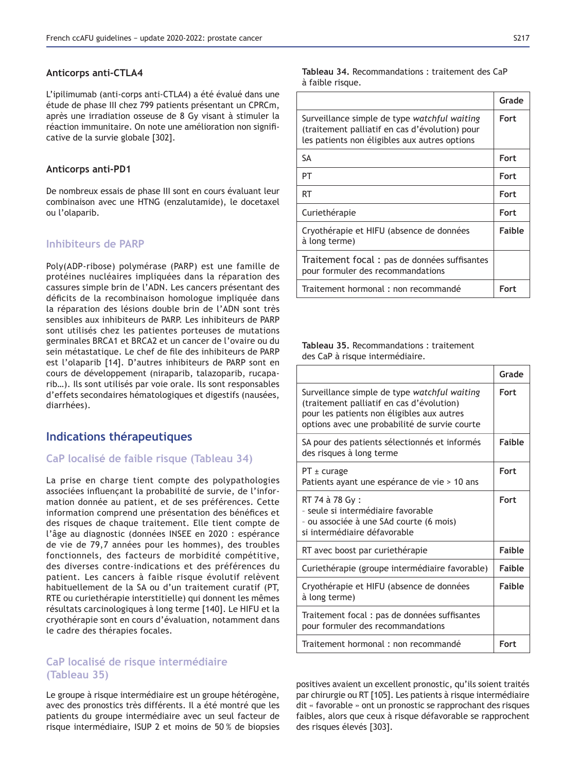### **Anticorps anti-CTLA4**

L'ipilimumab (anti-corps anti-CTLA4) a été évalué dans une étude de phase III chez 799 patients présentant un CPRCm, après une irradiation osseuse de 8 Gy visant à stimuler la réaction immunitaire. On note une amélioration non significative de la survie globale [302].

### **Anticorps anti-PD1**

De nombreux essais de phase III sont en cours évaluant leur combinaison avec une HTNG (enzalutamide), le docetaxel ou l'olaparib.

## **Inhibiteurs de PARP**

Poly(ADP-ribose) polymérase (PARP) est une famille de protéines nucléaires impliquées dans la réparation des cassures simple brin de l'ADN. Les cancers présentant des déficits de la recombinaison homologue impliquée dans la réparation des lésions double brin de l'ADN sont très sensibles aux inhibiteurs de PARP. Les inhibiteurs de PARP sont utilisés chez les patientes porteuses de mutations germinales BRCA1 et BRCA2 et un cancer de l'ovaire ou du sein métastatique. Le chef de file des inhibiteurs de PARP est l'olaparib [14]. D'autres inhibiteurs de PARP sont en cours de développement (niraparib, talazoparib, rucaparib…). Ils sont utilisés par voie orale. Ils sont responsables d'effets secondaires hématologiques et digestifs (nausées, diarrhées).

# **Indications thérapeutiques**

## **CaP localisé de faible risque (Tableau 34)**

La prise en charge tient compte des polypathologies associées influençant la probabilité de survie, de l'information donnée au patient, et de ses préférences. Cette information comprend une présentation des bénéfices et des risques de chaque traitement. Elle tient compte de l'âge au diagnostic (données INSEE en 2020 : espérance de vie de 79,7 années pour les hommes), des troubles fonctionnels, des facteurs de morbidité compétitive, des diverses contre-indications et des préférences du patient. Les cancers à faible risque évolutif relèvent habituellement de la SA ou d'un traitement curatif (PT, RTE ou curiethérapie interstitielle) qui donnent les mêmes résultats carcinologiques à long terme [140]. Le HIFU et la cryothérapie sont en cours d'évaluation, notamment dans le cadre des thérapies focales.

## CaP localisé de risque intermédiaire **(Tableau 35)**

Le groupe à risque intermédiaire est un groupe hétérogène, avec des pronostics très différents. Il a été montré que les patients du groupe intermédiaire avec un seul facteur de risque intermédiaire, ISUP 2 et moins de 50 % de biopsies

|                                                                                                                                                 | Grade       |
|-------------------------------------------------------------------------------------------------------------------------------------------------|-------------|
| Surveillance simple de type watchful waiting<br>(traitement palliatif en cas d'évolution) pour<br>les patients non éligibles aux autres options | <b>Fort</b> |
| SA                                                                                                                                              | <b>Fort</b> |
| PT                                                                                                                                              | <b>Fort</b> |
| RT                                                                                                                                              | Fort        |
| Curiethérapie                                                                                                                                   | <b>Fort</b> |
| Cryothérapie et HIFU (absence de données<br>à long terme)                                                                                       | Faible      |
| Traitement focal : pas de données suffisantes<br>pour formuler des recommandations                                                              |             |
| Traitement hormonal : non recommandé                                                                                                            | Fort        |

**Tableau 35. Recommandations : traitement** des CaP à risque intermédiaire.

|                                                                                                                                                                                          | Grade         |
|------------------------------------------------------------------------------------------------------------------------------------------------------------------------------------------|---------------|
| Surveillance simple de type watchful waiting<br>(traitement palliatif en cas d'évolution)<br>pour les patients non éligibles aux autres<br>options avec une probabilité de survie courte | <b>Fort</b>   |
| SA pour des patients sélectionnés et informés<br>des risques à long terme                                                                                                                | <b>Faible</b> |
| $PT \pm$ curage<br>Patients ayant une espérance de vie > 10 ans                                                                                                                          | <b>Fort</b>   |
| RT 74 à 78 Gy :<br>- seule și intermédiaire favorable<br>- ou associée à une SAd courte (6 mois)<br>si intermédiaire défavorable                                                         | <b>Fort</b>   |
| RT avec boost par curiethérapie                                                                                                                                                          | <b>Faible</b> |
| Curiethérapie (groupe intermédiaire favorable)                                                                                                                                           | <b>Faible</b> |
| Cryothérapie et HIFU (absence de données<br>à long terme)                                                                                                                                | <b>Faible</b> |
| Traitement focal : pas de données suffisantes<br>pour formuler des recommandations                                                                                                       |               |
| Traitement hormonal : non recommandé                                                                                                                                                     | Fort          |

positives avaient un excellent pronostic, qu'ils soient traités par chirurgie ou RT [105]. Les patients à risque intermédiaire dit « favorable » ont un pronostic se rapprochant des risques faibles, alors que ceux à risque défavorable se rapprochent des risques élevés [303].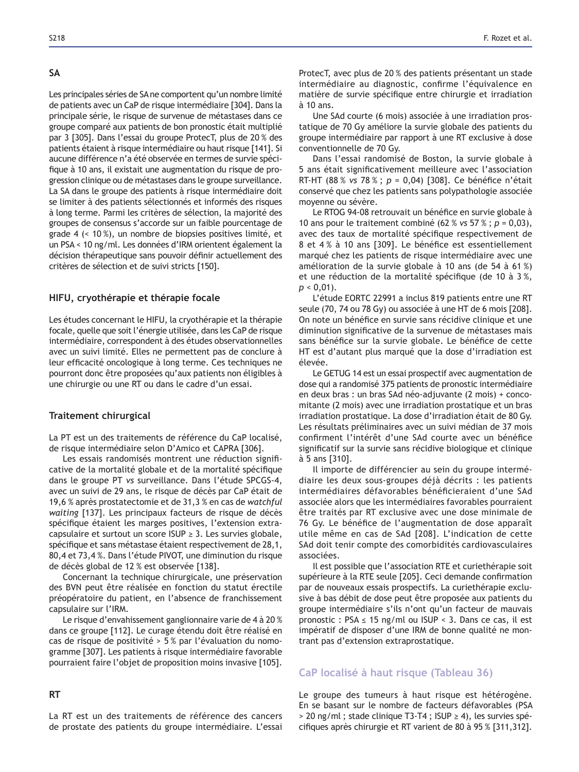#### **6\$**

Les principales séries de SA ne comportent qu'un nombre limité de patients avec un CaP de risque intermédiaire [304]. Dans la principale série, le risque de survenue de métastases dans ce groupe comparé aux patients de bon pronostic était multiplié par 3 [305]. Dans l'essai du groupe ProtecT, plus de 20 % des patients étaient à risque intermédiaire ou haut risque [141]. Si aucune différence n'a été observée en termes de survie spécifique à 10 ans, il existait une augmentation du risque de progression clinique ou de métastases dans le groupe surveillance. La SA dans le groupe des patients à risque intermédiaire doit se limiter à des patients sélectionnés et informés des risques à long terme. Parmi les critères de sélection, la majorité des groupes de consensus s'accorde sur un faible pourcentage de grade 4 (< 10 %), un nombre de biopsies positives limité, et un PSA < 10 ng/ml. Les données d'IRM orientent également la décision thérapeutique sans pouvoir définir actuellement des critères de sélection et de suivi stricts [150].

### **HIFU, cryothérapie et thérapie focale**

Les études concernant le HIFU, la cryothérapie et la thérapie focale, quelle que soit l'énergie utilisée, dans les CaP de risque intermédiaire, correspondent à des études observationnelles avec un suivi limité. Elles ne permettent pas de conclure à leur efficacité oncologique à long terme. Ces techniques ne pourront donc être proposées qu'aux patients non éligibles à une chirurgie ou une RT ou dans le cadre d'un essai.

## **Traitement chirurgical**

La PT est un des traitements de référence du CaP localisé, de risque intermédiaire selon D'Amico et CAPRA [306].

Les essais randomisés montrent une réduction significative de la mortalité globale et de la mortalité spécifique dans le groupe PT *vs* surveillance. Dans l'étude SPCGS-4, avec un suivi de 29 ans, le risque de décès par CaP était de 19,6 % après prostatectomie et de 31,3 % en cas de *watchful*  waiting [137]. Les principaux facteurs de risque de décès spécifique étaient les marges positives, l'extension extracapsulaire et surtout un score ISUP  $\geq$  3. Les survies globale, spécifique et sans métastase étaient respectivement de 28,1, 80,4 et 73,4%. Dans l'étude PIVOT, une diminution du risque de décès global de 12 % est observée [138].

Concernant la technique chirurgicale, une préservation des BVN peut être réalisée en fonction du statut érectile préopératoire du patient, en l'absence de franchissement capsulaire sur l'IRM.

Le risque d'envahissement ganglionnaire varie de 4 à 20 % dans ce groupe [112]. Le curage étendu doit être réalisé en cas de risque de positivité > 5 % par l'évaluation du nomogramme [307]. Les patients à risque intermédiaire favorable pourraient faire l'objet de proposition moins invasive [105].

## **57**

La RT est un des traitements de référence des cancers de prostate des patients du groupe intermédiaire. L'essai ProtecT, avec plus de 20 % des patients présentant un stade intermédiaire au diagnostic, confirme l'équivalence en matière de survie spécifique entre chirurgie et irradiation à 10 ans.

Une SAd courte (6 mois) associée à une irradiation prostatique de 70 Gy améliore la survie globale des patients du groupe intermédiaire par rapport à une RT exclusive à dose conventionnelle de 70 Gy.

Dans l'essai randomisé de Boston, la survie globale à 5 ans était significativement meilleure avec l'association RT-HT (88 % vs 78 %;  $p = 0.04$ ) [308]. Ce bénéfice n'était conservé que chez les patients sans polypathologie associée moyenne ou sévère.

Le RTOG 94-08 retrouvait un bénéfice en survie globale à 10 ans pour le traitement combiné (62 % *vs* 57 % ; *p* = 0,03), avec des taux de mortalité spécifique respectivement de 8 et 4% à 10 ans [309]. Le bénéfice est essentiellement marqué chez les patients de risque intermédiaire avec une amélioration de la survie globale à 10 ans (de 54 à 61 %) et une réduction de la mortalité spécifique (de 10 à 3 %,  $p < 0.01$ ).

L'étude EORTC 22991 a inclus 819 patients entre une RT seule (70, 74 ou 78 Gy) ou associée à une HT de 6 mois [208]. On note un bénéfice en survie sans récidive clinique et une diminution significative de la survenue de métastases mais sans bénéfice sur la survie globale. Le bénéfice de cette HT est d'autant plus marqué que la dose d'irradiation est élevée.

Le GETUG 14 est un essai prospectif avec augmentation de dose qui a randomisé 375 patients de pronostic intermédiaire en deux bras : un bras SAd néo-adjuvante (2 mois) + concomitante (2 mois) avec une irradiation prostatique et un bras irradiation prostatique. La dose d'irradiation était de 80 Gy. Les résultats préliminaires avec un suivi médian de 37 mois confirment l'intérêt d'une SAd courte avec un bénéfice significatif sur la survie sans récidive biologique et clinique à 5 ans [310].

Il importe de différencier au sein du groupe intermédiaire les deux sous-groupes déjà décrits : les patients intermédiaires défavorables bénéficieraient d'une SAd associée alors que les intermédiaires favorables pourraient être traités par RT exclusive avec une dose minimale de 76 Gy. Le bénéfice de l'augmentation de dose apparaît utile même en cas de SAd [208]. L'indication de cette SAd doit tenir compte des comorbidités cardiovasculaires associées.

Il est possible que l'association RTE et curiethérapie soit supérieure à la RTE seule [205]. Ceci demande confirmation par de nouveaux essais prospectifs. La curiethérapie exclusive à bas débit de dose peut être proposée aux patients du groupe intermédiaire s'ils n'ont qu'un facteur de mauvais pronostic: PSA  $\leq$  15 ng/ml ou ISUP < 3. Dans ce cas, il est impératif de disposer d'une IRM de bonne qualité ne montrant pas d'extension extraprostatique.

## **CaP localisé à haut risque (Tableau 36)**

Le groupe des tumeurs à haut risque est hétérogène. En se basant sur le nombre de facteurs défavorables (PSA  $>$  20 ng/ml; stade clinique T3-T4; ISUP  $\geq$  4), les survies spécifiques après chirurgie et RT varient de 80 à 95 % [311,312].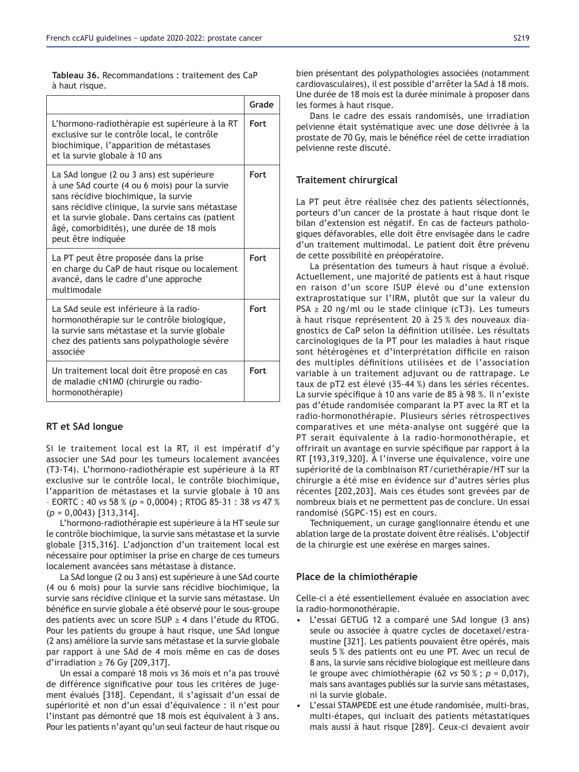|                | <b>Tableau 36.</b> Recommandations: traitement des CaP |  |
|----------------|--------------------------------------------------------|--|
| à haut risque. |                                                        |  |

|                                                                                                                                                                                                                                                                                                              | Grade       |
|--------------------------------------------------------------------------------------------------------------------------------------------------------------------------------------------------------------------------------------------------------------------------------------------------------------|-------------|
| L'hormono-radiothérapie est supérieure à la RT<br>exclusive sur le contrôle local, le contrôle<br>biochimique, l'apparition de métastases<br>et la survie globale à 10 ans                                                                                                                                   | <b>Fort</b> |
| La SAd longue (2 ou 3 ans) est supérieure<br>à une SAd courte (4 ou 6 mois) pour la survie<br>sans récidive biochimique, la survie<br>sans récidive clinique, la survie sans métastase<br>et la survie globale. Dans certains cas (patient<br>âgé, comorbidités), une durée de 18 mois<br>peut être indiquée | <b>Fort</b> |
| La PT peut être proposée dans la prise<br>en charge du CaP de haut risque ou localement<br>avancé, dans le cadre d'une approche<br>multimodale                                                                                                                                                               | Fort        |
| La SAd seule est inférieure à la radio-<br>hormonothérapie sur le contrôle biologique,<br>la survie sans métastase et la survie globale<br>chez des patients sans polypathologie sévère<br>associée                                                                                                          | Fort        |
| Un traitement local doit être proposé en cas<br>de maladie cN1M0 (chirurgie ou radio-<br>hormonothérapie)                                                                                                                                                                                                    | <b>Fort</b> |

## **RT** et SAd longue

Si le traitement local est la RT, il est impératif d'y associer une SAd pour les tumeurs localement avancées (T3-T4). L'hormono-radiothérapie est supérieure à la RT exclusive sur le contrôle local, le contrôle biochimique, l'apparition de métastases et la survie globale à 10 ans – EORTC : 40 *vs* 58 % (*p* = 0,0004) ; RTOG 85-31 : 38 *vs* (*p* = 0,0043) [313,314].

L'hormono-radiothérapie est supérieure à la HT seule sur le contrôle biochimique, la survie sans métastase et la survie globale [315,316]. L'adjonction d'un traitement local est nécessaire pour optimiser la prise en charge de ces tumeurs localement avancées sans métastase à distance.

La SAd longue (2 ou 3 ans) est supérieure à une SAd courte (4 ou 6 mois) pour la survie sans récidive biochimique, la survie sans récidive clinique et la survie sans métastase. Un bénéfice en survie globale a été observé pour le sous-groupe des patients avec un score ISUP  $\geq$  4 dans l'étude du RTOG. Pour les patients du groupe à haut risque, une SAd longue (2 ans) améliore la survie sans métastase et la survie globale par rapport à une SAd de 4 mois même en cas de doses d'irradiation  $\geq$  76 Gy [209,317].

Un essai a comparé 18 mois *vs* 36 mois et n'a pas trouvé de différence significative pour tous les critères de jugement évalués [318]. Cependant, il s'agissait d'un essai de supériorité et non d'un essai d'équivalence : il n'est pour l'instant pas démontré que 18 mois est équivalent à 3 ans. Pour les patients n'ayant qu'un seul facteur de haut risque ou bien présentant des polypathologies associées (notamment cardiovasculaires), il est possible d'arrêter la SAd à 18 mois. Une durée de 18 mois est la durée minimale à proposer dans les formes à haut risque.

Dans le cadre des essais randomisés, une irradiation pelvienne était systématique avec une dose délivrée à la prostate de 70 Gy, mais le bénéfice réel de cette irradiation pelvienne reste discuté.

### **Traitement chirurgical**

La PT peut être réalisée chez des patients sélectionnés, porteurs d'un cancer de la prostate à haut risque dont le bilan d'extension est négatif. En cas de facteurs pathologiques défavorables, elle doit être envisagée dans le cadre d'un traitement multimodal. Le patient doit être prévenu de cette possibilité en préopératoire.

La présentation des tumeurs à haut risque a évolué. Actuellement, une majorité de patients est à haut risque en raison d'un score ISUP élevé ou d'une extension extraprostatique sur l'IRM, plutôt que sur la valeur du  $PSA \geq 20$  ng/ml ou le stade clinique (cT3). Les tumeurs à haut risque représentent 20 à 25 % des nouveaux diagnostics de CaP selon la définition utilisée. Les résultats carcinologiques de la PT pour les maladies à haut risque sont hétérogènes et d'interprétation difficile en raison des multiples définitions utilisées et de l'association variable à un traitement adjuvant ou de rattrapage. Le taux de pT2 est élevé (35-44 %) dans les séries récentes. La survie spécifique à 10 ans varie de 85 à 98 %. Il n'existe pas d'étude randomisée comparant la PT avec la RT et la radio-hormonothérapie. Plusieurs séries rétrospectives comparatives et une méta-analyse ont suggéré que la PT serait équivalente à la radio-hormonothérapie, et offrirait un avantage en survie spécifique par rapport à la RT [193,319,320]. À l'inverse une équivalence, voire une supériorité de la combinaison RT/curiethérapie/HT sur la chirurgie a été mise en évidence sur d'autres séries plus récentes [202,203]. Mais ces études sont grevées par de nombreux biais et ne permettent pas de conclure. Un essai randomisé (SGPC-15) est en cours.

Techniquement, un curage ganglionnaire étendu et une ablation large de la prostate doivent être réalisés. L'objectif de la chirurgie est une exérèse en marges saines.

### Place de la chimiothérapie

Celle-ci a été essentiellement évaluée en association avec la radio-hormonothérapie.

- L'essai GETUG 12 a comparé une SAd longue (3 ans) seule ou associée à quatre cycles de docetaxel/estramustine [321]. Les patients pouvaient être opérés, mais seuls 5 % des patients ont eu une PT. Avec un recul de 8 ans, la survie sans récidive biologique est meilleure dans le groupe avec chimiothérapie (62 *vs* 50 % ; *p* mais sans avantages publiés sur la survie sans métastases, ni la survie globale.
- L'essai STAMPEDE est une étude randomisée, multi-bras, multi-étapes, qui incluait des patients métastatiques mais aussi à haut risque [289]. Ceux-ci devaient avoir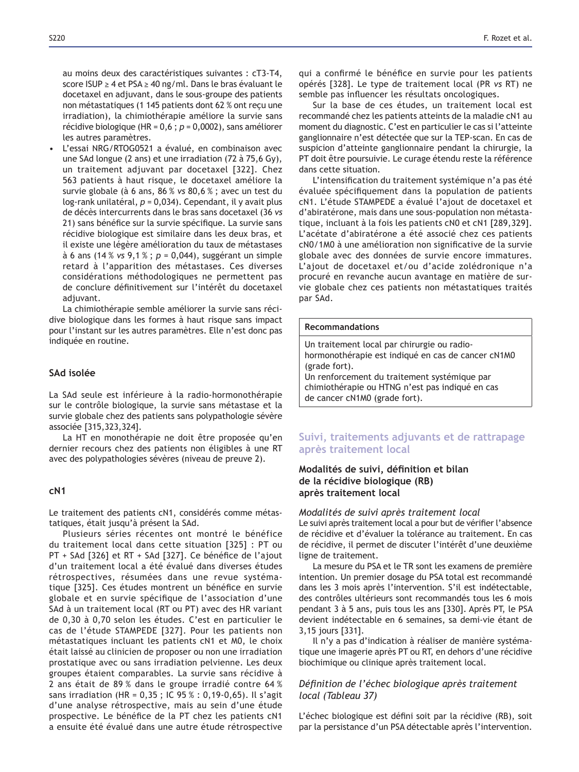au moins deux des caractéristiques suivantes : cT3-T4, score ISUP ≥ 4 et PSA ≥ 40 ng/ml. Dans le bras évaluant le docetaxel en adjuvant, dans le sous-groupe des patients non métastatiques (1 145 patients dont 62 % ont reçu une irradiation), la chimiothérapie améliore la survie sans récidive biologique (HR = 0,6 ; *p* = 0,0002), sans améliorer les autres paramètres.

• L'essai NRG/RTOG0521 a évalué, en combinaison avec une SAd longue (2 ans) et une irradiation (72 à  $75.6$  Gy), un traitement adjuvant par docetaxel [322]. Chez 563 patients à haut risque, le docetaxel améliore la survie globale (à 6 ans, 86 % *vs* 80,6 % ; avec un test du log-rank unilatéral, *p* = 0,034). Cependant, il y avait plus de décès intercurrents dans le bras sans docetaxel (36 *vs* 21) sans bénéfice sur la survie spécifique. La survie sans récidive biologique est similaire dans les deux bras, et il existe une légère amélioration du taux de métastases à 6 ans (14 % *vs* 9,1 % ; *p* = 0,044), suggérant un simple retard à l'apparition des métastases. Ces diverses considérations méthodologiques ne permettent pas de conclure définitivement sur l'intérêt du docetaxel adjuvant.

La chimiothérapie semble améliorer la survie sans récidive biologique dans les formes à haut risque sans impact pour l'instant sur les autres paramètres. Elle n'est donc pas indiquée en routine.

### **SAd** isolée

La SAd seule est inférieure à la radio-hormonothérapie sur le contrôle biologique, la survie sans métastase et la survie globale chez des patients sans polypathologie sévère associée [315,323,324].

La HT en monothérapie ne doit être proposée qu'en dernier recours chez des patients non éligibles à une RT avec des polypathologies sévères (niveau de preuve 2).

### **F1**

Le traitement des patients cN1, considérés comme métastatiques, était jusqu'à présent la SAd.

Plusieurs séries récentes ont montré le bénéfice du traitement local dans cette situation [325] : PT ou PT + SAd [326] et RT + SAd [327]. Ce bénéfice de l'ajout d'un traitement local a été évalué dans diverses études rétrospectives, résumées dans une revue systématique [325]. Ces études montrent un bénéfice en survie globale et en survie spécifique de l'association d'une SAd à un traitement local (RT ou PT) avec des HR variant de 0,30 à 0,70 selon les études. C'est en particulier le cas de l'étude STAMPEDE [327]. Pour les patients non métastatiques incluant les patients cN1 et M0, le choix était laissé au clinicien de proposer ou non une irradiation prostatique avec ou sans irradiation pelvienne. Les deux groupes étaient comparables. La survie sans récidive à 2 ans était de 89 % dans le groupe irradié contre 64 % sans irradiation (HR = 0,35 ; IC 95 % : 0,19-0,65). Il s'agit d'une analyse rétrospective, mais au sein d'une étude prospective. Le bénéfice de la PT chez les patients cN1 a ensuite été évalué dans une autre étude rétrospective qui a confirmé le bénéfice en survie pour les patients opérés [328]. Le type de traitement local (PR *vs* RT) ne semble pas influencer les résultats oncologiques.

Sur la base de ces études, un traitement local est recommandé chez les patients atteints de la maladie cN1 au moment du diagnostic. C'est en particulier le cas si l'atteinte ganglionnaire n'est détectée que sur la TEP-scan. En cas de suspicion d'atteinte ganglionnaire pendant la chirurgie, la PT doit être poursuivie. Le curage étendu reste la référence dans cette situation.

L'intensification du traitement systémique n'a pas été évaluée spécifiquement dans la population de patients cN1. L'étude STAMPEDE a évalué l'ajout de docetaxel et d'abiratérone, mais dans une sous-population non métastatique, incluant à la fois les patients cN0 et cN1 [289,329]. L'acétate d'abiratérone a été associé chez ces patients cN0/1M0 à une amélioration non significative de la survie globale avec des données de survie encore immatures. L'ajout de docetaxel et/ou d'acide zolédronique n'a procuré en revanche aucun avantage en matière de survie globale chez ces patients non métastatiques traités par SAd.

#### **Recommandations**

de cancer cN1M0 (grade fort).

Un traitement local par chirurgie ou radiohormonothérapie est indiqué en cas de cancer cN1M0 (grade fort). Un renforcement du traitement systémique par chimiothérapie ou HTNG n'est pas indiqué en cas

# **Suivi, traitements adjuvants et de rattrapage après traitement local**

## **Modalités de suivi, définition et bilan** de la récidive biologique (RB) après traitement local

### *Modalités de suivi après traitement local*

Le suivi après traitement local a pour but de vérifier l'absence de récidive et d'évaluer la tolérance au traitement. En cas de récidive, il permet de discuter l'intérêt d'une deuxième ligne de traitement.

La mesure du PSA et le TR sont les examens de première intention. Un premier dosage du PSA total est recommandé dans les 3 mois après l'intervention. S'il est indétectable, des contrôles ultérieurs sont recommandés tous les 6 mois pendant 3 à 5 ans, puis tous les ans [330]. Après PT, le PSA devient indétectable en 6 semaines, sa demi-vie étant de 3,15 jours [331].

Il n'y a pas d'indication à réaliser de manière systématique une imagerie après PT ou RT, en dehors d'une récidive biochimique ou clinique après traitement local.

## Définition de l'échec biologique après traitement *local (Tableau 37)*

L'échec biologique est défini soit par la récidive (RB), soit par la persistance d'un PSA détectable après l'intervention.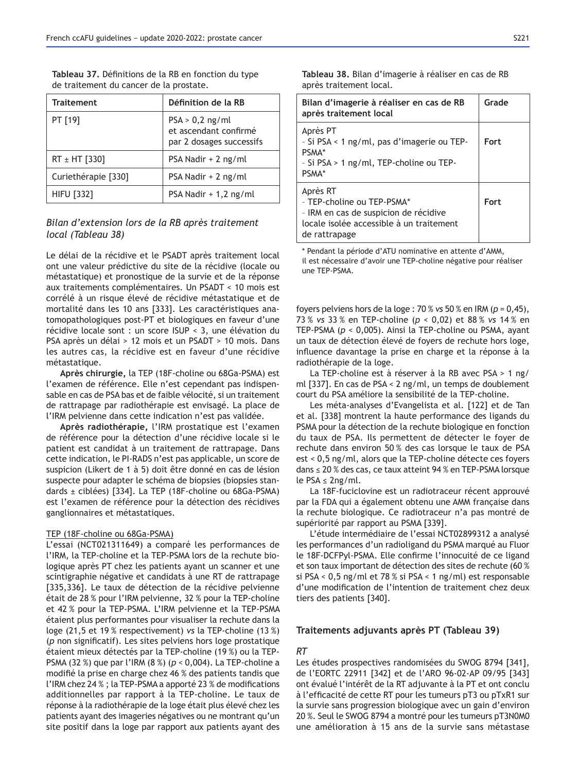| <b>Traitement</b>   | Définition de la RB                                                    |
|---------------------|------------------------------------------------------------------------|
| PT [19]             | $PSA > 0,2$ ng/ml<br>et ascendant confirmé<br>par 2 dosages successifs |
| RT ± HT [330]       | PSA Nadir + 2 ng/ml                                                    |
| Curiethérapie [330] | PSA Nadir + 2 ng/ml                                                    |
| <b>HIFU [332]</b>   | PSA Nadir + 1,2 ng/ml                                                  |

Tableau 37. Définitions de la RB en fonction du type de traitement du cancer de la prostate.

# *Bilan d'extension lors de la RB après traitement local (Tableau 38)*

Le délai de la récidive et le PSADT après traitement local ont une valeur prédictive du site de la récidive (locale ou métastatique) et pronostique de la survie et de la réponse aux traitements complémentaires. Un PSADT < 10 mois est corrélé à un risque élevé de récidive métastatique et de mortalité dans les 10 ans [333]. Les caractéristiques anatomopathologiques post-PT et biologiques en faveur d'une récidive locale sont : un score ISUP < 3, une élévation du PSA après un délai > 12 mois et un PSADT > 10 mois. Dans les autres cas, la récidive est en faveur d'une récidive métastatique.

Après chirurgie, la TEP (18F-choline ou 68Ga-PSMA) est l'examen de référence. Elle n'est cependant pas indispensable en cas de PSA bas et de faible vélocité, si un traitement de rattrapage par radiothérapie est envisagé. La place de l'IRM pelvienne dans cette indication n'est pas validée.

Après radiothérapie, l'IRM prostatique est l'examen de référence pour la détection d'une récidive locale si le patient est candidat à un traitement de rattrapage. Dans cette indication, le PI-RADS n'est pas applicable, un score de suspicion (Likert de 1 à 5) doit être donné en cas de lésion suspecte pour adapter le schéma de biopsies (biopsies standards ± ciblées) [334]. La TEP (18F-choline ou 68Ga-PSMA) est l'examen de référence pour la détection des récidives ganglionnaires et métastatiques.

#### TEP (18F-choline ou 68Ga-PSMA)

L'essai (NCT021311649) a comparé les performances de l'IRM, la TEP-choline et la TEP-PSMA lors de la rechute biologique après PT chez les patients ayant un scanner et une scintigraphie négative et candidats à une RT de rattrapage [335,336]. Le taux de détection de la récidive pelvienne était de 28 % pour l'IRM pelvienne, 32 % pour la TEP-choline et 42 % pour la TEP-PSMA. L'IRM pelvienne et la TEP-PSMA étaient plus performantes pour visualiser la rechute dans la loge (21,5 et 19 % respectivement) *vs* la TEP-choline (13 %) (p non significatif). Les sites pelviens hors loge prostatique étaient mieux détectés par la TEP-choline (19 %) ou la TEP-PSMA (32 %) que par l'IRM (8 %) (*p* < 0,004). La TEP-choline a modifié la prise en charge chez 46 % des patients tandis que l'IRM chez 24 %; la TEP-PSMA a apporté 23 % de modifications additionnelles par rapport à la TEP-choline. Le taux de réponse à la radiothérapie de la loge était plus élevé chez les patients ayant des imageries négatives ou ne montrant qu'un site positif dans la loge par rapport aux patients ayant des Tableau 38. Bilan d'imagerie à réaliser en cas de RB après traitement local.

| Bilan d'imagerie à réaliser en cas de RB<br>après traitement local                                                                           | Grade       |
|----------------------------------------------------------------------------------------------------------------------------------------------|-------------|
| Après PT<br>- Si PSA < 1 ng/ml, pas d'imagerie ou TEP-<br>PSMA*<br>- Si PSA > 1 ng/ml, TEP-choline ou TEP-<br>PSMA <sup>*</sup>              | <b>Fort</b> |
| Après RT<br>- TEP-choline ou TEP-PSMA*<br>- IRM en cas de suspicion de récidive<br>locale isolée accessible à un traitement<br>de rattrapage | <b>Fort</b> |

\* Pendant la période d'ATU nominative en attente d'AMM, il est nécessaire d'avoir une TEP-choline négative pour réaliser une TEP-PSMA.

foyers pelviens hors de la loge :  $70\%$  vs 50 % en IRM ( $p = 0.45$ ), *vs* 33 % en TEP-choline (*p* < 0,02) et 88 % *vs* 14 % en TEP-PSMA (*p* < 0,005). Ainsi la TEP-choline ou PSMA, ayant un taux de détection élevé de foyers de rechute hors loge, influence davantage la prise en charge et la réponse à la radiothérapie de la loge.

La TEP-choline est à réserver à la RB avec PSA > 1 ng/ ml [337]. En cas de PSA < 2 ng/ml, un temps de doublement court du PSA améliore la sensibilité de la TEP-choline.

Les méta-analyses d'Evangelista et al. [122] et de Tan et al. [338] montrent la haute performance des ligands du PSMA pour la détection de la rechute biologique en fonction du taux de PSA. Ils permettent de détecter le foyer de rechute dans environ 50 % des cas lorsque le taux de PSA est < 0,5 ng/ml, alors que la TEP-choline détecte ces foyers dans  $\leq$  20 % des cas, ce taux atteint 94 % en TEP-PSMA lorsque le PSA  $\leq$  2ng/ml.

La 18F-fuciclovine est un radiotraceur récent approuvé par la FDA qui a également obtenu une AMM française dans la rechute biologique. Ce radiotraceur n'a pas montré de supériorité par rapport au PSMA [339].

L'étude intermédiaire de l'essai NCT02899312 a analysé les performances d'un radioligand du PSMA marqué au Fluor le 18F-DCFPyl-PSMA. Elle confirme l'innocuité de ce ligand et son taux important de détection des sites de rechute (60 % si PSA <  $0,5$  ng/ml et 78 % si PSA < 1 ng/ml) est responsable d'une modification de l'intention de traitement chez deux tiers des patients [340].

### Traitements adjuvants après PT (Tableau 39)

## *RT*

Les études prospectives randomisées du SWOG 8794 [341], de l'EORTC 22911 [342] et de l'ARO 96-02-AP 09/95 [343] ont évalué l'intérêt de la RT adjuvante à la PT et ont conclu à l'efficacité de cette RT pour les tumeurs pT3 ou pTxR1 sur la survie sans progression biologique avec un gain d'environ 20 %. Seul le SWOG 8794 a montré pour les tumeurs pT3N0M0 une amélioration à 15 ans de la survie sans métastase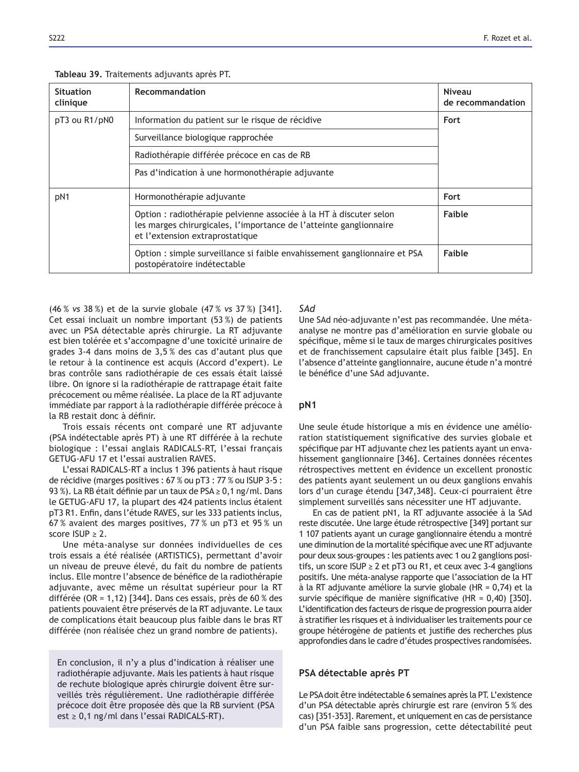|  |  |  | <b>Tableau 39.</b> Traitements adjuvants après PT. |  |  |  |  |
|--|--|--|----------------------------------------------------|--|--|--|--|
|--|--|--|----------------------------------------------------|--|--|--|--|

| <b>Situation</b><br>clinique | Recommandation                                                                                                                                                              | <b>Niveau</b><br>de recommandation |
|------------------------------|-----------------------------------------------------------------------------------------------------------------------------------------------------------------------------|------------------------------------|
| pT3 ou R1/pN0                | Information du patient sur le risque de récidive                                                                                                                            | Fort                               |
|                              | Surveillance biologique rapprochée                                                                                                                                          |                                    |
|                              | Radiothérapie différée précoce en cas de RB                                                                                                                                 |                                    |
|                              | Pas d'indication à une hormonothérapie adjuvante                                                                                                                            |                                    |
| pN1                          | Hormonothérapie adjuvante                                                                                                                                                   | Fort                               |
|                              | Option : radiothérapie pelvienne associée à la HT à discuter selon<br>les marges chirurgicales, l'importance de l'atteinte ganglionnaire<br>et l'extension extraprostatique | Faible                             |
|                              | Option : simple surveillance si faible envahissement ganglionnaire et PSA<br>postopératoire indétectable                                                                    | Faible                             |

(46 % *vs* 38 %) et de la survie globale (47 % *vs* 37 %) [341]. Cet essai incluait un nombre important (53 %) de patients avec un PSA détectable après chirurgie. La RT adjuvante est bien tolérée et s'accompagne d'une toxicité urinaire de grades 3-4 dans moins de 3,5 % des cas d'autant plus que le retour à la continence est acquis (Accord d'expert). Le bras contrôle sans radiothérapie de ces essais était laissé libre. On ignore si la radiothérapie de rattrapage était faite précocement ou même réalisée. La place de la RT adjuvante immédiate par rapport à la radiothérapie différée précoce à la RB restait donc à définir.

Trois essais récents ont comparé une RT adjuvante (PSA indétectable après PT) à une RT différée à la rechute biologique : l'essai anglais RADICALS-RT, l'essai français GETUG-AFU 17 et l'essai australien RAVES.

L'essai RADICALS-RT a inclus 1 396 patients à haut risque de récidive (marges positives :  $67%$  ou pT3 :  $77%$  ou ISUP 3-5 : 93%). La RB était définie par un taux de PSA  $\geq$  0,1 ng/ml. Dans le GETUG-AFU 17, la plupart des 424 patients inclus étaient pT3 R1. Enfin, dans l'étude RAVES, sur les 333 patients inclus, 67 % avaient des marges positives, 77 % un pT3 et 95 % un score  $ISUP > 2$ 

Une méta-analyse sur données individuelles de ces trois essais a été réalisée (ARTISTICS), permettant d'avoir un niveau de preuve élevé, du fait du nombre de patients inclus. Elle montre l'absence de bénéfice de la radiothérapie adjuvante, avec même un résultat supérieur pour la RT différée (OR = 1,12) [344]. Dans ces essais, près de 60 % des patients pouvaient être préservés de la RT adjuvante. Le taux de complications était beaucoup plus faible dans le bras RT différée (non réalisée chez un grand nombre de patients).

En conclusion, il n'y a plus d'indication à réaliser une radiothérapie adjuvante. Mais les patients à haut risque de rechute biologique après chirurgie doivent être surveillés très régulièrement. Une radiothérapie différée précoce doit être proposée dès que la RB survient (PSA est  $\geq$  0,1 ng/ml dans l'essai RADICALS-RT).

## *SAd*

Une SAd néo-adjuvante n'est pas recommandée. Une métaanalyse ne montre pas d'amélioration en survie globale ou spécifique, même si le taux de marges chirurgicales positives et de franchissement capsulaire était plus faible [345]. En l'absence d'atteinte ganglionnaire, aucune étude n'a montré le bénéfice d'une SAd adjuvante.

## pN1

Une seule étude historique a mis en évidence une amélioration statistiquement significative des survies globale et spécifique par HT adjuvante chez les patients ayant un envahissement ganglionnaire [346]. Certaines données récentes rétrospectives mettent en évidence un excellent pronostic des patients ayant seulement un ou deux ganglions envahis lors d'un curage étendu [347,348]. Ceux-ci pourraient être simplement surveillés sans nécessiter une HT adjuvante.

En cas de patient pN1, la RT adjuvante associée à la SAd reste discutée. Une large étude rétrospective [349] portant sur 1 107 patients ayant un curage ganglionnaire étendu a montré une diminution de la mortalité spécifique avec une RT adjuvante pour deux sous-groupes : les patients avec 1 ou 2 ganglions positifs, un score ISUP  $\geq$  2 et pT3 ou R1, et ceux avec 3-4 ganglions positifs. Une méta-analyse rapporte que l'association de la HT à la RT adjuvante améliore la survie globale (HR =  $0,74$ ) et la survie spécifique de manière significative (HR =  $0,40$ ) [350]. L'identification des facteurs de risque de progression pourra aider à stratifier les risques et à individualiser les traitements pour ce groupe hétérogène de patients et justifie des recherches plus approfondies dans le cadre d'études prospectives randomisées.

## PSA détectable après PT

Le PSA doit être indétectable 6 semaines après la PT. L'existence d'un PSA détectable après chirurgie est rare (environ 5 % des cas) [351-353]. Rarement, et uniquement en cas de persistance d'un PSA faible sans progression, cette détectabilité peut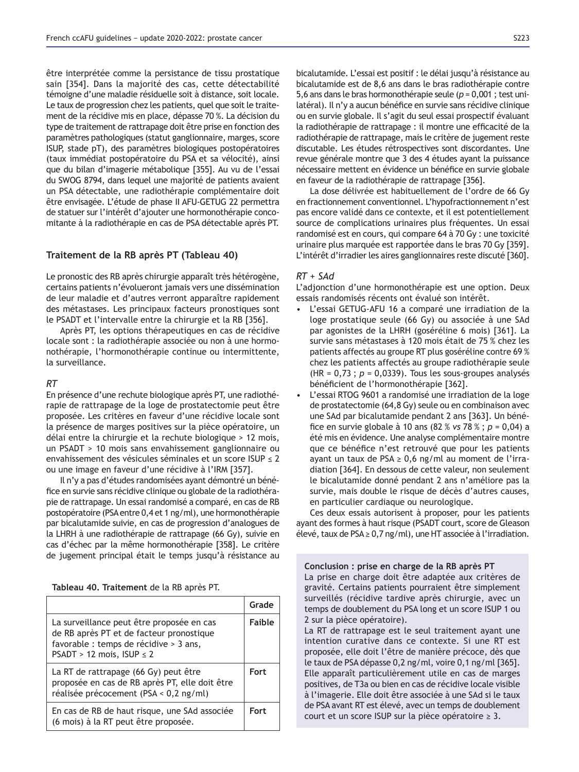être interprétée comme la persistance de tissu prostatique sain [354]. Dans la majorité des cas, cette détectabilité témoigne d'une maladie résiduelle soit à distance, soit locale. Le taux de progression chez les patients, quel que soit le traitement de la récidive mis en place, dépasse 70 %. La décision du type de traitement de rattrapage doit être prise en fonction des paramètres pathologiques (statut ganglionnaire, marges, score ISUP, stade pT), des paramètres biologiques postopératoires (taux immédiat postopératoire du PSA et sa vélocité), ainsi que du bilan d'imagerie métabolique [355]. Au vu de l'essai du SWOG 8794, dans lequel une majorité de patients avaient un PSA détectable, une radiothérapie complémentaire doit être envisagée. L'étude de phase II AFU-GETUG 22 permettra de statuer sur l'intérêt d'ajouter une hormonothérapie concomitante à la radiothérapie en cas de PSA détectable après PT.

## Traitement de la RB après PT (Tableau 40)

Le pronostic des RB après chirurgie apparaît très hétérogène, certains patients n'évolueront jamais vers une dissémination de leur maladie et d'autres verront apparaître rapidement des métastases. Les principaux facteurs pronostiques sont le PSADT et l'intervalle entre la chirurgie et la RB [356].

Après PT, les options thérapeutiques en cas de récidive locale sont : la radiothérapie associée ou non à une hormonothérapie, l'hormonothérapie continue ou intermittente, la surveillance.

#### *RT*

En présence d'une rechute biologique après PT, une radiothérapie de rattrapage de la loge de prostatectomie peut être proposée. Les critères en faveur d'une récidive locale sont la présence de marges positives sur la pièce opératoire, un délai entre la chirurgie et la rechute biologique > 12 mois, un PSADT > 10 mois sans envahissement ganglionnaire ou envahissement des vésicules séminales et un score ISUP  $\leq 2$ ou une image en faveur d'une récidive à l'IRM [357].

Il n'y a pas d'études randomisées ayant démontré un bénéfice en survie sans récidive clinique ou globale de la radiothérapie de rattrapage. Un essai randomisé a comparé, en cas de RB postopératoire (PSA entre 0,4 et 1 ng/ml), une hormonothérapie par bicalutamide suivie, en cas de progression d'analogues de la LHRH à une radiothérapie de rattrapage (66 Gy), suivie en cas d'échec par la même hormonothérapie [358]. Le critère de jugement principal était le temps jusqu'à résistance au

Tableau 40. Traitement de la RB après PT.

|                                                                                                                                                                   | Grade         |
|-------------------------------------------------------------------------------------------------------------------------------------------------------------------|---------------|
| La surveillance peut être proposée en cas<br>de RB après PT et de facteur pronostique<br>favorable : temps de récidive > 3 ans,<br>PSADT > 12 mois, ISUP $\leq 2$ | <b>Faible</b> |
| La RT de rattrapage (66 Gy) peut être<br>proposée en cas de RB après PT, elle doit être<br>réalisée précocement (PSA < 0,2 ng/ml)                                 | <b>Fort</b>   |
| En cas de RB de haut risque, une SAd associée<br>(6 mois) à la RT peut être proposée.                                                                             | <b>Fort</b>   |

bicalutamide. L'essai est positif : le délai jusqu'à résistance au bicalutamide est de 8,6 ans dans le bras radiothérapie contre 5,6 ans dans le bras hormonothérapie seule (*p* = 0,001 ; test unilatéral). Il n'y a aucun bénéfice en survie sans récidive clinique ou en survie globale. Il s'agit du seul essai prospectif évaluant la radiothérapie de rattrapage : il montre une efficacité de la radiothérapie de rattrapage, mais le critère de jugement reste discutable. Les études rétrospectives sont discordantes. Une revue générale montre que 3 des 4 études ayant la puissance nécessaire mettent en évidence un bénéfice en survie globale en faveur de la radiothérapie de rattrapage [356].

La dose délivrée est habituellement de l'ordre de 66 Gy en fractionnement conventionnel. L'hypofractionnement n'est pas encore validé dans ce contexte, et il est potentiellement source de complications urinaires plus fréquentes. Un essai randomisé est en cours, qui compare 64 à 70 Gy : une toxicité urinaire plus marquée est rapportée dans le bras 70 Gy [359]. L'intérêt d'irradier les aires ganglionnaires reste discuté [360].

## *RT + SAd*

L'adjonction d'une hormonothérapie est une option. Deux essais randomisés récents ont évalué son intérêt.

- L'essai GETUG-AFU 16 a comparé une irradiation de la loge prostatique seule (66 Gy) ou associée à une SAd par agonistes de la LHRH (goséréline 6 mois) [361]. La survie sans métastases à 120 mois était de 75 % chez les patients affectés au groupe RT plus goséréline contre 69 % chez les patients affectés au groupe radiothérapie seule  $(HR = 0.73$ ;  $p = 0.0339$ ). Tous les sous-groupes analysés bénéficient de l'hormonothérapie [362].
- L'essai RTOG 9601 a randomisé une irradiation de la loge de prostatectomie (64,8 Gy) seule ou en combinaison avec une SAd par bicalutamide pendant 2 ans [363]. Un bénéfice en survie globale à 10 ans  $(82 % vs 78 % ; p = 0,04)$  a été mis en évidence. Une analyse complémentaire montre que ce bénéfice n'est retrouvé que pour les patients ayant un taux de PSA  $\geq$  0,6 ng/ml au moment de l'irradiation [364]. En dessous de cette valeur, non seulement le bicalutamide donné pendant 2 ans n'améliore pas la survie, mais double le risque de décès d'autres causes, en particulier cardiaque ou neurologique.

Ces deux essais autorisent à proposer, pour les patients ayant des formes à haut risque (PSADT court, score de Gleason élevé, taux de PSA  $\geq$  0,7 ng/ml), une HT associée à l'irradiation.

Conclusion : prise en charge de la RB après PT La prise en charge doit être adaptée aux critères de gravité. Certains patients pourraient être simplement surveillés (récidive tardive après chirurgie, avec un temps de doublement du PSA long et un score ISUP 1 ou 2 sur la pièce opératoire).

La RT de rattrapage est le seul traitement ayant une intention curative dans ce contexte. Si une RT est proposée, elle doit l'être de manière précoce, dès que le taux de PSA dépasse 0,2 ng/ml, voire 0,1 ng/ml [365]. Elle apparaît particulièrement utile en cas de marges positives, de T3a ou bien en cas de récidive locale visible à l'imagerie. Elle doit être associée à une SAd si le taux de PSA avant RT est élevé, avec un temps de doublement court et un score ISUP sur la pièce opératoire  $\geq 3$ .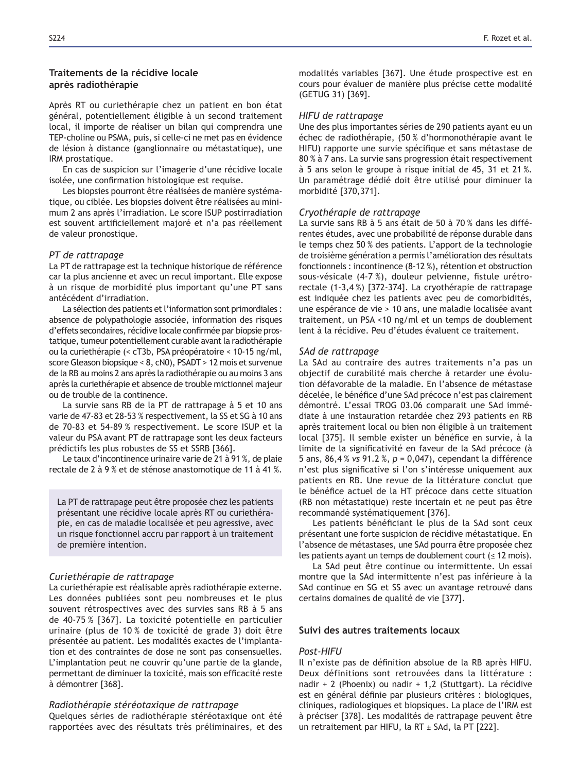## **Traitements de la récidive locale** après radiothérapie

Après RT ou curiethérapie chez un patient en bon état général, potentiellement éligible à un second traitement local, il importe de réaliser un bilan qui comprendra une TEP-choline ou PSMA, puis, si celle-ci ne met pas en évidence de lésion à distance (ganglionnaire ou métastatique), une IRM prostatique.

En cas de suspicion sur l'imagerie d'une récidive locale isolée, une confirmation histologique est requise.

Les biopsies pourront être réalisées de manière systématique, ou ciblée. Les biopsies doivent être réalisées au minimum 2 ans après l'irradiation. Le score ISUP postirradiation est souvent artificiellement majoré et n'a pas réellement de valeur pronostique.

## *PT de rattrapage*

La PT de rattrapage est la technique historique de référence car la plus ancienne et avec un recul important. Elle expose à un risque de morbidité plus important qu'une PT sans antécédent d'irradiation.

La sélection des patients et l'information sont primordiales : absence de polypathologie associée, information des risques d'effets secondaires, récidive locale confirmée par biopsie prostatique, tumeur potentiellement curable avant la radiothérapie ou la curiethérapie (< cT3b, PSA préopératoire < 10-15 ng/ml, score Gleason biopsique < 8, cN0), PSADT > 12 mois et survenue de la RB au moins 2 ans après la radiothérapie ou au moins 3 ans après la curiethérapie et absence de trouble mictionnel majeur ou de trouble de la continence.

La survie sans RB de la PT de rattrapage à 5 et 10 ans varie de 47-83 et 28-53 % respectivement, la SS et SG à 10 ans de 70-83 et 54-89 % respectivement. Le score ISUP et la valeur du PSA avant PT de rattrapage sont les deux facteurs prédictifs les plus robustes de SS et SSRB [366].

Le taux d'incontinence urinaire varie de 21 à 91 %, de plaie rectale de 2 à 9 % et de sténose anastomotique de 11 à 41 %.

La PT de rattrapage peut être proposée chez les patients présentant une récidive locale après RT ou curiethérapie, en cas de maladie localisée et peu agressive, avec un risque fonctionnel accru par rapport à un traitement de première intention.

## *Curiethérapie de rattrapage*

La curiethérapie est réalisable après radiothérapie externe. Les données publiées sont peu nombreuses et le plus souvent rétrospectives avec des survies sans RB à 5 ans de 40-75 % [367]. La toxicité potentielle en particulier urinaire (plus de 10 % de toxicité de grade 3) doit être présentée au patient. Les modalités exactes de l'implantation et des contraintes de dose ne sont pas consensuelles. L'implantation peut ne couvrir qu'une partie de la glande, permettant de diminuer la toxicité, mais son efficacité reste à démontrer [368].

### *Radiothérapie stéréotaxique de rattrapage*

Quelques séries de radiothérapie stéréotaxique ont été rapportées avec des résultats très préliminaires, et des modalités variables [367]. Une étude prospective est en cours pour évaluer de manière plus précise cette modalité (GETUG 31) [369].

### *HIFU de rattrapage*

Une des plus importantes séries de 290 patients ayant eu un échec de radiothérapie, (50 % d'hormonothérapie avant le HIFU) rapporte une survie spécifique et sans métastase de 80 % à 7 ans. La survie sans progression était respectivement à 5 ans selon le groupe à risque initial de 45, 31 et 21 %. Un paramétrage dédié doit être utilisé pour diminuer la morbidité [370,371].

#### *Cryothérapie de rattrapage*

La survie sans RB à 5 ans était de 50 à 70 % dans les différentes études, avec une probabilité de réponse durable dans le temps chez 50 % des patients. L'apport de la technologie de troisième génération a permis l'amélioration des résultats fonctionnels : incontinence (8-12 %), rétention et obstruction sous-vésicale (4-7%), douleur pelvienne, fistule urétrorectale (1-3,4%) [372-374]. La cryothérapie de rattrapage est indiquée chez les patients avec peu de comorbidités, une espérance de vie > 10 ans, une maladie localisée avant traitement, un PSA <10 ng/ml et un temps de doublement lent à la récidive. Peu d'études évaluent ce traitement.

#### *SAd de rattrapage*

La SAd au contraire des autres traitements n'a pas un objectif de curabilité mais cherche à retarder une évolution défavorable de la maladie. En l'absence de métastase décelée, le bénéfice d'une SAd précoce n'est pas clairement démontré. L'essai TROG 03.06 comparait une SAd immédiate à une instauration retardée chez 293 patients en RB après traitement local ou bien non éligible à un traitement local [375]. Il semble exister un bénéfice en survie, à la limite de la significativité en faveur de la SAd précoce (à 5 ans,  $86,4%$  vs  $91.2%$ ,  $p = 0,047$ ), cependant la différence n'est plus significative si l'on s'intéresse uniquement aux patients en RB. Une revue de la littérature conclut que le bénéfice actuel de la HT précoce dans cette situation (RB non métastatique) reste incertain et ne peut pas être recommandé systématiquement [376].

Les patients bénéficiant le plus de la SAd sont ceux présentant une forte suspicion de récidive métastatique. En l'absence de métastases, une SAd pourra être proposée chez Les patients ayant un temps de doublement court ( $\leq$  12 mois).

La SAd peut être continue ou intermittente. Un essai montre que la SAd intermittente n'est pas inférieure à la SAd continue en SG et SS avec un avantage retrouvé dans certains domaines de qualité de vie [377].

## Suivi des autres traitements locaux

## *Post-HIFU*

Il n'existe pas de définition absolue de la RB après HIFU. Deux définitions sont retrouvées dans la littérature : nadir + 2 (Phoenix) ou nadir + 1,2 (Stuttgart). La récidive est en général définie par plusieurs critères : biologiques, cliniques, radiologiques et biopsiques. La place de l'IRM est à préciser [378]. Les modalités de rattrapage peuvent être un retraitement par HIFU, la RT ± SAd, la PT [222].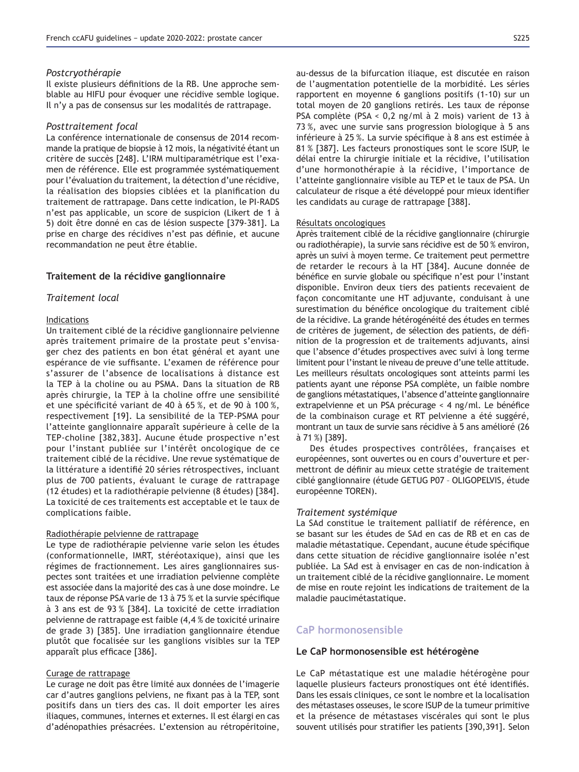#### *Postcryothérapie*

Il existe plusieurs définitions de la RB. Une approche semblable au HIFU pour évoquer une récidive semble logique. Il n'y a pas de consensus sur les modalités de rattrapage.

#### *Posttraitement focal*

La conférence internationale de consensus de 2014 recommande la pratique de biopsie à 12 mois, la négativité étant un critère de succès [248]. L'IRM multiparamétrique est l'examen de référence. Elle est programmée systématiquement pour l'évaluation du traitement, la détection d'une récidive, la réalisation des biopsies ciblées et la planification du traitement de rattrapage. Dans cette indication, le PI-RADS n'est pas applicable, un score de suspicion (Likert de 1 à 5) doit être donné en cas de lésion suspecte [379-381]. La prise en charge des récidives n'est pas définie, et aucune recommandation ne peut être établie.

## Traitement de la récidive ganglionnaire

### *Traitement local*

#### Indications

Un traitement ciblé de la récidive ganglionnaire pelvienne après traitement primaire de la prostate peut s'envisager chez des patients en bon état général et ayant une espérance de vie suffisante. L'examen de référence pour s'assurer de l'absence de localisations à distance est la TEP à la choline ou au PSMA. Dans la situation de RB après chirurgie, la TEP à la choline offre une sensibilité et une spécificité variant de 40 à 65 %, et de 90 à 100 %, respectivement [19]. La sensibilité de la TEP-PSMA pour l'atteinte ganglionnaire apparaît supérieure à celle de la TEP-choline [382,383]. Aucune étude prospective n'est pour l'instant publiée sur l'intérêt oncologique de ce traitement ciblé de la récidive. Une revue systématique de la littérature a identifié 20 séries rétrospectives, incluant plus de 700 patients, évaluant le curage de rattrapage (12 études) et la radiothérapie pelvienne (8 études) [384]. La toxicité de ces traitements est acceptable et le taux de complications faible.

## Radiothérapie pelvienne de rattrapage

Le type de radiothérapie pelvienne varie selon les études (conformationnelle, IMRT, stéréotaxique), ainsi que les régimes de fractionnement. Les aires ganglionnaires suspectes sont traitées et une irradiation pelvienne complète est associée dans la majorité des cas à une dose moindre. Le taux de réponse PSA varie de 13 à 75 % et la survie spécifique à 3 ans est de 93 % [384]. La toxicité de cette irradiation pelvienne de rattrapage est faible (4,4 % de toxicité urinaire de grade 3) [385]. Une irradiation ganglionnaire étendue plutôt que focalisée sur les ganglions visibles sur la TEP apparaît plus efficace [386].

#### Curage de rattrapage

Le curage ne doit pas être limité aux données de l'imagerie car d'autres ganglions pelviens, ne fixant pas à la TEP, sont positifs dans un tiers des cas. Il doit emporter les aires iliaques, communes, internes et externes. Il est élargi en cas d'adénopathies présacrées. L'extension au rétropéritoine,

au-dessus de la bifurcation iliaque, est discutée en raison de l'augmentation potentielle de la morbidité. Les séries rapportent en moyenne 6 ganglions positifs (1-10) sur un total moyen de 20 ganglions retirés. Les taux de réponse PSA complète (PSA < 0,2 ng/ml à 2 mois) varient de 13 à 73%, avec une survie sans progression biologique à 5 ans inférieure à 25 %. La survie spécifique à 8 ans est estimée à 81 % [387]. Les facteurs pronostiques sont le score ISUP, le délai entre la chirurgie initiale et la récidive, l'utilisation d'une hormonothérapie à la récidive, l'importance de l'atteinte ganglionnaire visible au TEP et le taux de PSA. Un calculateur de risque a été développé pour mieux identifier les candidats au curage de rattrapage [388].

#### Résultats oncologiques

Après traitement ciblé de la récidive ganglionnaire (chirurgie ou radiothérapie), la survie sans récidive est de 50 % environ, après un suivi à moyen terme. Ce traitement peut permettre de retarder le recours à la HT [384]. Aucune donnée de bénéfice en survie globale ou spécifique n'est pour l'instant disponible. Environ deux tiers des patients recevaient de façon concomitante une HT adjuvante, conduisant à une surestimation du bénéfice oncologique du traitement ciblé de la récidive. La grande hétérogénéité des études en termes de critères de jugement, de sélection des patients, de définition de la progression et de traitements adjuvants, ainsi que l'absence d'études prospectives avec suivi à long terme limitent pour l'instant le niveau de preuve d'une telle attitude. Les meilleurs résultats oncologiques sont atteints parmi les patients ayant une réponse PSA complète, un faible nombre de ganglions métastatiques, l'absence d'atteinte ganglionnaire extrapelvienne et un PSA précurage < 4 ng/ml. Le bénéfice de la combinaison curage et RT pelvienne a été suggéré, montrant un taux de survie sans récidive à 5 ans amélioré (26 à 71 %) [389].

Des études prospectives contrôlées, françaises et européennes, sont ouvertes ou en cours d'ouverture et permettront de définir au mieux cette stratégie de traitement ciblé ganglionnaire (étude GETUG P07 - OLIGOPELVIS, étude européenne TOREN).

#### *Traitement systémique*

La SAd constitue le traitement palliatif de référence, en se basant sur les études de SAd en cas de RB et en cas de maladie métastatique. Cependant, aucune étude spécifique dans cette situation de récidive ganglionnaire isolée n'est publiée. La SAd est à envisager en cas de non-indication à un traitement ciblé de la récidive ganglionnaire. Le moment de mise en route rejoint les indications de traitement de la maladie paucimétastatique.

## **CaP hormonosensible**

### Le CaP hormonosensible est hétérogène

Le CaP métastatique est une maladie hétérogène pour laquelle plusieurs facteurs pronostiques ont été identifiés. Dans les essais cliniques, ce sont le nombre et la localisation des métastases osseuses, le score ISUP de la tumeur primitive et la présence de métastases viscérales qui sont le plus souvent utilisés pour stratifier les patients [390,391]. Selon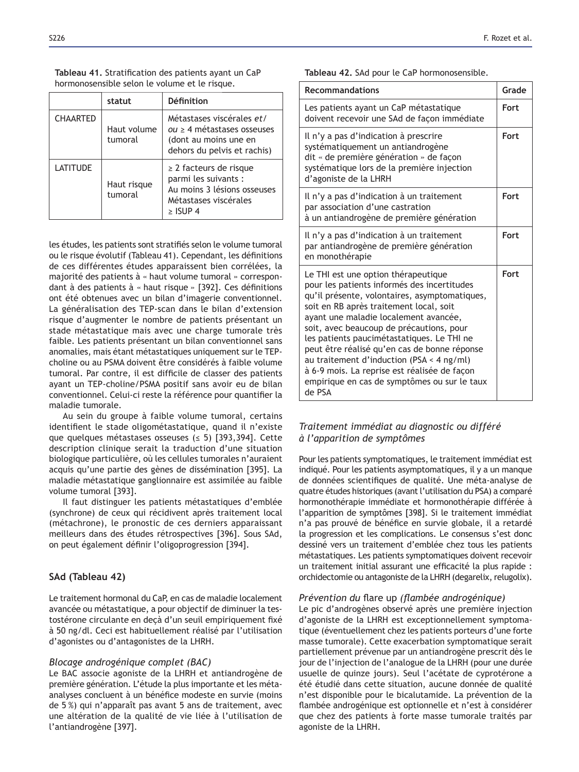| Tableau 41. Stratification des patients ayant un CaP |  |  |
|------------------------------------------------------|--|--|
| hormonosensible selon le volume et le risque.        |  |  |

|                 | statut                 | <b>Définition</b>                                                                                                         |
|-----------------|------------------------|---------------------------------------------------------------------------------------------------------------------------|
| <b>CHAARTED</b> | Haut volume<br>tumoral | Métastases viscérales et/<br>$ou \geq 4$ métastases osseuses<br>(dont au moins une en<br>dehors du pelvis et rachis)      |
| LATITUDE        | Haut risque<br>tumoral | $\geq$ 2 facteurs de risque<br>parmi les suivants :<br>Au moins 3 lésions osseuses<br>Métastases viscérales<br>$>$ ISUP 4 |

les études, les patients sont stratifiés selon le volume tumoral ou le risque évolutif (Tableau 41). Cependant, les définitions de ces différentes études apparaissent bien corrélées, la majorité des patients à « haut volume tumoral » correspondant à des patients à « haut risque » [392]. Ces définitions ont été obtenues avec un bilan d'imagerie conventionnel. La généralisation des TEP-scan dans le bilan d'extension risque d'augmenter le nombre de patients présentant un stade métastatique mais avec une charge tumorale très faible. Les patients présentant un bilan conventionnel sans anomalies, mais étant métastatiques uniquement sur le TEPcholine ou au PSMA doivent être considérés à faible volume tumoral. Par contre, il est difficile de classer des patients ayant un TEP-choline/PSMA positif sans avoir eu de bilan conventionnel. Celui-ci reste la référence pour quantifier la maladie tumorale.

Au sein du groupe à faible volume tumoral, certains identifient le stade oligométastatique, quand il n'existe que quelques métastases osseuses ( $\leq$  5) [393,394]. Cette description clinique serait la traduction d'une situation biologique particulière, où les cellules tumorales n'auraient acquis qu'une partie des gènes de dissémination [395]. La maladie métastatique ganglionnaire est assimilée au faible volume tumoral [393].

Il faut distinguer les patients métastatiques d'emblée (synchrone) de ceux qui récidivent après traitement local (métachrone), le pronostic de ces derniers apparaissant meilleurs dans des études rétrospectives [396]. Sous SAd, on peut également définir l'oligoprogression [394].

## **SAd (Tableau 42)**

Le traitement hormonal du CaP, en cas de maladie localement avancée ou métastatique, a pour objectif de diminuer la testostérone circulante en deçà d'un seuil empiriquement fixé à 50 ng/dl. Ceci est habituellement réalisé par l'utilisation d'agonistes ou d'antagonistes de la LHRH.

## *Blocage androgénique complet (BAC)*

Le BAC associe agoniste de la LHRH et antiandrogène de première génération. L'étude la plus importante et les métaanalyses concluent à un bénéfice modeste en survie (moins de 5 %) qui n'apparaît pas avant 5 ans de traitement, avec une altération de la qualité de vie liée à l'utilisation de l'antiandrogène [397].

Tableau 42. SAd pour le CaP hormonosensible.

| <b>Recommandations</b>                                                                                                                                                                                                                                                                                                                                                                                                                                                                                                   | Grade |
|--------------------------------------------------------------------------------------------------------------------------------------------------------------------------------------------------------------------------------------------------------------------------------------------------------------------------------------------------------------------------------------------------------------------------------------------------------------------------------------------------------------------------|-------|
| Les patients ayant un CaP métastatique<br>doivent recevoir une SAd de façon immédiate                                                                                                                                                                                                                                                                                                                                                                                                                                    | Fort  |
| Il n'y a pas d'indication à prescrire<br>systématiquement un antiandrogène<br>dit « de première génération » de façon<br>systématique lors de la première injection<br>d'agoniste de la LHRH                                                                                                                                                                                                                                                                                                                             | Fort  |
| Il n'y a pas d'indication à un traitement<br>par association d'une castration<br>à un antiandrogène de première génération                                                                                                                                                                                                                                                                                                                                                                                               | Fort  |
| Il n'y a pas d'indication à un traitement<br>par antiandrogène de première génération<br>en monothérapie                                                                                                                                                                                                                                                                                                                                                                                                                 | Fort  |
| Le THI est une option thérapeutique<br>pour les patients informés des incertitudes<br>qu'il présente, volontaires, asymptomatiques,<br>soit en RB après traitement local, soit<br>ayant une maladie localement avancée,<br>soit, avec beaucoup de précautions, pour<br>les patients paucimétastatiques. Le THI ne<br>peut être réalisé qu'en cas de bonne réponse<br>au traitement d'induction (PSA < 4 ng/ml)<br>à 6-9 mois. La reprise est réalisée de façon<br>empirique en cas de symptômes ou sur le taux<br>de PSA | Fort  |

## *Traitement immédiat au diagnostic ou différé à l'apparition de symptômes*

Pour les patients symptomatiques, le traitement immédiat est indiqué. Pour les patients asymptomatiques, il y a un manque de données scientifiques de qualité. Une méta-analyse de quatre études historiques (avant l'utilisation du PSA) a comparé hormonothérapie immédiate et hormonothérapie différée à l'apparition de symptômes [398]. Si le traitement immédiat n'a pas prouvé de bénéfice en survie globale, il a retardé la progression et les complications. Le consensus s'est donc dessiné vers un traitement d'emblée chez tous les patients métastatiques. Les patients symptomatiques doivent recevoir un traitement initial assurant une efficacité la plus rapide : orchidectomie ou antagoniste de la LHRH (degarelix, relugolix).

### *Prévention du flare up (flambée androgénique)*

Le pic d'androgènes observé après une première injection d'agoniste de la LHRH est exceptionnellement symptomatique (éventuellement chez les patients porteurs d'une forte masse tumorale). Cette exacerbation symptomatique serait partiellement prévenue par un antiandrogène prescrit dès le jour de l'injection de l'analogue de la LHRH (pour une durée usuelle de quinze jours). Seul l'acétate de cyprotérone a été étudié dans cette situation, aucune donnée de qualité n'est disponible pour le bicalutamide. La prévention de la flambée androgénique est optionnelle et n'est à considérer que chez des patients à forte masse tumorale traités par agoniste de la LHRH.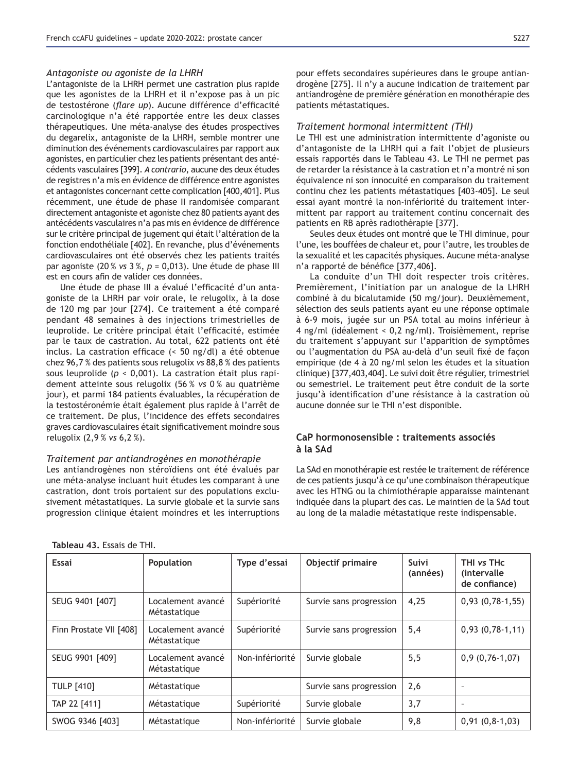#### *Antagoniste ou agoniste de la LHRH*

L'antagoniste de la LHRH permet une castration plus rapide que les agonistes de la LHRH et il n'expose pas à un pic de testostérone (*flare up*). Aucune différence d'efficacité carcinologique n'a été rapportée entre les deux classes thérapeutiques. Une méta-analyse des études prospectives du degarelix, antagoniste de la LHRH, semble montrer une diminution des événements cardiovasculaires par rapport aux agonistes, en particulier chez les patients présentant des antécédents vasculaires [399]. *A contrario*, aucune des deux études de registres n'a mis en évidence de différence entre agonistes et antagonistes concernant cette complication [400,401]. Plus récemment, une étude de phase II randomisée comparant directement antagoniste et agoniste chez 80 patients ayant des antécédents vasculaires n'a pas mis en évidence de différence sur le critère principal de jugement qui était l'altération de la fonction endothéliale [402]. En revanche, plus d'événements cardiovasculaires ont été observés chez les patients traités par agoniste (20 % *vs* 3 %, *p* = 0,013). Une étude de phase III est en cours afin de valider ces données.

Une étude de phase III a évalué l'efficacité d'un antagoniste de la LHRH par voir orale, le relugolix, à la dose de 120 mg par jour [274]. Ce traitement a été comparé pendant 48 semaines à des injections trimestrielles de leuprolide. Le critère principal était l'efficacité, estimée par le taux de castration. Au total, 622 patients ont été inclus. La castration efficace  $($  50 ng/dl) a été obtenue chez 96,7 % des patients sous relugolix vs 88,8 % des patients sous leuprolide (*p* < 0,001). La castration était plus rapidement atteinte sous relugolix (56 % *vs* 0 % au quatrième jour), et parmi 184 patients évaluables, la récupération de la testostéronémie était également plus rapide à l'arrêt de ce traitement. De plus, l'incidence des effets secondaires graves cardiovasculaires était significativement moindre sous relugolix (2,9 % *vs* 6,2 %).

#### *Traitement par antiandrogènes en monothérapie*

Les antiandrogènes non stéroïdiens ont été évalués par une méta-analyse incluant huit études les comparant à une castration, dont trois portaient sur des populations exclusivement métastatiques. La survie globale et la survie sans progression clinique étaient moindres et les interruptions

Tableau 43. Essais de THI.

pour effets secondaires supérieures dans le groupe antiandrogène [275]. Il n'y a aucune indication de traitement par antiandrogène de première génération en monothérapie des patients métastatiques.

### *Traitement hormonal intermittent (THI)*

Le THI est une administration intermittente d'agoniste ou d'antagoniste de la LHRH qui a fait l'objet de plusieurs essais rapportés dans le Tableau 43. Le THI ne permet pas de retarder la résistance à la castration et n'a montré ni son équivalence ni son innocuité en comparaison du traitement continu chez les patients métastatiques [403-405]. Le seul essai ayant montré la non-infériorité du traitement intermittent par rapport au traitement continu concernait des patients en RB après radiothérapie [377].

Seules deux études ont montré que le THI diminue, pour l'une, les bouffées de chaleur et, pour l'autre, les troubles de la sexualité et les capacités physiques. Aucune méta-analyse n'a rapporté de bénéfice [377,406].

La conduite d'un THI doit respecter trois critères. Premièrement, l'initiation par un analogue de la LHRH combiné à du bicalutamide (50 mg/jour). Deuxièmement, sélection des seuls patients ayant eu une réponse optimale à 6-9 mois, jugée sur un PSA total au moins inférieur à 4 ng/ml (idéalement < 0,2 ng/ml). Troisièmement, reprise du traitement s'appuyant sur l'apparition de symptômes ou l'augmentation du PSA au-delà d'un seuil fixé de facon empirique (de 4 à 20 ng/ml selon les études et la situation clinique) [377,403,404]. Le suivi doit être régulier, trimestriel ou semestriel. Le traitement peut être conduit de la sorte jusqu'à identification d'une résistance à la castration où aucune donnée sur le THI n'est disponible.

## CaP hormonosensible : traitements associés hA2 <sub>b</sub>

La SAd en monothérapie est restée le traitement de référence de ces patients jusqu'à ce qu'une combinaison thérapeutique avec les HTNG ou la chimiothérapie apparaisse maintenant indiquée dans la plupart des cas. Le maintien de la SAd tout au long de la maladie métastatique reste indispensable.

| Essai                   | Population                        | Type d'essai    | Objectif primaire       | Suivi<br>(années) | THI vs THc<br><i>(intervalle)</i><br>de confiance) |
|-------------------------|-----------------------------------|-----------------|-------------------------|-------------------|----------------------------------------------------|
| SEUG 9401 [407]         | Localement avancé<br>Métastatique | Supériorité     | Survie sans progression | 4,25              | $0,93(0,78-1,55)$                                  |
| Finn Prostate VII [408] | Localement avancé<br>Métastatique | Supériorité     | Survie sans progression | 5,4               | $0,93(0,78-1,11)$                                  |
| SEUG 9901 [409]         | Localement avancé<br>Métastatique | Non-infériorité | Survie globale          | 5,5               | $0,9(0,76-1,07)$                                   |
| <b>TULP [410]</b>       | Métastatique                      |                 | Survie sans progression | 2,6               | ٠                                                  |
| TAP 22 [411]            | Métastatique                      | Supériorité     | Survie globale          | 3,7               | ٠                                                  |
| SWOG 9346 [403]         | Métastatique                      | Non-infériorité | Survie globale          | 9,8               | $0,91(0,8-1,03)$                                   |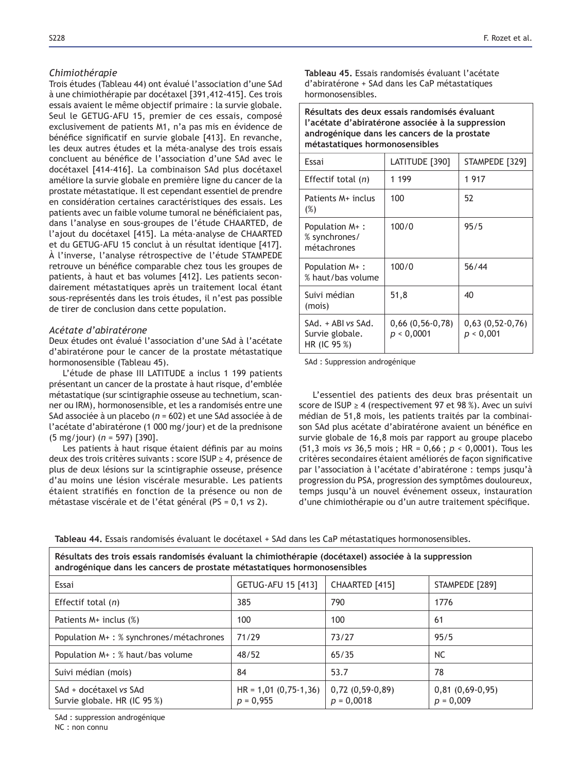## *Chimiothérapie*

Trois études (Tableau 44) ont évalué l'association d'une SAd à une chimiothérapie par docétaxel [391,412-415]. Ces trois essais avaient le même objectif primaire : la survie globale. Seul le GETUG-AFU 15, premier de ces essais, composé exclusivement de patients M1, n'a pas mis en évidence de bénéfice significatif en survie globale [413]. En revanche, les deux autres études et la méta-analyse des trois essais concluent au bénéfice de l'association d'une SAd avec le docétaxel [414-416]. La combinaison SAd plus docétaxel améliore la survie globale en première ligne du cancer de la prostate métastatique. Il est cependant essentiel de prendre en considération certaines caractéristiques des essais. Les patients avec un faible volume tumoral ne bénéficiaient pas, dans l'analyse en sous-groupes de l'étude CHAARTED, de l'ajout du docétaxel [415]. La méta-analyse de CHAARTED et du GETUG-AFU 15 conclut à un résultat identique [417]. À l'inverse, l'analyse rétrospective de l'étude STAMPEDE retrouve un bénéfice comparable chez tous les groupes de patients, à haut et bas volumes [412]. Les patients secondairement métastatiques après un traitement local étant sous-représentés dans les trois études, il n'est pas possible de tirer de conclusion dans cette population.

### *Acétate d'abiratérone*

Deux études ont évalué l'association d'une SAd à l'acétate d'abiratérone pour le cancer de la prostate métastatique hormonosensible (Tableau 45).

L'étude de phase III LATITUDE a inclus 1 199 patients présentant un cancer de la prostate à haut risque, d'emblée métastatique (sur scintigraphie osseuse au technetium, scanner ou IRM), hormonosensible, et les a randomisés entre une SAd associée à un placebo (*n* = 602) et une SAd associée à de l'acétate d'abiratérone (1 000 mg/jour) et de la prednisone  $(5 \text{ mg/jour})$   $(n = 597)$  [390].

Les patients à haut risque étaient définis par au moins deux des trois critères suivants : score ISUP ≥ 4, présence de plus de deux lésions sur la scintigraphie osseuse, présence d'au moins une lésion viscérale mesurable. Les patients étaient stratifiés en fonction de la présence ou non de métastase viscérale et de l'état général (PS = 0,1 *vs* 2).

**Tableau 45** Essais randomisés évaluant l'acétate d'abiratérone + SAd dans les CaP métastatiques hormonosensibles.

Résultats des deux essais randomisés évaluant l'acétate d'abiratérone associée à la suppression androgénique dans les cancers de la prostate **métastatiques hormonosensibles** 

| Essai                                                 | LATITUDE [390]                     | STAMPEDE [329]                 |
|-------------------------------------------------------|------------------------------------|--------------------------------|
| Effectif total $(n)$                                  | 1 199                              | 1917                           |
| Patients M+ inclus<br>$(\%)$                          | 100                                | 52                             |
| Population M+:<br>% synchrones/<br>métachrones        | 100/0                              | 95/5                           |
| Population M+:<br>% haut/bas volume                   | 100/0                              | 56/44                          |
| Suivi médian<br>(mois)                                | 51,8                               | 40                             |
| SAd. + ABI vs SAd.<br>Survie globale.<br>HR (IC 95 %) | $0,66$ $(0,56-0,78)$<br>p < 0,0001 | $0,63(0,52-0,76)$<br>p < 0,001 |

SAd : Suppression androgénique

L'essentiel des patients des deux bras présentait un score de ISUP  $\geq$  4 (respectivement 97 et 98 %). Avec un suivi médian de 51,8 mois, les patients traités par la combinaison SAd plus acétate d'abiratérone avaient un bénéfice en survie globale de 16,8 mois par rapport au groupe placebo (51,3 mois *vs* 36,5 mois ; HR = 0,66 ; *p* < 0,0001). Tous les critères secondaires étaient améliorés de façon significative par l'association à l'acétate d'abiratérone : temps jusqu'à progression du PSA, progression des symptômes douloureux, temps jusqu'à un nouvel événement osseux, instauration d'une chimiothérapie ou d'un autre traitement spécifique.

Tableau 44. Essais randomisés évaluant le docétaxel + SAd dans les CaP métastatiques hormonosensibles.

| androgénique dans les cancers de prostate métastatiques hormonosensibles |                                        |                                   |                                  |  |
|--------------------------------------------------------------------------|----------------------------------------|-----------------------------------|----------------------------------|--|
| Essai                                                                    | GETUG-AFU 15 [413]                     | CHAARTED [415]                    | STAMPEDE [289]                   |  |
| Effectif total $(n)$                                                     | 385                                    | 790                               | 1776                             |  |
| Patients $M+$ inclus $(\%)$                                              | 100                                    | 100                               | 61                               |  |
| Population M+: % synchrones/métachrones                                  | 71/29                                  | 73/27                             | 95/5                             |  |
| Population M+: % haut/bas volume                                         | 48/52                                  | 65/35                             | <b>NC</b>                        |  |
| Suivi médian (mois)                                                      | 84                                     | 53.7                              | 78                               |  |
| SAd + docétaxel vs SAd<br>Survie globale. HR (IC 95 %)                   | $HR = 1,01 (0,75-1,36)$<br>$p = 0,955$ | $0,72(0,59-0,89)$<br>$p = 0,0018$ | $0,81(0,69-0,95)$<br>$p = 0,009$ |  |

Résultats des trois essais randomisés évaluant la chimiothérapie (docétaxel) associée à la suppression

SAd : suppression androgénique

NC : non connu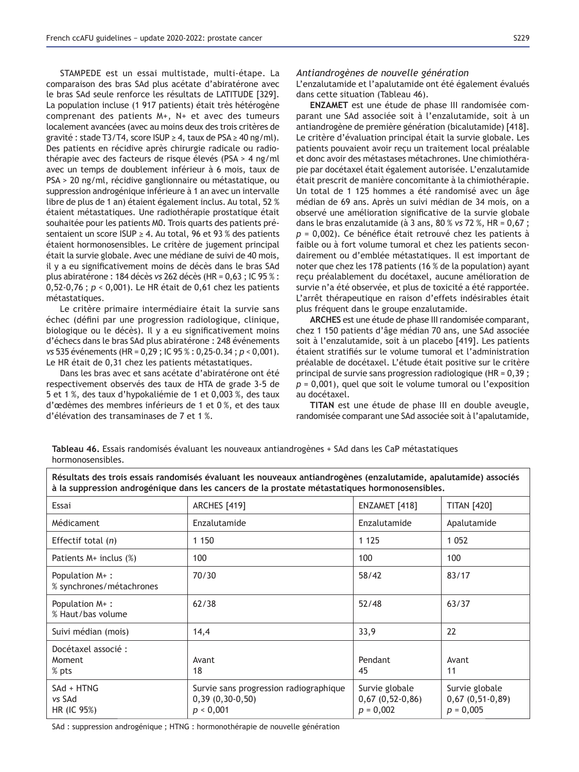STAMPEDE est un essai multistade, multi-étape. La comparaison des bras SAd plus acétate d'abiratérone avec le bras SAd seule renforce les résultats de LATITUDE [329]. La population incluse (1 917 patients) était très hétérogène comprenant des patients M+, N+ et avec des tumeurs localement avancées (avec au moins deux des trois critères de gravité : stade T3/T4, score ISUP  $\geq$  4, taux de PSA  $\geq$  40 ng/ml). Des patients en récidive après chirurgie radicale ou radiothérapie avec des facteurs de risque élevés (PSA > 4 ng/ml avec un temps de doublement inférieur à 6 mois, taux de PSA > 20 ng/ml, récidive ganglionnaire ou métastatique, ou suppression androgénique inférieure à 1 an avec un intervalle libre de plus de 1 an) étaient également inclus. Au total, 52 % étaient métastatiques. Une radiothérapie prostatique était souhaitée pour les patients M0. Trois quarts des patients présentaient un score ISUP  $\geq$  4. Au total, 96 et 93 % des patients étaient hormonosensibles. Le critère de jugement principal était la survie globale. Avec une médiane de suivi de 40 mois, il y a eu significativement moins de décès dans le bras SAd plus abiratérone : 184 décès *vs* 262 décès (HR = 0,63 ; IC 95 % : 0,52-0,76 ;  $p < 0,001$ ). Le HR était de 0,61 chez les patients métastatiques.

Le critère primaire intermédiaire était la survie sans échec (défini par une progression radiologique, clinique, biologique ou le décès). Il y a eu significativement moins d'échecs dans le bras SAd plus abiratérone : 248 événements *vs* 535 événements (HR = 0,29 ; IC 95 % : 0,25-0.34 ; *p* < 0,001). Le HR était de 0,31 chez les patients métastatiques.

Dans les bras avec et sans acétate d'abiratérone ont été respectivement observés des taux de HTA de grade 3-5 de 5 et 1 %, des taux d'hypokaliémie de 1 et 0,003 %, des taux d'œdèmes des membres inférieurs de 1 et 0 %, et des taux d'élévation des transaminases de 7 et 1 %.

#### *Antiandrogènes de nouvelle génération*

L'enzalutamide et l'apalutamide ont été également évalués dans cette situation (Tableau 46).

**ENZAMET** est une étude de phase III randomisée comparant une SAd associée soit à l'enzalutamide, soit à un antiandrogène de première génération (bicalutamide) [418]. Le critère d'évaluation principal était la survie globale. Les patients pouvaient avoir reçu un traitement local préalable et donc avoir des métastases métachrones. Une chimiothérapie par docétaxel était également autorisée. L'enzalutamide était prescrit de manière concomitante à la chimiothérapie. Un total de 1 125 hommes a été randomisé avec un âge médian de 69 ans. Après un suivi médian de 34 mois, on a observé une amélioration significative de la survie globale dans le bras enzalutamide (à 3 ans, 80 % *vs*+5 *p* = 0.002). Ce bénéfice était retrouvé chez les patients à faible ou à fort volume tumoral et chez les patients secondairement ou d'emblée métastatiques. Il est important de noter que chez les 178 patients (16 % de la population) ayant reçu préalablement du docétaxel, aucune amélioration de survie n'a été observée, et plus de toxicité a été rapportée. L'arrêt thérapeutique en raison d'effets indésirables était plus fréquent dans le groupe enzalutamide.

**ARCHES** est une étude de phase III randomisée comparant, chez 1 150 patients d'âge médian 70 ans, une SAd associée soit à l'enzalutamide, soit à un placebo [419]. Les patients étaient stratifiés sur le volume tumoral et l'administration préalable de docétaxel. L'étude était positive sur le critère principal de survie sans progression radiologique (HR = 0,39 ; *p* = 0,001), quel que soit le volume tumoral ou l'exposition au docétaxel.

TITAN est une étude de phase III en double aveugle, randomisée comparant une SAd associée soit à l'apalutamide,

Tableau 46. Essais randomisés évaluant les nouveaux antiandrogènes + SAd dans les CaP métastatiques hormonosensibles.

Résultats des trois essais randomisés évaluant les nouveaux antiandrogènes (enzalutamide, apalutamide) associés à la suppression androgénique dans les cancers de la prostate métastatiques hormonosensibles.

| Essai                                      | <b>ARCHES</b> [419]                                                      | ENZAMET [418]                                      | <b>TITAN [420]</b>                                    |
|--------------------------------------------|--------------------------------------------------------------------------|----------------------------------------------------|-------------------------------------------------------|
| Médicament                                 | Enzalutamide                                                             | Enzalutamide                                       | Apalutamide                                           |
| Effectif total $(n)$                       | 1 1 5 0                                                                  | 1 1 2 5                                            | 1 0 5 2                                               |
| Patients $M+$ inclus $(\%)$                | 100                                                                      | 100                                                | 100                                                   |
| Population M+:<br>% synchrones/métachrones | 70/30                                                                    | 58/42                                              | 83/17                                                 |
| Population M+:<br>% Haut/bas volume        | 62/38                                                                    | 52/48                                              | 63/37                                                 |
| Suivi médian (mois)                        | 14,4                                                                     | 33,9                                               | 22                                                    |
| Docétaxel associé :<br>Moment<br>% pts     | Avant<br>18                                                              | Pendant<br>45                                      | Avant<br>11                                           |
| SAd + HTNG<br>vs SAd<br>HR (IC 95%)        | Survie sans progression radiographique<br>$0,39(0,30-0,50)$<br>p < 0,001 | Survie globale<br>$0,67(0,52-0,86)$<br>$p = 0,002$ | Survie globale<br>$0,67$ $(0,51-0,89)$<br>$p = 0,005$ |

SAd : suppression androgénique ; HTNG : hormonothérapie de nouvelle génération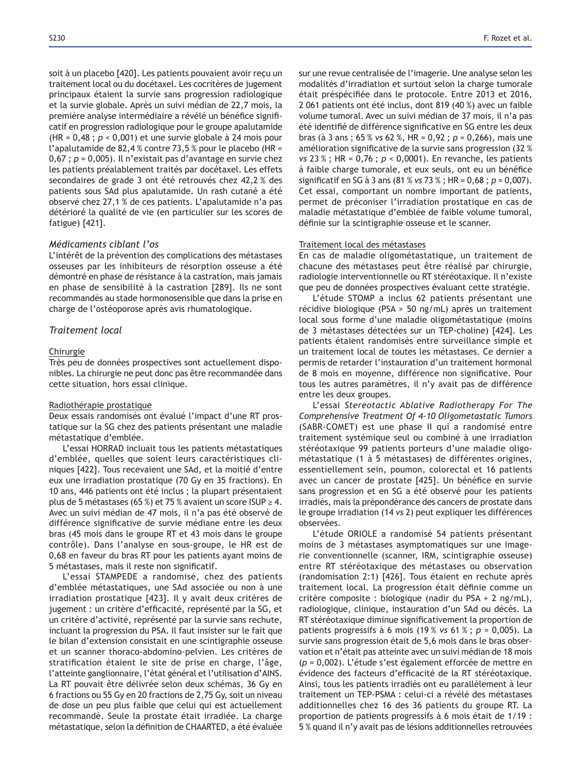soit à un placebo [420]. Les patients pouvaient avoir reçu un traitement local ou du docétaxel. Les cocritères de jugement principaux étaient la survie sans progression radiologique et la survie globale. Après un suivi médian de 22,7 mois, la première analyse intermédiaire a révélé un bénéfice significatif en progression radiologique pour le groupe apalutamide (HR = 0,48 ; *p* < 0,001) et une survie globale à 24 mois pour l'apalutamide de 82,4 % contre 73,5 % pour le placebo (HR = 0,67 ;  $p = 0,005$ ). Il n'existait pas d'avantage en survie chez les patients préalablement traités par docétaxel. Les effets secondaires de grade 3 ont été retrouvés chez 42,2 % des patients sous SAd plus apalutamide. Un rash cutané a été observé chez 27,1 % de ces patients. L'apalutamide n'a pas détérioré la qualité de vie (en particulier sur les scores de fatigue) [421].

### *Médicaments ciblant l'os*

L'intérêt de la prévention des complications des métastases osseuses par les inhibiteurs de résorption osseuse a été démontré en phase de résistance à la castration, mais jamais en phase de sensibilité à la castration [289]. Ils ne sont recommandés au stade hormonosensible que dans la prise en charge de l'ostéoporose après avis rhumatologique.

### *Traitement local*

#### Chirurgie

Très peu de données prospectives sont actuellement disponibles. La chirurgie ne peut donc pas être recommandée dans cette situation, hors essai clinique.

#### Radiothérapie prostatique

Deux essais randomisés ont évalué l'impact d'une RT prostatique sur la SG chez des patients présentant une maladie métastatique d'emblée.

L'essai HORRAD incluait tous les patients métastatiques d'emblée, quelles que soient leurs caractéristiques cliniques [422]. Tous recevaient une SAd, et la moitié d'entre eux une irradiation prostatique (70 Gy en 35 fractions). En 10 ans, 446 patients ont été inclus ; la plupart présentaient plus de 5 métastases (65 %) et 75 % avaient un score ISUP  $\geq$  4. Avec un suivi médian de 47 mois, il n'a pas été observé de différence significative de survie médiane entre les deux bras (45 mois dans le groupe RT et 43 mois dans le groupe contrôle). Dans l'analyse en sous-groupe, le HR est de 0,68 en faveur du bras RT pour les patients ayant moins de 5 métastases, mais il reste non significatif.

L'essai STAMPEDE a randomisé, chez des patients d'emblée métastatiques, une SAd associée ou non à une irradiation prostatique [423]. Il y avait deux critères de jugement : un critère d'efficacité, représenté par la SG, et un critère d'activité, représenté par la survie sans rechute, incluant la progression du PSA. Il faut insister sur le fait que le bilan d'extension consistait en une scintigraphie osseuse et un scanner thoraco-abdomino-pelvien. Les critères de stratification étaient le site de prise en charge, l'âge, l'atteinte ganglionnaire, l'état général et l'utilisation d'AINS. La RT pouvait être délivrée selon deux schémas, 36 Gy en 6 fractions ou 55 Gy en 20 fractions de 2,75 Gy, soit un niveau de dose un peu plus faible que celui qui est actuellement recommandé. Seule la prostate était irradiée. La charge métastatique, selon la définition de CHAARTED, a été évaluée sur une revue centralisée de l'imagerie. Une analyse selon les modalités d'irradiation et surtout selon la charge tumorale était préspécifiée dans le protocole. Entre 2013 et 2016, 2 061 patients ont été inclus, dont 819 (40 %) avec un faible volume tumoral. Avec un suivi médian de 37 mois, il n'a pas été identifié de différence significative en SG entre les deux bras (à 3 ans ; 65 % *vs* 62 %, HR = 0,92 ; *p* = 0,266), mais une amélioration significative de la survie sans progression (32 % *vs* 23 %; HR = 0,76;  $p < 0,0001$ ). En revanche, les patients à faible charge tumorale, et eux seuls, ont eu un bénéfice significatif en SG à 3 ans (81 % vs 73 %; HR =  $0.68$ ;  $p = 0.007$ ). Cet essai, comportant un nombre important de patients, permet de préconiser l'irradiation prostatique en cas de maladie métastatique d'emblée de faible volume tumoral, définie sur la scintigraphie osseuse et le scanner.

#### Traitement local des métastases

En cas de maladie oligométastatique, un traitement de chacune des métastases peut être réalisé par chirurgie, radiologie interventionnelle ou RT stéréotaxique. Il n'existe que peu de données prospectives évaluant cette stratégie.

L'étude STOMP a inclus 62 patients présentant une récidive biologique (PSA > 50 ng/mL) après un traitement local sous forme d'une maladie oligométastatique (moins de 3 métastases détectées sur un TEP-choline) [424]. Les patients étaient randomisés entre surveillance simple et un traitement local de toutes les métastases. Ce dernier a permis de retarder l'instauration d'un traitement hormonal de 8 mois en moyenne, différence non significative. Pour tous les autres paramètres, il n'y avait pas de différence entre les deux groupes.

L'essai *Stereotactic Ablative Radiotherapy For The Comprehensive Treatment Of 4-10 Oligometastatic Tumors* (SABR-COMET) est une phase II qui a randomisé entre traitement systémique seul ou combiné à une irradiation stéréotaxique 99 patients porteurs d'une maladie oligométastatique (1 à 5 métastases) de différentes origines, essentiellement sein, poumon, colorectal et 16 patients avec un cancer de prostate [425]. Un bénéfice en survie sans progression et en SG a été observé pour les patients irradiés, mais la prépondérance des cancers de prostate dans le groupe irradiation (14 *vs* 2) peut expliquer les différences observées.

L'étude ORIOLE a randomisé 54 patients présentant moins de 3 métastases asymptomatiques sur une imagerie conventionnelle (scanner, IRM, scintigraphie osseuse) entre RT stéréotaxique des métastases ou observation (randomisation 2:1) [426]. Tous étaient en rechute après traitement local. La progression était définie comme un critère composite : biologique (nadir du PSA + 2 ng/mL), radiologique, clinique, instauration d'un SAd ou décès. La RT stéréotaxique diminue significativement la proportion de patients progressifs à 6 mois (19 % *vs* 61 % ; *p* = 0,005). La survie sans progression était de 5,6 mois dans le bras observation et n'était pas atteinte avec un suivi médian de 18 mois (*p* = 0,002). L'étude s'est également efforcée de mettre en évidence des facteurs d'efficacité de la RT stéréotaxique. Ainsi, tous les patients irradiés ont eu parallèlement à leur traitement un TEP-PSMA : celui-ci a révélé des métastases additionnelles chez 16 des 36 patients du groupe RT. La proportion de patients progressifs à 6 mois était de 1/19 : 5 % quand il n'y avait pas de lésions additionnelles retrouvées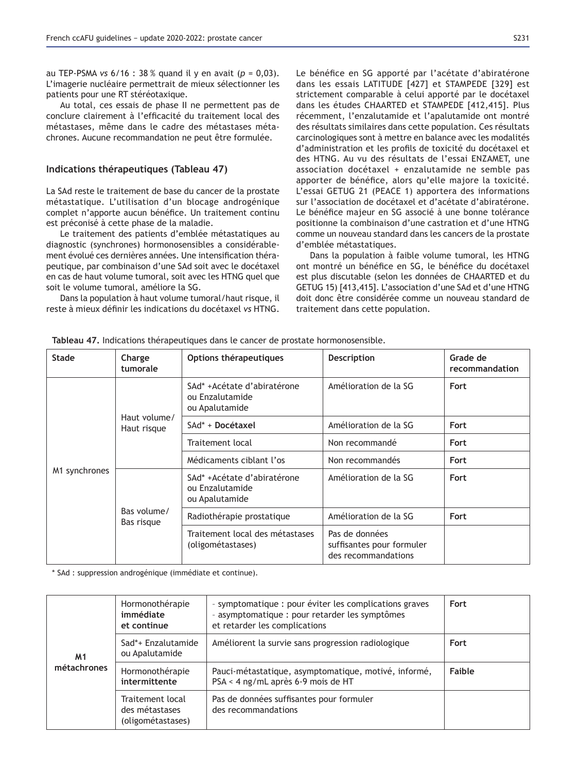au TEP-PSMA *vs* 6/16 : 38 % quand il y en avait (*p* = 0,03). L'imagerie nucléaire permettrait de mieux sélectionner les patients pour une RT stéréotaxique.

Au total, ces essais de phase II ne permettent pas de conclure clairement à l'efficacité du traitement local des métastases, même dans le cadre des métastases métachrones. Aucune recommandation ne peut être formulée.

### Indications thérapeutiques (Tableau 47)

La SAd reste le traitement de base du cancer de la prostate métastatique. L'utilisation d'un blocage androgénique complet n'apporte aucun bénéfice. Un traitement continu est préconisé à cette phase de la maladie.

Le traitement des patients d'emblée métastatiques au diagnostic (synchrones) hormonosensibles a considérablement évolué ces dernières années. Une intensification thérapeutique, par combinaison d'une SAd soit avec le docétaxel en cas de haut volume tumoral, soit avec les HTNG quel que soit le volume tumoral, améliore la SG.

Dans la population à haut volume tumoral/haut risque, il reste à mieux définir les indications du docétaxel vs HTNG.

Le bénéfice en SG apporté par l'acétate d'abiratérone dans les essais LATITUDE [427] et STAMPEDE [329] est strictement comparable à celui apporté par le docétaxel dans les études CHAARTED et STAMPEDE [412,415]. Plus récemment, l'enzalutamide et l'apalutamide ont montré des résultats similaires dans cette population. Ces résultats carcinologiques sont à mettre en balance avec les modalités d'administration et les profils de toxicité du docétaxel et des HTNG. Au vu des résultats de l'essai ENZAMET, une association docétaxel + enzalutamide ne semble pas apporter de bénéfice, alors qu'elle majore la toxicité. L'essai GETUG 21 (PEACE 1) apportera des informations sur l'association de docétaxel et d'acétate d'abiratérone. Le bénéfice majeur en SG associé à une bonne tolérance positionne la combinaison d'une castration et d'une HTNG comme un nouveau standard dans les cancers de la prostate d'emblée métastatiques.

Dans la population à faible volume tumoral, les HTNG ont montré un bénéfice en SG, le bénéfice du docétaxel est plus discutable (selon les données de CHAARTED et du GETUG 15) [413,415]. L'association d'une SAd et d'une HTNG doit donc être considérée comme un nouveau standard de traitement dans cette population.

| <b>Stade</b>  | Charge<br>tumorale          | Options thérapeutiques                                           | <b>Description</b>                                                 | Grade de<br>recommandation |
|---------------|-----------------------------|------------------------------------------------------------------|--------------------------------------------------------------------|----------------------------|
| M1 synchrones | Haut volume/<br>Haut risque | SAd* +Acétate d'abiratérone<br>ou Enzalutamide<br>ou Apalutamide | Amélioration de la SG                                              | Fort                       |
|               |                             | SAd* + Docétaxel                                                 | Amélioration de la SG                                              | Fort                       |
|               |                             | Traitement local                                                 | Non recommandé                                                     | Fort                       |
|               |                             | Médicaments ciblant l'os                                         | Non recommandés                                                    | Fort                       |
|               | Bas volume/<br>Bas risque   | SAd* +Acétate d'abiratérone<br>ou Enzalutamide<br>ou Apalutamide | Amélioration de la SG                                              | Fort                       |
|               |                             | Radiothérapie prostatique                                        | Amélioration de la SG                                              | Fort                       |
|               |                             | Traitement local des métastases<br>(oligométastases)             | Pas de données<br>suffisantes pour formuler<br>des recommandations |                            |

Tableau 47. Indications thérapeutiques dans le cancer de prostate hormonosensible.

\* SAd : suppression androgénique (immédiate et continue).

| M <sub>1</sub><br>métachrones | Hormonothérapie<br>immédiate<br>et continue             | - symptomatique : pour éviter les complications graves<br>- asymptomatique : pour retarder les symptômes<br>et retarder les complications | Fort   |
|-------------------------------|---------------------------------------------------------|-------------------------------------------------------------------------------------------------------------------------------------------|--------|
|                               | Sad*+ Enzalutamide<br>ou Apalutamide                    | Améliorent la survie sans progression radiologique                                                                                        | Fort   |
|                               | Hormonothérapie<br>intermittente                        | Pauci-métastatique, asymptomatique, motivé, informé,<br>PSA < 4 ng/mL après 6-9 mois de HT                                                | Faible |
|                               | Traitement local<br>des métastases<br>(oligométastases) | Pas de données suffisantes pour formuler<br>des recommandations                                                                           |        |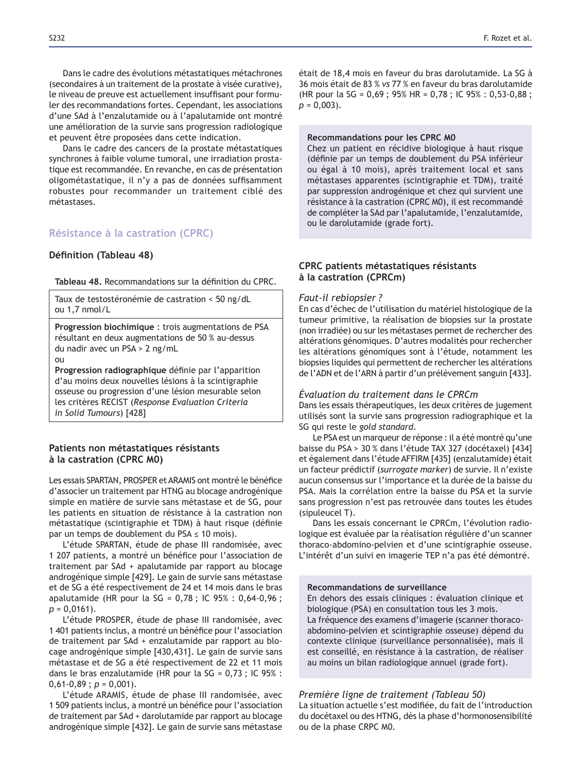Dans le cadre des évolutions métastatiques métachrones (secondaires à un traitement de la prostate à visée curative), le niveau de preuve est actuellement insuffisant pour formuler des recommandations fortes. Cependant, les associations d'une SAd à l'enzalutamide ou à l'apalutamide ont montré une amélioration de la survie sans progression radiologique et peuvent être proposées dans cette indication.

Dans le cadre des cancers de la prostate métastatiques synchrones à faible volume tumoral, une irradiation prostatique est recommandée. En revanche, en cas de présentation oligométastatique, il n'y a pas de données suffisamment robustes pour recommander un traitement ciblé des métastases.

## **Résistance à la castration (CPRC)**

#### **Définition (Tableau 48)**

Tableau 48. Recommandations sur la définition du CPRC.

Taux de testostéronémie de castration < 50 ng/dL  $ou$  1.7 nmol/L

**Progression biochimique: trois augmentations de PSA** résultant en deux augmentations de 50 % au-dessus du nadir avec un PSA > 2 ng/mL

 $Q<sub>II</sub>$ 

**Progression radiographique** définie par l'apparition d'au moins deux nouvelles lésions à la scintigraphie osseuse ou progression d'une lésion mesurable selon les critères RECIST (*Response Evaluation Criteria in Solid Tumours*) [428]

## Patients non métastatiques résistants  $\dot{a}$  la castration (CPRC M0)

Les essais SPARTAN, PROSPER et ARAMIS ont montré le bénéfice d'associer un traitement par HTNG au blocage androgénique simple en matière de survie sans métastase et de SG, pour les patients en situation de résistance à la castration non métastatique (scintigraphie et TDM) à haut risque (définie par un temps de doublement du PSA  $\leq$  10 mois).

L'étude SPARTAN, étude de phase III randomisée, avec 1 207 patients, a montré un bénéfice pour l'association de traitement par SAd + apalutamide par rapport au blocage androgénique simple [429]. Le gain de survie sans métastase et de SG a été respectivement de 24 et 14 mois dans le bras apalutamide (HR pour la SG =  $0,78$ ; IC 95% :  $0,64-0,96$ ; *p* = 0,0161).

L'étude PROSPER, étude de phase III randomisée, avec 1 401 patients inclus, a montré un bénéfice pour l'association de traitement par SAd + enzalutamide par rapport au blocage androgénique simple [430,431]. Le gain de survie sans métastase et de SG a été respectivement de 22 et 11 mois dans le bras enzalutamide (HR pour la SG =  $0.73$ ; IC 95% :  $0,61-0,89$ ;  $p = 0,001$ ).

L'étude ARAMIS, étude de phase III randomisée, avec 1 509 patients inclus, a montré un bénéfice pour l'association de traitement par SAd + darolutamide par rapport au blocage androgénique simple [432]. Le gain de survie sans métastase était de 18,4 mois en faveur du bras darolutamide. La SG à 36 mois était de 83 % vs 77 % en faveur du bras darolutamide (HR pour la SG =  $0.69$ ; 95% HR =  $0.78$ ; IC 95%:  $0.53 - 0.88$ ; *p* = 0,003).

#### **Recommandations pour les CPRC MO**

Chez un patient en récidive biologique à haut risque (définie par un temps de doublement du PSA inférieur ou égal à 10 mois), après traitement local et sans métastases apparentes (scintigraphie et TDM), traité par suppression androgénique et chez qui survient une résistance à la castration (CPRC M0), il est recommandé de compléter la SAd par l'apalutamide, l'enzalutamide, ou le darolutamide (grade fort).

## **CPRC** patients métastatiques résistants  $\dot{a}$  la castration (CPRCm)

#### *Faut-il rebiopsier ?*

En cas d'échec de l'utilisation du matériel histologique de la tumeur primitive, la réalisation de biopsies sur la prostate (non irradiée) ou sur les métastases permet de rechercher des altérations génomiques. D'autres modalités pour rechercher les altérations génomiques sont à l'étude, notamment les biopsies liquides qui permettent de rechercher les altérations de l'ADN et de l'ARN à partir d'un prélèvement sanguin [433].

#### *Évaluation du traitement dans le CPRCm*

Dans les essais thérapeutiques, les deux critères de jugement utilisés sont la survie sans progression radiographique et la SG qui reste le *gold standard*.

Le PSA est un marqueur de réponse : il a été montré qu'une baisse du PSA > 30 % dans l'étude TAX 327 (docétaxel) [434] et également dans l'étude AFFIRM [435] (enzalutamide) était un facteur prédictif (*surrogate marker*) de survie. Il n'existe aucun consensus sur l'importance et la durée de la baisse du PSA. Mais la corrélation entre la baisse du PSA et la survie sans progression n'est pas retrouvée dans toutes les études (sipuleucel T).

Dans les essais concernant le CPRCm, l'évolution radiologique est évaluée par la réalisation régulière d'un scanner thoraco-abdomino-pelvien et d'une scintigraphie osseuse. L'intérêt d'un suivi en imagerie TEP n'a pas été démontré.

## **Recommandations de surveillance**

En dehors des essais cliniques : évaluation clinique et biologique (PSA) en consultation tous les 3 mois. La fréquence des examens d'imagerie (scanner thoracoabdomino-pelvien et scintigraphie osseuse) dépend du contexte clinique (surveillance personnalisée), mais il est conseillé, en résistance à la castration, de réaliser au moins un bilan radiologique annuel (grade fort).

## *Première ligne de traitement (Tableau 50)* La situation actuelle s'est modifiée, du fait de l'introduction du docétaxel ou des HTNG, dès la phase d'hormonosensibilité ou de la phase CRPC M0.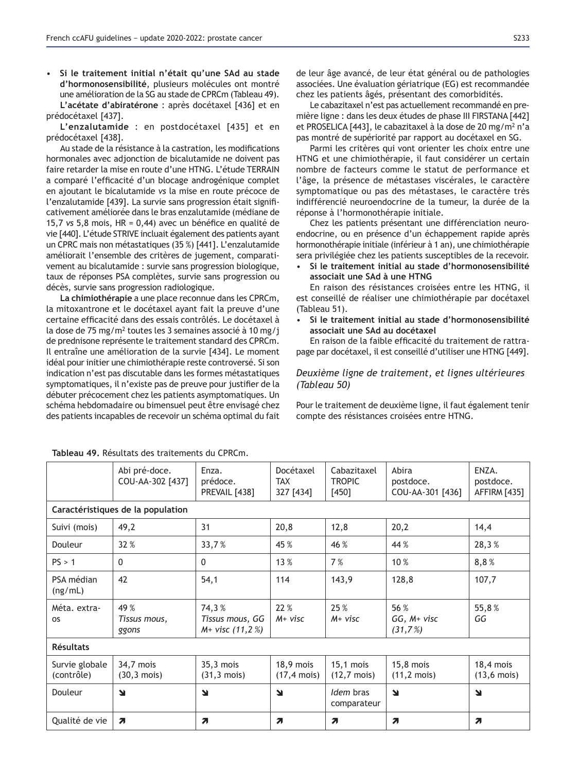Si le traitement initial n'était qu'une SAd au stade d'hormonosensibilité, plusieurs molécules ont montré une amélioration de la SG au stade de CPRCm (Tableau 49). L'acétate d'abiratérone : après docétaxel [436] et en prédocétaxel [437].

L'enzalutamide : en postdocétaxel [435] et en prédocétaxel [438].

Au stade de la résistance à la castration, les modifications hormonales avec adjonction de bicalutamide ne doivent pas faire retarder la mise en route d'une HTNG. L'étude TERRAIN a comparé l'efficacité d'un blocage androgénique complet en ajoutant le bicalutamide *vs* la mise en route précoce de l'enzalutamide [439]. La survie sans progression était significativement améliorée dans le bras enzalutamide (médiane de 15,7 vs 5,8 mois, HR = 0,44) avec un bénéfice en qualité de vie [440]. L'étude STRIVE incluait également des patients ayant un CPRC mais non métastatiques (35 %) [441]. L'enzalutamide améliorait l'ensemble des critères de jugement, comparativement au bicalutamide : survie sans progression biologique, taux de réponses PSA complètes, survie sans progression ou décès, survie sans progression radiologique.

La chimiothérapie a une place reconnue dans les CPRCm, la mitoxantrone et le docétaxel ayant fait la preuve d'une certaine efficacité dans des essais contrôlés. Le docétaxel à la dose de 75 mg/m<sup>2</sup> toutes les 3 semaines associé à 10 mg/j de prednisone représente le traitement standard des CPRCm. Il entraîne une amélioration de la survie [434]. Le moment idéal pour initier une chimiothérapie reste controversé. Si son indication n'est pas discutable dans les formes métastatiques symptomatiques, il n'existe pas de preuve pour justifier de la débuter précocement chez les patients asymptomatiques. Un schéma hebdomadaire ou bimensuel peut être envisagé chez des patients incapables de recevoir un schéma optimal du fait de leur âge avancé, de leur état général ou de pathologies associées. Une évaluation gériatrique (EG) est recommandée chez les patients âgés, présentant des comorbidités.

Le cabazitaxel n'est pas actuellement recommandé en première ligne : dans les deux études de phase III FIRSTANA [442] et PROSELICA [443], le cabazitaxel à la dose de 20 mg/m<sup>2</sup> n'a pas montré de supériorité par rapport au docétaxel en SG.

Parmi les critères qui vont orienter les choix entre une HTNG et une chimiothérapie, il faut considérer un certain nombre de facteurs comme le statut de performance et l'âge, la présence de métastases viscérales, le caractère symptomatique ou pas des métastases, le caractère très indifférencié neuroendocrine de la tumeur, la durée de la réponse à l'hormonothérapie initiale.

Chez les patients présentant une différenciation neuroendocrine, ou en présence d'un échappement rapide après hormonothérapie initiale (inférieur à 1 an), une chimiothérapie sera privilégiée chez les patients susceptibles de la recevoir.

Si le traitement initial au stade d'hormonosensibilité associait une SAd à une HTNG

En raison des résistances croisées entre les HTNG, il est conseillé de réaliser une chimiothérapie par docétaxel (Tableau 51).

Si le traitement initial au stade d'hormonosensibilité Dexetenciait une SAd au docétaxel

En raison de la faible efficacité du traitement de rattrapage par docétaxel, il est conseillé d'utiliser une HTNG [449].

## *Deuxième ligne de traitement, et lignes ultérieures (Tableau 50)*

Pour le traitement de deuxième ligne, il faut également tenir compte des résistances croisées entre HTNG.

|                              | Tableau 77. Resultats des traitements du Critenn. |                                                |                                       |                                         |                                        |                                       |
|------------------------------|---------------------------------------------------|------------------------------------------------|---------------------------------------|-----------------------------------------|----------------------------------------|---------------------------------------|
|                              | Abi pré-doce.<br>COU-AA-302 [437]                 | Enza.<br>prédoce.<br>PREVAIL [438]             | Docétaxel<br>TAX<br>327 [434]         | Cabazitaxel<br><b>TROPIC</b><br>$[450]$ | Abira<br>postdoce.<br>COU-AA-301 [436] | ENZA.<br>postdoce.<br>AFFIRM [435]    |
|                              | Caractéristiques de la population                 |                                                |                                       |                                         |                                        |                                       |
| Suivi (mois)                 | 49,2                                              | 31                                             | 20,8                                  | 12,8                                    | 20,2                                   | 14,4                                  |
| Douleur                      | 32 %                                              | 33,7%                                          | 45 %                                  | 46 %                                    | 44 %                                   | 28,3%                                 |
| PS > 1                       | $\Omega$                                          | 0                                              | 13 %                                  | 7%                                      | $10\%$                                 | 8,8%                                  |
| PSA médian<br>(ng/mL)        | 42                                                | 54,1                                           | 114                                   | 143,9                                   | 128,8                                  | 107,7                                 |
| Méta. extra-<br><b>OS</b>    | 49 %<br>Tissus mous,<br>ggons                     | 74,3%<br>Tissus mous, GG<br>$M+$ visc (11,2 %) | 22 %<br>$M+$ visc                     | 25 %<br>M+ visc                         | 56 %<br>GG, M+ visc<br>(31,7%)         | 55,8%<br>GG                           |
| <b>Résultats</b>             |                                                   |                                                |                                       |                                         |                                        |                                       |
| Survie globale<br>(contrôle) | 34,7 mois<br>$(30,3 \text{ mois})$                | 35,3 mois<br>$(31,3 \text{ mois})$             | $18,9$ mois<br>$(17, 4 \text{ mois})$ | $15,1$ mois<br>$(12,7 \text{ mois})$    | $15,8$ mois<br>$(11,2 \text{ mois})$   | $18,4$ mois<br>$(13, 6 \text{ mois})$ |
| Douleur                      | N                                                 | N                                              | N                                     | Idem bras<br>comparateur                | $\blacktriangleleft$                   | $\blacktriangleright$                 |
| Qualité de vie               | $\overline{\mathbf{z}}$                           | Я                                              | Я                                     | Я                                       | 7                                      | $\overline{\mathbf{z}}$               |

**7DEOHDX**Résultats des traitements du CPRCm.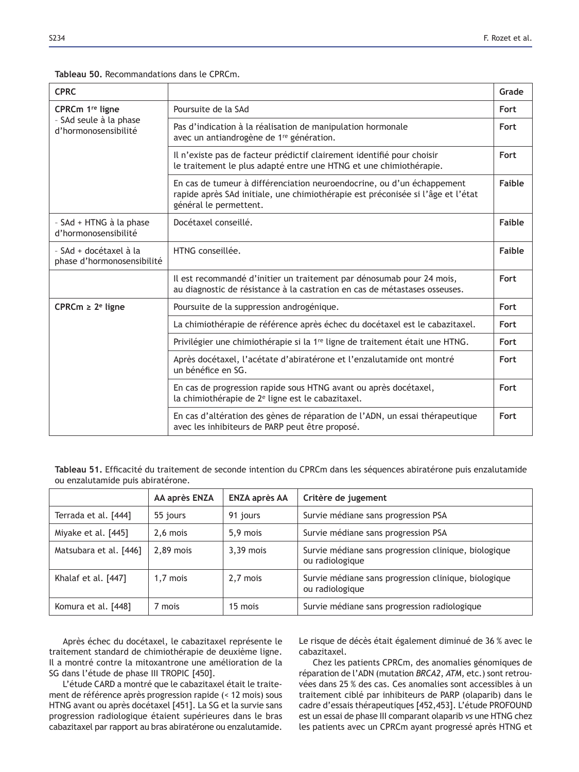| <b>CPRC</b>                                          |                                                                                                                                                                                     | Grade  |
|------------------------------------------------------|-------------------------------------------------------------------------------------------------------------------------------------------------------------------------------------|--------|
| CPRCm 1 <sup>re</sup> ligne                          | Poursuite de la SAd                                                                                                                                                                 |        |
| - SAd seule à la phase<br>d'hormonosensibilité       | Pas d'indication à la réalisation de manipulation hormonale<br>avec un antiandrogène de 1 <sup>re</sup> génération.                                                                 |        |
|                                                      | Il n'existe pas de facteur prédictif clairement identifié pour choisir<br>le traitement le plus adapté entre une HTNG et une chimiothérapie.                                        |        |
|                                                      | En cas de tumeur à différenciation neuroendocrine, ou d'un échappement<br>rapide après SAd initiale, une chimiothérapie est préconisée si l'âge et l'état<br>général le permettent. | Faible |
| - SAd + HTNG à la phase<br>d'hormonosensibilité      | Docétaxel conseillé.                                                                                                                                                                | Faible |
| - SAd + docétaxel à la<br>phase d'hormonosensibilité | HTNG conseillée.                                                                                                                                                                    |        |
|                                                      | Il est recommandé d'initier un traitement par dénosumab pour 24 mois,<br>au diagnostic de résistance à la castration en cas de métastases osseuses.                                 | Fort   |
| CPRCm $\geq 2^e$ ligne                               | Poursuite de la suppression androgénique.                                                                                                                                           | Fort   |
|                                                      | La chimiothérapie de référence après échec du docétaxel est le cabazitaxel.                                                                                                         | Fort   |
|                                                      | Privilégier une chimiothérapie si la 1 <sup>re</sup> ligne de traitement était une HTNG.                                                                                            | Fort   |
|                                                      | Après docétaxel, l'acétate d'abiratérone et l'enzalutamide ont montré<br>un bénéfice en SG.                                                                                         | Fort   |
|                                                      | En cas de progression rapide sous HTNG avant ou après docétaxel,<br>la chimiothérapie de 2 <sup>e</sup> ligne est le cabazitaxel.                                                   | Fort   |
|                                                      | En cas d'altération des gènes de réparation de l'ADN, un essai thérapeutique<br>avec les inhibiteurs de PARP peut être proposé.                                                     | Fort   |

## Tableau 50. Recommandations dans le CPRCm.

Tableau 51. Efficacité du traitement de seconde intention du CPRCm dans les séquences abiratérone puis enzalutamide ou enzalutamide puis abiratérone.

|                        | AA après ENZA | <b>ENZA après AA</b> | Critère de jugement                                                     |
|------------------------|---------------|----------------------|-------------------------------------------------------------------------|
| Terrada et al. [444]   | 55 jours      | 91 jours             | Survie médiane sans progression PSA                                     |
| Miyake et al. [445]    | 2.6 mois      | 5,9 mois             | Survie médiane sans progression PSA                                     |
| Matsubara et al. [446] | $2.89$ mois   | $3,39$ mois          | Survie médiane sans progression clinique, biologique<br>ou radiologique |
| Khalaf et al. [447]    | 1,7 mois      | 2,7 mois             | Survie médiane sans progression clinique, biologique<br>ou radiologique |
| Komura et al. [448]    | 7 mois        | 15 mois              | Survie médiane sans progression radiologique                            |

Après échec du docétaxel, le cabazitaxel représente le traitement standard de chimiothérapie de deuxième ligne. Il a montré contre la mitoxantrone une amélioration de la SG dans l'étude de phase III TROPIC [450].

L'étude CARD a montré que le cabazitaxel était le traitement de référence après progression rapide (< 12 mois) sous HTNG avant ou après docétaxel [451]. La SG et la survie sans progression radiologique étaient supérieures dans le bras cabazitaxel par rapport au bras abiratérone ou enzalutamide.

Le risque de décès était également diminué de 36 % avec le cabazitaxel.

Chez les patients CPRCm, des anomalies génomiques de réparation de l'ADN (mutation *BRCA2*, *ATM*, etc.) sont retrouvées dans 25 % des cas. Ces anomalies sont accessibles à un traitement ciblé par inhibiteurs de PARP (olaparib) dans le cadre d'essais thérapeutiques [452,453]. L'étude PROFOUND est un essai de phase III comparant olaparib *vs* une HTNG chez les patients avec un CPRCm ayant progressé après HTNG et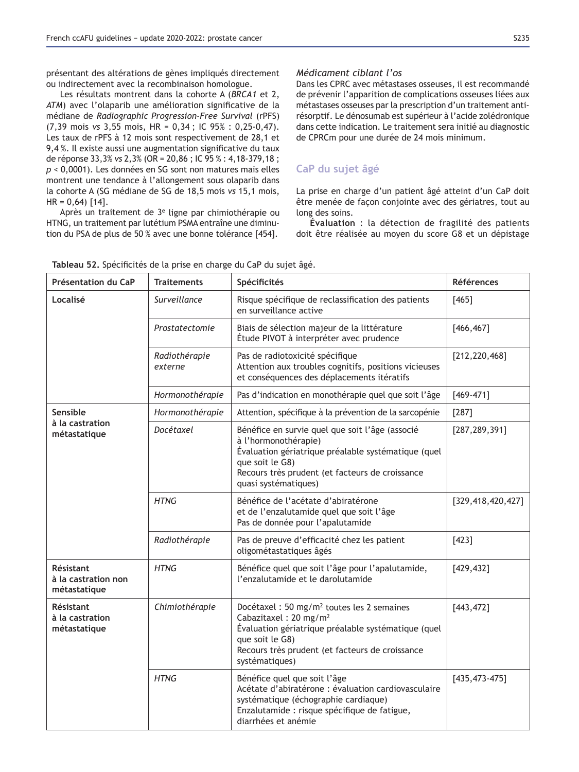présentant des altérations de gènes impliqués directement ou indirectement avec la recombinaison homologue.

Les résultats montrent dans la cohorte A (*BRCA1* et 2, ATM) avec l'olaparib une amélioration significative de la médiane de *Radiographic Progression-Free Survival* (rPFS) (7,39 mois vs 3,55 mois, HR = 0,34; IC 95%: 0,25-0,47). Les taux de rPFS à 12 mois sont respectivement de 28,1 et 9,4%. Il existe aussi une augmentation significative du taux de réponse 33,3% *vs* 2,3% (OR = 20,86 ; IC 95 % : 4,18-379,18 ; *p* < 0,0001). Les données en SG sont non matures mais elles montrent une tendance à l'allongement sous olaparib dans la cohorte A (SG médiane de SG de 18,5 mois *vs* 15,1 mois,  $HR = 0,64$  [14].

Après un traitement de 3e ligne par chimiothérapie ou HTNG, un traitement par lutétium PSMA entraîne une diminution du PSA de plus de 50 % avec une bonne tolérance [454].

## *Médicament ciblant l'os*

Dans les CPRC avec métastases osseuses, il est recommandé de prévenir l'apparition de complications osseuses liées aux métastases osseuses par la prescription d'un traitement antirésorptif. Le dénosumab est supérieur à l'acide zolédronique dans cette indication. Le traitement sera initié au diagnostic de CPRCm pour une durée de 24 mois minimum.

## **CaP du sujet âgé**

La prise en charge d'un patient âgé atteint d'un CaP doit être menée de façon conjointe avec des gériatres, tout au long des soins.

**Évaluation** : la détection de fragilité des patients doit être réalisée au moyen du score G8 et un dépistage

| Présentation du CaP                              | <b>Traitements</b>       | Spécificités                                                                                                                                                                                                                                    | <b>Références</b>  |
|--------------------------------------------------|--------------------------|-------------------------------------------------------------------------------------------------------------------------------------------------------------------------------------------------------------------------------------------------|--------------------|
| Localisé                                         | Surveillance             | Risque spécifique de reclassification des patients<br>en surveillance active                                                                                                                                                                    | [465]              |
|                                                  | Prostatectomie           | Biais de sélection majeur de la littérature<br>Étude PIVOT à interpréter avec prudence                                                                                                                                                          | [466, 467]         |
|                                                  | Radiothérapie<br>externe | Pas de radiotoxicité spécifique<br>Attention aux troubles cognitifs, positions vicieuses<br>et conséquences des déplacements itératifs                                                                                                          | [212, 220, 468]    |
|                                                  | Hormonothérapie          | Pas d'indication en monothérapie quel que soit l'âge                                                                                                                                                                                            | $[469 - 471]$      |
| Sensible                                         | Hormonothérapie          | Attention, spécifique à la prévention de la sarcopénie                                                                                                                                                                                          | $[287]$            |
| à la castration<br>métastatique                  | Docétaxel                | Bénéfice en survie quel que soit l'âge (associé<br>[287, 289, 391]<br>à l'hormonothérapie)<br>Évaluation gériatrique préalable systématique (quel<br>que soit le G8)<br>Recours très prudent (et facteurs de croissance<br>quasi systématiques) |                    |
|                                                  | <b>HTNG</b>              | Bénéfice de l'acétate d'abiratérone<br>et de l'enzalutamide quel que soit l'âge<br>Pas de donnée pour l'apalutamide                                                                                                                             | [329,418,420,427]  |
|                                                  | Radiothérapie            | Pas de preuve d'efficacité chez les patient<br>oligométastatiques âgés                                                                                                                                                                          | $[423]$            |
| Résistant<br>à la castration non<br>métastatique | <b>HTNG</b>              | Bénéfice quel que soit l'âge pour l'apalutamide,<br>l'enzalutamide et le darolutamide                                                                                                                                                           | [429, 432]         |
| Résistant<br>à la castration<br>métastatique     | Chimiothérapie           | Docétaxel : 50 mg/m <sup>2</sup> toutes les 2 semaines<br>Cabazitaxel: 20 mg/m <sup>2</sup><br>Évaluation gériatrique préalable systématique (quel<br>que soit le G8)<br>Recours très prudent (et facteurs de croissance<br>systématiques)      | [443, 472]         |
|                                                  | <b>HTNG</b>              | Bénéfice quel que soit l'âge<br>Acétate d'abiratérone : évaluation cardiovasculaire<br>systématique (échographie cardiaque)<br>Enzalutamide : risque spécifique de fatigue,<br>diarrhées et anémie                                              | $[435, 473 - 475]$ |

**Tableau 52.** Spécificités de la prise en charge du CaP du suiet âgé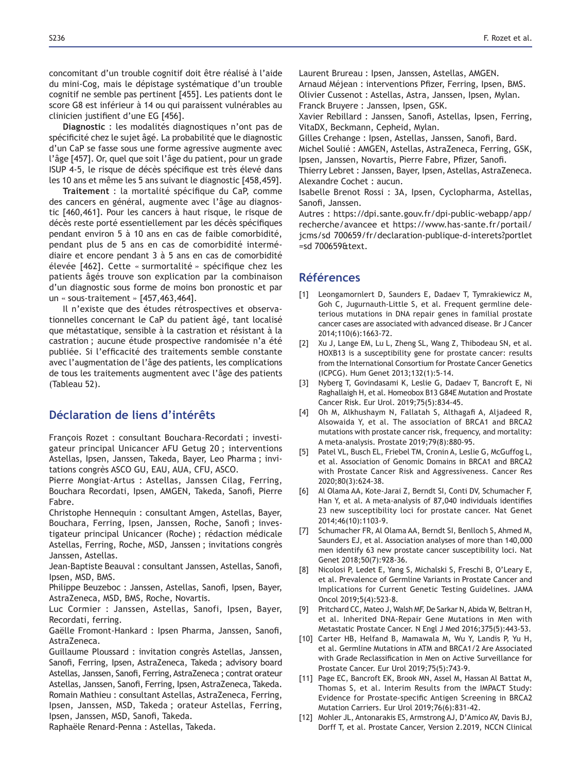concomitant d'un trouble cognitif doit être réalisé à l'aide du mini-Cog, mais le dépistage systématique d'un trouble cognitif ne semble pas pertinent [455]. Les patients dont le score G8 est inférieur à 14 ou qui paraissent vulnérables au clinicien justifient d'une EG [456].

Diagnostic : les modalités diagnostiques n'ont pas de spécificité chez le sujet âgé. La probabilité que le diagnostic d'un CaP se fasse sous une forme agressive augmente avec l'âge [457]. Or, quel que soit l'âge du patient, pour un grade ISUP 4-5, le risque de décès spécifique est très élevé dans les 10 ans et même les 5 ans suivant le diagnostic [458,459].

Traitement : la mortalité spécifique du CaP, comme des cancers en général, augmente avec l'âge au diagnostic [460,461]. Pour les cancers à haut risque, le risque de décès reste porté essentiellement par les décès spécifiques pendant environ 5 à 10 ans en cas de faible comorbidité, pendant plus de 5 ans en cas de comorbidité intermédiaire et encore pendant 3 à 5 ans en cas de comorbidité élevée [462]. Cette « surmortalité » spécifique chez les patients âgés trouve son explication par la combinaison d'un diagnostic sous forme de moins bon pronostic et par un « sous-traitement »  $[457, 463, 464]$ .

Il n'existe que des études rétrospectives et observationnelles concernant le CaP du patient âgé, tant localisé que métastatique, sensible à la castration et résistant à la castration ; aucune étude prospective randomisée n'a été publiée. Si l'efficacité des traitements semble constante avec l'augmentation de l'âge des patients, les complications de tous les traitements augmentent avec l'âge des patients (Tableau 52).

# Déclaration de liens d'intérêts

François Rozet : consultant Bouchara-Recordati ; investigateur principal Unicancer AFU Getug 20 ; interventions Astellas, Ipsen, Janssen, Takeda, Bayer, Leo Pharma ; invitations congrès ASCO GU, EAU, AUA, CFU, ASCO.

Pierre Mongiat-Artus : Astellas, Janssen Cilag, Ferring, Bouchara Recordati, Ipsen, AMGEN, Takeda, Sanofi, Pierre Fabre.

Christophe Hennequin : consultant Amgen, Astellas, Bayer, Bouchara, Ferring, Ipsen, Janssen, Roche, Sanofi; investigateur principal Unicancer (Roche) ; rédaction médicale Astellas, Ferring, Roche, MSD, Janssen ; invitations congrès Janssen, Astellas.

Jean-Baptiste Beauval: consultant Janssen, Astellas, Sanofi, Ipsen, MSD, BMS.

Philippe Beuzeboc : Janssen, Astellas, Sanofi, Ipsen, Bayer, AstraZeneca, MSD, BMS, Roche, Novartis.

Luc Cormier : Janssen, Astellas, Sanofi, Ipsen, Bayer, Recordati, ferring.

Gaëlle Fromont-Hankard : Ipsen Pharma, Janssen, Sanofi, AstraZeneca.

Guillaume Ploussard : invitation congrès Astellas, Janssen, Sanofi, Ferring, Ipsen, AstraZeneca, Takeda; advisory board Astellas, Janssen, Sanofi, Ferring, AstraZeneca; contrat orateur Astellas, Janssen, Sanofi, Ferring, Ipsen, AstraZeneca, Takeda. Romain Mathieu : consultant Astellas, AstraZeneca, Ferring, Ipsen, Janssen, MSD, Takeda ; orateur Astellas, Ferring, Ipsen, Janssen, MSD, Sanofi, Takeda.

Raphaële Renard-Penna : Astellas, Takeda.

Laurent Brureau : Ipsen, Janssen, Astellas, AMGEN.

Arnaud Méjean: interventions Pfizer, Ferring, Ipsen, BMS. Olivier Cussenot : Astellas, Astra, Janssen, Ipsen, Mylan.

Franck Bruyere : Janssen, Ipsen, GSK.

Xavier Rebillard: Janssen, Sanofi, Astellas, Ipsen, Ferring, VitaDX, Beckmann, Cepheid, Mylan.

Gilles Crehange : Ipsen, Astellas, Janssen, Sanofi, Bard.

Michel Soulié : AMGEN, Astellas, AstraZeneca, Ferring, GSK, Ipsen, Janssen, Novartis, Pierre Fabre, Pfizer, Sanofi.

Thierry Lebret : Janssen, Bayer, Ipsen, Astellas, AstraZeneca. Alexandre Cochet : aucun.

Isabelle Brenot Rossi : 3A, Ipsen, Cyclopharma, Astellas, Sanofi, Janssen.

Autres : https://dpi.sante.gouv.fr/dpi-public-webapp/app/ recherche/avancee et https://www.has-sante.fr/portail/ jcms/sd 700659/fr/declaration-publique-d-interets?portlet  $=$ sd 700659&text.

## **Références**

- [1] Leongamornlert D, Saunders E, Dadaev T, Tymrakiewicz M, Goh C, Jugurnauth-Little S, et al. Frequent germline deleterious mutations in DNA repair genes in familial prostate cancer cases are associated with advanced disease. Br J Cancer 2014;110(6):1663-72.
- [2] Xu J, Lange EM, Lu L, Zheng SL, Wang Z, Thibodeau SN, et al. HOXB13 is a susceptibility gene for prostate cancer: results from the International Consortium for Prostate Cancer Genetics (ICPCG). Hum Genet 2013;132(1):5-14.
- [3] Nyberg T, Govindasami K, Leslie G, Dadaev T, Bancroft E, Ni Raghallaigh H, et al. Homeobox B13 G84E Mutation and Prostate Cancer Risk. Eur Urol. 2019;75(5):834-45.
- [4] Oh M, Alkhushaym N, Fallatah S, Althagafi A, Aljadeed R, Alsowaida Y, et al. The association of BRCA1 and BRCA2 mutations with prostate cancer risk, frequency, and mortality: A meta-analysis. Prostate 2019;79(8):880-95.
- [5] Patel VL, Busch EL, Friebel TM, Cronin A, Leslie G, McGuffog L, et al. Association of Genomic Domains in BRCA1 and BRCA2 with Prostate Cancer Risk and Aggressiveness. Cancer Res 2020;80(3):624-38.
- [6] Al Olama AA, Kote-Jarai Z, Berndt SI, Conti DV, Schumacher F, Han Y, et al. A meta-analysis of 87,040 individuals identifies 23 new susceptibility loci for prostate cancer. Nat Genet 2014;46(10):1103-9.
- [7] Schumacher FR, Al Olama AA, Berndt SI, Benlloch S, Ahmed M. Saunders EJ, et al. Association analyses of more than 140,000 men identify 63 new prostate cancer susceptibility loci. Nat Genet 2018;50(7):928-36.
- [8] Nicolosi P, Ledet E, Yang S, Michalski S, Freschi B, O'Leary E, et al. Prevalence of Germline Variants in Prostate Cancer and Implications for Current Genetic Testing Guidelines. JAMA Oncol 2019;5(4):523-8.
- [9] Pritchard CC, Mateo J, Walsh MF, De Sarkar N, Abida W, Beltran H, et al. Inherited DNA-Repair Gene Mutations in Men with Metastatic Prostate Cancer. N Engl J Med 2016;375(5):443-53.
- [10] Carter HB, Helfand B, Mamawala M, Wu Y, Landis P, Yu H, et al. Germline Mutations in ATM and BRCA1/2 Are Associated with Grade Reclassification in Men on Active Surveillance for Prostate Cancer. Eur Urol 2019;75(5):743-9.
- [11] Page EC, Bancroft EK, Brook MN, Assel M, Hassan Al Battat M, Thomas S, et al. Interim Results from the IMPACT Study: Evidence for Prostate-specific Antigen Screening in BRCA2 Mutation Carriers. Eur Urol 2019;76(6):831-42.
- [12] Mohler JL, Antonarakis ES, Armstrong AJ, D'Amico AV, Davis BJ, Dorff T, et al. Prostate Cancer, Version 2.2019, NCCN Clinical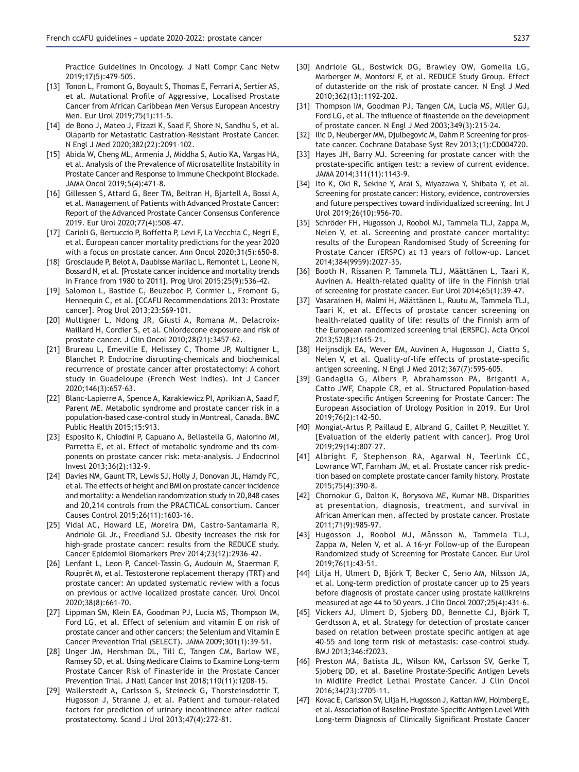Practice Guidelines in Oncology. J Natl Compr Canc Netw 2019:17(5):479-505.

- [13] Tonon L, Fromont G, Boyault S, Thomas E, Ferrari A, Sertier AS, et al. Mutational Profile of Aggressive, Localised Prostate Cancer from African Caribbean Men Versus European Ancestry Men. Eur Urol 2019;75(1):11-5.
- [14] de Bono J, Mateo J, Fizazi K, Saad F, Shore N, Sandhu S, et al. Olaparib for Metastatic Castration-Resistant Prostate Cancer. N Engl J Med 2020;382(22):2091-102.
- [15] Abida W, Cheng ML, Armenia J, Middha S, Autio KA, Vargas HA, et al. Analysis of the Prevalence of Microsatellite Instability in Prostate Cancer and Response to Immune Checkpoint Blockade. JAMA Oncol 2019;5(4):471-8.
- [16] Gillessen S, Attard G, Beer TM, Beltran H, Bjartell A, Bossi A, et al. Management of Patients with Advanced Prostate Cancer: Report of the Advanced Prostate Cancer Consensus Conference 2019. Eur Urol 2020;77(4):508-47.
- [17] Carioli G, Bertuccio P, Boffetta P, Levi F, La Vecchia C, Negri E, et al. European cancer mortality predictions for the year 2020 with a focus on prostate cancer. Ann Oncol 2020;31(5):650-8.
- [18] Grosclaude P, Belot A, Daubisse Marliac L, Remontet L, Leone N, Bossard N, et al. [Prostate cancer incidence and mortality trends in France from 1980 to 2011]. Prog Urol 2015;25(9):536-42.
- [19] Salomon L, Bastide C, Beuzeboc P, Cormier L, Fromont G, Hennequin C, et al. [CCAFU Recommendations 2013: Prostate cancer]. Prog Urol 2013;23:S69-101.
- [20] Multigner L, Ndong JR, Giusti A, Romana M, Delacroix-Maillard H, Cordier S, et al. Chlordecone exposure and risk of prostate cancer. J Clin Oncol 2010;28(21):3457-62.
- [21] Brureau L, Emeville E, Helissey C, Thome JP, Multigner L, Blanchet P. Endocrine disrupting-chemicals and biochemical recurrence of prostate cancer after prostatectomy: A cohort study in Guadeloupe (French West Indies). Int J Cancer 2020;146(3):657-63.
- [22] Blanc-Lapierre A, Spence A, Karakiewicz PI, Aprikian A, Saad F, Parent ME. Metabolic syndrome and prostate cancer risk in a population-based case-control study in Montreal, Canada. BMC Public Health 2015;15:913.
- [23] Esposito K, Chiodini P, Capuano A, Bellastella G, Maiorino MI, Parretta E, et al. Effect of metabolic syndrome and its components on prostate cancer risk: meta-analysis. J Endocrinol Invest 2013;36(2):132-9.
- [24] Davies NM, Gaunt TR, Lewis SJ, Holly J, Donovan JL, Hamdy FC, et al. The effects of height and BMI on prostate cancer incidence and mortality: a Mendelian randomization study in 20,848 cases and 20,214 controls from the PRACTICAL consortium. Cancer Causes Control 2015;26(11):1603-16.
- [25] Vidal AC, Howard LE, Moreira DM, Castro-Santamaria R, Andriole GL Jr., Freedland SJ. Obesity increases the risk for high-grade prostate cancer: results from the REDUCE study. Cancer Epidemiol Biomarkers Prev 2014;23(12):2936-42.
- [26] Lenfant L, Leon P, Cancel-Tassin G, Audouin M, Staerman F, Rouprêt M, et al. Testosterone replacement therapy (TRT) and prostate cancer: An updated systematic review with a focus on previous or active localized prostate cancer. Urol Oncol 2020;38(8):661-70.
- [27] Lippman SM, Klein EA, Goodman PJ, Lucia MS, Thompson IM, Ford LG, et al. Effect of selenium and vitamin E on risk of prostate cancer and other cancers: the Selenium and Vitamin E Cancer Prevention Trial (SELECT). JAMA 2009;301(1):39-51.
- [28] Unger JM, Hershman DL, Till C, Tangen CM, Barlow WE, Ramsey SD, et al. Using Medicare Claims to Examine Long-term Prostate Cancer Risk of Finasteride in the Prostate Cancer Prevention Trial. J Natl Cancer Inst 2018;110(11):1208-15.
- [29] Wallerstedt A, Carlsson S, Steineck G, Thorsteinsdottir T, Hugosson J, Stranne J, et al. Patient and tumour-related factors for prediction of urinary incontinence after radical prostatectomy. Scand J Urol  $2013;47(4):272-81$ .
- [30] Andriole GL, Bostwick DG, Brawley OW, Gomella LG, Marberger M, Montorsi F, et al. REDUCE Study Group. Effect of dutasteride on the risk of prostate cancer. N Engl J Med 2010;362(13):1192-202.
- [31] Thompson IM, Goodman PJ, Tangen CM, Lucia MS, Miller GJ, Ford LG, et al. The influence of finasteride on the development of prostate cancer. N Engl J Med 2003;349(3):215-24.
- [32] Ilic D, Neuberger MM, Djulbegovic M, Dahm P. Screening for prostate cancer. Cochrane Database Syst Rev 2013; (1): CD004720.
- [33] Hayes JH, Barry MJ. Screening for prostate cancer with the prostate-specific antigen test: a review of current evidence. JAMA 2014;311(11):1143-9.
- [34] Ito K, Oki R, Sekine Y, Arai S, Miyazawa Y, Shibata Y, et al. Screening for prostate cancer: History, evidence, controversies and future perspectives toward individualized screening. Int J Urol 2019;26(10):956-70.
- [35] Schröder FH, Hugosson J, Roobol MJ, Tammela TLJ, Zappa M, Nelen V, et al. Screening and prostate cancer mortality: results of the European Randomised Study of Screening for Prostate Cancer (ERSPC) at 13 years of follow-up. Lancet 2014;384(9959):2027-35.
- [36] Booth N, Rissanen P, Tammela TLJ, Määttänen L, Taari K, Auvinen A. Health-related quality of life in the Finnish trial of screening for prostate cancer. Eur Urol 2014;65(1):39-47.
- [37] Vasarainen H, Malmi H, Määttänen L, Ruutu M, Tammela TLJ, Taari K, et al. Effects of prostate cancer screening on health-related quality of life: results of the Finnish arm of the European randomized screening trial (ERSPC). Acta Oncol 2013;52(8):1615-21.
- [38] Heijnsdijk EA, Wever EM, Auvinen A, Hugosson J, Ciatto S, Nelen V, et al. Quality-of-life effects of prostate-specific antigen screening. N Engl J Med 2012;367(7):595-605.
- [39] Gandaglia G, Albers P, Abrahamsson PA, Briganti A, Catto JWF, Chapple CR, et al. Structured Population-based Prostate-specific Antigen Screening for Prostate Cancer: The European Association of Urology Position in 2019. Eur Urol 2019;76(2):142-50.
- [40] Mongiat-Artus P, Paillaud E, Albrand G, Caillet P, Neuzillet Y. [Evaluation of the elderly patient with cancer]. Prog Urol 2019:29(14):807-27.
- [41] Albright F, Stephenson RA, Agarwal N, Teerlink CC, Lowrance WT, Farnham JM, et al. Prostate cancer risk prediction based on complete prostate cancer family history. Prostate 2015:75(4):390-8.
- [42] Chornokur G, Dalton K, Borysova ME, Kumar NB. Disparities at presentation, diagnosis, treatment, and survival in African American men, affected by prostate cancer. Prostate 2011;71(9):985-97.
- [43] Hugosson J, Roobol MJ, Månsson M, Tammela TLJ, Zappa M, Nelen V, et al. A 16-yr Follow-up of the European Randomized study of Screening for Prostate Cancer. Eur Urol 2019:76(1):43-51.
- [44] Lilja H, Ulmert D, Björk T, Becker C, Serio AM, Nilsson JA, et al. Long-term prediction of prostate cancer up to 25 years before diagnosis of prostate cancer using prostate kallikreins measured at age 44 to 50 years. J Clin Oncol 2007;25(4):431-6.
- [45] Vickers AJ, Ulmert D, Sjoberg DD, Bennette CJ, Björk T, Gerdtsson A, et al. Strategy for detection of prostate cancer based on relation between prostate specific antigen at age 40-55 and long term risk of metastasis: case-control study. BMJ 2013;346:f2023.
- [46] Preston MA, Batista JL, Wilson KM, Carlsson SV, Gerke T, Sjoberg DD, et al. Baseline Prostate-Specific Antigen Levels in Midlife Predict Lethal Prostate Cancer. J Clin Oncol 2016;34(23):2705-11.
- [47] Kovac E, Carlsson SV, Lilja H, Hugosson J, Kattan MW, Holmberg E, et al. Association of Baseline Prostate-Specific Antigen Level With Long-term Diagnosis of Clinically Significant Prostate Cancer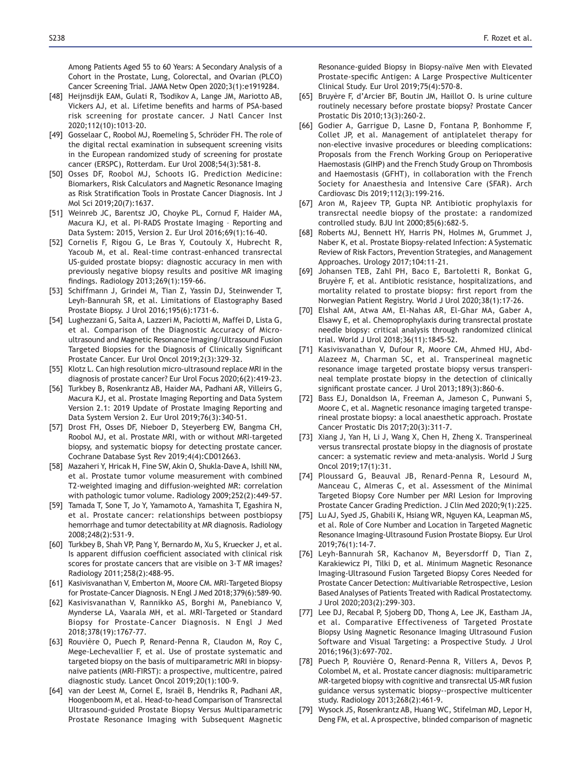Among Patients Aged 55 to 60 Years: A Secondary Analysis of a Cohort in the Prostate, Lung, Colorectal, and Ovarian (PLCO) Cancer Screening Trial. JAMA Netw Open 2020;3(1):e1919284.

- [48] Heijnsdijk EAM, Gulati R, Tsodikov A, Lange JM, Mariotto AB, Vickers AJ, et al. Lifetime benefits and harms of PSA-based risk screening for prostate cancer. J Natl Cancer Inst 2020;112(10):1013-20.
- [49] Gosselaar C, Roobol MJ, Roemeling S, Schröder FH. The role of the digital rectal examination in subsequent screening visits in the European randomized study of screening for prostate cancer (ERSPC), Rotterdam. Eur Urol 2008;54(3):581-8.
- [50] Osses DF, Roobol MJ, Schoots IG. Prediction Medicine: Biomarkers, Risk Calculators and Magnetic Resonance Imaging as Risk Stratification Tools in Prostate Cancer Diagnosis. Int J Mol Sci 2019;20(7):1637.
- [51] Weinreb JC, Barentsz JO, Choyke PL, Cornud F, Haider MA, Macura KJ, et al. PI-RADS Prostate Imaging – Reporting and Data System: 2015, Version 2. Eur Urol 2016;69(1):16-40.
- [52] Cornelis F, Rigou G, Le Bras Y, Coutouly X, Hubrecht R, Yacoub M, et al. Real-time contrast-enhanced transrectal US-guided prostate biopsy: diagnostic accuracy in men with previously negative biopsy results and positive MR imaging findings. Radiology 2013;269(1):159-66.
- [53] Schiffmann J, Grindei M, Tian Z, Yassin DJ, Steinwender T, Leyh-Bannurah SR, et al. Limitations of Elastography Based Prostate Biopsy. J Urol 2016;195(6):1731-6.
- [54] Lughezzani G, Saita A, Lazzeri M, Paciotti M, Maffei D, Lista G, et al. Comparison of the Diagnostic Accuracy of Microultrasound and Magnetic Resonance Imaging/Ultrasound Fusion Targeted Biopsies for the Diagnosis of Clinically Significant Prostate Cancer. Eur Urol Oncol 2019;2(3):329-32.
- [55] Klotz L. Can high resolution micro-ultrasound replace MRI in the diagnosis of prostate cancer? Eur Urol Focus 2020;6(2):419-23.
- [56] Turkbey B, Rosenkrantz AB, Haider MA, Padhani AR, Villeirs G, Macura KJ, et al. Prostate Imaging Reporting and Data System Version 2.1: 2019 Update of Prostate Imaging Reporting and Data System Version 2. Eur Urol 2019;76(3):340-51.
- [57] Drost FH, Osses DF, Nieboer D, Steyerberg EW, Bangma CH, Roobol MJ, et al. Prostate MRI, with or without MRI-targeted biopsy, and systematic biopsy for detecting prostate cancer. Cochrane Database Syst Rev 2019;4(4):CD012663.
- [58] Mazaheri Y, Hricak H, Fine SW, Akin O, Shukla-Dave A, Ishill NM, et al. Prostate tumor volume measurement with combined T2-weighted imaging and diffusion-weighted MR: correlation with pathologic tumor volume. Radiology 2009;252(2):449-57.
- [59] Tamada T, Sone T, Jo Y, Yamamoto A, Yamashita T, Egashira N, et al. Prostate cancer: relationships between postbiopsy hemorrhage and tumor detectability at MR diagnosis. Radiology 2008;248(2):531-9.
- [60] Turkbey B, Shah VP, Pang Y, Bernardo M, Xu S, Kruecker J, et al. Is apparent diffusion coefficient associated with clinical risk scores for prostate cancers that are visible on 3-T MR images? Radiology 2011;258(2):488-95.
- [61] Kasivisvanathan V, Emberton M, Moore CM. MRI-Targeted Biopsy for Prostate-Cancer Diagnosis. N Engl J Med 2018;379(6):589-90.
- [62] Kasivisvanathan V, Rannikko AS, Borghi M, Panebianco V, Mynderse LA, Vaarala MH, et al. MRI-Targeted or Standard Biopsy for Prostate-Cancer Diagnosis. N Engl J Med 2018;378(19):1767-77.
- [63] Rouvière O, Puech P, Renard-Penna R, Claudon M, Roy C, Mege-Lechevallier F, et al. Use of prostate systematic and targeted biopsy on the basis of multiparametric MRI in biopsynaive patients (MRI-FIRST): a prospective, multicentre, paired diagnostic study. Lancet Oncol 2019;20(1):100-9.
- [64] van der Leest M, Cornel E, Israël B, Hendriks R, Padhani AR, Hoogenboom M, et al. Head-to-head Comparison of Transrectal Ultrasound-guided Prostate Biopsy Versus Multiparametric Prostate Resonance Imaging with Subsequent Magnetic

Resonance-guided Biopsy in Biopsy-naïve Men with Elevated Prostate-specific Antigen: A Large Prospective Multicenter Clinical Study. Eur Urol 2019;75(4):570-8.

- [65] Bruyère F, d'Arcier BF, Boutin JM, Haillot O. Is urine culture routinely necessary before prostate biopsy? Prostate Cancer Prostatic Dis 2010;13(3):260-2.
- [66] Godier A, Garrigue D, Lasne D, Fontana P, Bonhomme F, Collet JP, et al. Management of antiplatelet therapy for non-elective invasive procedures or bleeding complications: Proposals from the French Working Group on Perioperative Haemostasis (GIHP) and the French Study Group on Thrombosis and Haemostasis (GFHT), in collaboration with the French Society for Anaesthesia and Intensive Care (SFAR). Arch Cardiovasc Dis 2019;112(3):199-216.
- [67] Aron M, Rajeev TP, Gupta NP. Antibiotic prophylaxis for transrectal needle biopsy of the prostate: a randomized controlled study. BJU Int 2000;85(6):682-5.
- [68] Roberts MJ, Bennett HY, Harris PN, Holmes M, Grummet J, Naber K, et al. Prostate Biopsy-related Infection: A Systematic Review of Risk Factors, Prevention Strategies, and Management Approaches. Urology 2017;104:11-21.
- [69] Johansen TEB, Zahl PH, Baco E, Bartoletti R, Bonkat G, Bruyère F, et al. Antibiotic resistance, hospitalizations, and mortality related to prostate biopsy: first report from the Norwegian Patient Registry. World J Urol 2020;38(1):17-26.
- [70] Elshal AM, Atwa AM, El-Nahas AR, El-Ghar MA, Gaber A, Elsawy E, et al. Chemoprophylaxis during transrectal prostate needle biopsy: critical analysis through randomized clinical trial. World J Urol 2018;36(11):1845-52.
- [71] Kasivisvanathan V, Dufour R, Moore CM, Ahmed HU, Abd-Alazeez M, Charman SC, et al. Transperineal magnetic resonance image targeted prostate biopsy versus transperineal template prostate biopsy in the detection of clinically significant prostate cancer. J Urol 2013;189(3):860-6.
- [72] Bass EJ, Donaldson IA, Freeman A, Jameson C, Punwani S, Moore C, et al. Magnetic resonance imaging targeted transperineal prostate biopsy: a local anaesthetic approach. Prostate Cancer Prostatic Dis 2017;20(3):311-7.
- [73] Xiang J, Yan H, Li J, Wang X, Chen H, Zheng X. Transperineal versus transrectal prostate biopsy in the diagnosis of prostate cancer: a systematic review and meta-analysis. World J Surg Oncol 2019;17(1):31.
- [74] Ploussard G, Beauval JB, Renard-Penna R, Lesourd M, Manceau C, Almeras C, et al. Assessment of the Minimal Targeted Biopsy Core Number per MRI Lesion for Improving Prostate Cancer Grading Prediction. J Clin Med 2020;9(1):225.
- [75] Lu AJ, Syed JS, Ghabili K, Hsiang WR, Nguyen KA, Leapman MS, et al. Role of Core Number and Location in Targeted Magnetic Resonance Imaging-Ultrasound Fusion Prostate Biopsy. Eur Urol 2019;76(1):14-7.
- [76] Leyh-Bannurah SR, Kachanov M, Beyersdorff D, Tian Z, Karakiewicz PI, Tilki D, et al. Minimum Magnetic Resonance Imaging-Ultrasound Fusion Targeted Biopsy Cores Needed for Prostate Cancer Detection: Multivariable Retrospective, Lesion Based Analyses of Patients Treated with Radical Prostatectomy. J Urol 2020;203(2):299-303.
- [77] Lee DJ, Recabal P, Sjoberg DD, Thong A, Lee JK, Eastham JA, et al. Comparative Effectiveness of Targeted Prostate Biopsy Using Magnetic Resonance Imaging Ultrasound Fusion Software and Visual Targeting: a Prospective Study. J Urol 2016;196(3):697-702.
- [78] Puech P, Rouvière O, Renard-Penna R, Villers A, Devos P, Colombel M, et al. Prostate cancer diagnosis: multiparametric MR-targeted biopsy with cognitive and transrectal US-MR fusion guidance versus systematic biopsy--prospective multicenter study. Radiology 2013;268(2):461-9.
- [79] Wysock JS, Rosenkrantz AB, Huang WC, Stifelman MD, Lepor H, Deng FM, et al. A prospective, blinded comparison of magnetic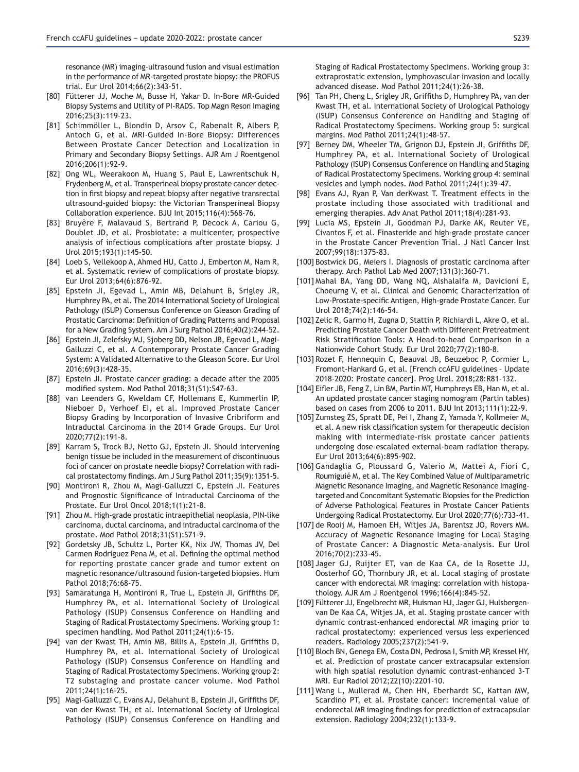resonance (MR) imaging-ultrasound fusion and visual estimation in the performance of MR-targeted prostate biopsy: the PROFUS trial. Eur Urol 2014;66(2):343-51.

- [80] Fütterer JJ, Moche M, Busse H, Yakar D. In-Bore MR-Guided Biopsy Systems and Utility of PI-RADS. Top Magn Reson Imaging 2016;25(3):119-23.
- [81] Schimmöller L, Blondin D, Arsov C, Rabenalt R, Albers P, Antoch G, et al. MRI-Guided In-Bore Biopsy: Differences Between Prostate Cancer Detection and Localization in Primary and Secondary Biopsy Settings. AJR Am J Roentgenol 2016;206(1):92-9.
- [82] Ong WL, Weerakoon M, Huang S, Paul E, Lawrentschuk N, Frydenberg M, et al. Transperineal biopsy prostate cancer detection in first biopsy and repeat biopsy after negative transrectal ultrasound-guided biopsy: the Victorian Transperineal Biopsy Collaboration experience. BJU Int 2015;116(4):568-76.
- [83] Bruyère F, Malavaud S, Bertrand P, Decock A, Cariou G, Doublet JD, et al. Prosbiotate: a multicenter, prospective analysis of infectious complications after prostate biopsy. J Urol 2015;193(1):145-50.
- [84] Loeb S, Vellekoop A, Ahmed HU, Catto J, Emberton M, Nam R, et al. Systematic review of complications of prostate biopsy. Eur Urol 2013;64(6):876-92.
- [85] Epstein JI, Egevad L, Amin MB, Delahunt B, Srigley JR, Humphrey PA, et al. The 2014 International Society of Urological Pathology (ISUP) Consensus Conference on Gleason Grading of Prostatic Carcinoma: Definition of Grading Patterns and Proposal for a New Grading System. Am J Surg Pathol 2016;40(2):244-52.
- [86] Epstein JI, Zelefsky MJ, Sjoberg DD, Nelson JB, Egevad L, Magi-Galluzzi C, et al. A Contemporary Prostate Cancer Grading System: A Validated Alternative to the Gleason Score. Eur Urol 2016;69(3):428-35.
- [87] Epstein Jl. Prostate cancer grading: a decade after the 2005 modified system. Mod Pathol 2018;31(S1):S47-63.
- [88] van Leenders G, Kweldam CF, Hollemans E, Kummerlin IP, Nieboer D, Verhoef EI, et al. Improved Prostate Cancer Biopsy Grading by Incorporation of Invasive Cribriform and Intraductal Carcinoma in the 2014 Grade Groups. Eur Urol 2020;77(2):191-8.
- [89] Karram S, Trock BJ, Netto GJ, Epstein JI. Should intervening benign tissue be included in the measurement of discontinuous foci of cancer on prostate needle biopsy? Correlation with radical prostatectomy findings. Am J Surg Pathol 2011;35(9):1351-5.
- [90] Montironi R, Zhou M, Magi-Galluzzi C, Epstein JI. Features and Prognostic Significance of Intraductal Carcinoma of the Prostate. Eur Urol Oncol 2018;1(1):21-8.
- [91] Zhou M. High-grade prostatic intraepithelial neoplasia, PIN-like carcinoma, ductal carcinoma, and intraductal carcinoma of the prostate. Mod Pathol 2018;31(S1):S71-9.
- [92] Gordetsky JB, Schultz L, Porter KK, Nix JW, Thomas JV, Del Carmen Rodriguez Pena M, et al. Defining the optimal method for reporting prostate cancer grade and tumor extent on magnetic resonance/ultrasound fusion-targeted biopsies. Hum Pathol 2018;76:68-75.
- [93] Samaratunga H, Montironi R, True L, Epstein JI, Griffiths DF, Humphrey PA, et al. International Society of Urological Pathology (ISUP) Consensus Conference on Handling and Staging of Radical Prostatectomy Specimens. Working group 1: specimen handling. Mod Pathol 2011;24(1):6-15.
- [94] van der Kwast TH, Amin MB, Billis A, Epstein JI, Griffiths D, Humphrey PA, et al. International Society of Urological Pathology (ISUP) Consensus Conference on Handling and Staging of Radical Prostatectomy Specimens. Working group 2: T2 substaging and prostate cancer volume. Mod Pathol 2011;24(1):16-25.
- [95] Magi-Galluzzi C, Evans AJ, Delahunt B, Epstein JI, Griffiths DF, van der Kwast TH, et al. International Society of Urological Pathology (ISUP) Consensus Conference on Handling and

Staging of Radical Prostatectomy Specimens. Working group 3: extraprostatic extension, lymphovascular invasion and locally advanced disease. Mod Pathol 2011;24(1):26-38.

- [96] Tan PH, Cheng L, Srigley JR, Griffiths D, Humphrey PA, van der Kwast TH, et al. International Society of Urological Pathology (ISUP) Consensus Conference on Handling and Staging of Radical Prostatectomy Specimens. Working group 5: surgical margins. Mod Pathol 2011;24(1):48-57.
- [97] Berney DM, Wheeler TM, Grignon DJ, Epstein JI, Griffiths DF, Humphrey PA, et al. International Society of Urological Pathology (ISUP) Consensus Conference on Handling and Staging of Radical Prostatectomy Specimens. Working group 4: seminal vesicles and lymph nodes. Mod Pathol 2011;24(1):39-47.
- [98] Evans AJ, Ryan P, Van derKwast T. Treatment effects in the prostate including those associated with traditional and emerging therapies. Adv Anat Pathol 2011;18(4):281-93.
- [99] Lucia MS, Epstein JI, Goodman PJ, Darke AK, Reuter VE, Civantos F, et al. Finasteride and high-grade prostate cancer in the Prostate Cancer Prevention Trial. J Natl Cancer Inst 2007;99(18):1375-83.
- [100] Bostwick DG, Meiers I. Diagnosis of prostatic carcinoma after therapy. Arch Pathol Lab Med  $2007;131(3):360-71$ .
- [101] Mahal BA, Yang DD, Wang NQ, Alshalalfa M, Davicioni E, Choeurng V, et al. Clinical and Genomic Characterization of Low-Prostate-specific Antigen, High-grade Prostate Cancer. Eur Urol 2018;74(2):146-54.
- [102] Zelic R, Garmo H, Zugna D, Stattin P, Richiardi L, Akre O, et al. Predicting Prostate Cancer Death with Different Pretreatment Risk Stratification Tools: A Head-to-head Comparison in a Nationwide Cohort Study. Eur Urol 2020;77(2):180-8.
- [103] Rozet F, Hennequin C, Beauval JB, Beuzeboc P, Cormier L, Fromont-Hankard G, et al. [French ccAFU guidelines – Update 2018-2020: Prostate cancer]. Prog Urol. 2018;28:R81-132.
- [104] Eifler JB, Feng Z, Lin BM, Partin MT, Humphreys EB, Han M, et al. An updated prostate cancer staging nomogram (Partin tables) based on cases from 2006 to 2011. BJU Int 2013;111(1):22-9.
- [105] Zumsteg ZS, Spratt DE, Pei I, Zhang Z, Yamada Y, Kollmeier M, et al. A new risk classification system for therapeutic decision making with intermediate-risk prostate cancer patients undergoing dose-escalated external-beam radiation therapy. Eur Urol 2013;64(6):895-902.
- [106] Gandaglia G, Ploussard G, Valerio M, Mattei A, Fiori C, Roumiguié M, et al. The Key Combined Value of Multiparametric Magnetic Resonance Imaging, and Magnetic Resonance Imagingtargeted and Concomitant Systematic Biopsies for the Prediction of Adverse Pathological Features in Prostate Cancer Patients Undergoing Radical Prostatectomy. Eur Urol 2020;77(6):733-41.
- [107] de Rooij M, Hamoen EH, Witjes JA, Barentsz JO, Rovers MM. Accuracy of Magnetic Resonance Imaging for Local Staging of Prostate Cancer: A Diagnostic Meta-analysis. Eur Urol 2016;70(2):233-45.
- [108] Jager GJ, Ruijter ET, van de Kaa CA, de la Rosette JJ, Oosterhof GO, Thornbury JR, et al. Local staging of prostate cancer with endorectal MR imaging: correlation with histopathology. AJR Am J Roentgenol 1996;166(4):845-52.
- [109] Fütterer JJ, Engelbrecht MR, Huisman HJ, Jager GJ, Hulsbergenvan De Kaa CA, Witjes JA, et al. Staging prostate cancer with dynamic contrast-enhanced endorectal MR imaging prior to radical prostatectomy: experienced versus less experienced readers. Radiology 2005;237(2):541-9.
- [110] Bloch BN, Genega EM, Costa DN, Pedrosa I, Smith MP, Kressel HY, et al. Prediction of prostate cancer extracapsular extension with high spatial resolution dynamic contrast-enhanced 3-T MRI. Eur Radiol 2012;22(10):2201-10.
- [111] Wang L, Mullerad M, Chen HN, Eberhardt SC, Kattan MW, Scardino PT, et al. Prostate cancer: incremental value of endorectal MR imaging findings for prediction of extracapsular extension. Radiology 2004;232(1):133-9.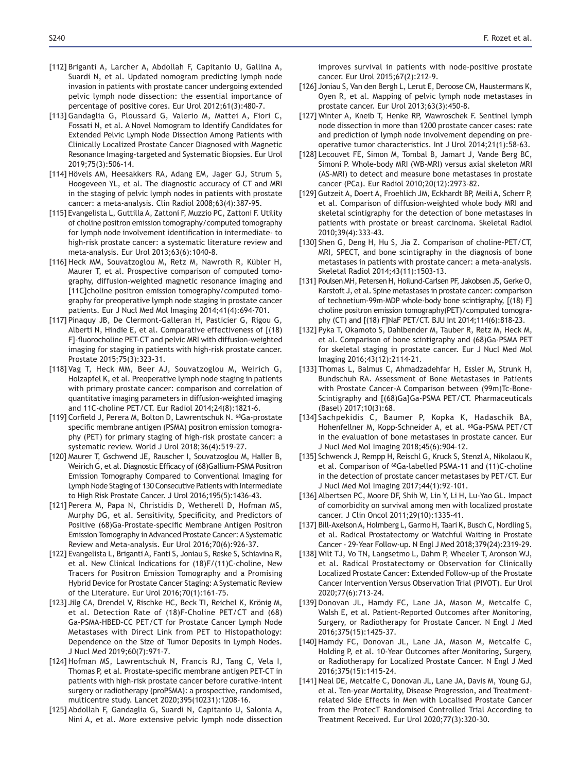- [112] Briganti A, Larcher A, Abdollah F, Capitanio U, Gallina A, Suardi N, et al. Updated nomogram predicting lymph node invasion in patients with prostate cancer undergoing extended pelvic lymph node dissection: the essential importance of percentage of positive cores. Eur Urol 2012;61(3):480-7.
- [113] Gandaglia G, Ploussard G, Valerio M, Mattei A, Fiori C, Fossati N, et al. A Novel Nomogram to Identify Candidates for Extended Pelvic Lymph Node Dissection Among Patients with Clinically Localized Prostate Cancer Diagnosed with Magnetic Resonance Imaging-targeted and Systematic Biopsies. Eur Urol 2019;75(3):506-14.
- [114] Hövels AM, Heesakkers RA, Adang EM, Jager GJ, Strum S, Hoogeveen YL, et al. The diagnostic accuracy of CT and MRI in the staging of pelvic lymph nodes in patients with prostate cancer: a meta-analysis. Clin Radiol 2008;63(4):387-95.
- [115] Evangelista L, Guttilla A, Zattoni F, Muzzio PC, Zattoni F. Utility of choline positron emission tomography/computed tomography for lymph node involvement identification in intermediate-to high-risk prostate cancer: a systematic literature review and meta-analysis. Eur Urol 2013;63(6):1040-8.
- [116] Heck MM, Souvatzoglou M, Retz M, Nawroth R, Kübler H, Maurer T, et al. Prospective comparison of computed tomography, diffusion-weighted magnetic resonance imaging and [11C]choline positron emission tomography/computed tomography for preoperative lymph node staging in prostate cancer patients. Eur J Nucl Med Mol Imaging 2014;41(4):694-701.
- [117] Pinaquy JB, De Clermont-Galleran H, Pasticier G, Rigou G, Alberti N, Hindie E, et al. Comparative effectiveness of [(18) F]-fluorocholine PET-CT and pelvic MRI with diffusion-weighted imaging for staging in patients with high-risk prostate cancer. Prostate 2015;75(3):323-31.
- [118] Vag T, Heck MM, Beer AJ, Souvatzoglou M, Weirich G, Holzapfel K, et al. Preoperative lymph node staging in patients with primary prostate cancer: comparison and correlation of quantitative imaging parameters in diffusion-weighted imaging and 11C-choline PET/CT. Eur Radiol 2014;24(8):1821-6.
- [119] Corfield J, Perera M, Bolton D, Lawrentschuk N. 68Ga-prostate specific membrane antigen (PSMA) positron emission tomography (PET) for primary staging of high-risk prostate cancer: a systematic review. World J Urol 2018;36(4):519-27.
- [120] Maurer T, Gschwend JE, Rauscher I, Souvatzoglou M, Haller B, Weirich G, et al. Diagnostic Efficacy of (68)Gallium-PSMA Positron Emission Tomography Compared to Conventional Imaging for Lymph Node Staging of 130 Consecutive Patients with Intermediate to High Risk Prostate Cancer. J Urol 2016;195(5):1436-43.
- [121] Perera M, Papa N, Christidis D, Wetherell D, Hofman MS, Murphy DG, et al. Sensitivity, Specificity, and Predictors of Positive (68)Ga-Prostate-specific Membrane Antigen Positron Emission Tomography in Advanced Prostate Cancer: A Systematic Review and Meta-analysis. Eur Urol 2016;70(6):926-37.
- [122] Evangelista L, Briganti A, Fanti S, Joniau S, Reske S, Schiavina R, et al. New Clinical Indications for (18)F/(11)C-choline, New Tracers for Positron Emission Tomography and a Promising Hybrid Device for Prostate Cancer Staging: A Systematic Review of the Literature. Eur Urol 2016;70(1):161-75.
- [123] Jilg CA, Drendel V, Rischke HC, Beck TI, Reichel K, Krönig M, et al. Detection Rate of (18)F-Choline PET/CT and (68) Ga-PSMA-HBED-CC PET/CT for Prostate Cancer Lymph Node Metastases with Direct Link from PET to Histopathology: Dependence on the Size of Tumor Deposits in Lymph Nodes. J Nucl Med 2019;60(7):971-7.
- [124] Hofman MS, Lawrentschuk N, Francis RJ, Tang C, Vela I, Thomas P, et al. Prostate-specific membrane antigen PET-CT in patients with high-risk prostate cancer before curative-intent surgery or radiotherapy (proPSMA): a prospective, randomised, multicentre study. Lancet 2020;395(10231):1208-16.
- [125] Abdollah F, Gandaglia G, Suardi N, Capitanio U, Salonia A, Nini A, et al. More extensive pelvic lymph node dissection

improves survival in patients with node-positive prostate cancer. Eur Urol 2015;67(2):212-9.

- [126] Joniau S, Van den Bergh L, Lerut E, Deroose CM, Haustermans K, Oyen R, et al. Mapping of pelvic lymph node metastases in prostate cancer. Eur Urol 2013;63(3):450-8.
- [127] Winter A, Kneib T, Henke RP, Wawroschek F. Sentinel lymph node dissection in more than 1200 prostate cancer cases: rate and prediction of lymph node involvement depending on preoperative tumor characteristics. Int J Urol 2014;21(1):58-63.
- [128] Lecouvet FE, Simon M, Tombal B, Jamart J, Vande Berg BC, Simoni P. Whole-body MRI (WB-MRI) versus axial skeleton MRI (AS-MRI) to detect and measure bone metastases in prostate cancer (PCa). Eur Radiol 2010;20(12):2973-82.
- [129] Gutzeit A, Doert A, Froehlich JM, Eckhardt BP, Meili A, Scherr P, et al. Comparison of diffusion-weighted whole body MRI and skeletal scintigraphy for the detection of bone metastases in patients with prostate or breast carcinoma. Skeletal Radiol 2010;39(4):333-43.
- [130] Shen G, Deng H, Hu S, Jia Z. Comparison of choline-PET/CT, MRI, SPECT, and bone scintigraphy in the diagnosis of bone metastases in patients with prostate cancer: a meta-analysis. Skeletal Radiol 2014;43(11):1503-13.
- [131] Poulsen MH, Petersen H, Hoilund-Carlsen PF, Jakobsen JS, Gerke O, Karstoft J, et al. Spine metastases in prostate cancer: comparison of technetium-99m-MDP whole-body bone scintigraphy, [(18) F] choline positron emission tomography(PET)/computed tomography (CT) and [(18) F]NaF PET/CT. BJU Int 2014;114(6):818-23.
- [132] Pyka T, Okamoto S, Dahlbender M, Tauber R, Retz M, Heck M, et al. Comparison of bone scintigraphy and (68)Ga-PSMA PET for skeletal staging in prostate cancer. Eur J Nucl Med Mol Imaging 2016;43(12):2114-21.
- [133] Thomas L, Balmus C, Ahmadzadehfar H, Essler M, Strunk H, Bundschuh RA. Assessment of Bone Metastases in Patients with Prostate Cancer-A Comparison between (99m)Tc-Bone-Scintigraphy and [(68)Ga]Ga-PSMA PET/CT. Pharmaceuticals (Basel) 2017;10(3):68.
- [134] Sachpekidis C, Baumer P, Kopka K, Hadaschik BA, Hohenfellner M, Kopp-Schneider A, et al. 68Ga-PSMA PET/CT in the evaluation of bone metastases in prostate cancer. Eur J Nucl Med Mol Imaging 2018;45(6):904-12.
- [135] Schwenck J, Rempp H, Reischl G, Kruck S, Stenzl A, Nikolaou K, et al. Comparison of 68Ga-labelled PSMA-11 and (11)C-choline in the detection of prostate cancer metastases by PET/CT. Eur J Nucl Med Mol Imaging 2017;44(1):92-101.
- [136] Albertsen PC, Moore DF, Shih W, Lin Y, Li H, Lu-Yao GL. Impact of comorbidity on survival among men with localized prostate cancer. J Clin Oncol 2011;29(10):1335-41.
- [137] Bill-Axelson A, Holmberg L, Garmo H, Taari K, Busch C, Nordling S, et al. Radical Prostatectomy or Watchful Waiting in Prostate Cancer - 29-Year Follow-up. N Engl J Med 2018;379(24):2319-29.
- [138] Wilt TJ, Vo TN, Langsetmo L, Dahm P, Wheeler T, Aronson WJ, et al. Radical Prostatectomy or Observation for Clinically Localized Prostate Cancer: Extended Follow-up of the Prostate Cancer Intervention Versus Observation Trial (PIVOT). Eur Urol 2020;77(6):713-24.
- [139] Donovan JL, Hamdy FC, Lane JA, Mason M, Metcalfe C, Walsh E, et al. Patient-Reported Outcomes after Monitoring, Surgery, or Radiotherapy for Prostate Cancer. N Engl J Med 2016;375(15):1425-37.
- [140] Hamdy FC, Donovan JL, Lane JA, Mason M, Metcalfe C, Holding P, et al. 10-Year Outcomes after Monitoring, Surgery, or Radiotherapy for Localized Prostate Cancer. N Engl J Med 2016;375(15):1415-24.
- [141] Neal DE, Metcalfe C, Donovan JL, Lane JA, Davis M, Young GJ, et al. Ten-year Mortality, Disease Progression, and Treatmentrelated Side Effects in Men with Localised Prostate Cancer from the ProtecT Randomised Controlled Trial According to Treatment Received. Eur Urol 2020;77(3):320-30.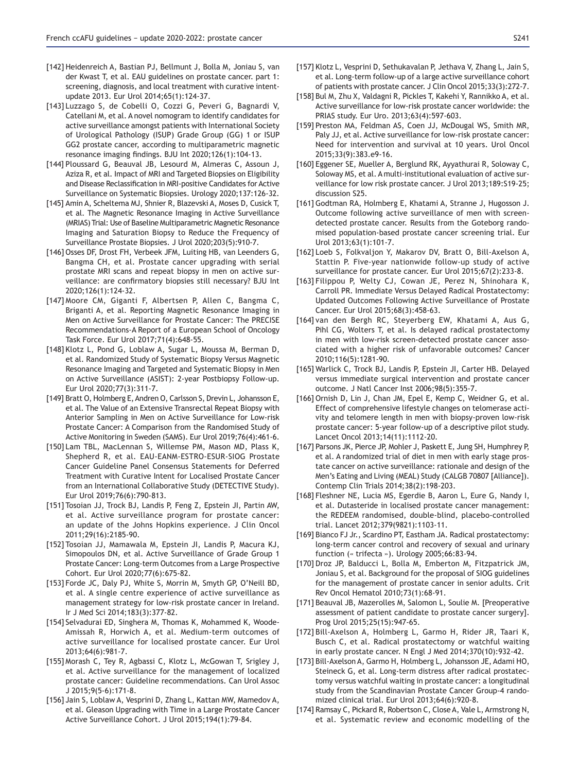- [142] Heidenreich A, Bastian PJ, Bellmunt J, Bolla M, Joniau S, van der Kwast T, et al. EAU guidelines on prostate cancer. part 1: screening, diagnosis, and local treatment with curative intentupdate 2013. Eur Urol 2014;65(1):124-37.
- [143] Luzzago S, de Cobelli O, Cozzi G, Peveri G, Bagnardi V, Catellani M, et al. A novel nomogram to identify candidates for active surveillance amongst patients with International Society of Urological Pathology (ISUP) Grade Group (GG) 1 or ISUP GG2 prostate cancer, according to multiparametric magnetic resonance imaging findings. BJU Int  $2020:126(1):104-13$ .
- [144] Ploussard G, Beauval JB, Lesourd M, Almeras C, Assoun J, Aziza R, et al. Impact of MRI and Targeted Biopsies on Eligibility and Disease Reclassification in MRI-positive Candidates for Active Surveillance on Systematic Biopsies. Urology 2020;137:126-32.
- [145] Amin A, Scheltema MJ, Shnier R, Blazevski A, Moses D, Cusick T, et al. The Magnetic Resonance Imaging in Active Surveillance (MRIAS) Trial: Use of Baseline Multiparametric Magnetic Resonance Imaging and Saturation Biopsy to Reduce the Frequency of Surveillance Prostate Biopsies. J Urol 2020;203(5):910-7.
- [146] Osses DF, Drost FH, Verbeek JFM, Luiting HB, van Leenders G, Bangma CH, et al. Prostate cancer upgrading with serial prostate MRI scans and repeat biopsy in men on active surveillance: are confirmatory biopsies still necessary? BJU Int 2020;126(1):124-32.
- [147] Moore CM, Giganti F, Albertsen P, Allen C, Bangma C, Briganti A, et al. Reporting Magnetic Resonance Imaging in Men on Active Surveillance for Prostate Cancer: The PRECISE Recommendations-A Report of a European School of Oncology Task Force. Eur Urol 2017;71(4):648-55.
- [148] Klotz L, Pond G, Loblaw A, Sugar L, Moussa M, Berman D, et al. Randomized Study of Systematic Biopsy Versus Magnetic Resonance Imaging and Targeted and Systematic Biopsy in Men on Active Surveillance (ASIST): 2-year Postbiopsy Follow-up. Eur Urol 2020;77(3):311-7.
- [149] Bratt O, Holmberg E, Andren O, Carlsson S, Drevin L, Johansson E, et al. The Value of an Extensive Transrectal Repeat Biopsy with Anterior Sampling in Men on Active Surveillance for Low-risk Prostate Cancer: A Comparison from the Randomised Study of Active Monitoring in Sweden (SAMS). Eur Urol 2019;76(4):461-6.
- [150] Lam TBL, MacLennan S, Willemse PM, Mason MD, Plass K, Shepherd R, et al. EAU-EANM-ESTRO-ESUR-SIOG Prostate Cancer Guideline Panel Consensus Statements for Deferred Treatment with Curative Intent for Localised Prostate Cancer from an International Collaborative Study (DETECTIVE Study). Eur Urol 2019;76(6):790-813.
- [151] Tosoian JJ, Trock BJ, Landis P, Feng Z, Epstein JI, Partin AW, et al. Active surveillance program for prostate cancer: an update of the Johns Hopkins experience. J Clin Oncol 2011;29(16):2185-90.
- [152] Tosoian JJ, Mamawala M, Epstein JI, Landis P, Macura KJ, Simopoulos DN, et al. Active Surveillance of Grade Group 1 Prostate Cancer: Long-term Outcomes from a Large Prospective Cohort. Eur Urol 2020;77(6):675-82.
- [153] Forde JC, Daly PJ, White S, Morrin M, Smyth GP, O'Neill BD, et al. A single centre experience of active surveillance as management strategy for low-risk prostate cancer in Ireland. Ir J Med Sci 2014;183(3):377-82.
- [154] Selvadurai ED, Singhera M, Thomas K, Mohammed K, Woode-Amissah R, Horwich A, et al. Medium-term outcomes of active surveillance for localised prostate cancer. Eur Urol  $7013:64(6):981-7$
- [155] Morash C, Tey R, Agbassi C, Klotz L, McGowan T, Srigley J, et al. Active surveillance for the management of localized prostate cancer: Guideline recommendations. Can Urol Assoc J 2015;9(5-6):171-8.
- [156] Jain S, Loblaw A, Vesprini D, Zhang L, Kattan MW, Mamedov A, et al. Gleason Upgrading with Time in a Large Prostate Cancer Active Surveillance Cohort. J Urol 2015;194(1):79-84.
- [157] Klotz L, Vesprini D, Sethukavalan P, Jethava V, Zhang L, Jain S, et al. Long-term follow-up of a large active surveillance cohort of patients with prostate cancer. J Clin Oncol 2015;33(3):272-7.
- [158] Bul M, Zhu X, Valdagni R, Pickles T, Kakehi Y, Rannikko A, et al. Active surveillance for low-risk prostate cancer worldwide: the PRIAS study. Eur Uro. 2013;63(4):597-603.
- [159] Preston MA, Feldman AS, Coen JJ, McDougal WS, Smith MR, Paly JJ, et al. Active surveillance for low-risk prostate cancer: Need for intervention and survival at 10 years. Urol Oncol 2015;33(9):383.e9-16.
- [160] Eggener SE, Mueller A, Berglund RK, Ayyathurai R, Soloway C, Soloway MS, et al. A multi-institutional evaluation of active surveillance for low risk prostate cancer. J Urol 2013;189:S19-25; discussion S25.
- [161] Godtman RA, Holmberg E, Khatami A, Stranne J, Hugosson J. Outcome following active surveillance of men with screendetected prostate cancer. Results from the Goteborg randomised population-based prostate cancer screening trial. Eur Urol 2013;63(1):101-7.
- [162] Loeb S, Folkvaljon Y, Makarov DV, Bratt O, Bill-Axelson A, Stattin P. Five-year nationwide follow-up study of active surveillance for prostate cancer. Eur Urol 2015;67(2):233-8.
- [163] Filippou P, Welty CJ, Cowan JE, Perez N, Shinohara K, Carroll PR. Immediate Versus Delayed Radical Prostatectomy: Updated Outcomes Following Active Surveillance of Prostate Cancer. Eur Urol 2015;68(3):458-63.
- [164] van den Bergh RC, Steyerberg EW, Khatami A, Aus G, Pihl CG, Wolters T, et al. Is delayed radical prostatectomy in men with low-risk screen-detected prostate cancer associated with a higher risk of unfavorable outcomes? Cancer 2010;116(5):1281-90.
- [165] Warlick C, Trock BJ, Landis P, Epstein JI, Carter HB. Delayed versus immediate surgical intervention and prostate cancer outcome. J Natl Cancer Inst 2006;98(5):355-7.
- [166] Ornish D, Lin J, Chan JM, Epel E, Kemp C, Weidner G, et al. Effect of comprehensive lifestyle changes on telomerase activity and telomere length in men with biopsy-proven low-risk prostate cancer: 5-year follow-up of a descriptive pilot study. Lancet Oncol 2013;14(11):1112-20.
- [167] Parsons JK, Pierce JP, Mohler J, Paskett E, Jung SH, Humphrey P, et al. A randomized trial of diet in men with early stage prostate cancer on active surveillance: rationale and design of the Men's Eating and Living (MEAL) Study (CALGB 70807 [Alliance]). Contemp Clin Trials 2014;38(2):198-203.
- [168] Fleshner NE, Lucia MS, Egerdie B, Aaron L, Eure G, Nandy I, et al. Dutasteride in localised prostate cancer management: the REDEEM randomised, double-blind, placebo-controlled trial. Lancet 2012;379(9821):1103-11.
- [169] Bianco FJ Jr., Scardino PT, Eastham JA. Radical prostatectomy: long-term cancer control and recovery of sexual and urinary function (« trifecta »). Urology 2005;66:83-94.
- [170] Droz JP, Balducci L, Bolla M, Emberton M, Fitzpatrick JM, Joniau S, et al. Background for the proposal of SIOG guidelines for the management of prostate cancer in senior adults. Crit Rev Oncol Hematol 2010;73(1):68-91.
- [171] Beauval JB, Mazerolles M, Salomon L, Soulie M. [Preoperative assessment of patient candidate to prostate cancer surgery]. Prog Urol 2015;25(15):947-65.
- [172] Bill-Axelson A, Holmberg L, Garmo H, Rider JR, Taari K, Busch C, et al. Radical prostatectomy or watchful waiting in early prostate cancer. N Engl J Med 2014;370(10):932-42.
- [173] Bill-Axelson A, Garmo H, Holmberg L, Johansson JE, Adami HO, Steineck G, et al. Long-term distress after radical prostatectomy versus watchful waiting in prostate cancer: a longitudinal study from the Scandinavian Prostate Cancer Group-4 randomized clinical trial. Eur Urol 2013;64(6):920-8.
- [174] Ramsay C, Pickard R, Robertson C, Close A, Vale L, Armstrong N, et al. Systematic review and economic modelling of the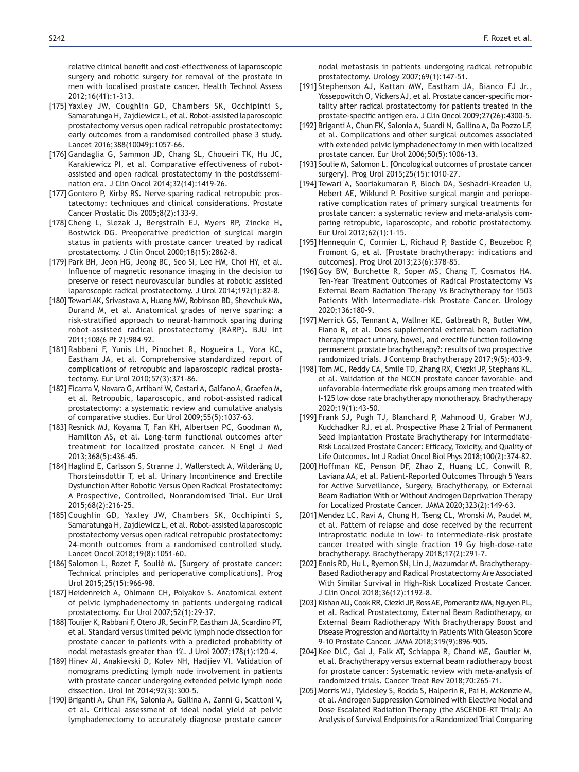relative clinical benefit and cost-effectiveness of laparoscopic surgery and robotic surgery for removal of the prostate in men with localised prostate cancer. Health Technol Assess 2012;16(41):1-313.

- [175] Yaxley JW, Coughlin GD, Chambers SK, Occhipinti S, Samaratunga H, Zajdlewicz L, et al. Robot-assisted laparoscopic prostatectomy versus open radical retropubic prostatectomy: early outcomes from a randomised controlled phase 3 study. Lancet 2016;388(10049):1057-66.
- [176] Gandaglia G, Sammon JD, Chang SL, Choueiri TK, Hu JC, Karakiewicz PI, et al. Comparative effectiveness of robotassisted and open radical prostatectomy in the postdissemination era. J Clin Oncol 2014;32(14):1419-26.
- [177] Gontero P, Kirby RS. Nerve-sparing radical retropubic prostatectomy: techniques and clinical considerations. Prostate Cancer Prostatic Dis 2005;8(2):133-9.
- [178] Cheng L, Slezak J, Bergstralh EJ, Myers RP, Zincke H, Bostwick DG. Preoperative prediction of surgical margin status in patients with prostate cancer treated by radical prostatectomy. J Clin Oncol 2000;18(15):2862-8.
- [179] Park BH, Jeon HG, Jeong BC, Seo SI, Lee HM, Choi HY, et al. Influence of magnetic resonance imaging in the decision to preserve or resect neurovascular bundles at robotic assisted laparoscopic radical prostatectomy. J Urol 2014;192(1):82-8.
- [180] Tewari AK, Srivastava A, Huang MW, Robinson BD, Shevchuk MM, Durand M, et al. Anatomical grades of nerve sparing: a risk-stratified approach to neural-hammock sparing during robot-assisted radical prostatectomy (RARP). BJU Int 2011;108(6 Pt 2):984-92.
- [181] Rabbani F, Yunis LH, Pinochet R, Nogueira L, Vora KC, Eastham JA, et al. Comprehensive standardized report of complications of retropubic and laparoscopic radical prostatectomy. Eur Urol 2010;57(3):371-86.
- [182] Ficarra V, Novara G, Artibani W, Cestari A, Galfano A, Graefen M, et al. Retropubic, laparoscopic, and robot-assisted radical prostatectomy: a systematic review and cumulative analysis of comparative studies. Eur Urol 2009;55(5):1037-63.
- [183] Resnick MJ, Koyama T, Fan KH, Albertsen PC, Goodman M, Hamilton AS, et al. Long-term functional outcomes after treatment for localized prostate cancer. N Engl J Med 2013;368(5):436-45.
- [184] Haglind E, Carlsson S, Stranne J, Wallerstedt A, Wilderäng U, Thorsteinsdottir T, et al. Urinary Incontinence and Erectile Dysfunction After Robotic Versus Open Radical Prostatectomy: A Prospective, Controlled, Nonrandomised Trial. Eur Urol 2015;68(2):216-25.
- [185] Coughlin GD, Yaxley JW, Chambers SK, Occhipinti S, Samaratunga H, Zajdlewicz L, et al. Robot-assisted laparoscopic prostatectomy versus open radical retropubic prostatectomy: 24-month outcomes from a randomised controlled study. Lancet Oncol 2018;19(8):1051-60.
- [186] Salomon L, Rozet F, Soulié M. [Surgery of prostate cancer: Technical principles and perioperative complications]. Prog Urol 2015;25(15):966-98.
- [187] Heidenreich A, Ohlmann CH, Polyakov S. Anatomical extent of pelvic lymphadenectomy in patients undergoing radical prostatectomy. Eur Urol 2007;52(1):29-37.
- [188] Touijer K, Rabbani F, Otero JR, Secin FP, Eastham JA, Scardino PT, et al. Standard versus limited pelvic lymph node dissection for prostate cancer in patients with a predicted probability of nodal metastasis greater than 1%. J Urol 2007;178(1):120-4.
- [189] Hinev AI, Anakievski D, Kolev NH, Hadjiev VI. Validation of nomograms predicting lymph node involvement in patients with prostate cancer undergoing extended pelvic lymph node dissection. Urol Int 2014;92(3):300-5.
- [190] Briganti A, Chun FK, Salonia A, Gallina A, Zanni G, Scattoni V, et al. Critical assessment of ideal nodal yield at pelvic lymphadenectomy to accurately diagnose prostate cancer

nodal metastasis in patients undergoing radical retropubic prostatectomy. Urology 2007;69(1):147-51.

- [191] Stephenson AJ, Kattan MW, Eastham JA, Bianco FJ Jr., Yossepowitch O, Vickers AJ, et al. Prostate cancer-specific mortality after radical prostatectomy for patients treated in the prostate-specific antigen era. J Clin Oncol 2009;27(26):4300-5.
- [192] Briganti A, Chun FK, Salonia A, Suardi N, Gallina A, Da Pozzo LF, et al. Complications and other surgical outcomes associated with extended pelvic lymphadenectomy in men with localized prostate cancer. Eur Urol 2006;50(5):1006-13.
- [193] Soulie M, Salomon L. [Oncological outcomes of prostate cancer surgery]. Prog Urol 2015;25(15):1010-27.
- [194] Tewari A, Sooriakumaran P, Bloch DA, Seshadri-Kreaden U, Hebert AE, Wiklund P. Positive surgical margin and perioperative complication rates of primary surgical treatments for prostate cancer: a systematic review and meta-analysis comparing retropubic, laparoscopic, and robotic prostatectomy. Eur Urol 2012;62(1):1-15.
- [195] Hennequin C, Cormier L, Richaud P, Bastide C, Beuzeboc P, Fromont G, et al. [Prostate brachytherapy: indications and outcomes]. Prog Urol 2013;23(6):378-85.
- [196] Goy BW, Burchette R, Soper MS, Chang T, Cosmatos HA. Ten-Year Treatment Outcomes of Radical Prostatectomy Vs External Beam Radiation Therapy Vs Brachytherapy for 1503 Patients With Intermediate-risk Prostate Cancer. Urology 2020;136:180-9.
- [197] Merrick GS, Tennant A, Wallner KE, Galbreath R, Butler WM, Fiano R, et al. Does supplemental external beam radiation therapy impact urinary, bowel, and erectile function following permanent prostate brachytherapy?: results of two prospective randomized trials. J Contemp Brachytherapy 2017;9(5):403-9.
- [198] Tom MC, Reddy CA, Smile TD, Zhang RX, Ciezki JP, Stephans KL, et al. Validation of the NCCN prostate cancer favorable- and unfavorable-intermediate risk groups among men treated with I-125 low dose rate brachytherapy monotherapy. Brachytherapy 2020;19(1):43-50.
- [199] Frank SJ, Pugh TJ, Blanchard P, Mahmood U, Graber WJ, Kudchadker RJ, et al. Prospective Phase 2 Trial of Permanent Seed Implantation Prostate Brachytherapy for Intermediate-Risk Localized Prostate Cancer: Efficacy, Toxicity, and Quality of Life Outcomes. Int J Radiat Oncol Biol Phys 2018;100(2):374-82.
- [200] Hoffman KE, Penson DF, Zhao Z, Huang LC, Conwill R, Laviana AA, et al. Patient-Reported Outcomes Through 5 Years for Active Surveillance, Surgery, Brachytherapy, or External Beam Radiation With or Without Androgen Deprivation Therapy for Localized Prostate Cancer. JAMA 2020;323(2):149-63.
- [201] Mendez LC, Ravi A, Chung H, Tseng CL, Wronski M, Paudel M, et al. Pattern of relapse and dose received by the recurrent intraprostatic nodule in low- to intermediate-risk prostate cancer treated with single fraction 19 Gy high-dose-rate brachytherapy. Brachytherapy 2018;17(2):291-7.
- [202] Ennis RD, Hu L, Ryemon SN, Lin J, Mazumdar M. Brachytherapy-Based Radiotherapy and Radical Prostatectomy Are Associated With Similar Survival in High-Risk Localized Prostate Cancer. J Clin Oncol 2018;36(12):1192-8.
- [203] Kishan AU, Cook RR, Ciezki JP, Ross AE, Pomerantz MM, Nguyen PL, et al. Radical Prostatectomy, External Beam Radiotherapy, or External Beam Radiotherapy With Brachytherapy Boost and Disease Progression and Mortality in Patients With Gleason Score 9-10 Prostate Cancer. JAMA 2018;319(9):896-905.
- [204] Kee DLC, Gal J, Falk AT, Schiappa R, Chand ME, Gautier M, et al. Brachytherapy versus external beam radiotherapy boost for prostate cancer: Systematic review with meta-analysis of randomized trials. Cancer Treat Rev 2018;70:265-71.
- [205] Morris WJ, Tyldesley S, Rodda S, Halperin R, Pai H, McKenzie M, et al. Androgen Suppression Combined with Elective Nodal and Dose Escalated Radiation Therapy (the ASCENDE-RT Trial): An Analysis of Survival Endpoints for a Randomized Trial Comparing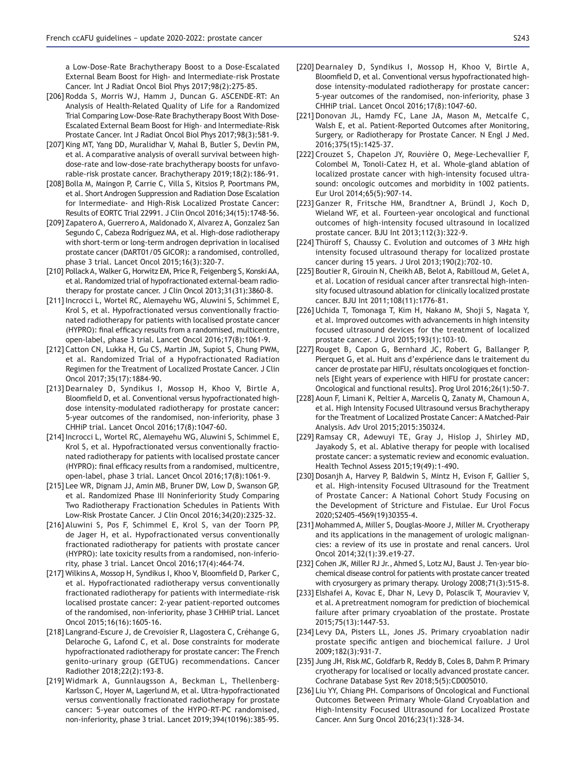a Low-Dose-Rate Brachytherapy Boost to a Dose-Escalated External Beam Boost for High- and Intermediate-risk Prostate Cancer. Int J Radiat Oncol Biol Phys 2017;98(2):275-85.

- [206] Rodda S, Morris WJ, Hamm J, Duncan G. ASCENDE-RT: An Analysis of Health-Related Quality of Life for a Randomized Trial Comparing Low-Dose-Rate Brachytherapy Boost With Dose-Escalated External Beam Boost for High- and Intermediate-Risk Prostate Cancer. Int J Radiat Oncol Biol Phys 2017;98(3):581-9.
- [207] King MT, Yang DD, Muralidhar V, Mahal B, Butler S, Devlin PM, et al. A comparative analysis of overall survival between highdose-rate and low-dose-rate brachytherapy boosts for unfavorable-risk prostate cancer. Brachytherapy 2019;18(2):186-91.
- [208] Bolla M, Maingon P, Carrie C, Villa S, Kitsios P, Poortmans PM, et al. Short Androgen Suppression and Radiation Dose Escalation for Intermediate- and High-Risk Localized Prostate Cancer: Results of EORTC Trial 22991. J Clin Oncol 2016;34(15):1748-56.
- [209] Zapatero A, Guerrero A, Maldonado X, Alvarez A, Gonzalez San Segundo C, Cabeza Rodríguez MA, et al. High-dose radiotherapy with short-term or long-term androgen deprivation in localised prostate cancer (DART01/05 GICOR): a randomised, controlled, phase 3 trial. Lancet Oncol 2015;16(3):320-7.
- [210] Pollack A, Walker G, Horwitz EM, Price R, Feigenberg S, Konski AA, et al. Randomized trial of hypofractionated external-beam radiotherapy for prostate cancer. J Clin Oncol 2013;31(31):3860-8.
- [211] Incrocci L, Wortel RC, Alemayehu WG, Aluwini S, Schimmel E, Krol S, et al. Hypofractionated versus conventionally fractionated radiotherapy for patients with localised prostate cancer (HYPRO): final efficacy results from a randomised, multicentre, open-label, phase 3 trial. Lancet Oncol 2016;17(8):1061-9.
- [212] Catton CN, Lukka H, Gu CS, Martin JM, Supiot S, Chung PWM, et al. Randomized Trial of a Hypofractionated Radiation Regimen for the Treatment of Localized Prostate Cancer. J Clin Oncol 2017;35(17):1884-90.
- [213] Dearnaley D, Syndikus I, Mossop H, Khoo V, Birtle A, Bloomfield D, et al. Conventional versus hypofractionated highdose intensity-modulated radiotherapy for prostate cancer: 5-year outcomes of the randomised, non-inferiority, phase 3 CHHiP trial. Lancet Oncol 2016;17(8):1047-60.
- [214] Incrocci L, Wortel RC, Alemayehu WG, Aluwini S, Schimmel E, Krol S, et al. Hypofractionated versus conventionally fractionated radiotherapy for patients with localised prostate cancer (HYPRO): final efficacy results from a randomised, multicentre, open-label, phase 3 trial. Lancet Oncol 2016;17(8):1061-9.
- [215] Lee WR, Dignam JJ, Amin MB, Bruner DW, Low D, Swanson GP, et al. Randomized Phase III Noninferiority Study Comparing Two Radiotherapy Fractionation Schedules in Patients With Low-Risk Prostate Cancer. J Clin Oncol 2016;34(20):2325-32.
- [216] Aluwini S, Pos F, Schimmel E, Krol S, van der Toorn PP, de Jager H, et al. Hypofractionated versus conventionally fractionated radiotherapy for patients with prostate cancer (HYPRO): late toxicity results from a randomised, non-inferiority, phase 3 trial. Lancet Oncol 2016;17(4):464-74.
- [217] Wilkins A, Mossop H, Syndikus I, Khoo V, Bloomfield D, Parker C, et al. Hypofractionated radiotherapy versus conventionally fractionated radiotherapy for patients with intermediate-risk localised prostate cancer: 2-year patient-reported outcomes of the randomised, non-inferiority, phase 3 CHHiP trial. Lancet Oncol 2015;16(16):1605-16.
- [218] Langrand-Escure J, de Crevoisier R, Llagostera C, Créhange G, Delaroche G, Lafond C, et al. Dose constraints for moderate hypofractionated radiotherapy for prostate cancer: The French genito-urinary group (GETUG) recommendations. Cancer Radiother 2018;22(2):193-8.
- [219] Widmark A, Gunnlaugsson A, Beckman L, Thellenberg-Karlsson C, Hoyer M, Lagerlund M, et al. Ultra-hypofractionated versus conventionally fractionated radiotherapy for prostate cancer: 5-year outcomes of the HYPO-RT-PC randomised, non-inferiority, phase 3 trial. Lancet 2019;394(10196):385-95.
- [220] Dearnaley D, Syndikus I, Mossop H, Khoo V, Birtle A, Bloomfield D, et al. Conventional versus hypofractionated highdose intensity-modulated radiotherapy for prostate cancer: 5-year outcomes of the randomised, non-inferiority, phase 3 CHHiP trial. Lancet Oncol 2016;17(8):1047-60.
- [221] Donovan JL, Hamdy FC, Lane JA, Mason M, Metcalfe C, Walsh E, et al. Patient-Reported Outcomes after Monitoring, Surgery, or Radiotherapy for Prostate Cancer. N Engl J Med. 2016;375(15):1425-37.
- [222] Crouzet S, Chapelon JY, Rouvière O, Mege-Lechevallier F, Colombel M, Tonoli-Catez H, et al. Whole-gland ablation of localized prostate cancer with high-intensity focused ultrasound: oncologic outcomes and morbidity in 1002 patients. Eur Urol 2014;65(5):907-14.
- [223] Ganzer R, Fritsche HM, Brandtner A, Bründl J, Koch D, Wieland WF, et al. Fourteen-year oncological and functional outcomes of high-intensity focused ultrasound in localized prostate cancer. BJU Int 2013;112(3):322-9.
- [224] Thüroff S, Chaussy C. Evolution and outcomes of 3 MHz high intensity focused ultrasound therapy for localized prostate cancer during 15 years. J Urol 2013;190(2):702-10.
- [225] Boutier R, Girouin N, Cheikh AB, Belot A, Rabilloud M, Gelet A, et al. Location of residual cancer after transrectal high-intensity focused ultrasound ablation for clinically localized prostate cancer. BJU Int 2011;108(11):1776-81.
- [226] Uchida T, Tomonaga T, Kim H, Nakano M, Shoji S, Nagata Y, et al. Improved outcomes with advancements in high intensity focused ultrasound devices for the treatment of localized prostate cancer. J Urol 2015;193(1):103-10.
- [227] Rouget B, Capon G, Bernhard JC, Robert G, Ballanger P, Pierquet G, et al. Huit ans d'expérience dans le traitement du cancer de prostate par HIFU, résultats oncologiques et fonctionnels [Eight years of experience with HIFU for prostate cancer: Oncological and functional results]. Prog Urol 2016;26(1):50-7.
- [228] Aoun F, Limani K, Peltier A, Marcelis Q, Zanaty M, Chamoun A, et al. High Intensity Focused Ultrasound versus Brachytherapy for the Treatment of Localized Prostate Cancer: A Matched-Pair Analysis. Adv Urol 2015;2015:350324.
- [229] Ramsay CR, Adewuyi TE, Gray J, Hislop J, Shirley MD, Jayakody S, et al. Ablative therapy for people with localised prostate cancer: a systematic review and economic evaluation. Health Technol Assess 2015;19(49):1-490.
- [230] Dosanjh A, Harvey P, Baldwin S, Mintz H, Evison F, Gallier S, et al. High-intensity Focused Ultrasound for the Treatment of Prostate Cancer: A National Cohort Study Focusing on the Development of Stricture and Fistulae. Eur Urol Focus 2020;S2405-4569(19)30355-4.
- [231] Mohammed A, Miller S, Douglas-Moore J, Miller M. Cryotherapy and its applications in the management of urologic malignancies: a review of its use in prostate and renal cancers. Urol Oncol 2014:32(1):39.e19-27.
- [232] Cohen JK, Miller RJ Jr., Ahmed S, Lotz MJ, Baust J. Ten-year biochemical disease control for patients with prostate cancer treated with cryosurgery as primary therapy. Urology  $2008;71(3):515-8$ .
- [233] Elshafei A, Kovac E, Dhar N, Levy D, Polascik T, Mouraviev V, et al. A pretreatment nomogram for prediction of biochemical failure after primary cryoablation of the prostate. Prostate 2015;75(13):1447-53.
- [234] Levy DA, Pisters LL, Jones JS. Primary cryoablation nadir prostate specific antigen and biochemical failure. J Urol 2009:182(3):931-7.
- [235] Jung JH, Risk MC, Goldfarb R, Reddy B, Coles B, Dahm P. Primary cryotherapy for localised or locally advanced prostate cancer. Cochrane Database Syst Rev 2018;5(5):CD005010.
- [236] Liu YY, Chiang PH. Comparisons of Oncological and Functional Outcomes Between Primary Whole-Gland Cryoablation and High-Intensity Focused Ultrasound for Localized Prostate Cancer. Ann Surg Oncol 2016;23(1):328-34.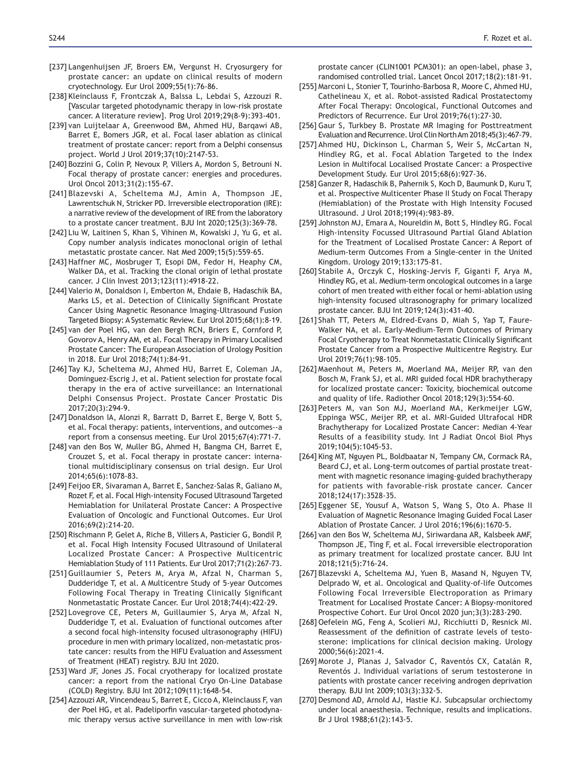- [237] Langenhuijsen JF, Broers EM, Vergunst H. Cryosurgery for prostate cancer: an update on clinical results of modern cryotechnology. Eur Urol 2009;55(1):76-86.
- [238] Kleinclauss F, Frontczak A, Balssa L, Lebdai S, Azzouzi R. [Vascular targeted photodynamic therapy in low-risk prostate cancer. A literature review]. Prog Urol 2019;29(8-9):393-401.
- [239] van Luijtelaar A, Greenwood BM, Ahmed HU, Barqawi AB, Barret E, Bomers JGR, et al. Focal laser ablation as clinical treatment of prostate cancer: report from a Delphi consensus project. World J Urol 2019:37(10):2147-53.
- [240] Bozzini G, Colin P, Nevoux P, Villers A, Mordon S, Betrouni N. Focal therapy of prostate cancer: energies and procedures. Urol Oncol 2013;31(2):155-67.
- [241] Blazevski A, Scheltema MJ, Amin A, Thompson JE, Lawrentschuk N, Stricker PD. Irreversible electroporation (IRE): a narrative review of the development of IRE from the laboratory to a prostate cancer treatment. BJU Int  $2020; 125(3): 369-78$ .
- [242] Liu W, Laitinen S, Khan S, Vihinen M, Kowalski J, Yu G, et al. Copy number analysis indicates monoclonal origin of lethal metastatic prostate cancer. Nat Med 2009;15(5):559-65.
- [243] Haffner MC, Mosbruger T, Esopi DM, Fedor H, Heaphy CM, Walker DA, et al. Tracking the clonal origin of lethal prostate cancer. J Clin Invest 2013;123(11):4918-22.
- [244] Valerio M, Donaldson I, Emberton M, Ehdaie B, Hadaschik BA, Marks LS, et al. Detection of Clinically Significant Prostate Cancer Using Magnetic Resonance Imaging-Ultrasound Fusion Targeted Biopsy: A Systematic Review. Eur Urol 2015;68(1):8-19.
- [245] van der Poel HG, van den Bergh RCN, Briers E, Cornford P, Govorov A, Henry AM, et al. Focal Therapy in Primary Localised Prostate Cancer: The European Association of Urology Position in 2018. Eur Urol 2018;74(1):84-91.
- [246] Tay KJ, Scheltema MJ, Ahmed HU, Barret E, Coleman JA, Dominguez-Escrig J, et al. Patient selection for prostate focal therapy in the era of active surveillance: an International Delphi Consensus Project. Prostate Cancer Prostatic Dis 2017;20(3):294-9.
- [247] Donaldson IA, Alonzi R, Barratt D, Barret E, Berge V, Bott S, et al. Focal therapy: patients, interventions, and outcomes--a report from a consensus meeting. Eur Urol 2015;67(4):771-7.
- [248] van den Bos W, Muller BG, Ahmed H, Bangma CH, Barret E, Crouzet S, et al. Focal therapy in prostate cancer: international multidisciplinary consensus on trial design. Eur Urol 2014;65(6):1078-83.
- [249] Feijoo ER, Sivaraman A, Barret E, Sanchez-Salas R, Galiano M, Rozet F, et al. Focal High-intensity Focused Ultrasound Targeted Hemiablation for Unilateral Prostate Cancer: A Prospective Evaluation of Oncologic and Functional Outcomes. Eur Urol 2016;69(2):214-20.
- [250] Rischmann P, Gelet A, Riche B, Villers A, Pasticier G, Bondil P, et al. Focal High Intensity Focused Ultrasound of Unilateral Localized Prostate Cancer: A Prospective Multicentric Hemiablation Study of 111 Patients. Eur Urol 2017;71(2):267-73.
- [251] Guillaumier S, Peters M, Arya M, Afzal N, Charman S, Dudderidge T, et al. A Multicentre Study of 5-year Outcomes Following Focal Therapy in Treating Clinically Significant Nonmetastatic Prostate Cancer. Eur Urol 2018;74(4):422-29.
- [252] Lovegrove CE, Peters M, Guillaumier S, Arya M, Afzal N, Dudderidge T, et al. Evaluation of functional outcomes after a second focal high-intensity focused ultrasonography (HIFU) procedure in men with primary localized, non-metastatic prostate cancer: results from the HIFU Evaluation and Assessment of Treatment (HEAT) registry. BJU Int 2020.
- [253] Ward JF, Jones JS. Focal cryotherapy for localized prostate cancer: a report from the national Cryo On-Line Database (COLD) Registry. BJU Int 2012;109(11):1648-54.
- [254] Azzouzi AR, Vincendeau S, Barret E, Cicco A, Kleinclauss F, van der Poel HG, et al. Padeliporfin vascular-targeted photodynamic therapy versus active surveillance in men with low-risk

prostate cancer (CLIN1001 PCM301): an open-label, phase 3, randomised controlled trial. Lancet Oncol 2017;18(2):181-91.

- [255] Marconi L, Stonier T, Tourinho-Barbosa R, Moore C, Ahmed HU, Cathelineau X, et al. Robot-assisted Radical Prostatectomy After Focal Therapy: Oncological, Functional Outcomes and Predictors of Recurrence. Eur Urol 2019;76(1):27-30.
- [256] Gaur S, Turkbey B. Prostate MR Imaging for Posttreatment Evaluation and Recurrence. Urol Clin North Am 2018;45(3):467-79.
- [257] Ahmed HU, Dickinson L, Charman S, Weir S, McCartan N, Hindley RG, et al. Focal Ablation Targeted to the Index Lesion in Multifocal Localised Prostate Cancer: a Prospective Development Study. Eur Urol 2015;68(6):927-36.
- [258] Ganzer R, Hadaschik B, Pahernik S, Koch D, Baumunk D, Kuru T, et al. Prospective Multicenter Phase II Study on Focal Therapy (Hemiablation) of the Prostate with High Intensity Focused Ultrasound. J Urol 2018;199(4):983-89.
- [259] Johnston MJ, Emara A, Noureldin M, Bott S, Hindley RG. Focal High-intensity Focussed Ultrasound Partial Gland Ablation for the Treatment of Localised Prostate Cancer: A Report of Medium-term Outcomes From a Single-center in the United Kingdom. Urology 2019;133:175-81.
- [260] Stabile A, Orczyk C, Hosking-Jervis F, Giganti F, Arya M, Hindley RG, et al. Medium-term oncological outcomes in a large cohort of men treated with either focal or hemi-ablation using high-intensity focused ultrasonography for primary localized prostate cancer. BJU Int 2019;124(3):431-40.
- [261] Shah TT, Peters M, Eldred-Evans D, Miah S, Yap T, Faure-Walker NA, et al. Early-Medium-Term Outcomes of Primary Focal Cryotherapy to Treat Nonmetastatic Clinically Significant Prostate Cancer from a Prospective Multicentre Registry. Eur Urol 2019;76(1):98-105.
- [262] Maenhout M, Peters M, Moerland MA, Meijer RP, van den Bosch M, Frank SJ, et al. MRI guided focal HDR brachytherapy for localized prostate cancer: Toxicity, biochemical outcome and quality of life. Radiother Oncol 2018;129(3):554-60.
- [263] Peters M, van Son MJ, Moerland MA, Kerkmeijer LGW, Eppinga WSC, Meijer RP, et al. MRI-Guided Ultrafocal HDR Brachytherapy for Localized Prostate Cancer: Median 4-Year Results of a feasibility study. Int J Radiat Oncol Biol Phys 2019;104(5):1045-53.
- [264] King MT, Nguyen PL, Boldbaatar N, Tempany CM, Cormack RA, Beard CJ, et al. Long-term outcomes of partial prostate treatment with magnetic resonance imaging-guided brachytherapy for patients with favorable-risk prostate cancer. Cancer 2018;124(17):3528-35.
- [265] Eggener SE, Yousuf A, Watson S, Wang S, Oto A. Phase II Evaluation of Magnetic Resonance Imaging Guided Focal Laser Ablation of Prostate Cancer. J Urol 2016;196(6):1670-5.
- [266] van den Bos W, Scheltema MJ, Siriwardana AR, Kalsbeek AMF, Thompson JE, Ting F, et al. Focal irreversible electroporation as primary treatment for localized prostate cancer. BJU Int 2018:121(5):716-24.
- [267] Blazevski A, Scheltema MJ, Yuen B, Masand N, Nguyen TV, Delprado W, et al. Oncological and Quality-of-life Outcomes Following Focal Irreversible Electroporation as Primary Treatment for Localised Prostate Cancer: A Biopsy-monitored Prospective Cohort. Eur Urol Oncol 2020 jun;3(3):283-290.
- [268] Oefelein MG, Feng A, Scolieri MJ, Ricchiutti D, Resnick MI. Reassessment of the definition of castrate levels of testosterone: implications for clinical decision making. Urology 2000;56(6):2021-4.
- [269] Morote J, Planas J, Salvador C, Raventós CX, Catalán R, Reventós J. Individual variations of serum testosterone in patients with prostate cancer receiving androgen deprivation therapy. BJU Int 2009;103(3):332-5.
- [270] Desmond AD, Arnold AJ, Hastie KJ. Subcapsular orchiectomy under local anaesthesia. Technique, results and implications. Br J Urol 1988;61(2):143-5.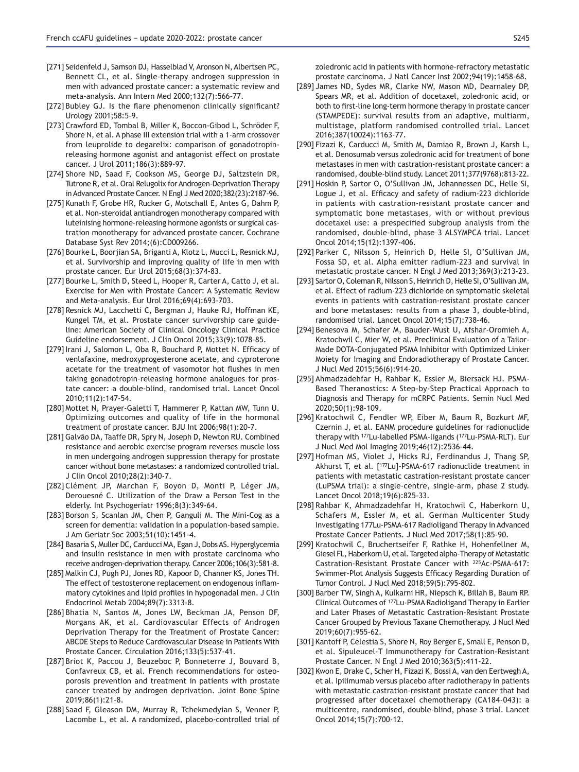- [271] Seidenfeld J, Samson DJ, Hasselblad V, Aronson N, Albertsen PC, Bennett CL, et al. Single-therapy androgen suppression in men with advanced prostate cancer: a systematic review and meta-analysis. Ann Intern Med 2000;132(7):566-77.
- [272] Bubley GJ. Is the flare phenomenon clinically significant? Urology 2001;58:5-9.
- [273] Crawford ED, Tombal B, Miller K, Boccon-Gibod L, Schröder F, Shore N, et al. A phase III extension trial with a 1-arm crossover from leuprolide to degarelix: comparison of gonadotropinreleasing hormone agonist and antagonist effect on prostate cancer. J Urol 2011;186(3):889-97.
- [274] Shore ND, Saad F, Cookson MS, George DJ, Saltzstein DR, Tutrone R, et al. Oral Relugolix for Androgen-Deprivation Therapy in Advanced Prostate Cancer. N Engl J Med 2020;382(23):2187-96.
- [275] Kunath F, Grobe HR, Rucker G, Motschall E, Antes G, Dahm P, et al. Non-steroidal antiandrogen monotherapy compared with luteinising hormone-releasing hormone agonists or surgical castration monotherapy for advanced prostate cancer. Cochrane Database Syst Rev 2014;(6):CD009266.
- [276] Bourke L, Boorjian SA, Briganti A, Klotz L, Mucci L, Resnick MJ, et al. Survivorship and improving quality of life in men with prostate cancer. Eur Urol 2015;68(3):374-83.
- [277] Bourke L, Smith D, Steed L, Hooper R, Carter A, Catto J, et al. Exercise for Men with Prostate Cancer: A Systematic Review and Meta-analysis. Eur Urol 2016;69(4):693-703.
- [278] Resnick MJ, Lacchetti C, Bergman J, Hauke RJ, Hoffman KE, Kungel TM, et al. Prostate cancer survivorship care guideline: American Society of Clinical Oncology Clinical Practice Guideline endorsement. J Clin Oncol 2015;33(9):1078-85.
- [279] Irani J, Salomon L, Oba R, Bouchard P, Mottet N. Efficacy of venlafaxine, medroxyprogesterone acetate, and cyproterone acetate for the treatment of vasomotor hot flushes in men taking gonadotropin-releasing hormone analogues for prostate cancer: a double-blind, randomised trial. Lancet Oncol 2010;11(2):147-54.
- [280] Mottet N, Prayer-Galetti T, Hammerer P, Kattan MW, Tunn U. Optimizing outcomes and quality of life in the hormonal treatment of prostate cancer. BJU Int 2006;98(1):20-7.
- [281] Galvão DA, Taaffe DR, Spry N, Joseph D, Newton RU. Combined resistance and aerobic exercise program reverses muscle loss in men undergoing androgen suppression therapy for prostate cancer without bone metastases: a randomized controlled trial. J Clin Oncol 2010;28(2):340-7.
- [282] Clément JP, Marchan F, Boyon D, Monti P, Léger JM, Derouesné C. Utilization of the Draw a Person Test in the elderly. Int Psychogeriatr 1996;8(3):349-64.
- [283] Borson S, Scanlan JM, Chen P, Ganguli M. The Mini-Cog as a screen for dementia: validation in a population-based sample. J Am Geriatr Soc 2003;51(10):1451-4.
- [284] Basaria S, Muller DC, Carducci MA, Egan J, Dobs AS. Hyperglycemia and insulin resistance in men with prostate carcinoma who receive androgen-deprivation therapy. Cancer 2006;106(3):581-8.
- [285] Malkin CJ, Pugh PJ, Jones RD, Kapoor D, Channer KS, Jones TH. The effect of testosterone replacement on endogenous inflammatory cytokines and lipid profiles in hypogonadal men. J Clin Endocrinol Metab 2004;89(7):3313-8.
- [286] Bhatia N, Santos M, Jones LW, Beckman JA, Penson DF, Morgans AK, et al. Cardiovascular Effects of Androgen Deprivation Therapy for the Treatment of Prostate Cancer: ABCDE Steps to Reduce Cardiovascular Disease in Patients With Prostate Cancer. Circulation 2016;133(5):537-41.
- [287] Briot K, Paccou J, Beuzeboc P, Bonneterre J, Bouvard B, Confavreux CB, et al. French recommendations for osteoporosis prevention and treatment in patients with prostate cancer treated by androgen deprivation. Joint Bone Spine 2019;86(1):21-8.
- [288] Saad F, Gleason DM, Murray R, Tchekmedyian S, Venner P, Lacombe L, et al. A randomized, placebo-controlled trial of

zoledronic acid in patients with hormone-refractory metastatic prostate carcinoma. J Natl Cancer Inst 2002;94(19):1458-68.

- [289] James ND, Sydes MR, Clarke NW, Mason MD, Dearnaley DP, Spears MR, et al. Addition of docetaxel, zoledronic acid, or both to first-line long-term hormone therapy in prostate cancer (STAMPEDE): survival results from an adaptive, multiarm, multistage, platform randomised controlled trial. Lancet 2016;387(10024):1163-77.
- [290] Fizazi K, Carducci M, Smith M, Damiao R, Brown J, Karsh L, et al. Denosumab versus zoledronic acid for treatment of bone metastases in men with castration-resistant prostate cancer: a randomised, double-blind study. Lancet 2011;377(9768):813-22.
- [291] Hoskin P, Sartor O, O'Sullivan JM, Johannessen DC, Helle SI, Logue J, et al. Efficacy and safety of radium-223 dichloride in patients with castration-resistant prostate cancer and symptomatic bone metastases, with or without previous docetaxel use: a prespecified subgroup analysis from the randomised, double-blind, phase 3 ALSYMPCA trial. Lancet Oncol 2014;15(12):1397-406.
- [292] Parker C, Nilsson S, Heinrich D, Helle SI, O'Sullivan JM, Fossa SD, et al. Alpha emitter radium-223 and survival in metastatic prostate cancer. N Engl J Med 2013;369(3):213-23.
- [293] Sartor O, Coleman R, Nilsson S, Heinrich D, Helle SI, O'Sullivan JM, et al. Effect of radium-223 dichloride on symptomatic skeletal events in patients with castration-resistant prostate cancer and bone metastases: results from a phase 3, double-blind, randomised trial. Lancet Oncol 2014;15(7):738-46.
- [294] Benesova M, Schafer M, Bauder-Wust U, Afshar-Oromieh A, Kratochwil C, Mier W, et al. Preclinical Evaluation of a Tailor-Made DOTA-Conjugated PSMA Inhibitor with Optimized Linker Moiety for Imaging and Endoradiotherapy of Prostate Cancer. J Nucl Med 2015;56(6):914-20.
- [295] Ahmadzadehfar H, Rahbar K, Essler M, Biersack HJ. PSMA-Based Theranostics: A Step-by-Step Practical Approach to Diagnosis and Therapy for mCRPC Patients. Semin Nucl Med 2020;50(1):98-109.
- [296] Kratochwil C, Fendler WP, Eiber M, Baum R, Bozkurt MF, Czernin J, et al. EANM procedure guidelines for radionuclide therapy with 177Lu-labelled PSMA-ligands (177Lu-PSMA-RLT). Eur J Nucl Med Mol Imaging 2019;46(12):2536-44.
- [297] Hofman MS, Violet J, Hicks RJ, Ferdinandus J, Thang SP, Akhurst T, et al. [<sup>177</sup>Lu]-PSMA-617 radionuclide treatment in patients with metastatic castration-resistant prostate cancer (LuPSMA trial): a single-centre, single-arm, phase 2 study. Lancet Oncol 2018;19(6):825-33.
- [298] Rahbar K, Ahmadzadehfar H, Kratochwil C, Haberkorn U, Schafers M, Essler M, et al. German Multicenter Study Investigating 177Lu-PSMA-617 Radioligand Therapy in Advanced Prostate Cancer Patients. J Nucl Med 2017;58(1):85-90.
- [299] Kratochwil C, Bruchertseifer F, Rathke H, Hohenfellner M, Giesel FL, Haberkorn U, et al. Targeted alpha-Therapy of Metastatic Castration-Resistant Prostate Cancer with <sup>225</sup>Ac-PSMA-617: Swimmer-Plot Analysis Suggests Efficacy Regarding Duration of Tumor Control. J Nucl Med 2018;59(5):795-802.
- [300] Barber TW, Singh A, Kulkarni HR, Niepsch K, Billah B, Baum RP. Clinical Outcomes of 177Lu-PSMA Radioligand Therapy in Earlier and Later Phases of Metastatic Castration-Resistant Prostate Cancer Grouped by Previous Taxane Chemotherapy. J Nucl Med 2019;60(7):955-62.
- [301] Kantoff P, Celestia S, Shore N, Roy Berger E, Small E, Penson D, et al. Sipuleucel-T Immunotherapy for Castration-Resistant Prostate Cancer. N Engl J Med 2010;363(5):411-22.
- [302] Kwon E, Drake C, Scher H, Fizazi K, Bossi A, van den Eertwegh A, et al. Ipilimumab versus placebo after radiotherapy in patients with metastatic castration-resistant prostate cancer that had progressed after docetaxel chemotherapy (CA184-043): a multicentre, randomised, double-blind, phase 3 trial. Lancet Oncol 2014;15(7):700-12.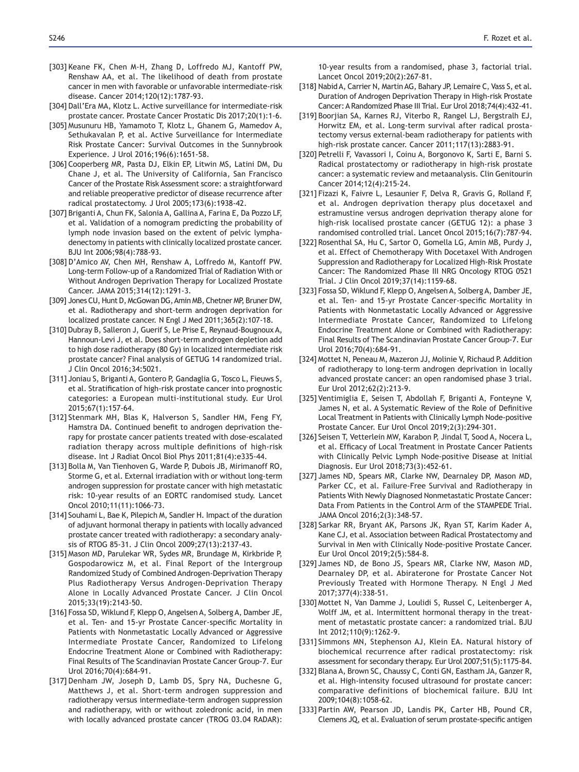- [303] Keane FK, Chen M-H, Zhang D, Loffredo MJ, Kantoff PW, Renshaw AA, et al. The likelihood of death from prostate cancer in men with favorable or unfavorable intermediate-risk disease. Cancer 2014;120(12):1787-93.
- [304] Dall'Era MA, Klotz L. Active surveillance for intermediate-risk prostate cancer. Prostate Cancer Prostatic Dis 2017;20(1):1-6.
- [305] Musunuru HB, Yamamoto T, Klotz L, Ghanem G, Mamedov A, Sethukavalan P, et al. Active Surveillance for Intermediate Risk Prostate Cancer: Survival Outcomes in the Sunnybrook Experience. J Urol 2016;196(6):1651-58.
- [306] Cooperberg MR, Pasta DJ, Elkin EP, Litwin MS, Latini DM, Du Chane J, et al. The University of California, San Francisco Cancer of the Prostate Risk Assessment score: a straightforward and reliable preoperative predictor of disease recurrence after radical prostatectomy. J Urol 2005;173(6):1938-42.
- [307] Briganti A, Chun FK, Salonia A, Gallina A, Farina E, Da Pozzo LF, et al. Validation of a nomogram predicting the probability of lymph node invasion based on the extent of pelvic lymphadenectomy in patients with clinically localized prostate cancer. BJU Int 2006;98(4):788-93.
- [308] D'Amico AV, Chen MH, Renshaw A, Loffredo M, Kantoff PW. Long-term Follow-up of a Randomized Trial of Radiation With or Without Androgen Deprivation Therapy for Localized Prostate Cancer. JAMA 2015;314(12):1291-3.
- [309] Jones CU, Hunt D, McGowan DG, Amin MB, Chetner MP, Bruner DW, et al. Radiotherapy and short-term androgen deprivation for localized prostate cancer. N Engl J Med 2011;365(2):107-18.
- [310] Dubray B, Salleron J, Guerif S, Le Prise E, Reynaud-Bougnoux A, Hannoun-Levi J, et al. Does short-term androgen depletion add to high dose radiotherapy (80 Gy) in localized intermediate risk prostate cancer? Final analysis of GETUG 14 randomized trial. J Clin Oncol 2016;34:5021.
- [311] Joniau S, Briganti A, Gontero P, Gandaglia G, Tosco L, Fieuws S, et al. Stratification of high-risk prostate cancer into prognostic categories: a European multi-institutional study. Eur Urol 2015;67(1):157-64.
- [312] Stenmark MH, Blas K, Halverson S, Sandler HM, Feng FY, Hamstra DA. Continued benefit to androgen deprivation therapy for prostate cancer patients treated with dose- escalated radiation therapy across multiple definitions of high-risk disease. Int J Radiat Oncol Biol Phys 2011;81(4):e335-44.
- [313] Bolla M, Van Tienhoven G, Warde P, Dubois JB, Mirimanoff RO, Storme G, et al. External irradiation with or without long-term androgen suppression for prostate cancer with high metastatic risk: 10-year results of an EORTC randomised study. Lancet Oncol 2010;11(11):1066-73.
- [314] Souhami L, Bae K, Pilepich M, Sandler H. Impact of the duration of adjuvant hormonal therapy in patients with locally advanced prostate cancer treated with radiotherapy: a secondary analysis of RTOG 85-31. J Clin Oncol 2009;27(13):2137-43.
- [315] Mason MD, Parulekar WR, Sydes MR, Brundage M, Kirkbride P, Gospodarowicz M, et al. Final Report of the Intergroup Randomized Study of Combined Androgen-Deprivation Therapy Plus Radiotherapy Versus Androgen-Deprivation Therapy Alone in Locally Advanced Prostate Cancer. J Clin Oncol 2015;33(19):2143-50.
- [316] Fossa SD, Wiklund F, Klepp O, Angelsen A, Solberg A, Damber JE, et al. Ten- and 15-yr Prostate Cancer-specific Mortality in Patients with Nonmetastatic Locally Advanced or Aggressive Intermediate Prostate Cancer, Randomized to Lifelong Endocrine Treatment Alone or Combined with Radiotherapy: Final Results of The Scandinavian Prostate Cancer Group-7. Eur Urol 2016;70(4):684-91.
- [317] Denham JW, Joseph D, Lamb DS, Spry NA, Duchesne G, Matthews J, et al. Short-term androgen suppression and radiotherapy versus intermediate-term androgen suppression and radiotherapy, with or without zoledronic acid, in men with locally advanced prostate cancer (TROG 03.04 RADAR):

10-year results from a randomised, phase 3, factorial trial. Lancet Oncol 2019;20(2):267-81.

- [318] Nabid A, Carrier N, Martin AG, Bahary JP, Lemaire C, Vass S, et al. Duration of Androgen Deprivation Therapy in High-risk Prostate Cancer: A Randomized Phase III Trial. Eur Urol 2018:74(4):432-41.
- [319] Boorjian SA, Karnes RJ, Viterbo R, Rangel LJ, Bergstralh EJ, Horwitz EM, et al. Long-term survival after radical prostatectomy versus external-beam radiotherapy for patients with high-risk prostate cancer. Cancer 2011;117(13):2883-91.
- [320] Petrelli F, Vavassori I, Coinu A, Borgonovo K, Sarti E, Barni S. Radical prostatectomy or radiotherapy in high-risk prostate cancer: a systematic review and metaanalysis. Clin Genitourin Cancer 2014;12(4):215-24.
- [321] Fizazi K, Faivre L, Lesaunier F, Delva R, Gravis G, Rolland F, et al. Androgen deprivation therapy plus docetaxel and estramustine versus androgen deprivation therapy alone for high-risk localised prostate cancer (GETUG 12): a phase 3 randomised controlled trial. Lancet Oncol 2015;16(7):787-94.
- [322] Rosenthal SA, Hu C, Sartor O, Gomella LG, Amin MB, Purdy J, et al. Effect of Chemotherapy With Docetaxel With Androgen Suppression and Radiotherapy for Localized High-Risk Prostate Cancer: The Randomized Phase III NRG Oncology RTOG 0521 Trial. J Clin Oncol 2019;37(14):1159-68.
- [323] Fossa SD, Wiklund F, Klepp O, Angelsen A, Solberg A, Damber JE, et al. Ten- and 15-yr Prostate Cancer-specific Mortality in Patients with Nonmetastatic Locally Advanced or Aggressive Intermediate Prostate Cancer, Randomized to Lifelong Endocrine Treatment Alone or Combined with Radiotherapy: Final Results of The Scandinavian Prostate Cancer Group-7. Eur Urol 2016;70(4):684-91.
- [324] Mottet N, Peneau M, Mazeron JJ, Molinie V, Richaud P. Addition of radiotherapy to long-term androgen deprivation in locally advanced prostate cancer: an open randomised phase 3 trial. Eur Urol 2012;62(2):213-9.
- [325] Ventimiglia E, Seisen T, Abdollah F, Briganti A, Fonteyne V, James N, et al. A Systematic Review of the Role of Definitive Local Treatment in Patients with Clinically Lymph Node-positive Prostate Cancer. Eur Urol Oncol 2019;2(3):294-301.
- [326] Seisen T, Vetterlein MW, Karabon P, Jindal T, Sood A, Nocera L, et al. Efficacy of Local Treatment in Prostate Cancer Patients with Clinically Pelvic Lymph Node-positive Disease at Initial Diagnosis. Eur Urol 2018;73(3):452-61.
- [327] James ND, Spears MR, Clarke NW, Dearnaley DP, Mason MD, Parker CC, et al. Failure-Free Survival and Radiotherapy in Patients With Newly Diagnosed Nonmetastatic Prostate Cancer: Data From Patients in the Control Arm of the STAMPEDE Trial. JAMA Oncol 2016:2(3):348-57.
- [328] Sarkar RR, Bryant AK, Parsons JK, Ryan ST, Karim Kader A, Kane CJ, et al. Association between Radical Prostatectomy and Survival in Men with Clinically Node-positive Prostate Cancer. Eur Urol Oncol 2019;2(5):584-8.
- [329] James ND, de Bono JS, Spears MR, Clarke NW, Mason MD, Dearnaley DP, et al. Abiraterone for Prostate Cancer Not Previously Treated with Hormone Therapy. N Engl J Med 2017;377(4):338-51.
- [330] Mottet N, Van Damme J, Loulidi S, Russel C, Leitenberger A, Wolff JM, et al. Intermittent hormonal therapy in the treatment of metastatic prostate cancer: a randomized trial. BJU Int 2012;110(9):1262-9.
- [331] Simmons MN, Stephenson AJ, Klein EA. Natural history of biochemical recurrence after radical prostatectomy: risk assessment for secondary therapy. Eur Urol 2007;51(5):1175-84.
- [332] Blana A, Brown SC, Chaussy C, Conti GN, Eastham JA, Ganzer R, et al. High-intensity focused ultrasound for prostate cancer: comparative definitions of biochemical failure. BJU Int 2009;104(8):1058-62.
- [333] Partin AW, Pearson JD, Landis PK, Carter HB, Pound CR, Clemens JQ, et al. Evaluation of serum prostate-specific antigen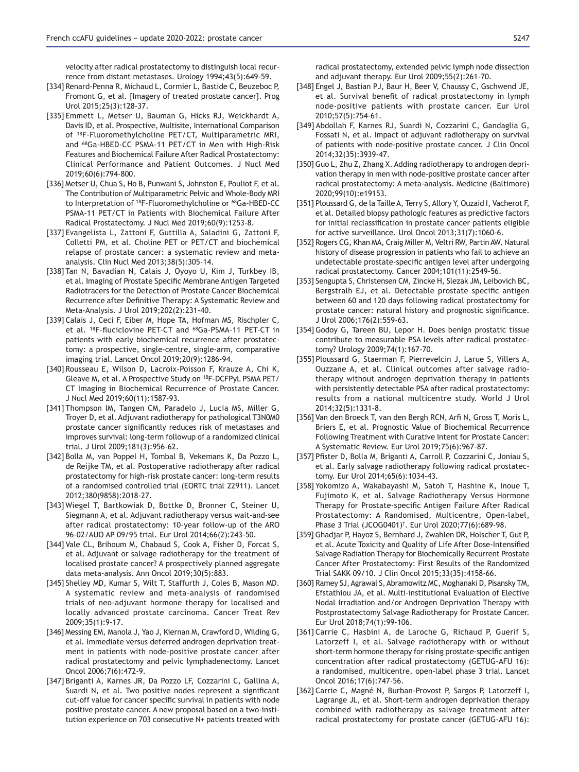velocity after radical prostatectomy to distinguish local recurrence from distant metastases. Urology 1994;43(5):649-59.

- [334] Renard-Penna R, Michaud L, Cormier L, Bastide C, Beuzeboc P, Fromont G, et al. [Imagery of treated prostate cancer]. Prog Urol 2015:25(3):128-37.
- [335] Emmett L, Metser U, Bauman G, Hicks RJ, Weickhardt A, Davis ID, et al. Prospective, Multisite, International Comparison of 18F-Fluoromethylcholine PET/CT, Multiparametric MRI, and 68Ga-HBED-CC PSMA-11 PET/CT in Men with High-Risk Features and Biochemical Failure After Radical Prostatectomy: Clinical Performance and Patient Outcomes. J Nucl Med 2019;60(6):794-800.
- [336] Metser U, Chua S, Ho B, Punwani S, Johnston E, Pouliot F, et al. The Contribution of Multiparametric Pelvic and Whole-Body MRI to Interpretation of <sup>18</sup>F-Fluoromethylcholine or <sup>68</sup>Ga-HBED-CC PSMA-11 PET/CT in Patients with Biochemical Failure After Radical Prostatectomy. J Nucl Med 2019;60(9):1253-8.
- [337] Evangelista L, Zattoni F, Guttilla A, Saladini G, Zattoni F, Colletti PM, et al. Choline PET or PET/CT and biochemical relapse of prostate cancer: a systematic review and metaanalysis. Clin Nucl Med 2013;38(5):305-14.
- [338] Tan N, Bavadian N, Calais J, Oyoyo U, Kim J, Turkbey IB, et al. Imaging of Prostate Specific Membrane Antigen Targeted Radiotracers for the Detection of Prostate Cancer Biochemical Recurrence after Definitive Therapy: A Systematic Review and Meta-Analysis. J Urol 2019;202(2):231-40.
- [339] Calais J, Ceci F, Eiber M, Hope TA, Hofman MS, Rischpler C, et al. <sup>18</sup>F-fluciclovine PET-CT and <sup>68</sup>Ga-PSMA-11 PET-CT in patients with early biochemical recurrence after prostatectomy: a prospective, single-centre, single-arm, comparative imaging trial. Lancet Oncol 2019;20(9):1286-94.
- [340] Rousseau E, Wilson D, Lacroix-Poisson F, Krauze A, Chi K, Gleave M, et al. A Prospective Study on 18F-DCFPyL PSMA PET/ CT Imaging in Biochemical Recurrence of Prostate Cancer. J Nucl Med 2019;60(11):1587-93.
- [341] Thompson IM, Tangen CM, Paradelo J, Lucia MS, Miller G, Troyer D, et al. Adjuvant radiotherapy for pathological T3N0M0 prostate cancer significantly reduces risk of metastases and improves survival: long-term followup of a randomized clinical trial. J Urol 2009;181(3):956-62.
- [342] Bolla M, van Poppel H, Tombal B, Vekemans K, Da Pozzo L, de Reijke TM, et al. Postoperative radiotherapy after radical prostatectomy for high-risk prostate cancer: long-term results of a randomised controlled trial (EORTC trial 22911). Lancet 2012;380(9858):2018-27.
- [343] Wiegel T, Bartkowiak D, Bottke D, Bronner C, Steiner U, Siegmann A, et al. Adjuvant radiotherapy versus wait-and-see after radical prostatectomy: 10-year follow-up of the ARO 96-02/AUO AP 09/95 trial. Eur Urol 2014;66(2):243-50.
- [344] Vale CL, Brihoum M, Chabaud S, Cook A, Fisher D, Forcat S, et al. Adjuvant or salvage radiotherapy for the treatment of localised prostate cancer? A prospectively planned aggregate data meta-analysis. Ann Oncol 2019;30(5):883.
- [345] Shelley MD, Kumar S, Wilt T, Staffurth J, Coles B, Mason MD. A systematic review and meta-analysis of randomised trials of neo-adjuvant hormone therapy for localised and locally advanced prostate carcinoma. Cancer Treat Rev 2009;35(1):9-17.
- [346] Messing EM, Manola J, Yao J, Kiernan M, Crawford D, Wilding G, et al. Immediate versus deferred androgen deprivation treatment in patients with node-positive prostate cancer after radical prostatectomy and pelvic lymphadenectomy. Lancet Oncol 2006;7(6):472-9.
- [347] Briganti A, Karnes JR, Da Pozzo LF, Cozzarini C, Gallina A, Suardi N, et al. Two positive nodes represent a significant cut-off value for cancer specific survival in patients with node positive prostate cancer. A new proposal based on a two-institution experience on 703 consecutive  $N+$  patients treated with

radical prostatectomy, extended pelvic lymph node dissection and adjuvant therapy. Eur Urol 2009;55(2):261-70.

- [348] Engel J, Bastian PJ, Baur H, Beer V, Chaussy C, Gschwend JE, et al. Survival benefit of radical prostatectomy in lymph node-positive patients with prostate cancer. Eur Urol 2010;57(5):754-61.
- [349] Abdollah F, Karnes RJ, Suardi N, Cozzarini C, Gandaglia G, Fossati N, et al. Impact of adjuvant radiotherapy on survival of patients with node-positive prostate cancer. J Clin Oncol 2014:32(35):3939-47.
- [350] Guo L, Zhu Z, Zhang X. Adding radiotherapy to androgen deprivation therapy in men with node-positive prostate cancer after radical prostatectomy: A meta-analysis. Medicine (Baltimore) 2020;99(10):e19153.
- [351] Ploussard G, de la Taille A, Terry S, Allory Y, Ouzaid I, Vacherot F, et al. Detailed biopsy pathologic features as predictive factors for initial reclassification in prostate cancer patients eligible for active surveillance. Urol Oncol 2013;31(7):1060-6.
- [352] Rogers CG, Khan MA, Craig Miller M, Veltri RW, Partin AW. Natural history of disease progression in patients who fail to achieve an undetectable prostate-specific antigen level after undergoing radical prostatectomy. Cancer 2004;101(11):2549-56.
- [353] Sengupta S, Christensen CM, Zincke H, Slezak JM, Leibovich BC, Bergstralh EJ, et al. Detectable prostate specific antigen between 60 and 120 days following radical prostatectomy for prostate cancer: natural history and prognostic significance. J Urol 2006;176(2):559-63.
- [354] Godoy G, Tareen BU, Lepor H. Does benign prostatic tissue contribute to measurable PSA levels after radical prostatectomy? Urology 2009;74(1):167-70.
- [355] Ploussard G, Staerman F, Pierrevelcin J, Larue S, Villers A, Ouzzane A, et al. Clinical outcomes after salvage radiotherapy without androgen deprivation therapy in patients with persistently detectable PSA after radical prostatectomy: results from a national multicentre study. World J Urol 2014;32(5):1331-8.
- [356] Van den Broeck T, van den Bergh RCN, Arfi N, Gross T, Moris L, Briers E, et al. Prognostic Value of Biochemical Recurrence Following Treatment with Curative Intent for Prostate Cancer: A Systematic Review. Eur Urol 2019;75(6):967-87.
- [357] Pfister D, Bolla M, Briganti A, Carroll P, Cozzarini C, Joniau S, et al. Early salvage radiotherapy following radical prostatectomy. Eur Urol 2014;65(6):1034-43.
- [358] Yokomizo A, Wakabayashi M, Satoh T, Hashine K, Inoue T, Fujimoto K, et al. Salvage Radiotherapy Versus Hormone Therapy for Prostate-specific Antigen Failure After Radical Prostatectomy: A Randomised, Multicentre, Open-label, Phase 3 Trial (JCOG0401)†. Eur Urol 2020;77(6):689-98.
- [359] Ghadjar P, Hayoz S, Bernhard J, Zwahlen DR, Holscher T, Gut P, et al. Acute Toxicity and Quality of Life After Dose-Intensified Salvage Radiation Therapy for Biochemically Recurrent Prostate Cancer After Prostatectomy: First Results of the Randomized Trial SAKK 09/10. J Clin Oncol 2015;33(35):4158-66.
- [360] Ramey SJ, Agrawal S, Abramowitz MC, Moghanaki D, Pisansky TM, Efstathiou JA, et al. Multi-institutional Evaluation of Elective Nodal Irradiation and/or Androgen Deprivation Therapy with Postprostatectomy Salvage Radiotherapy for Prostate Cancer. Eur Urol 2018;74(1):99-106.
- [361] Carrie C, Hasbini A, de Laroche G, Richaud P, Guerif S, Latorzeff I, et al. Salvage radiotherapy with or without short-term hormone therapy for rising prostate-specific antigen concentration after radical prostatectomy (GETUG-AFU 16): a randomised, multicentre, open-label phase 3 trial. Lancet Oncol 2016;17(6):747-56.
- [362] Carrie C, Magné N, Burban-Provost P, Sargos P, Latorzeff I, Lagrange JL, et al. Short-term androgen deprivation therapy combined with radiotherapy as salvage treatment after radical prostatectomy for prostate cancer (GETUG-AFU 16):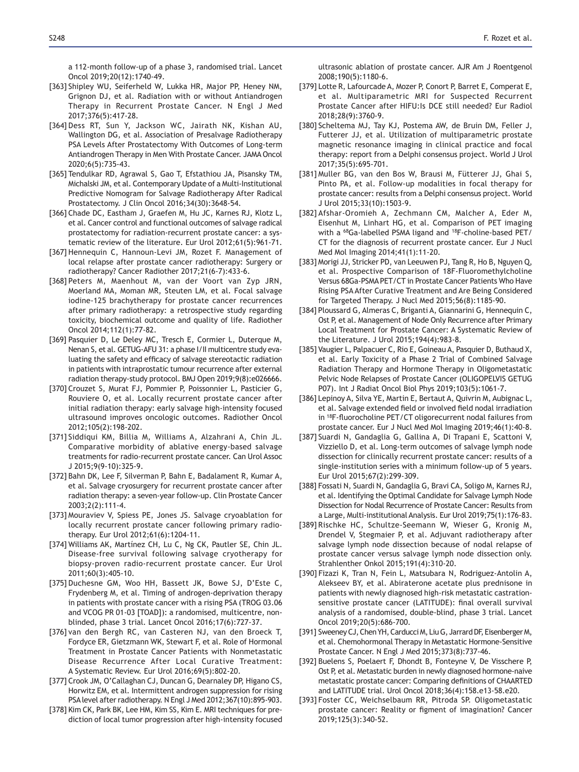a 112-month follow-up of a phase 3, randomised trial. Lancet Oncol 2019;20(12):1740-49.

- [363] Shipley WU, Seiferheld W, Lukka HR, Major PP, Heney NM, Grignon DJ, et al. Radiation with or without Antiandrogen Therapy in Recurrent Prostate Cancer. N Engl J Med 2017;376(5):417-28.
- [364] Dess RT, Sun Y, Jackson WC, Jairath NK, Kishan AU, Wallington DG, et al. Association of Presalvage Radiotherapy PSA Levels After Prostatectomy With Outcomes of Long-term Antiandrogen Therapy in Men With Prostate Cancer. JAMA Oncol 2020;6(5):735-43.
- [365] Tendulkar RD, Agrawal S, Gao T, Efstathiou JA, Pisansky TM, Michalski JM, et al. Contemporary Update of a Multi-Institutional Predictive Nomogram for Salvage Radiotherapy After Radical Prostatectomy. J Clin Oncol 2016;34(30):3648-54.
- [366] Chade DC, Eastham J, Graefen M, Hu JC, Karnes RJ, Klotz L, et al. Cancer control and functional outcomes of salvage radical prostatectomy for radiation-recurrent prostate cancer: a systematic review of the literature. Eur Urol 2012;61(5):961-71.
- [367] Hennequin C, Hannoun-Levi JM, Rozet F. Management of local relapse after prostate cancer radiotherapy: Surgery or radiotherapy? Cancer Radiother 2017;21(6-7):433-6.
- [368] Peters M, Maenhout M, van der Voort van Zyp JRN, Moerland MA, Moman MR, Steuten LM, et al. Focal salvage iodine-125 brachytherapy for prostate cancer recurrences after primary radiotherapy: a retrospective study regarding toxicity, biochemical outcome and quality of life. Radiother Oncol 2014:112(1):77-82.
- [369] Pasquier D, Le Deley MC, Tresch E, Cormier L, Duterque M, Nenan S, et al. GETUG-AFU 31: a phase I/II multicentre study evaluating the safety and efficacy of salvage stereotactic radiation in patients with intraprostatic tumour recurrence after external radiation therapy-study protocol. BMJ Open 2019;9(8):e026666.
- [370] Crouzet S, Murat FJ, Pommier P, Poissonnier L, Pasticier G, Rouviere O, et al. Locally recurrent prostate cancer after initial radiation therapy: early salvage high-intensity focused ultrasound improves oncologic outcomes. Radiother Oncol 2012;105(2):198-202.
- [371] Siddiqui KM, Billia M, Williams A, Alzahrani A, Chin JL. Comparative morbidity of ablative energy-based salvage treatments for radio-recurrent prostate cancer. Can Urol Assoc J 2015;9(9-10):325-9.
- [372] Bahn DK, Lee F, Silverman P, Bahn E, Badalament R, Kumar A, et al. Salvage cryosurgery for recurrent prostate cancer after radiation therapy: a seven-year follow-up. Clin Prostate Cancer 2003;2(2):111-4.
- [373] Mouraviev V, Spiess PE, Jones JS. Salvage cryoablation for locally recurrent prostate cancer following primary radiotherapy. Eur Urol 2012;61(6):1204-11.
- [374] Williams AK, Martínez CH, Lu C, Ng CK, Pautler SE, Chin JL. Disease-free survival following salvage cryotherapy for biopsy-proven radio-recurrent prostate cancer. Eur Urol 2011;60(3):405-10.
- [375] Duchesne GM, Woo HH, Bassett JK, Bowe SJ, D'Este C, Frydenberg M, et al. Timing of androgen-deprivation therapy in patients with prostate cancer with a rising PSA (TROG 03.06 and VCOG PR 01-03 [TOAD]): a randomised, multicentre, nonblinded, phase 3 trial. Lancet Oncol 2016;17(6):727-37.
- [376] van den Bergh RC, van Casteren NJ, van den Broeck T, Fordyce ER, Gietzmann WK, Stewart F, et al. Role of Hormonal Treatment in Prostate Cancer Patients with Nonmetastatic Disease Recurrence After Local Curative Treatment: A Systematic Review. Eur Urol 2016;69(5):802-20.
- [377] Crook JM, O'Callaghan CJ, Duncan G, Dearnaley DP, Higano CS, Horwitz EM, et al. Intermittent androgen suppression for rising PSA level after radiotherapy. N Engl J Med 2012;367(10):895-903.
- [378] Kim CK, Park BK, Lee HM, Kim SS, Kim E. MRI techniques for prediction of local tumor progression after high-intensity focused

ultrasonic ablation of prostate cancer. AJR Am J Roentgenol 2008;190(5):1180-6.

- [379] Lotte R, Lafourcade A, Mozer P, Conort P, Barret E, Comperat E, et al. Multiparametric MRI for Suspected Recurrent Prostate Cancer after HIFU: Is DCE still needed? Eur Radiol 2018:28(9):3760-9.
- [380] Scheltema MJ, Tay KJ, Postema AW, de Bruin DM, Feller J, Futterer JJ, et al. Utilization of multiparametric prostate magnetic resonance imaging in clinical practice and focal therapy: report from a Delphi consensus project. World J Urol 2017;35(5):695-701.
- [381] Muller BG, van den Bos W, Brausi M, Fütterer JJ, Ghai S, Pinto PA, et al. Follow-up modalities in focal therapy for prostate cancer: results from a Delphi consensus project. World J Urol 2015;33(10):1503-9.
- [382] Afshar-Oromieh A, Zechmann CM, Malcher A, Eder M, Eisenhut M, Linhart HG, et al. Comparison of PET imaging with a 68Ga-labelled PSMA ligand and 18F-choline-based PET/ CT for the diagnosis of recurrent prostate cancer. Eur J Nucl Med Mol Imaging 2014;41(1):11-20.
- [383] Morigi JJ, Stricker PD, van Leeuwen PJ, Tang R, Ho B, Nguyen Q, et al. Prospective Comparison of 18F-Fluoromethylcholine Versus 68Ga-PSMA PET/CT in Prostate Cancer Patients Who Have Rising PSA After Curative Treatment and Are Being Considered for Targeted Therapy. J Nucl Med 2015;56(8):1185-90.
- [384] Ploussard G, Almeras C, Briganti A, Giannarini G, Hennequin C, Ost P, et al. Management of Node Only Recurrence after Primary Local Treatment for Prostate Cancer: A Systematic Review of the Literature. J Urol 2015;194(4):983-8.
- [385] Vaugier L, Palpacuer C, Rio E, Goineau A, Pasquier D, Buthaud X, et al. Early Toxicity of a Phase 2 Trial of Combined Salvage Radiation Therapy and Hormone Therapy in Oligometastatic Pelvic Node Relapses of Prostate Cancer (OLIGOPELVIS GETUG P07). Int J Radiat Oncol Biol Phys 2019;103(5):1061-7.
- [386] Lepinoy A, Silva YE, Martin E, Bertaut A, Quivrin M, Aubignac L, et al. Salvage extended field or involved field nodal irradiation in  $18F$ -fluorocholine PET/CT oligorecurrent nodal failures from prostate cancer. Eur J Nucl Med Mol Imaging 2019;46(1):40-8.
- [387] Suardi N, Gandaglia G, Gallina A, Di Trapani E, Scattoni V, Vizziello D, et al. Long-term outcomes of salvage lymph node dissection for clinically recurrent prostate cancer: results of a single-institution series with a minimum follow-up of 5 years. Eur Urol 2015;67(2):299-309.
- [388] Fossati N, Suardi N, Gandaglia G, Bravi CA, Soligo M, Karnes RJ, et al. Identifying the Optimal Candidate for Salvage Lymph Node Dissection for Nodal Recurrence of Prostate Cancer: Results from a Large, Multi-institutional Analysis. Eur Urol 2019;75(1):176-83.
- [389] Rischke HC, Schultze-Seemann W, Wieser G, Kronig M, Drendel V, Stegmaier P, et al. Adjuvant radiotherapy after salvage lymph node dissection because of nodal relapse of prostate cancer versus salvage lymph node dissection only. Strahlenther Onkol 2015;191(4):310-20.
- [390] Fizazi K, Tran N, Fein L, Matsubara N, Rodriguez-Antolin A, Alekseev BY, et al. Abiraterone acetate plus prednisone in patients with newly diagnosed high-risk metastatic castrationsensitive prostate cancer (LATITUDE): final overall survival analysis of a randomised, double-blind, phase 3 trial. Lancet Oncol 2019;20(5):686-700.
- [391] Sweeney CJ, Chen YH, Carducci M, Liu G, Jarrard DF, Eisenberger M, et al. Chemohormonal Therapy in Metastatic Hormone-Sensitive Prostate Cancer. N Engl J Med 2015;373(8):737-46.
- [392] Buelens S, Poelaert F, Dhondt B, Fonteyne V, De Visschere P, Ost P, et al. Metastatic burden in newly diagnosed hormone-naive metastatic prostate cancer: Comparing definitions of CHAARTED and LATITUDE trial. Urol Oncol 2018;36(4):158.e13-58.e20.
- [393] Foster CC, Weichselbaum RR, Pitroda SP. Oligometastatic prostate cancer: Reality or figment of imagination? Cancer 2019;125(3):340-52.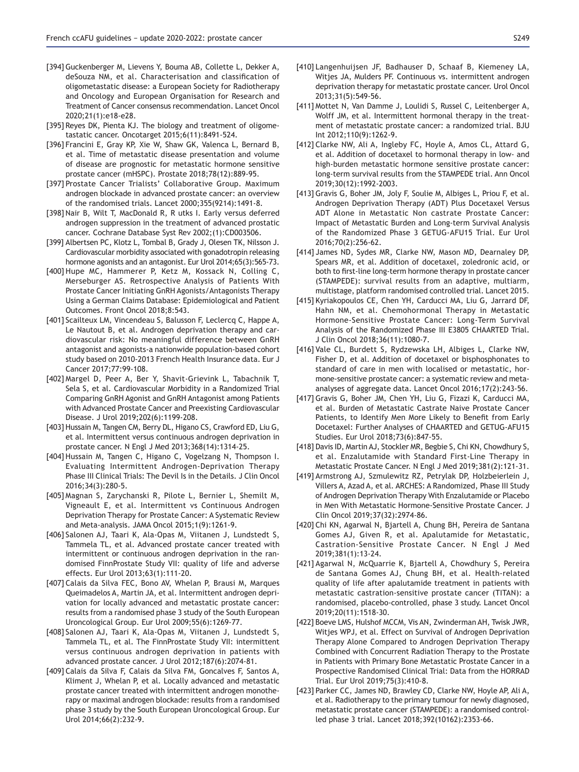- [394] Guckenberger M, Lievens Y, Bouma AB, Collette L, Dekker A, deSouza NM, et al. Characterisation and classification of oligometastatic disease: a European Society for Radiotherapy and Oncology and European Organisation for Research and Treatment of Cancer consensus recommendation. Lancet Oncol 2020;21(1):e18-e28.
- [395] Reyes DK, Pienta KJ. The biology and treatment of oligometastatic cancer. Oncotarget 2015;6(11):8491-524.
- [396] Francini E, Gray KP, Xie W, Shaw GK, Valenca L, Bernard B, et al. Time of metastatic disease presentation and volume of disease are prognostic for metastatic hormone sensitive prostate cancer (mHSPC). Prostate 2018;78(12):889-95.
- [397] Prostate Cancer Trialists' Collaborative Group. Maximum androgen blockade in advanced prostate cancer: an overview of the randomised trials. Lancet 2000;355(9214):1491-8.
- [398] Nair B, Wilt T, MacDonald R, R utks I. Early versus deferred androgen suppression in the treatment of advanced prostatic cancer. Cochrane Database Syst Rev 2002;(1):CD003506.
- [399] Albertsen PC, Klotz L, Tombal B, Grady J, Olesen TK, Nilsson J. Cardiovascular morbidity associated with gonadotropin releasing hormone agonists and an antagonist. Eur Urol 2014;65(3):565-73.
- [400] Hupe MC, Hammerer P, Ketz M, Kossack N, Colling C, Merseburger AS. Retrospective Analysis of Patients With Prostate Cancer Initiating GnRH Agonists/Antagonists Therapy Using a German Claims Database: Epidemiological and Patient Outcomes. Front Oncol 2018;8:543.
- [401] Scailteux LM, Vincendeau S, Balusson F, Leclercq C, Happe A, Le Nautout B, et al. Androgen deprivation therapy and cardiovascular risk: No meaningful difference between GnRH antagonist and agonists-a nationwide population-based cohort study based on 2010-2013 French Health Insurance data. Eur J Cancer 2017:77:99-108.
- [402] Margel D, Peer A, Ber Y, Shavit-Grievink L, Tabachnik T, Sela S, et al. Cardiovascular Morbidity in a Randomized Trial Comparing GnRH Agonist and GnRH Antagonist among Patients with Advanced Prostate Cancer and Preexisting Cardiovascular Disease. J Urol 2019;202(6):1199-208.
- [403] Hussain M, Tangen CM, Berry DL, Higano CS, Crawford ED, Liu G, et al. Intermittent versus continuous androgen deprivation in prostate cancer. N Engl J Med 2013;368(14):1314-25.
- [404] Hussain M, Tangen C, Higano C, Vogelzang N, Thompson I. Evaluating Intermittent Androgen-Deprivation Therapy Phase III Clinical Trials: The Devil Is in the Details. J Clin Oncol 2016;34(3):280-5.
- [405] Magnan S, Zarychanski R, Pilote L, Bernier L, Shemilt M, Vigneault E, et al. Intermittent vs Continuous Androgen Deprivation Therapy for Prostate Cancer: A Systematic Review and Meta-analysis. JAMA Oncol 2015;1(9):1261-9.
- [406] Salonen AJ, Taari K, Ala-Opas M, Viitanen J, Lundstedt S, Tammela TL, et al. Advanced prostate cancer treated with intermittent or continuous androgen deprivation in the randomised FinnProstate Study VII: quality of life and adverse effects. Eur Urol 2013;63(1):111-20.
- [407] Calais da Silva FEC, Bono AV, Whelan P, Brausi M, Marques Queimadelos A, Martin JA, et al. Intermittent androgen deprivation for locally advanced and metastatic prostate cancer: results from a randomised phase 3 study of the South European Uroncological Group. Eur Urol 2009;55(6):1269-77.
- [408] Salonen AJ, Taari K, Ala-Opas M, Viitanen J, Lundstedt S, Tammela TL, et al. The FinnProstate Study VII: intermittent versus continuous androgen deprivation in patients with advanced prostate cancer. J Urol 2012;187(6):2074-81.
- [409] Calais da Silva F, Calais da Silva FM, Goncalves F, Santos A, Kliment J, Whelan P, et al. Locally advanced and metastatic prostate cancer treated with intermittent androgen monotherapy or maximal androgen blockade: results from a randomised phase 3 study by the South European Uroncological Group. Eur Urol 2014;66(2):232-9.
- [410] Langenhuijsen JF, Badhauser D, Schaaf B, Kiemeney LA, Witjes JA, Mulders PF. Continuous vs. intermittent androgen deprivation therapy for metastatic prostate cancer. Urol Oncol 2013;31(5):549-56.
- [411] Mottet N, Van Damme J, Loulidi S, Russel C, Leitenberger A, Wolff JM, et al. Intermittent hormonal therapy in the treatment of metastatic prostate cancer: a randomized trial. BJU Int 2012;110(9):1262-9.
- [412] Clarke NW, Ali A, Ingleby FC, Hoyle A, Amos CL, Attard G, et al. Addition of docetaxel to hormonal therapy in low- and high-burden metastatic hormone sensitive prostate cancer: long-term survival results from the STAMPEDE trial. Ann Oncol 2019;30(12):1992-2003.
- [413] Gravis G, Boher JM, Joly F, Soulie M, Albiges L, Priou F, et al. Androgen Deprivation Therapy (ADT) Plus Docetaxel Versus ADT Alone in Metastatic Non castrate Prostate Cancer: Impact of Metastatic Burden and Long-term Survival Analysis of the Randomized Phase 3 GETUG-AFU15 Trial. Eur Urol 2016;70(2):256-62.
- [414] James ND, Sydes MR, Clarke NW, Mason MD, Dearnaley DP, Spears MR, et al. Addition of docetaxel, zoledronic acid, or both to first-line long-term hormone therapy in prostate cancer (STAMPEDE): survival results from an adaptive, multiarm, multistage, platform randomised controlled trial. Lancet 2015.
- [415] Kyriakopoulos CE, Chen YH, Carducci MA, Liu G, Jarrard DF, Hahn NM, et al. Chemohormonal Therapy in Metastatic Hormone-Sensitive Prostate Cancer: Long-Term Survival Analysis of the Randomized Phase III E3805 CHAARTED Trial. J Clin Oncol 2018;36(11):1080-7.
- [416] Vale CL, Burdett S, Rydzewska LH, Albiges L, Clarke NW, Fisher D, et al. Addition of docetaxel or bisphosphonates to standard of care in men with localised or metastatic, hormone-sensitive prostate cancer: a systematic review and metaanalyses of aggregate data. Lancet Oncol 2016;17(2):243-56.
- [417] Gravis G, Boher JM, Chen YH, Liu G, Fizazi K, Carducci MA, et al. Burden of Metastatic Castrate Naive Prostate Cancer Patients, to Identify Men More Likely to Benefit from Early Docetaxel: Further Analyses of CHAARTED and GETUG-AFU15 Studies. Eur Urol 2018;73(6):847-55.
- [418] Davis ID, Martin AJ, Stockler MR, Begbie S, Chi KN, Chowdhury S, et al. Enzalutamide with Standard First-Line Therapy in Metastatic Prostate Cancer. N Engl J Med 2019;381(2):121-31.
- [419] Armstrong AJ, Szmulewitz RZ, Petrylak DP, Holzbeierlein J, Villers A, Azad A, et al. ARCHES: A Randomized, Phase III Study of Androgen Deprivation Therapy With Enzalutamide or Placebo in Men With Metastatic Hormone-Sensitive Prostate Cancer. J Clin Oncol 2019;37(32):2974-86.
- [420] Chi KN, Agarwal N, Bjartell A, Chung BH, Pereira de Santana Gomes AJ, Given R, et al. Apalutamide for Metastatic, Castration-Sensitive Prostate Cancer. N Engl J Med 2019;381(1):13-24.
- [421] Agarwal N, McQuarrie K, Bjartell A, Chowdhury S, Pereira de Santana Gomes AJ, Chung BH, et al. Health-related quality of life after apalutamide treatment in patients with metastatic castration-sensitive prostate cancer (TITAN): a randomised, placebo-controlled, phase 3 study. Lancet Oncol 2019;20(11):1518-30.
- [422] Boeve LMS, Hulshof MCCM, Vis AN, Zwinderman AH, Twisk JWR, Witjes WPJ, et al. Effect on Survival of Androgen Deprivation Therapy Alone Compared to Androgen Deprivation Therapy Combined with Concurrent Radiation Therapy to the Prostate in Patients with Primary Bone Metastatic Prostate Cancer in a Prospective Randomised Clinical Trial: Data from the HORRAD Trial. Eur Urol 2019;75(3):410-8.
- [423] Parker CC, James ND, Brawley CD, Clarke NW, Hoyle AP, Ali A, et al. Radiotherapy to the primary tumour for newly diagnosed, metastatic prostate cancer (STAMPEDE): a randomised controlled phase 3 trial. Lancet 2018;392(10162):2353-66.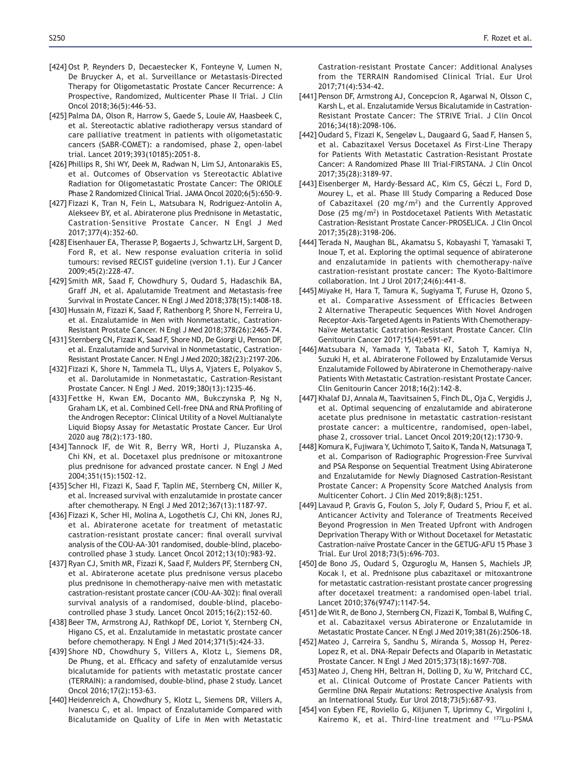- [424] Ost P, Reynders D, Decaestecker K, Fonteyne V, Lumen N, De Bruycker A, et al. Surveillance or Metastasis-Directed Therapy for Oligometastatic Prostate Cancer Recurrence: A Prospective, Randomized, Multicenter Phase II Trial. J Clin Oncol 2018;36(5):446-53.
- [425] Palma DA, Olson R, Harrow S, Gaede S, Louie AV, Haasbeek C, et al. Stereotactic ablative radiotherapy versus standard of care palliative treatment in patients with oligometastatic cancers (SABR-COMET): a randomised, phase 2, open-label trial. Lancet 2019;393(10185):2051-8.
- [426] Phillips R, Shi WY, Deek M, Radwan N, Lim SJ, Antonarakis ES, et al. Outcomes of Observation vs Stereotactic Ablative Radiation for Oligometastatic Prostate Cancer: The ORIOLE Phase 2 Randomized Clinical Trial. JAMA Oncol 2020;6(5):650-9.
- [427] Fizazi K, Tran N, Fein L, Matsubara N, Rodriguez-Antolin A, Alekseev BY, et al. Abiraterone plus Prednisone in Metastatic, Castration-Sensitive Prostate Cancer. N Engl J Med 2017;377(4):352-60.
- [428] Eisenhauer EA, Therasse P, Bogaerts J, Schwartz LH, Sargent D, Ford R, et al. New response evaluation criteria in solid tumours: revised RECIST guideline (version 1.1). Eur J Cancer 2009;45(2):228-47.
- [429] Smith MR, Saad F, Chowdhury S, Oudard S, Hadaschik BA, Graff JN, et al. Apalutamide Treatment and Metastasis-free Survival in Prostate Cancer. N Engl J Med 2018;378(15):1408-18.
- [430] Hussain M, Fizazi K, Saad F, Rathenborg P, Shore N, Ferreira U, et al. Enzalutamide in Men with Nonmetastatic, Castration-Resistant Prostate Cancer. N Engl J Med 2018;378(26):2465-74.
- [431] Sternberg CN, Fizazi K, Saad F, Shore ND, De Giorgi U, Penson DF, et al. Enzalutamide and Survival in Nonmetastatic, Castration-Resistant Prostate Cancer. N Engl J Med 2020;382(23):2197-206.
- [432] Fizazi K, Shore N, Tammela TL, Ulys A, Vjaters E, Polyakov S, et al. Darolutamide in Nonmetastatic, Castration-Resistant Prostate Cancer. N Engl J Med. 2019;380(13):1235-46.
- [433] Fettke H, Kwan EM, Docanto MM, Bukczynska P, Ng N, Graham LK, et al. Combined Cell-free DNA and RNA Profiling of the Androgen Receptor: Clinical Utility of a Novel Multianalyte Liquid Biopsy Assay for Metastatic Prostate Cancer. Eur Urol 2020 aug 78(2):173-180.
- [434] Tannock IF, de Wit R, Berry WR, Horti J, Pluzanska A, Chi KN, et al. Docetaxel plus prednisone or mitoxantrone plus prednisone for advanced prostate cancer. N Engl J Med 2004;351(15):1502-12.
- [435] Scher HI, Fizazi K, Saad F, Taplin ME, Sternberg CN, Miller K, et al. Increased survival with enzalutamide in prostate cancer after chemotherapy. N Engl J Med 2012;367(13):1187-97.
- [436] Fizazi K, Scher HI, Molina A, Logothetis CJ, Chi KN, Jones RJ, et al. Abiraterone acetate for treatment of metastatic castration-resistant prostate cancer: final overall survival analysis of the COU-AA-301 randomised, double-blind, placebocontrolled phase 3 study. Lancet Oncol 2012;13(10):983-92.
- [437] Rvan CJ, Smith MR, Fizazi K, Saad F, Mulders PF, Sternberg CN, et al. Abiraterone acetate plus prednisone versus placebo plus prednisone in chemotherapy-naive men with metastatic castration-resistant prostate cancer (COU-AA-302): final overall survival analysis of a randomised, double-blind, placebocontrolled phase 3 study. Lancet Oncol 2015;16(2):152-60.
- [438] Beer TM, Armstrong AJ, Rathkopf DE, Loriot Y, Sternberg CN, Higano CS, et al. Enzalutamide in metastatic prostate cancer before chemotherapy. N Engl J Med 2014;371(5):424-33.
- [439] Shore ND, Chowdhury S, Villers A, Klotz L, Siemens DR, De Phung, et al. Efficacy and safety of enzalutamide versus bicalutamide for patients with metastatic prostate cancer (TERRAIN): a randomised, double-blind, phase 2 study. Lancet Oncol 2016;17(2):153-63.
- [440] Heidenreich A, Chowdhury S, Klotz L, Siemens DR, Villers A, Ivanescu C, et al. Impact of Enzalutamide Compared with Bicalutamide on Quality of Life in Men with Metastatic

Castration-resistant Prostate Cancer: Additional Analyses from the TERRAIN Randomised Clinical Trial. Eur Urol 2017;71(4):534-42.

- [441] Penson DF, Armstrong AJ, Concepcion R, Agarwal N, Olsson C, Karsh L, et al. Enzalutamide Versus Bicalutamide in Castration-Resistant Prostate Cancer: The STRIVE Trial. J Clin Oncol 2016;34(18):2098-106.
- [442] Oudard S, Fizazi K, Sengeløv L, Daugaard G, Saad F, Hansen S, et al. Cabazitaxel Versus Docetaxel As First-Line Therapy for Patients With Metastatic Castration-Resistant Prostate Cancer: A Randomized Phase III Trial-FIRSTANA. J Clin Oncol 2017;35(28):3189-97.
- [443] Eisenberger M, Hardy-Bessard AC, Kim CS, Géczi L, Ford D, Mourey L, et al. Phase III Study Comparing a Reduced Dose of Cabazitaxel (20 mg/m2) and the Currently Approved Dose (25 mg/m<sup>2</sup>) in Postdocetaxel Patients With Metastatic Castration-Resistant Prostate Cancer-PROSELICA. J Clin Oncol 2017;35(28):3198-206.
- [444] Terada N, Maughan BL, Akamatsu S, Kobayashi T, Yamasaki T, Inoue T, et al. Exploring the optimal sequence of abiraterone and enzalutamide in patients with chemotherapy-naïve castration-resistant prostate cancer: The Kyoto-Baltimore collaboration. Int J Urol 2017;24(6):441-8.
- [445] Miyake H, Hara T, Tamura K, Sugiyama T, Furuse H, Ozono S, et al. Comparative Assessment of Efficacies Between 2 Alternative Therapeutic Sequences With Novel Androgen Receptor-Axis-Targeted Agents in Patients With Chemotherapy-Naïve Metastatic Castration-Resistant Prostate Cancer. Clin Genitourin Cancer 2017;15(4):e591-e7.
- [446] Matsubara N, Yamada Y, Tabata KI, Satoh T, Kamiya N, Suzuki H, et al. Abiraterone Followed by Enzalutamide Versus Enzalutamide Followed by Abiraterone in Chemotherapy-naive Patients With Metastatic Castration-resistant Prostate Cancer. Clin Genitourin Cancer 2018;16(2):142-8.
- [447] Khalaf DJ, Annala M, Taavitsainen S, Finch DL, Oja C, Vergidis J, et al. Optimal sequencing of enzalutamide and abiraterone acetate plus prednisone in metastatic castration-resistant prostate cancer: a multicentre, randomised, open-label, phase 2, crossover trial. Lancet Oncol 2019;20(12):1730-9.
- [448] Komura K, Fujiwara Y, Uchimoto T, Saito K, Tanda N, Matsunaga T, et al. Comparison of Radiographic Progression-Free Survival and PSA Response on Sequential Treatment Using Abiraterone and Enzalutamide for Newly Diagnosed Castration-Resistant Prostate Cancer: A Propensity Score Matched Analysis from Multicenter Cohort. J Clin Med 2019;8(8):1251.
- [449] Lavaud P, Gravis G, Foulon S, Joly F, Oudard S, Priou F, et al. Anticancer Activity and Tolerance of Treatments Received Beyond Progression in Men Treated Upfront with Androgen Deprivation Therapy With or Without Docetaxel for Metastatic Castration-naïve Prostate Cancer in the GETUG-AFU 15 Phase 3 Trial. Eur Urol 2018;73(5):696-703.
- [450] de Bono JS, Oudard S, Ozguroglu M, Hansen S, Machiels JP, Kocak I, et al. Prednisone plus cabazitaxel or mitoxantrone for metastatic castration-resistant prostate cancer progressing after docetaxel treatment: a randomised open-label trial. Lancet 2010;376(9747):1147-54.
- [451] de Wit R, de Bono J, Sternberg CN, Fizazi K, Tombal B, Wulfing C, et al. Cabazitaxel versus Abiraterone or Enzalutamide in Metastatic Prostate Cancer. N Engl J Med 2019;381(26):2506-18.
- [452] Mateo J, Carreira S, Sandhu S, Miranda S, Mossop H, Perez-Lopez R, et al. DNA-Repair Defects and Olaparib in Metastatic Prostate Cancer. N Engl J Med 2015;373(18):1697-708.
- [453] Mateo J, Cheng HH, Beltran H, Dolling D, Xu W, Pritchard CC, et al. Clinical Outcome of Prostate Cancer Patients with Germline DNA Repair Mutations: Retrospective Analysis from an International Study. Eur Urol 2018;73(5):687-93.
- [454] von Eyben FE, Roviello G, Kiljunen T, Uprimny C, Virgolini I, Kairemo K, et al. Third-line treatment and 177Lu-PSMA